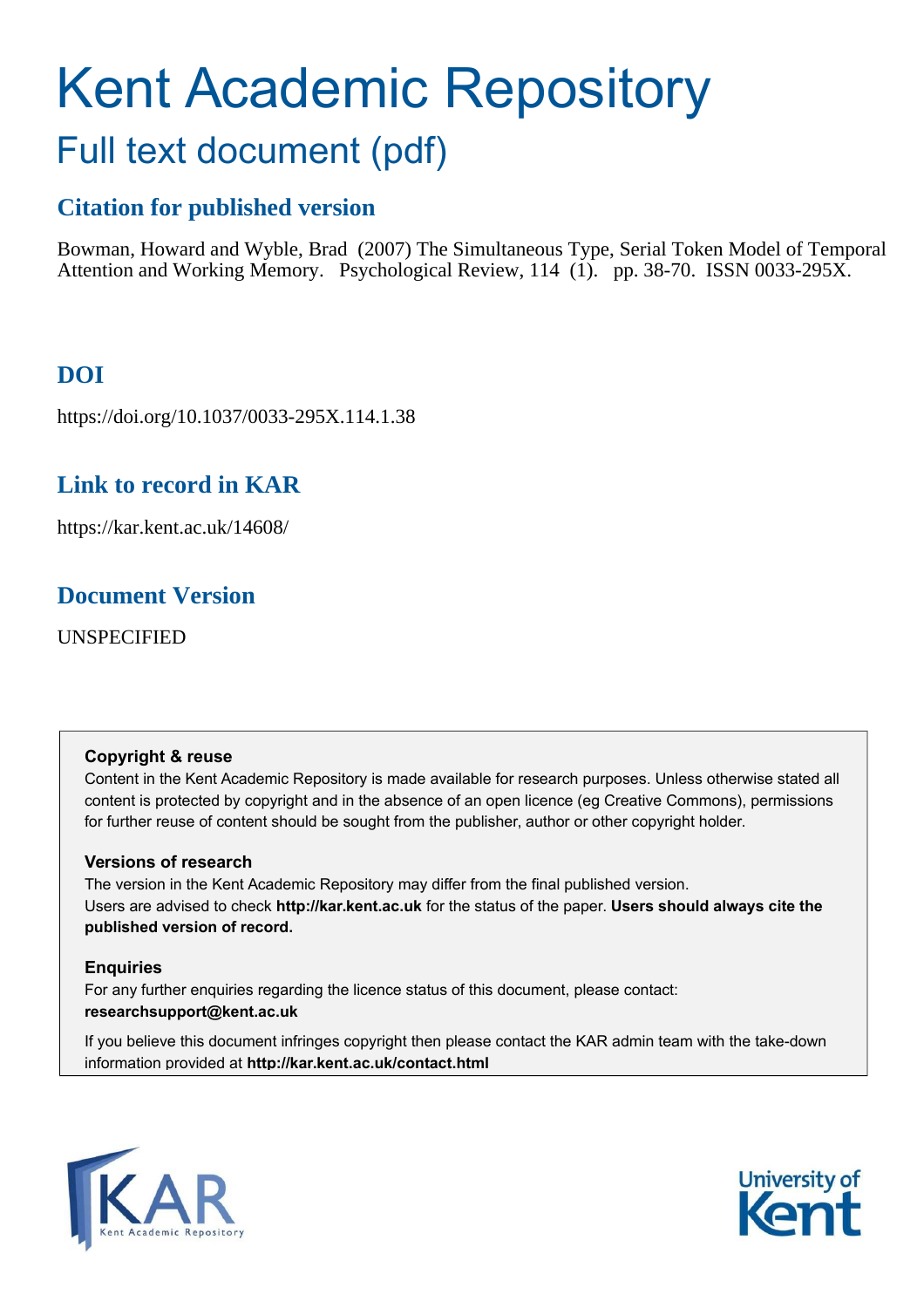# Kent Academic Repository Full text document (pdf)

# **Citation for published version**

Bowman, Howard and Wyble, Brad (2007) The Simultaneous Type, Serial Token Model of Temporal Attention and Working Memory. Psychological Review, 114 (1). pp. 38-70. ISSN 0033-295X.

# **DOI**

https://doi.org/10.1037/0033-295X.114.1.38

# **Link to record in KAR**

https://kar.kent.ac.uk/14608/

# **Document Version**

UNSPECIFIED

#### **Copyright & reuse**

Content in the Kent Academic Repository is made available for research purposes. Unless otherwise stated all content is protected by copyright and in the absence of an open licence (eg Creative Commons), permissions for further reuse of content should be sought from the publisher, author or other copyright holder.

#### **Versions of research**

The version in the Kent Academic Repository may differ from the final published version. Users are advised to check **http://kar.kent.ac.uk** for the status of the paper. **Users should always cite the published version of record.**

#### **Enquiries**

For any further enquiries regarding the licence status of this document, please contact: **researchsupport@kent.ac.uk**

If you believe this document infringes copyright then please contact the KAR admin team with the take-down information provided at **http://kar.kent.ac.uk/contact.html**



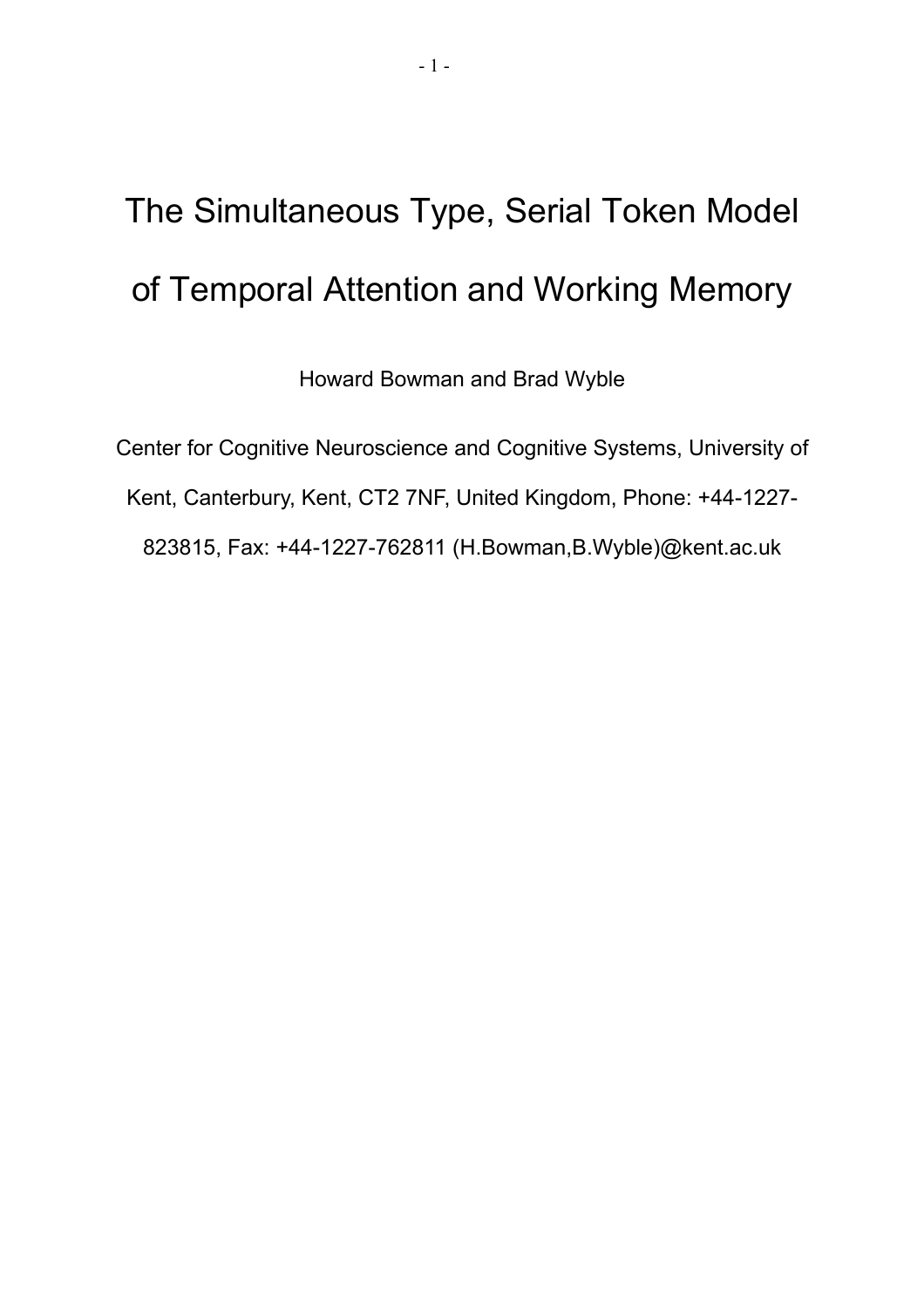# The Simultaneous Type, Serial Token Model of Temporal Attention and Working Memory

Howard Bowman and Brad Wyble

Center for Cognitive Neuroscience and Cognitive Systems, University of Kent, Canterbury, Kent, CT2 7NF, United Kingdom, Phone: +44-1227- 823815, Fax: +44-1227-762811 (H.Bowman,B.Wyble)@kent.ac.uk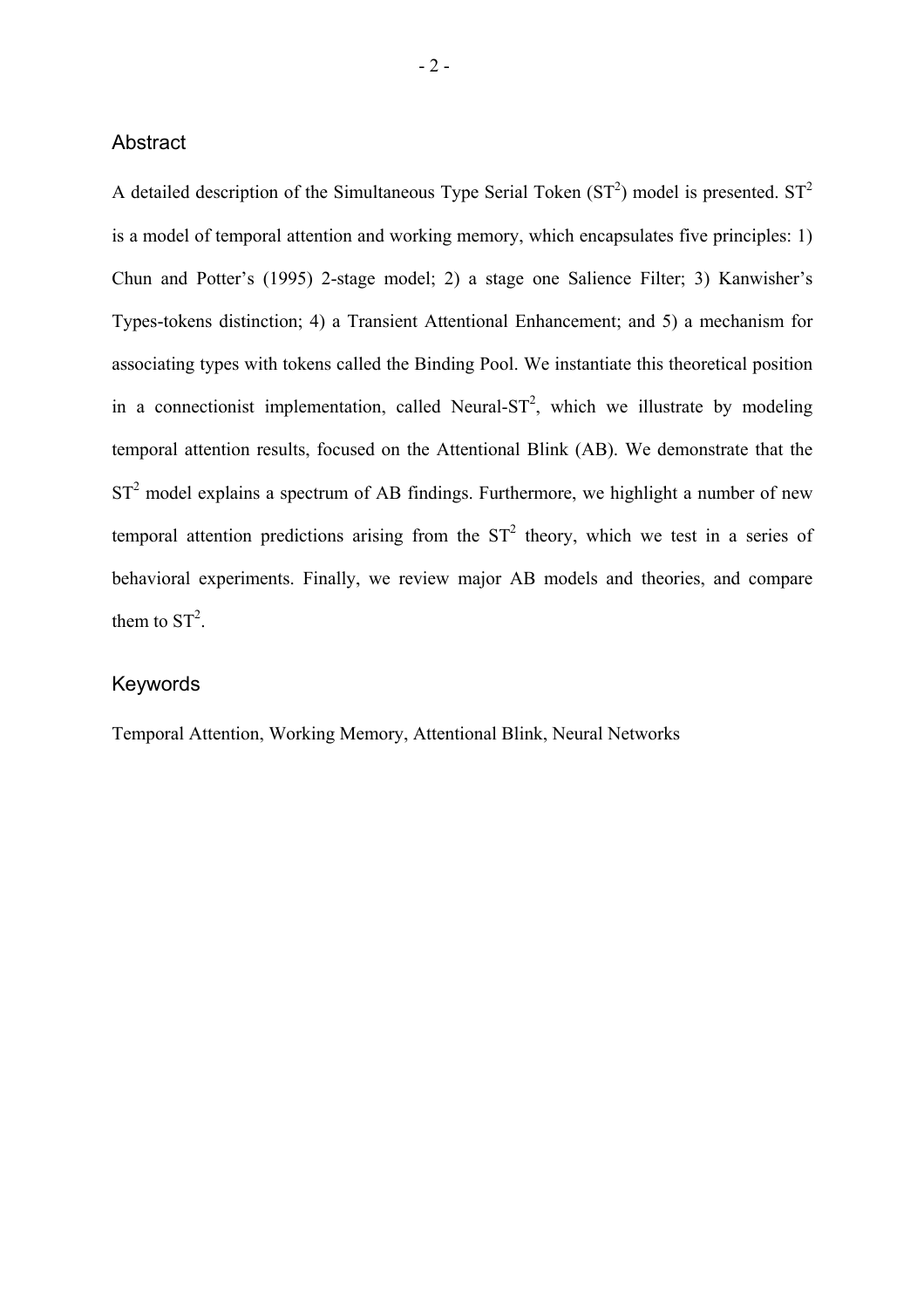#### Abstract

A detailed description of the Simultaneous Type Serial Token  $(ST^2)$  model is presented.  $ST^2$ is a model of temporal attention and working memory, which encapsulates five principles: 1) Chun and Potter's (1995) 2-stage model; 2) a stage one Salience Filter; 3) Kanwisher's Types-tokens distinction; 4) a Transient Attentional Enhancement; and 5) a mechanism for associating types with tokens called the Binding Pool. We instantiate this theoretical position in a connectionist implementation, called Neural- $ST<sup>2</sup>$ , which we illustrate by modeling temporal attention results, focused on the Attentional Blink (AB). We demonstrate that the  $ST<sup>2</sup>$  model explains a spectrum of AB findings. Furthermore, we highlight a number of new temporal attention predictions arising from the  $ST^2$  theory, which we test in a series of behavioral experiments. Finally, we review major AB models and theories, and compare them to  $ST^2$ .

#### Keywords

Temporal Attention, Working Memory, Attentional Blink, Neural Networks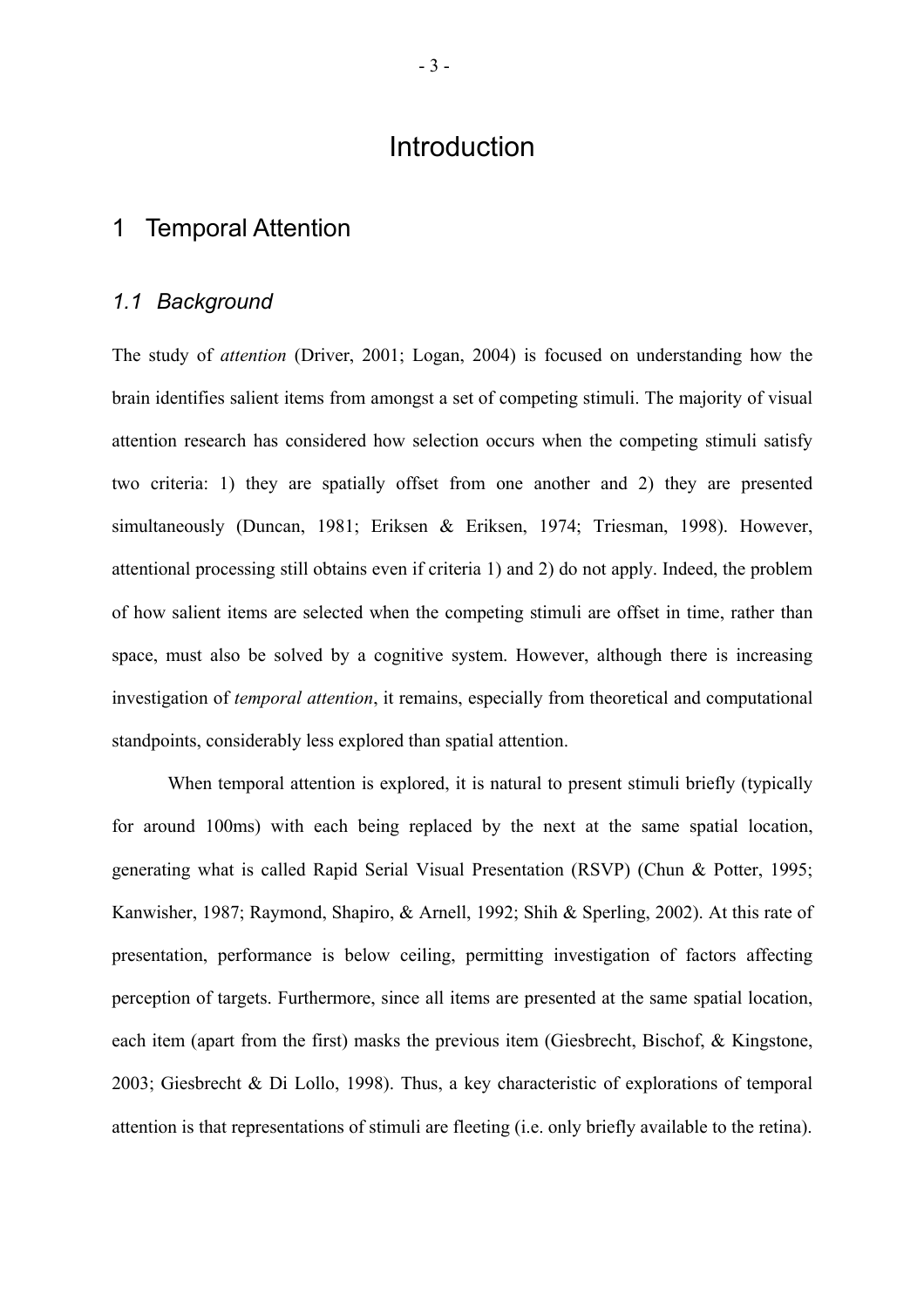# Introduction

## 1 Temporal Attention

#### *1.1 Background*

The study of *attention* (Driver, 2001; Logan, 2004) is focused on understanding how the brain identifies salient items from amongst a set of competing stimuli. The majority of visual attention research has considered how selection occurs when the competing stimuli satisfy two criteria: 1) they are spatially offset from one another and 2) they are presented simultaneously (Duncan, 1981; Eriksen & Eriksen, 1974; Triesman, 1998). However, attentional processing still obtains even if criteria 1) and 2) do not apply. Indeed, the problem of how salient items are selected when the competing stimuli are offset in time, rather than space, must also be solved by a cognitive system. However, although there is increasing investigation of *temporal attention*, it remains, especially from theoretical and computational standpoints, considerably less explored than spatial attention.

When temporal attention is explored, it is natural to present stimuli briefly (typically for around 100ms) with each being replaced by the next at the same spatial location, generating what is called Rapid Serial Visual Presentation (RSVP) (Chun & Potter, 1995; Kanwisher, 1987; Raymond, Shapiro, & Arnell, 1992; Shih & Sperling, 2002). At this rate of presentation, performance is below ceiling, permitting investigation of factors affecting perception of targets. Furthermore, since all items are presented at the same spatial location, each item (apart from the first) masks the previous item (Giesbrecht, Bischof, & Kingstone, 2003; Giesbrecht & Di Lollo, 1998). Thus, a key characteristic of explorations of temporal attention is that representations of stimuli are fleeting (i.e. only briefly available to the retina).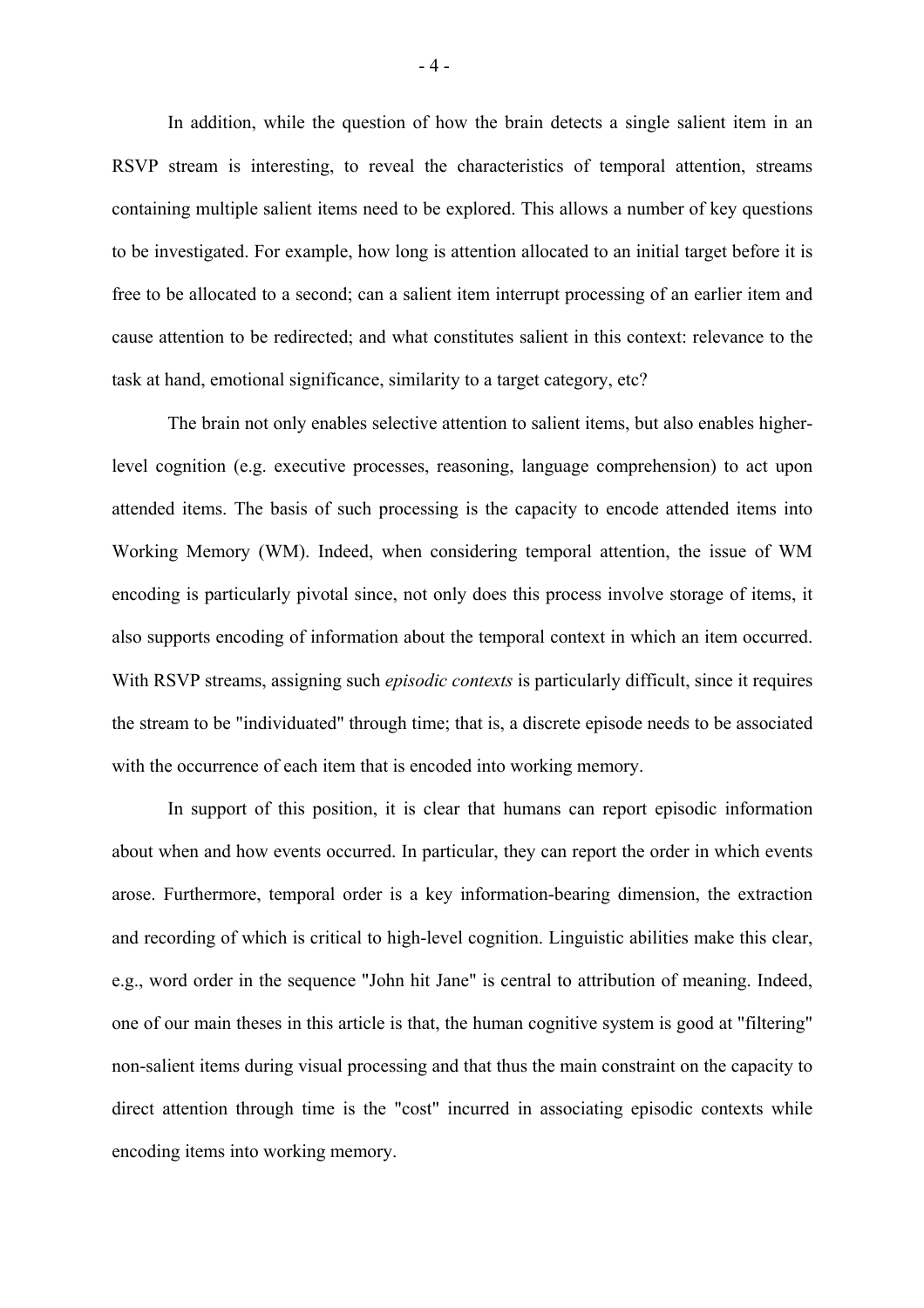In addition, while the question of how the brain detects a single salient item in an RSVP stream is interesting, to reveal the characteristics of temporal attention, streams containing multiple salient items need to be explored. This allows a number of key questions to be investigated. For example, how long is attention allocated to an initial target before it is free to be allocated to a second; can a salient item interrupt processing of an earlier item and cause attention to be redirected; and what constitutes salient in this context: relevance to the task at hand, emotional significance, similarity to a target category, etc?

<span id="page-4-0"></span>The brain not only enables selective attention to salient items, but also enables higherlevel cognition (e.g. executive processes, reasoning, language comprehension) to act upon attended items. The basis of such processing is the capacity to encode attended items into Working Memory (WM). Indeed, when considering temporal attention, the issue of WM encoding is particularly pivotal since, not only does this process involve storage of items, it also supports encoding of information about the temporal context in which an item occurred. With RSVP streams, assigning such *episodic contexts* is particularly difficult, since it requires the stream to be "individuated" through time; that is, a discrete episode needs to be associated with the occurrence of each item that is encoded into working memory.

In support of this position, it is clear that humans can report episodic information about when and how events occurred. In particular, they can report the order in which events arose. Furthermore, temporal order is a key information-bearing dimension, the extraction and recording of which is critical to high-level cognition. Linguistic abilities make this clear, e.g., word order in the sequence "John hit Jane" is central to attribution of meaning. Indeed, one of our main theses in this article is that, the human cognitive system is good at "filtering" non-salient items during visual processing and that thus the main constraint on the capacity to direct attention through time is the "cost" incurred in associating episodic contexts while encoding items into working memory.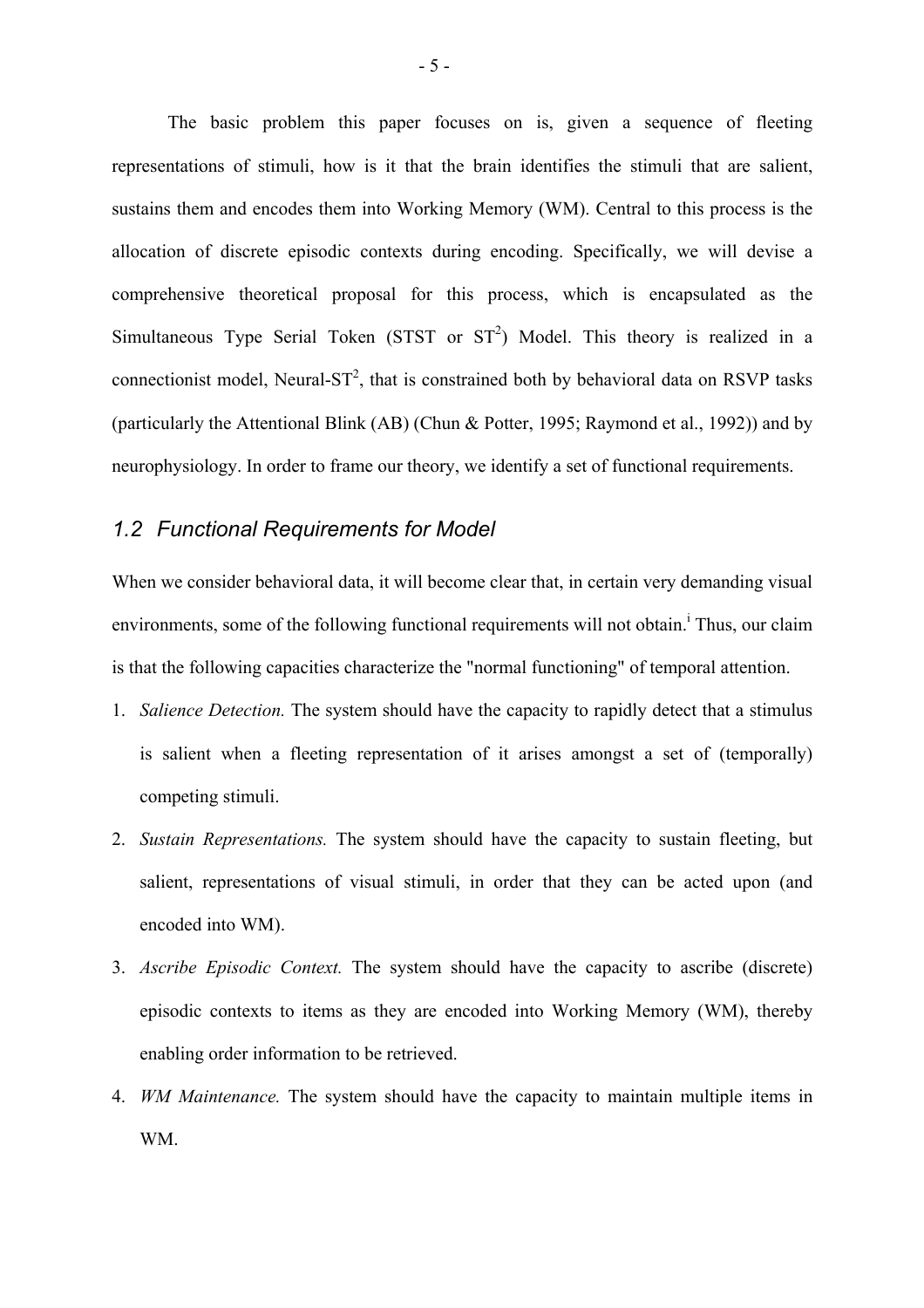The basic problem this paper focuses on is, given a sequence of fleeting representations of stimuli, how is it that the brain identifies the stimuli that are salient, sustains them and encodes them into Working Memory (WM). Central to this process is the allocation of discrete episodic contexts during encoding. Specifically, we will devise a comprehensive theoretical proposal for this process, which is encapsulated as the Simultaneous Type Serial Token (STST or  $ST^2$ ) Model. This theory is realized in a connectionist model, Neural- $ST^2$ , that is constrained both by behavioral data on RSVP tasks (particularly the Attentional Blink (AB) (Chun & Potter, 1995; Raymond et al., 1992)) and by neurophysiology. In order to frame our theory, we identify a set of functional requirements.

#### *1.2 Functional Requirements for Model*

When we consider behavioral data, it will become clear that, in certain very demanding visual environments,some of the following functional requirements will not obtain.<sup>i</sup> Thus, our claim is that the following capacities characterize the "normal functioning" of temporal attention.

- 1. *Salience Detection.* The system should have the capacity to rapidly detect that a stimulus is salient when a fleeting representation of it arises amongst a set of (temporally) competing stimuli.
- <span id="page-5-0"></span>2. *Sustain Representations.* The system should have the capacity to sustain fleeting, but salient, representations of visual stimuli, in order that they can be acted upon (and encoded into WM).
- 3. *Ascribe Episodic Context.* The system should have the capacity to ascribe (discrete) episodic contexts to items as they are encoded into Working Memory (WM), thereby enabling order information to be retrieved.
- 4. *WM Maintenance.* The system should have the capacity to maintain multiple items in WM.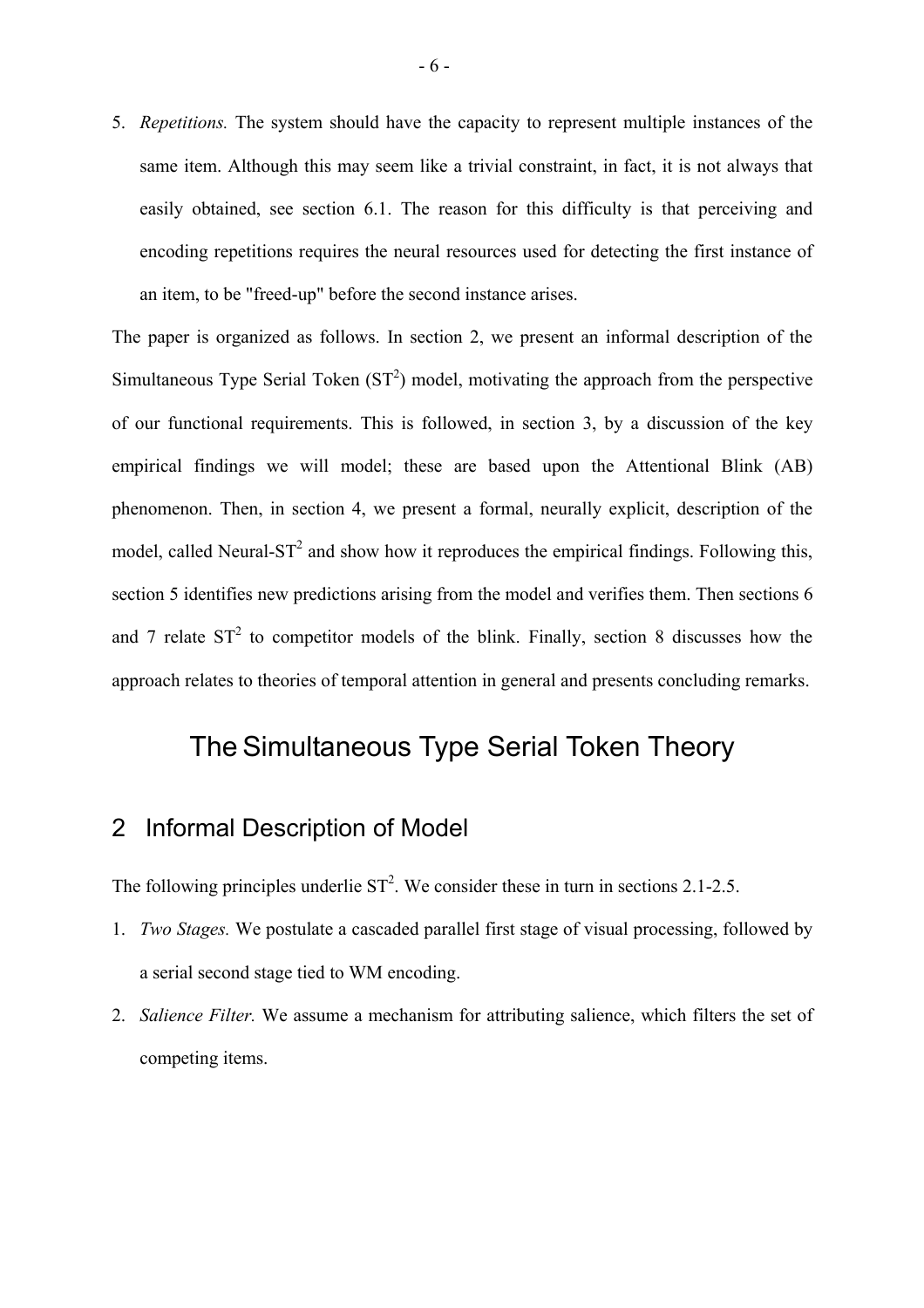5. *Repetitions.* The system should have the capacity to represent multiple instances of the same item. Although this may seem like a trivial constraint, in fact, it is not always that easily obtained, see section [6.1.](#page-44-0) The reason for this difficulty is that perceiving and encoding repetitions requires the neural resources used for detecting the first instance of an item, to be "freed-up" before the second instance arises.

<span id="page-6-0"></span>The paper is organized as follows. In section [2,](#page-5-0) we present an informal description of the Simultaneous Type Serial Token  $(ST^2)$  model, motivating the approach from the perspective of our functional requirements. This is followed, in section [3,](#page-17-0) by a discussion of the key empirical findings we will model; these are based upon the Attentional Blink (AB) phenomenon. Then, in section [4,](#page-22-0) we present a formal, neurally explicit, description of the model, called Neural-ST<sup>2</sup> and show how it reproduces the empirical findings. Following this, section [5](#page-40-0) identifies new predictions arising from the model and verifies them. Then sections [6](#page-44-1)  and [7](#page-61-0) relate  $ST^2$  to competitor models of the blink. Finally, section [8](#page-65-0) discusses how the approach relates to theories of temporal attention in general and presents concluding remarks.

# The Simultaneous Type Serial Token Theory

# 2 Informal Description of Model

The following principles underlie  $ST^2$ . We consider these in turn in sections [2.1-](#page-6-0)[2.5.](#page-13-0)

- 1. *Two Stages.* We postulate a cascaded parallel first stage of visual processing, followed by a serial second stage tied to WM encoding.
- 2. *Salience Filter.* We assume a mechanism for attributing salience, which filters the set of competing items.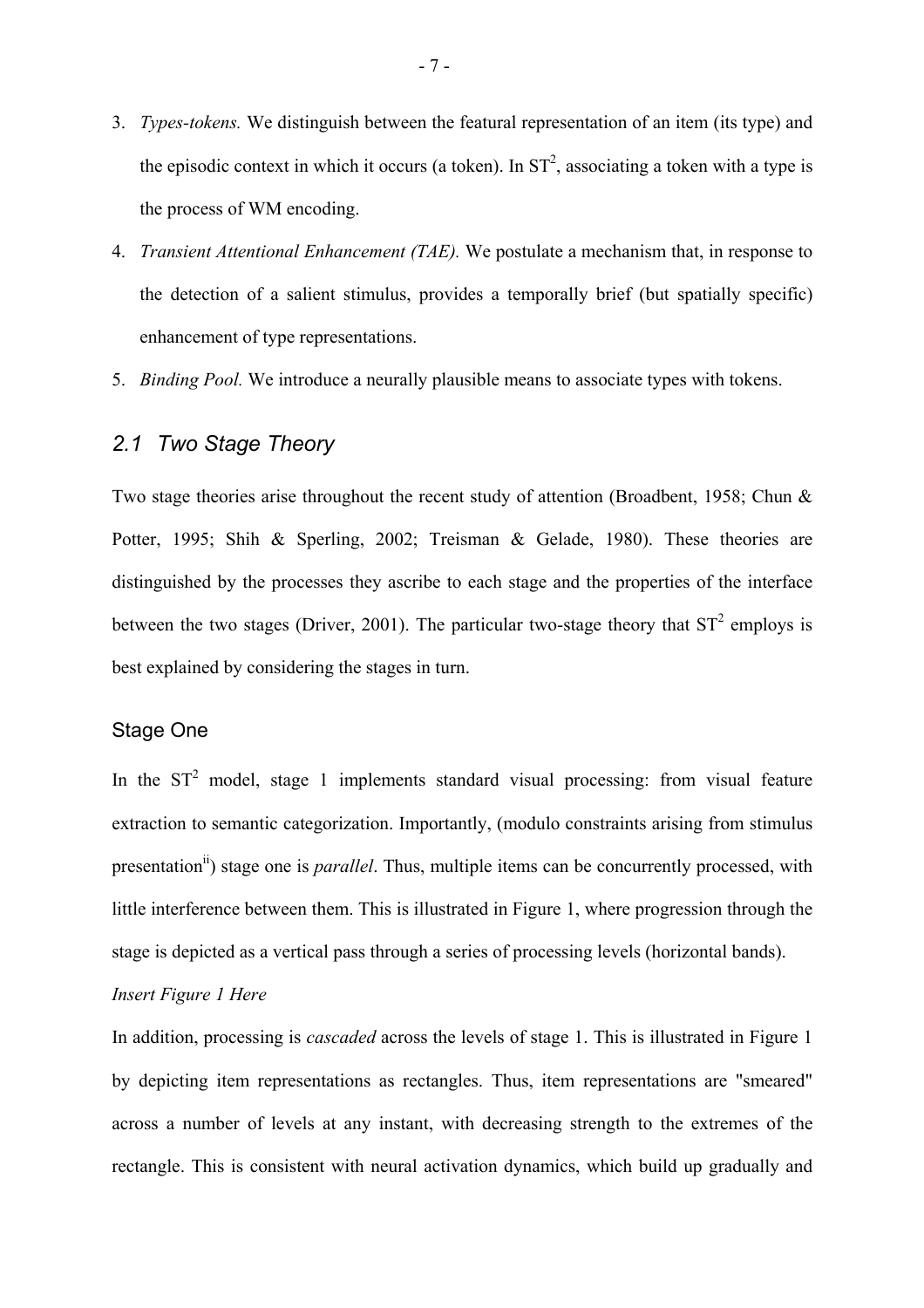- 3. *Types-tokens.* We distinguish between the featural representation of an item (its type) and the episodic context in which it occurs (a token). In  $ST^2$ , associating a token with a type is the process of WM encoding.
- 4. *Transient Attentional Enhancement (TAE).* We postulate a mechanism that, in response to the detection of a salient stimulus, provides a temporally brief (but spatially specific) enhancement of type representations.
- 5. *Binding Pool.* We introduce a neurally plausible means to associate types with tokens.

### *2.1 Two Stage Theory*

Two stage theories arise throughout the recent study of attention (Broadbent, 1958; Chun & Potter, 1995; Shih & Sperling, 2002; Treisman & Gelade, 1980). These theories are distinguished by the processes they ascribe to each stage and the properties of the interface between the two stages (Driver, 2001). The particular two-stage theory that  $ST^2$  employs is best explained by considering the stages in turn.

#### Stage One

In the  $ST^2$  model, stage 1 implements standard visual processing: from visual feature extraction to semantic categorization. Importantly, (modulo constraints arising from stimulus presentation<sup>[ii](#page-94-1)</sup>) stage one is *parallel*. Thus, multiple items can be concurrently processed, with little interference between them. This is illustrated in Figure 1, where progression through the stage is depicted as a vertical pass through a series of processing levels (horizontal bands).

#### *Insert Figure 1 Here*

In addition, processing is *cascaded* across the levels of stage 1. This is illustrated in Figure 1 by depicting item representations as rectangles. Thus, item representations are "smeared" across a number of levels at any instant, with decreasing strength to the extremes of the rectangle. This is consistent with neural activation dynamics, which build up gradually and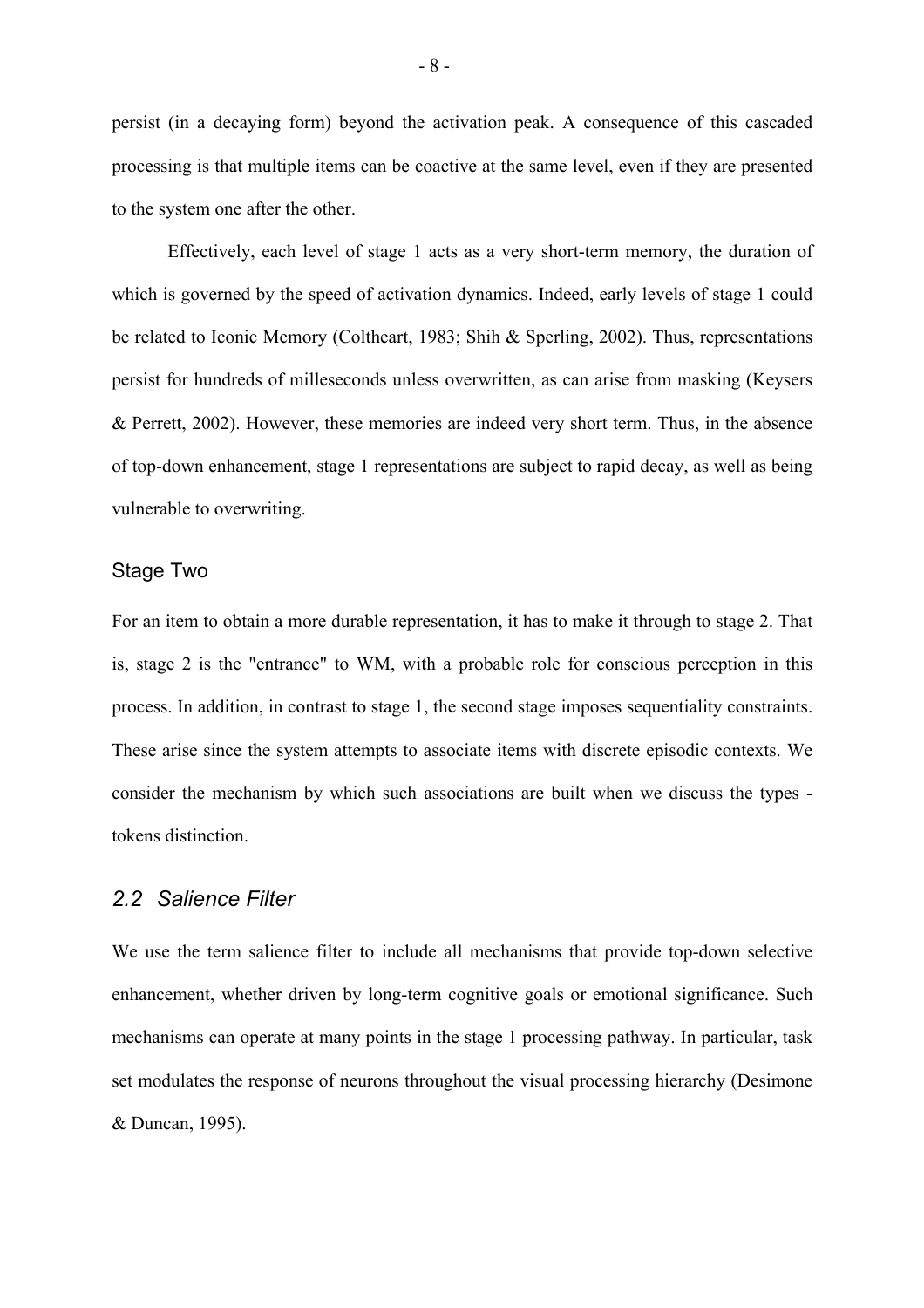persist (in a decaying form) beyond the activation peak. A consequence of this cascaded processing is that multiple items can be coactive at the same level, even if they are presented to the system one after the other.

Effectively, each level of stage 1 acts as a very short-term memory, the duration of which is governed by the speed of activation dynamics. Indeed, early levels of stage 1 could be related to Iconic Memory (Coltheart, 1983; Shih & Sperling, 2002). Thus, representations persist for hundreds of milleseconds unless overwritten, as can arise from masking (Keysers & Perrett, 2002). However, these memories are indeed very short term. Thus, in the absence of top-down enhancement, stage 1 representations are subject to rapid decay, as well as being vulnerable to overwriting.

#### Stage Two

<span id="page-8-0"></span>For an item to obtain a more durable representation, it has to make it through to stage 2. That is, stage 2 is the "entrance" to WM, with a probable role for conscious perception in this process. In addition, in contrast to stage 1, the second stage imposes sequentiality constraints. These arise since the system attempts to associate items with discrete episodic contexts. We consider the mechanism by which such associations are built when we discuss the types tokens distinction.

#### *2.2 Salience Filter*

We use the term salience filter to include all mechanisms that provide top-down selective enhancement, whether driven by long-term cognitive goals or emotional significance. Such mechanisms can operate at many points in the stage 1 processing pathway. In particular, task set modulates the response of neurons throughout the visual processing hierarchy (Desimone & Duncan, 1995).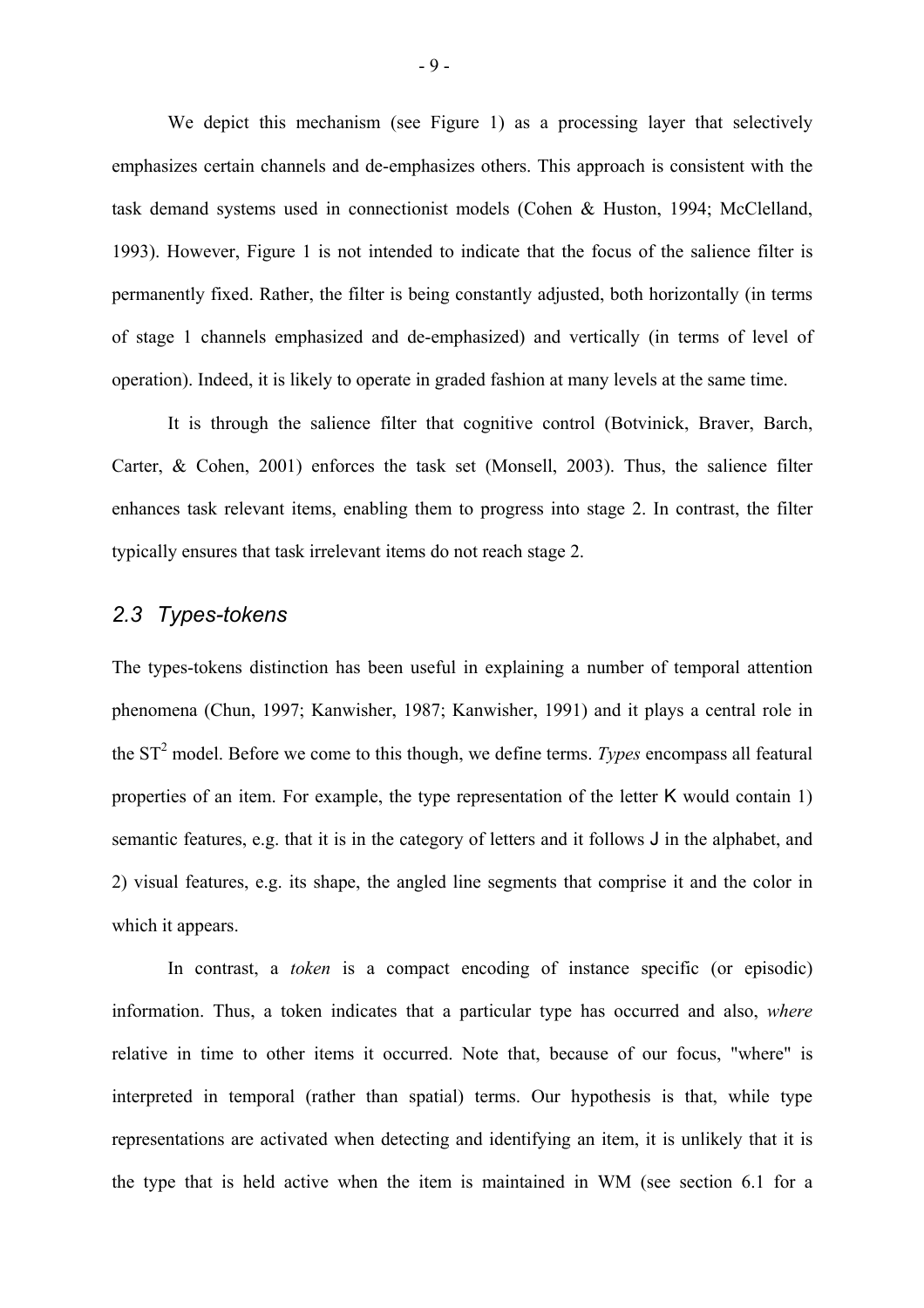We depict this mechanism (see Figure 1) as a processing layer that selectively emphasizes certain channels and de-emphasizes others. This approach is consistent with the task demand systems used in connectionist models (Cohen & Huston, 1994; McClelland, 1993). However, Figure 1 is not intended to indicate that the focus of the salience filter is permanently fixed. Rather, the filter is being constantly adjusted, both horizontally (in terms of stage 1 channels emphasized and de-emphasized) and vertically (in terms of level of operation). Indeed, it is likely to operate in graded fashion at many levels at the same time.

It is through the salience filter that cognitive control (Botvinick, Braver, Barch, Carter, & Cohen, 2001) enforces the task set (Monsell, 2003). Thus, the salience filter enhances task relevant items, enabling them to progress into stage 2. In contrast, the filter typically ensures that task irrelevant items do not reach stage 2.

#### *2.3 Types-tokens*

The types-tokens distinction has been useful in explaining a number of temporal attention phenomena (Chun, 1997; Kanwisher, 1987; Kanwisher, 1991) and it plays a central role in the ST<sup>2</sup> model. Before we come to this though, we define terms. *Types* encompass all featural properties of an item. For example, the type representation of the letter K would contain 1) semantic features, e.g. that it is in the category of letters and it follows J in the alphabet, and 2) visual features, e.g. its shape, the angled line segments that comprise it and the color in which it appears.

In contrast, a *token* is a compact encoding of instance specific (or episodic) information. Thus, a token indicates that a particular type has occurred and also, *where* relative in time to other items it occurred. Note that, because of our focus, "where" is interpreted in temporal (rather than spatial) terms. Our hypothesis is that, while type representations are activated when detecting and identifying an item, it is unlikely that it is the type that is held active when the item is maintained in WM (see section [6.1](#page-44-0) for a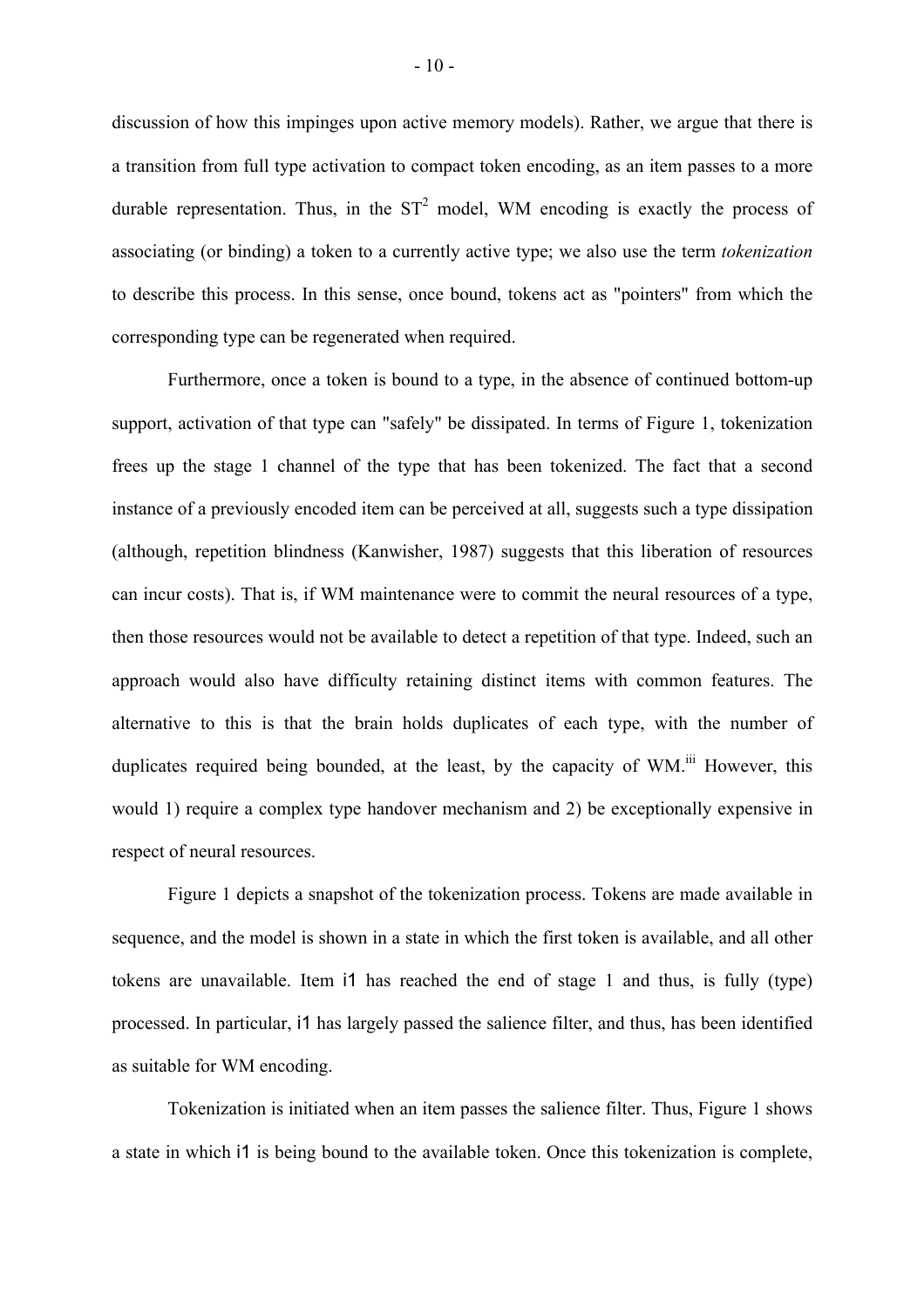discussion of how this impinges upon active memory models). Rather, we argue that there is a transition from full type activation to compact token encoding, as an item passes to a more durable representation. Thus, in the  $ST^2$  model, WM encoding is exactly the process of associating (or binding) a token to a currently active type; we also use the term *tokenization* to describe this process. In this sense, once bound, tokens act as "pointers" from which the corresponding type can be regenerated when required.

Furthermore, once a token is bound to a type, in the absence of continued bottom-up support, activation of that type can "safely" be dissipated. In terms of Figure 1, tokenization frees up the stage 1 channel of the type that has been tokenized. The fact that a second instance of a previously encoded item can be perceived at all, suggests such a type dissipation (although, repetition blindness (Kanwisher, 1987) suggests that this liberation of resources can incur costs). That is, if WM maintenance were to commit the neural resources of a type, then those resources would not be available to detect a repetition of that type. Indeed, such an approach would also have difficulty retaining distinct items with common features. The alternative to this is that the brain holds duplicates of each type, with the number of duplicates required being bounded, at the least, by the capacity of WM.<sup>[iii](#page-94-2)</sup> However, this would 1) require a complex type handover mechanism and 2) be exceptionally expensive in respect of neural resources.

Figure 1 depicts a snapshot of the tokenization process. Tokens are made available in sequence, and the model is shown in a state in which the first token is available, and all other tokens are unavailable. Item i1 has reached the end of stage 1 and thus, is fully (type) processed. In particular, i1 has largely passed the salience filter, and thus, has been identified as suitable for WM encoding.

 Tokenization is initiated when an item passes the salience filter. Thus, Figure 1 shows a state in which i1 is being bound to the available token. Once this tokenization is complete,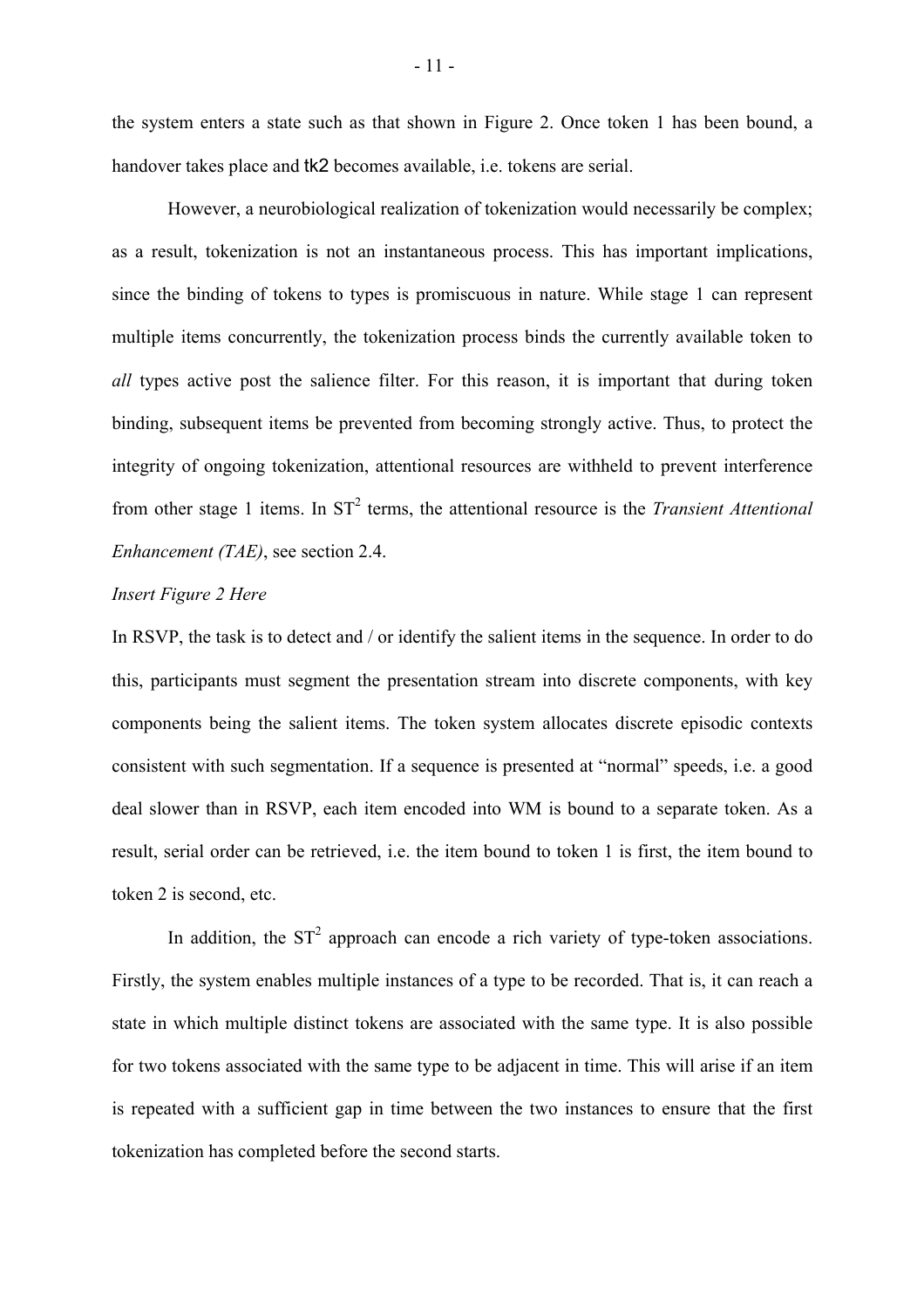the system enters a state such as that shown in Figure 2. Once token 1 has been bound, a handover takes place and tk2 becomes available, i.e. tokens are serial.

However, a neurobiological realization of tokenization would necessarily be complex; as a result, tokenization is not an instantaneous process. This has important implications, since the binding of tokens to types is promiscuous in nature. While stage 1 can represent multiple items concurrently, the tokenization process binds the currently available token to *all* types active post the salience filter. For this reason, it is important that during token binding, subsequent items be prevented from becoming strongly active. Thus, to protect the integrity of ongoing tokenization, attentional resources are withheld to prevent interference from other stage 1 items. In ST<sup>2</sup> terms, the attentional resource is the *Transient Attentional Enhancement (TAE)*, see section [2.4.](#page-11-0)

#### *Insert Figure 2 Here*

<span id="page-11-0"></span>In RSVP, the task is to detect and / or identify the salient items in the sequence. In order to do this, participants must segment the presentation stream into discrete components, with key components being the salient items. The token system allocates discrete episodic contexts consistent with such segmentation. If a sequence is presented at "normal" speeds, i.e. a good deal slower than in RSVP, each item encoded into WM is bound to a separate token. As a result, serial order can be retrieved, i.e. the item bound to token 1 is first, the item bound to token 2 is second, etc.

In addition, the  $ST^2$  approach can encode a rich variety of type-token associations. Firstly, the system enables multiple instances of a type to be recorded. That is, it can reach a state in which multiple distinct tokens are associated with the same type. It is also possible for two tokens associated with the same type to be adjacent in time. This will arise if an item is repeated with a sufficient gap in time between the two instances to ensure that the first tokenization has completed before the second starts.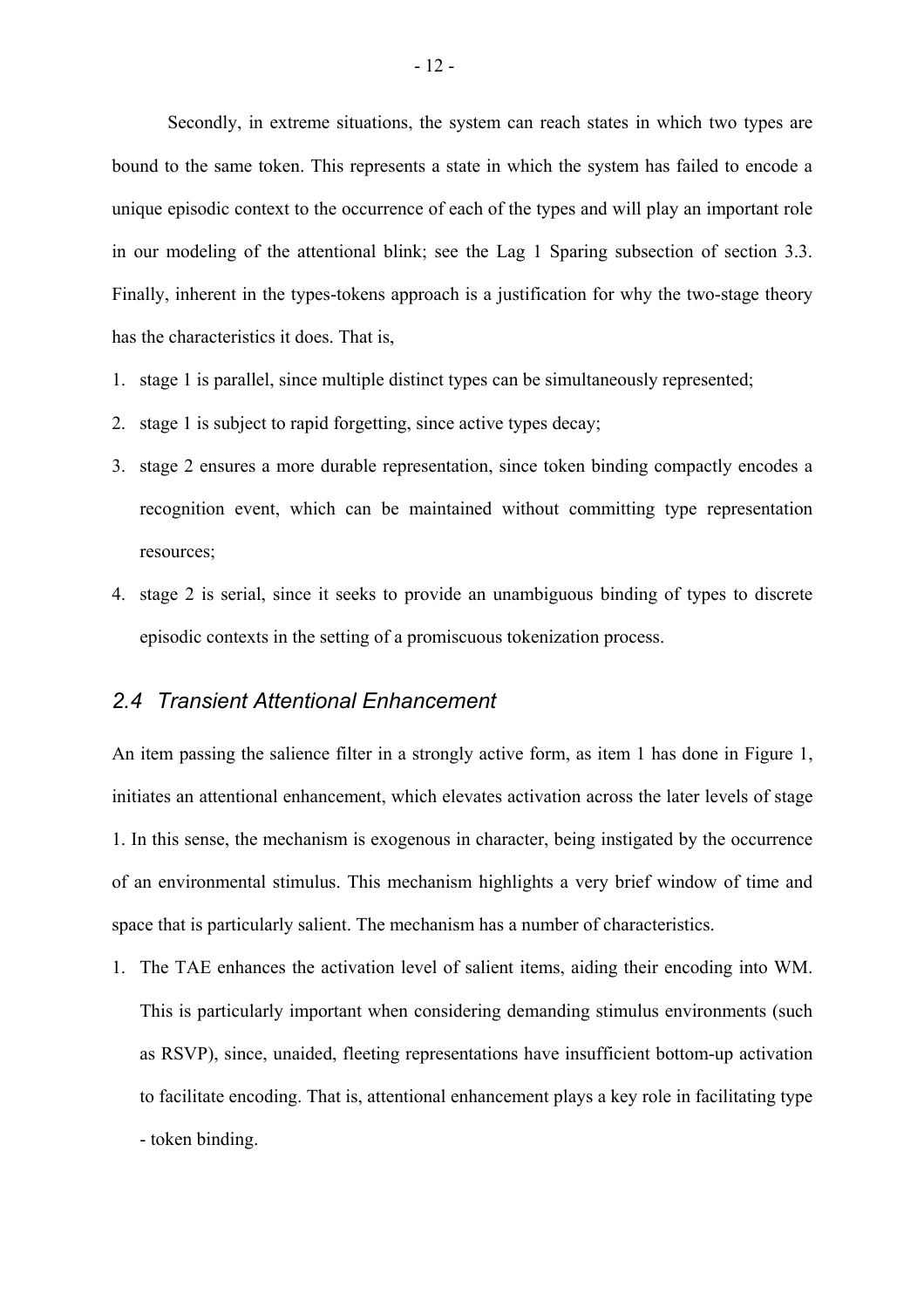Secondly, in extreme situations, the system can reach states in which two types are bound to the same token. This represents a state in which the system has failed to encode a unique episodic context to the occurrence of each of the types and will play an important role in our modeling of the attentional blink; see the Lag 1 Sparing subsection of section [3.3.](#page-20-0) Finally, inherent in the types-tokens approach is a justification for why the two-stage theory has the characteristics it does. That is,

- 1. stage 1 is parallel, since multiple distinct types can be simultaneously represented;
- 2. stage 1 is subject to rapid forgetting, since active types decay;
- 3. stage 2 ensures a more durable representation, since token binding compactly encodes a recognition event, which can be maintained without committing type representation resources;
- 4. stage 2 is serial, since it seeks to provide an unambiguous binding of types to discrete episodic contexts in the setting of a promiscuous tokenization process.

#### *2.4 Transient Attentional Enhancement*

An item passing the salience filter in a strongly active form, as item 1 has done in Figure 1, initiates an attentional enhancement, which elevates activation across the later levels of stage 1. In this sense, the mechanism is exogenous in character, being instigated by the occurrence of an environmental stimulus. This mechanism highlights a very brief window of time and space that is particularly salient. The mechanism has a number of characteristics.

1. The TAE enhances the activation level of salient items, aiding their encoding into WM. This is particularly important when considering demanding stimulus environments (such as RSVP), since, unaided, fleeting representations have insufficient bottom-up activation to facilitate encoding. That is, attentional enhancement plays a key role in facilitating type - token binding.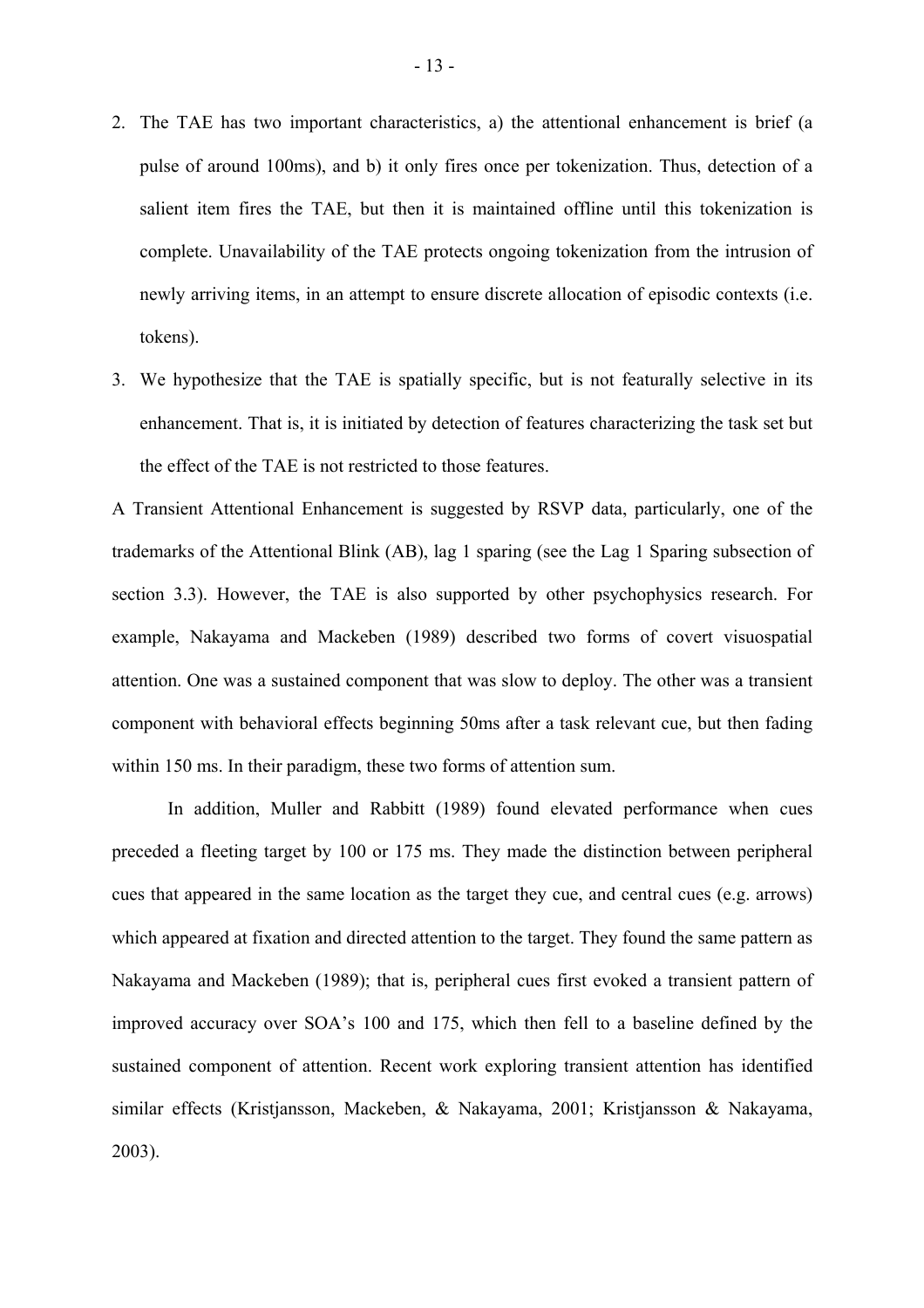- 2. The TAE has two important characteristics, a) the attentional enhancement is brief (a pulse of around 100ms), and b) it only fires once per tokenization. Thus, detection of a salient item fires the TAE, but then it is maintained offline until this tokenization is complete. Unavailability of the TAE protects ongoing tokenization from the intrusion of newly arriving items, in an attempt to ensure discrete allocation of episodic contexts (i.e. tokens).
- <span id="page-13-0"></span>3. We hypothesize that the TAE is spatially specific, but is not featurally selective in its enhancement. That is, it is initiated by detection of features characterizing the task set but the effect of the TAE is not restricted to those features.

A Transient Attentional Enhancement is suggested by RSVP data, particularly, one of the trademarks of the Attentional Blink (AB), lag 1 sparing (see the Lag 1 Sparing subsection of section [3.3\)](#page-20-0). However, the TAE is also supported by other psychophysics research. For example, Nakayama and Mackeben (1989) described two forms of covert visuospatial attention. One was a sustained component that was slow to deploy. The other was a transient component with behavioral effects beginning 50ms after a task relevant cue, but then fading within 150 ms. In their paradigm, these two forms of attention sum.

In addition, Muller and Rabbitt (1989) found elevated performance when cues preceded a fleeting target by 100 or 175 ms. They made the distinction between peripheral cues that appeared in the same location as the target they cue, and central cues (e.g. arrows) which appeared at fixation and directed attention to the target. They found the same pattern as Nakayama and Mackeben (1989); that is, peripheral cues first evoked a transient pattern of improved accuracy over SOA's 100 and 175, which then fell to a baseline defined by the sustained component of attention. Recent work exploring transient attention has identified similar effects (Kristjansson, Mackeben, & Nakayama, 2001; Kristjansson & Nakayama, 2003).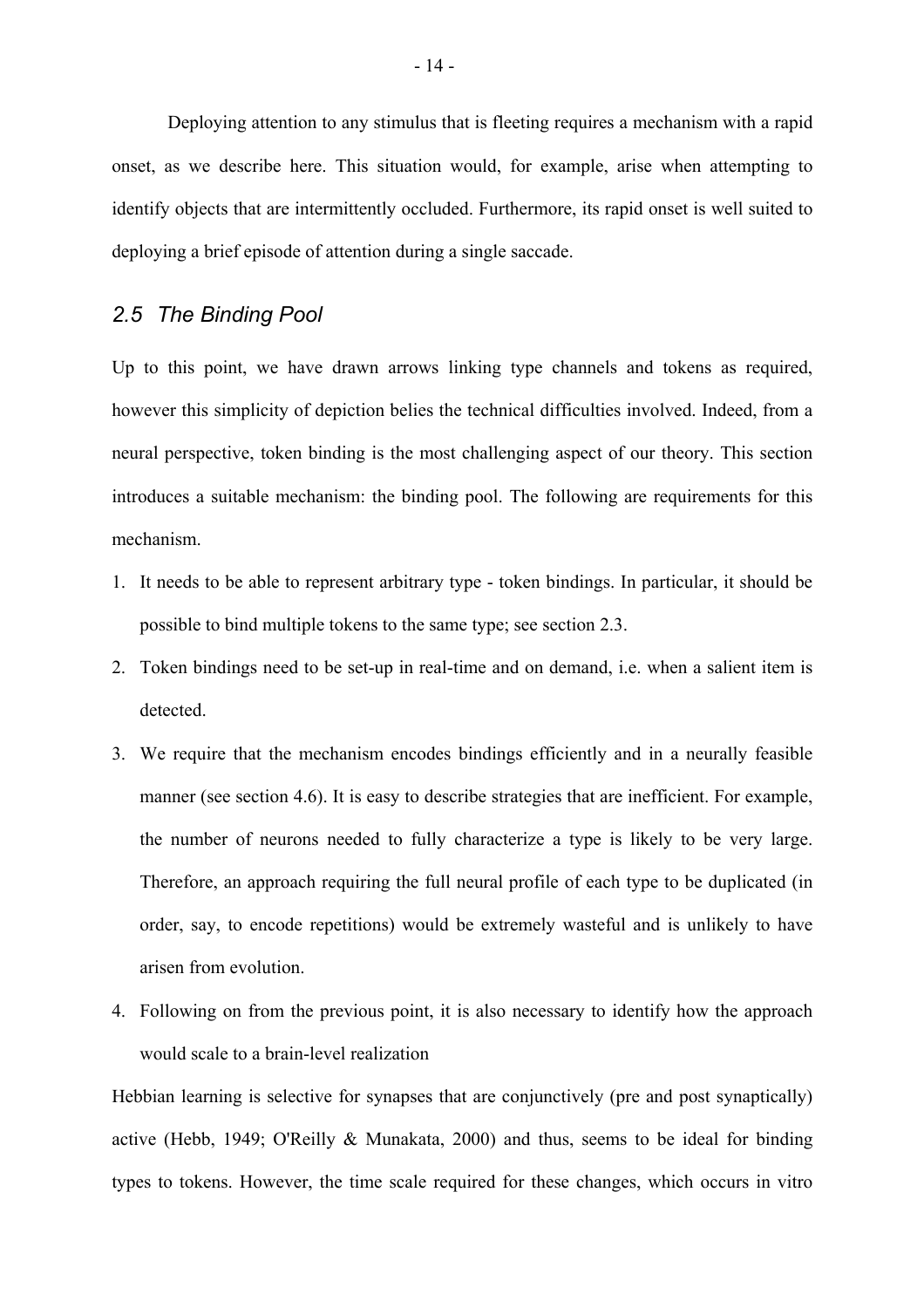Deploying attention to any stimulus that is fleeting requires a mechanism with a rapid onset, as we describe here. This situation would, for example, arise when attempting to identify objects that are intermittently occluded. Furthermore, its rapid onset is well suited to deploying a brief episode of attention during a single saccade.

#### *2.5 The Binding Pool*

Up to this point, we have drawn arrows linking type channels and tokens as required, however this simplicity of depiction belies the technical difficulties involved. Indeed, from a neural perspective, token binding is the most challenging aspect of our theory. This section introduces a suitable mechanism: the binding pool. The following are requirements for this mechanism.

- 1. It needs to be able to represent arbitrary type token bindings. In particular, it should be possible to bind multiple tokens to the same type; see section [2.3.](#page-8-0)
- 2. Token bindings need to be set-up in real-time and on demand, i.e. when a salient item is detected.
- 3. We require that the mechanism encodes bindings efficiently and in a neurally feasible manner (see section [4.6\)](#page-32-0). It is easy to describe strategies that are inefficient. For example, the number of neurons needed to fully characterize a type is likely to be very large. Therefore, an approach requiring the full neural profile of each type to be duplicated (in order, say, to encode repetitions) would be extremely wasteful and is unlikely to have arisen from evolution.
- 4. Following on from the previous point, it is also necessary to identify how the approach would scale to a brain-level realization

Hebbian learning is selective for synapses that are conjunctively (pre and post synaptically) active (Hebb, 1949; O'Reilly & Munakata, 2000) and thus, seems to be ideal for binding types to tokens. However, the time scale required for these changes, which occurs in vitro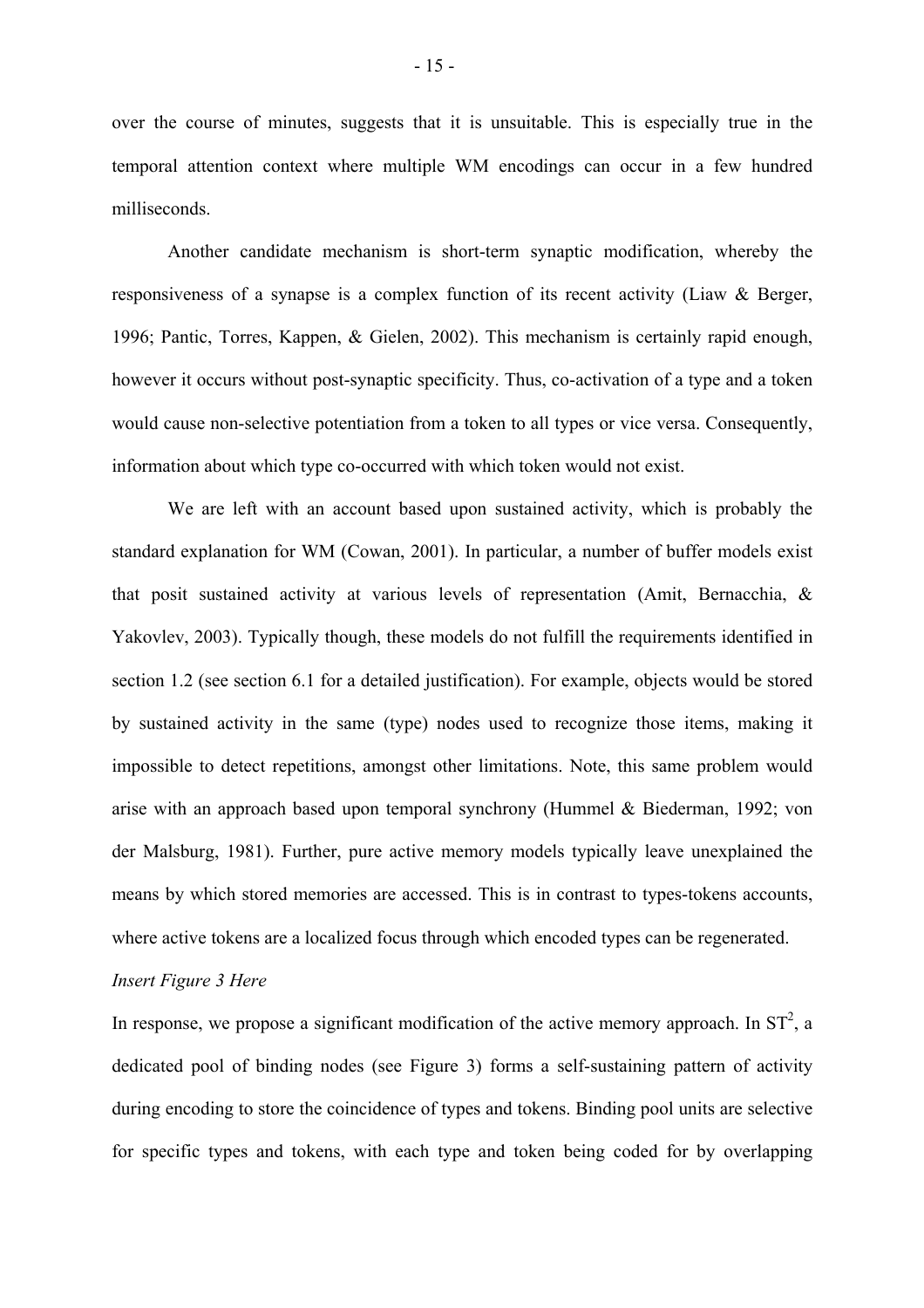over the course of minutes, suggests that it is unsuitable. This is especially true in the temporal attention context where multiple WM encodings can occur in a few hundred milliseconds.

Another candidate mechanism is short-term synaptic modification, whereby the responsiveness of a synapse is a complex function of its recent activity (Liaw & Berger, 1996; Pantic, Torres, Kappen, & Gielen, 2002). This mechanism is certainly rapid enough, however it occurs without post-synaptic specificity. Thus, co-activation of a type and a token would cause non-selective potentiation from a token to all types or vice versa. Consequently, information about which type co-occurred with which token would not exist.

We are left with an account based upon sustained activity, which is probably the standard explanation for WM (Cowan, 2001). In particular, a number of buffer models exist that posit sustained activity at various levels of representation (Amit, Bernacchia, & Yakovlev, 2003). Typically though, these models do not fulfill the requirements identified in section [1.2](#page-4-0) (see section [6.1](#page-44-0) for a detailed justification). For example, objects would be stored by sustained activity in the same (type) nodes used to recognize those items, making it impossible to detect repetitions, amongst other limitations. Note, this same problem would arise with an approach based upon temporal synchrony (Hummel & Biederman, 1992; von der Malsburg, 1981). Further, pure active memory models typically leave unexplained the means by which stored memories are accessed. This is in contrast to types-tokens accounts, where active tokens are a localized focus through which encoded types can be regenerated.

#### *Insert Figure 3 Here*

In response, we propose a significant modification of the active memory approach. In  $ST^2$ , a dedicated pool of binding nodes (see Figure 3) forms a self-sustaining pattern of activity during encoding to store the coincidence of types and tokens. Binding pool units are selective for specific types and tokens, with each type and token being coded for by overlapping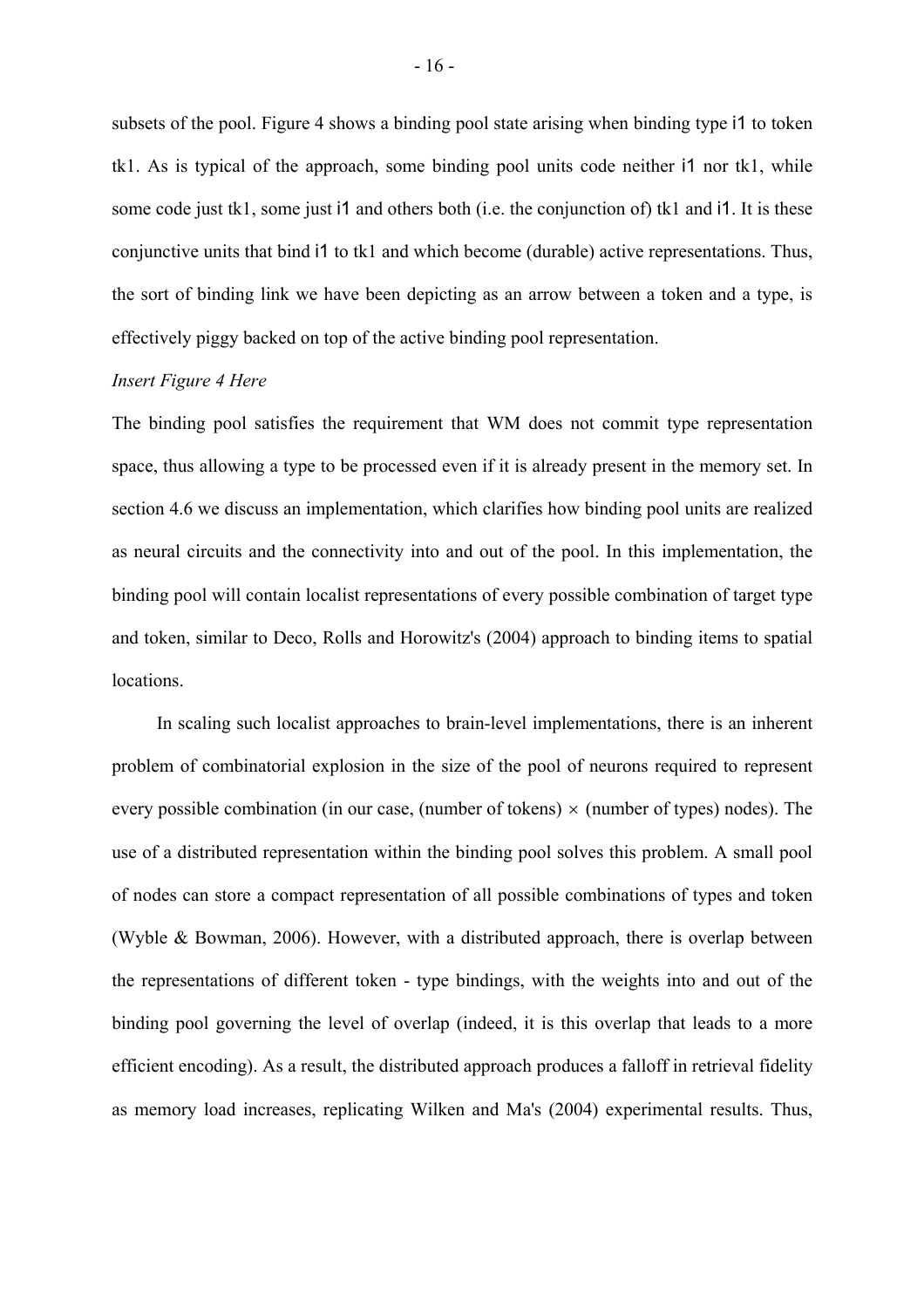subsets of the pool. Figure 4 shows a binding pool state arising when binding type i1 to token tk1. As is typical of the approach, some binding pool units code neither i1 nor tk1, while some code just tk1, some just i1 and others both (i.e. the conjunction of) tk1 and i1. It is these conjunctive units that bind i1 to tk1 and which become (durable) active representations. Thus, the sort of binding link we have been depicting as an arrow between a token and a type, is effectively piggy backed on top of the active binding pool representation.

#### *Insert Figure 4 Here*

The binding pool satisfies the requirement that WM does not commit type representation space, thus allowing a type to be processed even if it is already present in the memory set. In section [4.6](#page-32-0) we discuss an implementation, which clarifies how binding pool units are realized as neural circuits and the connectivity into and out of the pool. In this implementation, the binding pool will contain localist representations of every possible combination of target type and token, similar to Deco, Rolls and Horowitz's (2004) approach to binding items to spatial locations.

In scaling such localist approaches to brain-level implementations, there is an inherent problem of combinatorial explosion in the size of the pool of neurons required to represent every possible combination (in our case, (number of tokens)  $\times$  (number of types) nodes). The use of a distributed representation within the binding pool solves this problem. A small pool of nodes can store a compact representation of all possible combinations of types and token (Wyble & Bowman, 2006). However, with a distributed approach, there is overlap between the representations of different token - type bindings, with the weights into and out of the binding pool governing the level of overlap (indeed, it is this overlap that leads to a more efficient encoding). As a result, the distributed approach produces a falloff in retrieval fidelity as memory load increases, replicating Wilken and Ma's (2004) experimental results. Thus,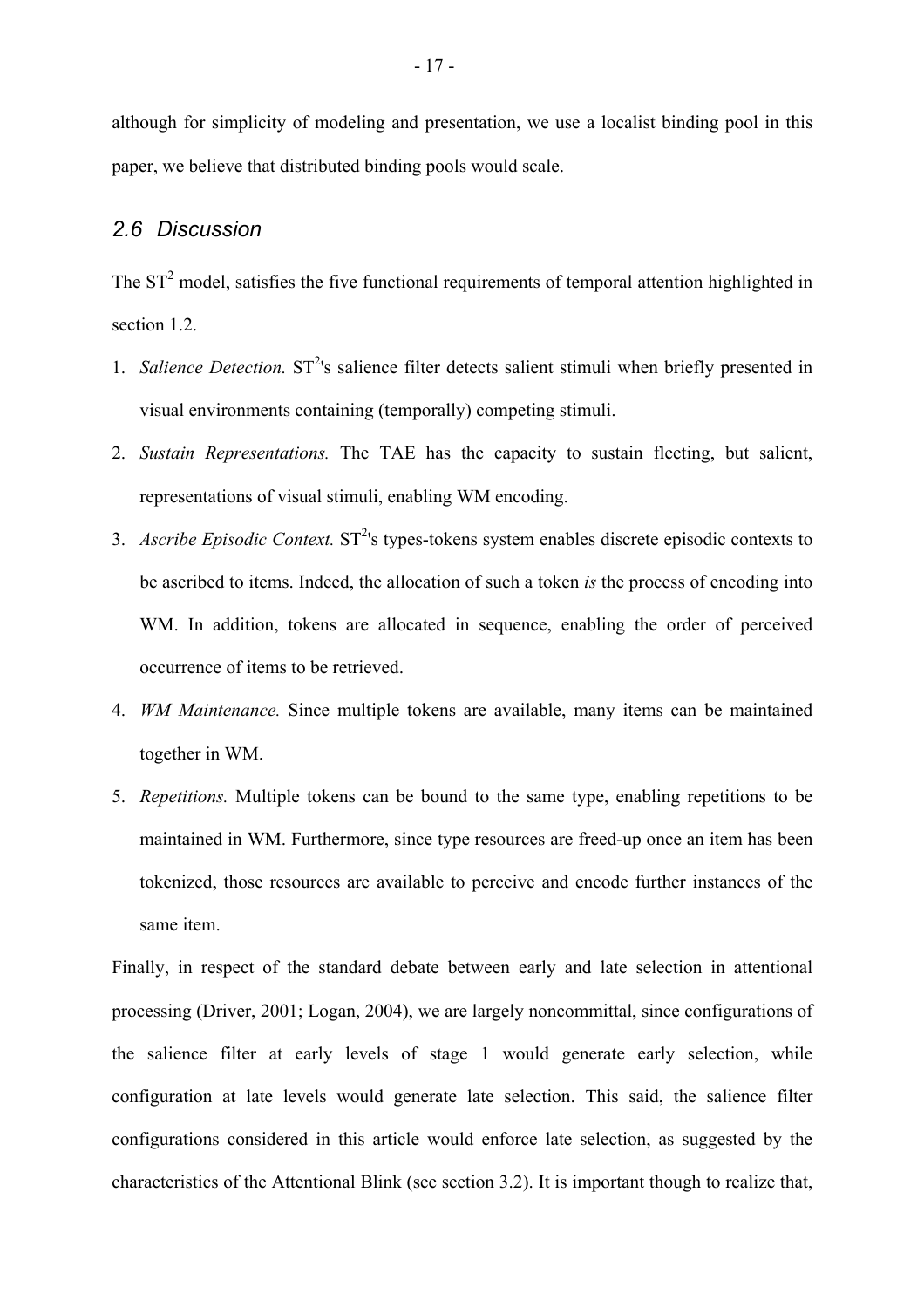although for simplicity of modeling and presentation, we use a localist binding pool in this paper, we believe that distributed binding pools would scale.

#### *2.6 Discussion*

The  $ST<sup>2</sup>$  model, satisfies the five functional requirements of temporal attention highlighted in section [1.2.](#page-4-0)

- <span id="page-17-0"></span>1. Salience Detection. ST<sup>2</sup>'s salience filter detects salient stimuli when briefly presented in visual environments containing (temporally) competing stimuli.
- 2. *Sustain Representations.* The TAE has the capacity to sustain fleeting, but salient, representations of visual stimuli, enabling WM encoding.
- 3. *Ascribe Episodic Context*. ST<sup>2</sup>'s types-tokens system enables discrete episodic contexts to be ascribed to items. Indeed, the allocation of such a token *is* the process of encoding into WM. In addition, tokens are allocated in sequence, enabling the order of perceived occurrence of items to be retrieved.
- 4. *WM Maintenance.* Since multiple tokens are available, many items can be maintained together in WM.
- 5. *Repetitions.* Multiple tokens can be bound to the same type, enabling repetitions to be maintained in WM. Furthermore, since type resources are freed-up once an item has been tokenized, those resources are available to perceive and encode further instances of the same item.

<span id="page-17-1"></span>Finally, in respect of the standard debate between early and late selection in attentional processing (Driver, 2001; Logan, 2004), we are largely noncommittal, since configurations of the salience filter at early levels of stage 1 would generate early selection, while configuration at late levels would generate late selection. This said, the salience filter configurations considered in this article would enforce late selection, as suggested by the characteristics of the Attentional Blink (see section [3.2\)](#page-17-1). It is important though to realize that,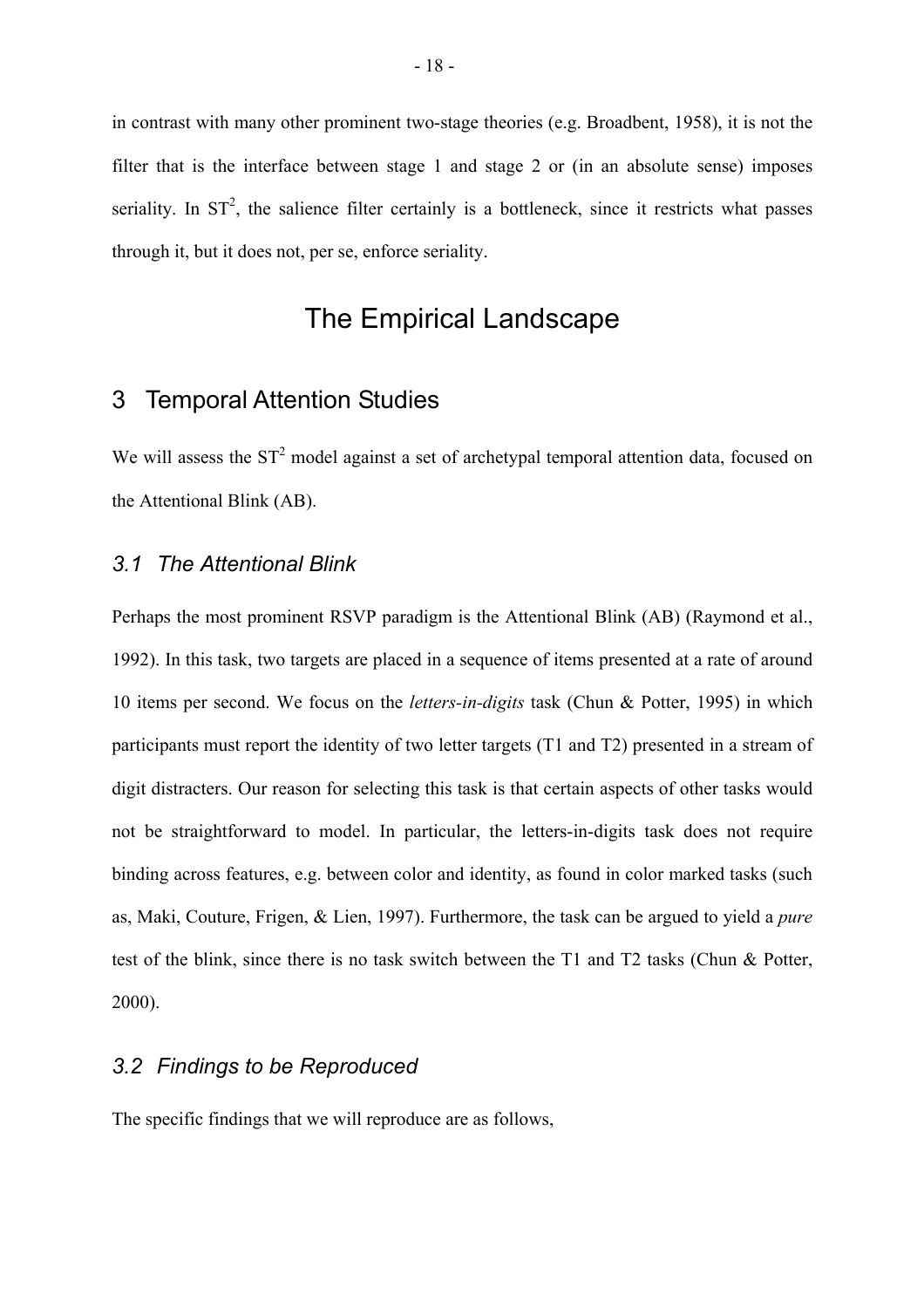in contrast with many other prominent two-stage theories (e.g. Broadbent, 1958), it is not the filter that is the interface between stage 1 and stage 2 or (in an absolute sense) imposes seriality. In  $ST^2$ , the salience filter certainly is a bottleneck, since it restricts what passes through it, but it does not, per se, enforce seriality.

# The Empirical Landscape

## 3 Temporal Attention Studies

We will assess the  $ST^2$  model against a set of archetypal temporal attention data, focused on the Attentional Blink (AB).

#### *3.1 The Attentional Blink*

Perhaps the most prominent RSVP paradigm is the Attentional Blink (AB) (Raymond et al., 1992). In this task, two targets are placed in a sequence of items presented at a rate of around 10 items per second. We focus on the *letters-in-digits* task (Chun & Potter, 1995) in which participants must report the identity of two letter targets (T1 and T2) presented in a stream of digit distracters. Our reason for selecting this task is that certain aspects of other tasks would not be straightforward to model. In particular, the letters-in-digits task does not require binding across features, e.g. between color and identity, as found in color marked tasks (such as, Maki, Couture, Frigen, & Lien, 1997). Furthermore, the task can be argued to yield a *pure* test of the blink, since there is no task switch between the T1 and T2 tasks (Chun & Potter, 2000).

### *3.2 Findings to be Reproduced*

The specific findings that we will reproduce are as follows,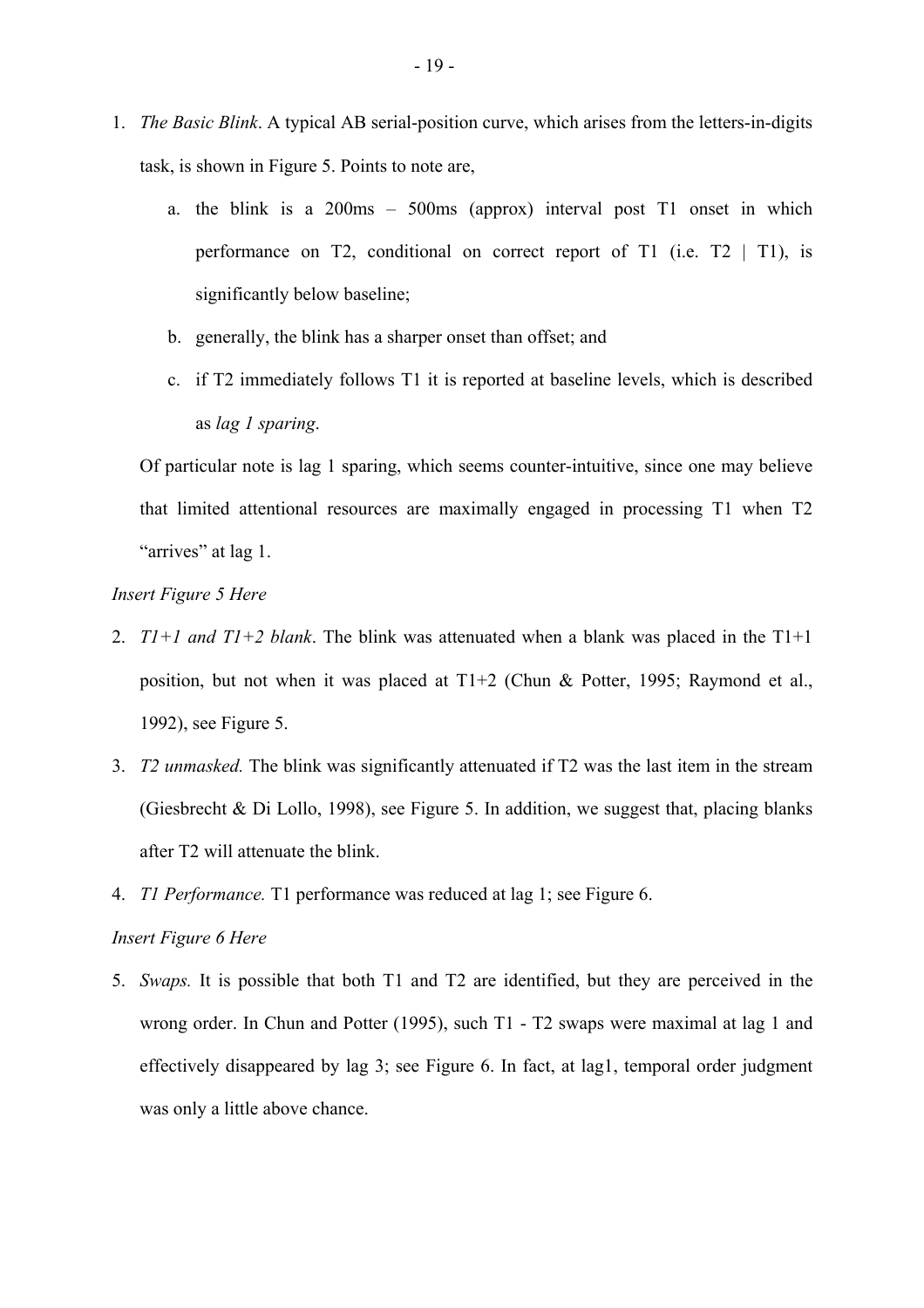- 1. *The Basic Blink*. A typical AB serial-position curve, which arises from the letters-in-digits task, is shown in Figure 5. Points to note are,
	- a. the blink is a  $200 \text{ms} 500 \text{ms}$  (approx) interval post T1 onset in which performance on T2, conditional on correct report of T1 (i.e.  $T2$  | T1), is significantly below baseline;
	- b. generally, the blink has a sharper onset than offset; and
	- c. if T2 immediately follows T1 it is reported at baseline levels, which is described as *lag 1 sparing*.

Of particular note is lag 1 sparing, which seems counter-intuitive, since one may believe that limited attentional resources are maximally engaged in processing T1 when T2 "arrives" at lag 1.

#### *Insert Figure 5 Here*

- 2. *T1+1 and T1+2 blank*. The blink was attenuated when a blank was placed in the T1+1 position, but not when it was placed at T1+2 (Chun & Potter, 1995; Raymond et al., 1992), see Figure 5.
- 3. *T2 unmasked.* The blink was significantly attenuated if T2 was the last item in the stream (Giesbrecht & Di Lollo, 1998), see Figure 5. In addition, we suggest that, placing blanks after T2 will attenuate the blink.
- 4. *T1 Performance.* T1 performance was reduced at lag 1; see Figure 6.

#### *Insert Figure 6 Here*

5. *Swaps.* It is possible that both T1 and T2 are identified, but they are perceived in the wrong order. In Chun and Potter (1995), such T1 - T2 swaps were maximal at lag 1 and effectively disappeared by lag 3; see Figure 6. In fact, at lag1, temporal order judgment was only a little above chance.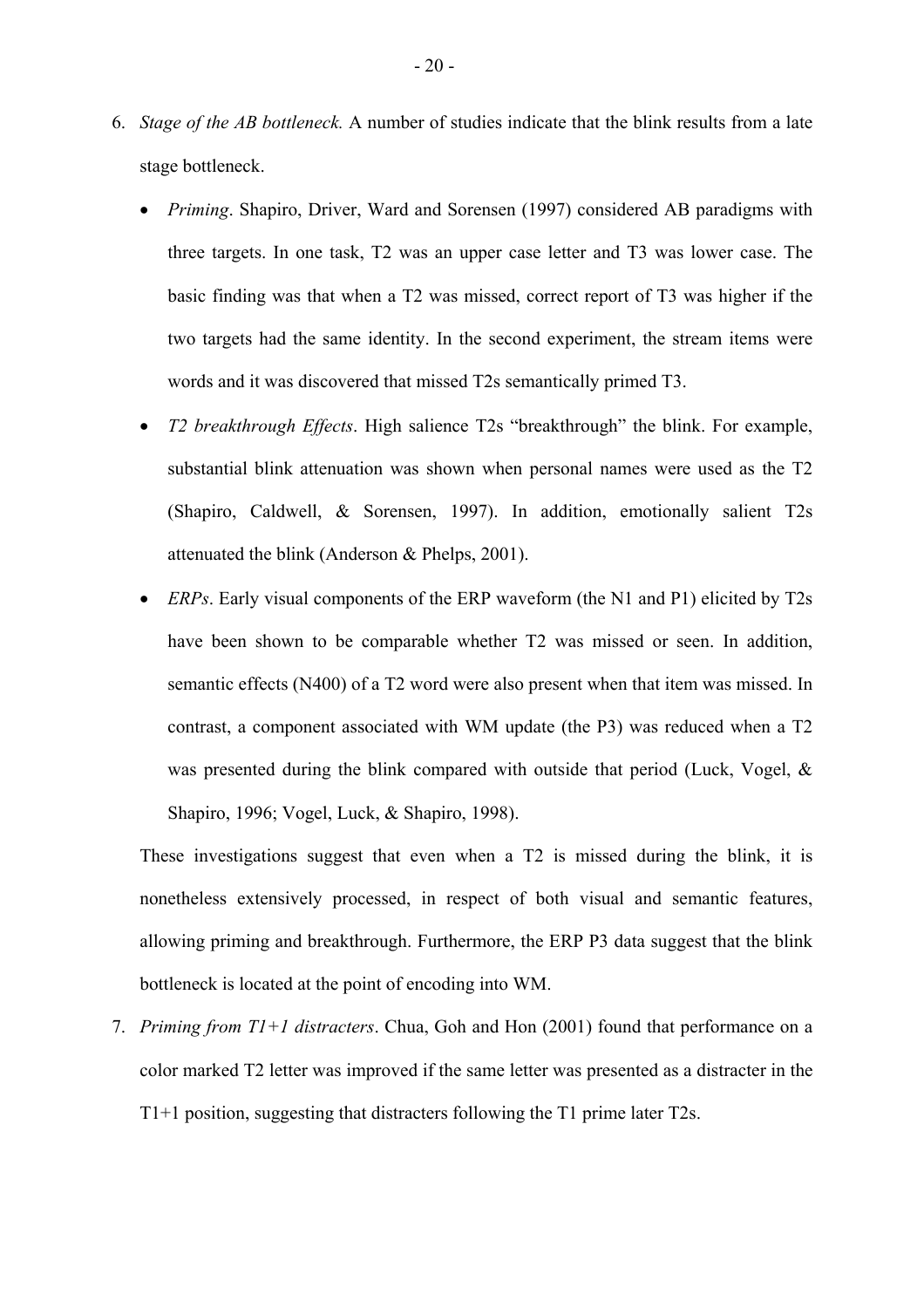- <span id="page-20-0"></span>6. *Stage of the AB bottleneck.* A number of studies indicate that the blink results from a late stage bottleneck.
	- *Priming*. Shapiro, Driver, Ward and Sorensen (1997) considered AB paradigms with three targets. In one task, T2 was an upper case letter and T3 was lower case. The basic finding was that when a T2 was missed, correct report of T3 was higher if the two targets had the same identity. In the second experiment, the stream items were words and it was discovered that missed T2s semantically primed T3.
	- *T2 breakthrough Effects*. High salience T2s "breakthrough" the blink. For example, substantial blink attenuation was shown when personal names were used as the T2 (Shapiro, Caldwell, & Sorensen, 1997). In addition, emotionally salient T2s attenuated the blink (Anderson & Phelps, 2001).
	- *ERPs*. Early visual components of the ERP waveform (the N1 and P1) elicited by T2s have been shown to be comparable whether T2 was missed or seen. In addition, semantic effects (N400) of a T2 word were also present when that item was missed. In contrast, a component associated with WM update (the P3) was reduced when a T2 was presented during the blink compared with outside that period (Luck, Vogel, & Shapiro, 1996; Vogel, Luck, & Shapiro, 1998).

These investigations suggest that even when a T2 is missed during the blink, it is nonetheless extensively processed, in respect of both visual and semantic features, allowing priming and breakthrough. Furthermore, the ERP P3 data suggest that the blink bottleneck is located at the point of encoding into WM.

7. *Priming from T1+1 distracters*. Chua, Goh and Hon (2001) found that performance on a color marked T2 letter was improved if the same letter was presented as a distracter in the T1+1 position, suggesting that distracters following the T1 prime later T2s.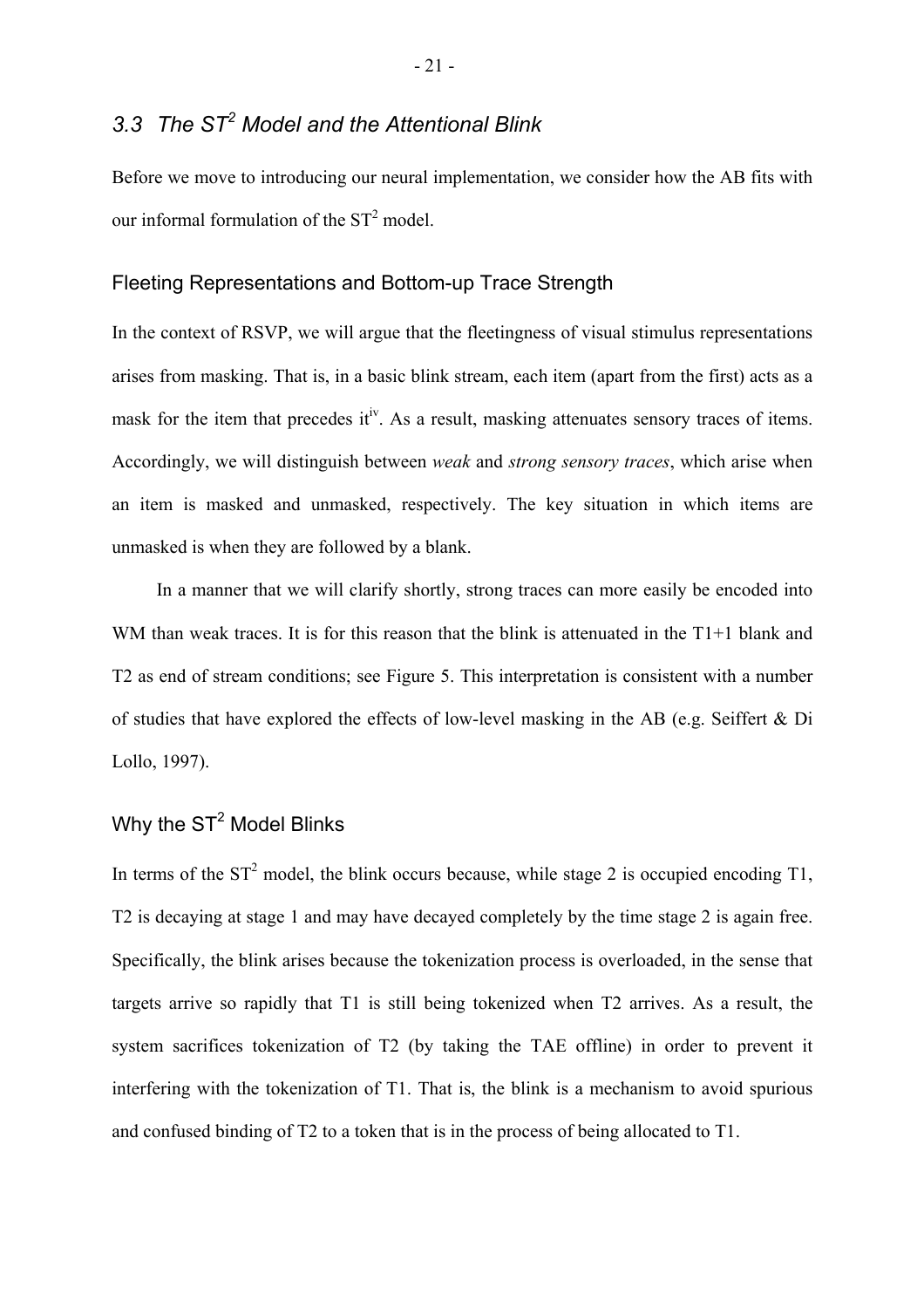## *3.3 The ST<sup>2</sup> Model and the Attentional Blink*

Before we move to introducing our neural implementation, we consider how the AB fits with our informal formulation of the  $ST^2$  model.

#### Fleeting Representations and Bottom-up Trace Strength

In the context of RSVP, we will argue that the fleetingness of visual stimulus representations arises from masking. That is, in a basic blink stream, each item (apart from the first) acts as a mask for the item that precedes it<sup>[iv](#page-94-3)</sup>. As a result, masking attenuates sensory traces of items. Accordingly, we will distinguish between *weak* and *strong sensory traces*, which arise when an item is masked and unmasked, respectively. The key situation in which items are unmasked is when they are followed by a blank.

In a manner that we will clarify shortly, strong traces can more easily be encoded into WM than weak traces. It is for this reason that the blink is attenuated in the T1+1 blank and T2 as end of stream conditions; see Figure 5. This interpretation is consistent with a number of studies that have explored the effects of low-level masking in the AB (e.g. Seiffert & Di Lollo, 1997).

## Why the ST $^2$  Model Blinks

In terms of the  $ST^2$  model, the blink occurs because, while stage 2 is occupied encoding T1, T2 is decaying at stage 1 and may have decayed completely by the time stage 2 is again free. Specifically, the blink arises because the tokenization process is overloaded, in the sense that targets arrive so rapidly that T1 is still being tokenized when T2 arrives. As a result, the system sacrifices tokenization of T2 (by taking the TAE offline) in order to prevent it interfering with the tokenization of T1. That is, the blink is a mechanism to avoid spurious and confused binding of T2 to a token that is in the process of being allocated to T1.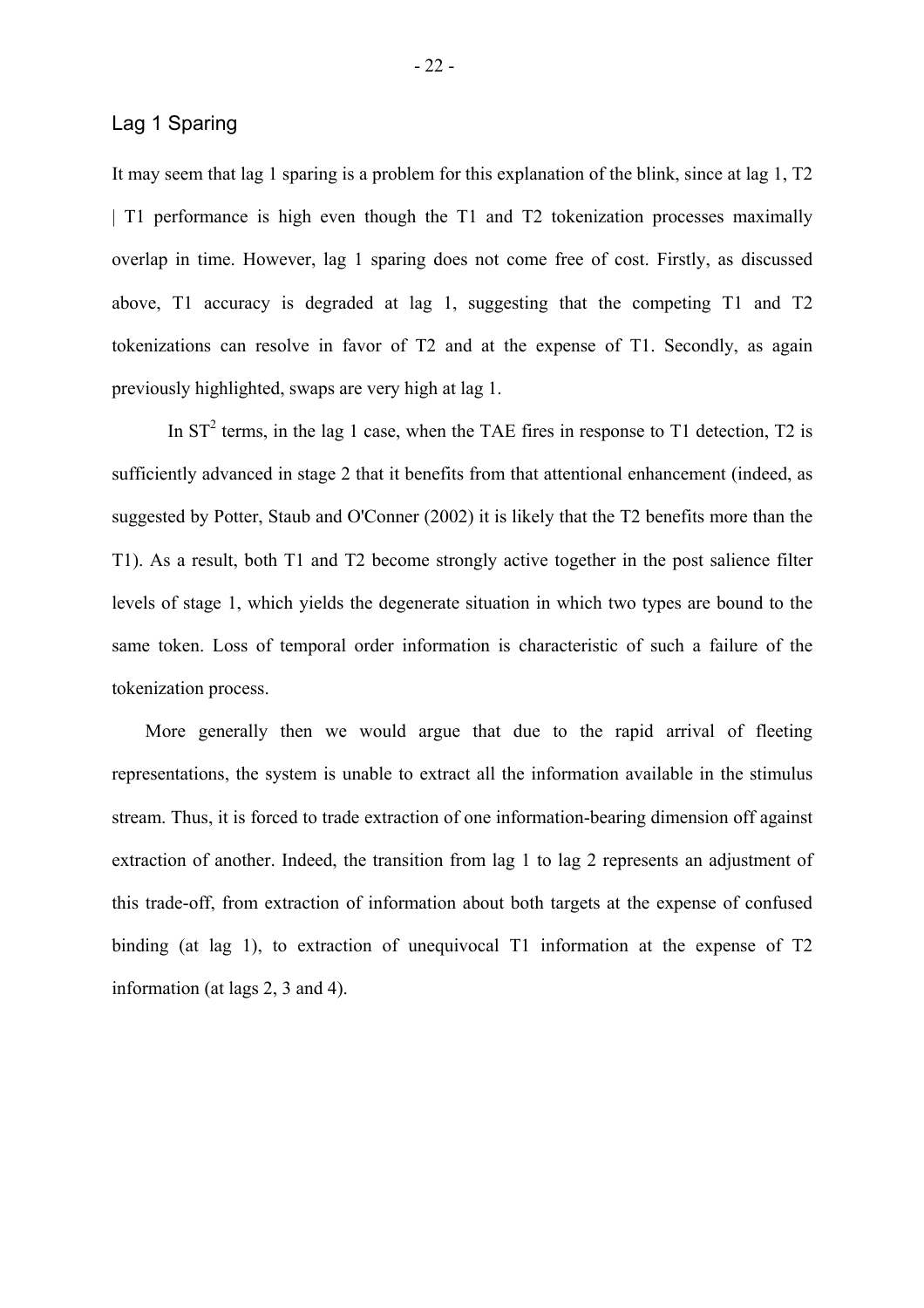#### Lag 1 Sparing

<span id="page-22-0"></span>It may seem that lag 1 sparing is a problem for this explanation of the blink, since at lag 1, T2 | T1 performance is high even though the T1 and T2 tokenization processes maximally overlap in time. However, lag 1 sparing does not come free of cost. Firstly, as discussed above, T1 accuracy is degraded at lag 1, suggesting that the competing T1 and T2 tokenizations can resolve in favor of T2 and at the expense of T1. Secondly, as again previously highlighted, swaps are very high at lag 1.

<span id="page-22-1"></span>In  $ST^2$  terms, in the lag 1 case, when the TAE fires in response to T1 detection, T2 is sufficiently advanced in stage 2 that it benefits from that attentional enhancement (indeed, as suggested by Potter, Staub and O'Conner (2002) it is likely that the T2 benefits more than the T1). As a result, both T1 and T2 become strongly active together in the post salience filter levels of stage 1, which yields the degenerate situation in which two types are bound to the same token. Loss of temporal order information is characteristic of such a failure of the tokenization process.

More generally then we would argue that due to the rapid arrival of fleeting representations, the system is unable to extract all the information available in the stimulus stream. Thus, it is forced to trade extraction of one information-bearing dimension off against extraction of another. Indeed, the transition from lag 1 to lag 2 represents an adjustment of this trade-off, from extraction of information about both targets at the expense of confused binding (at lag 1), to extraction of unequivocal T1 information at the expense of T2 information (at lags 2, 3 and 4).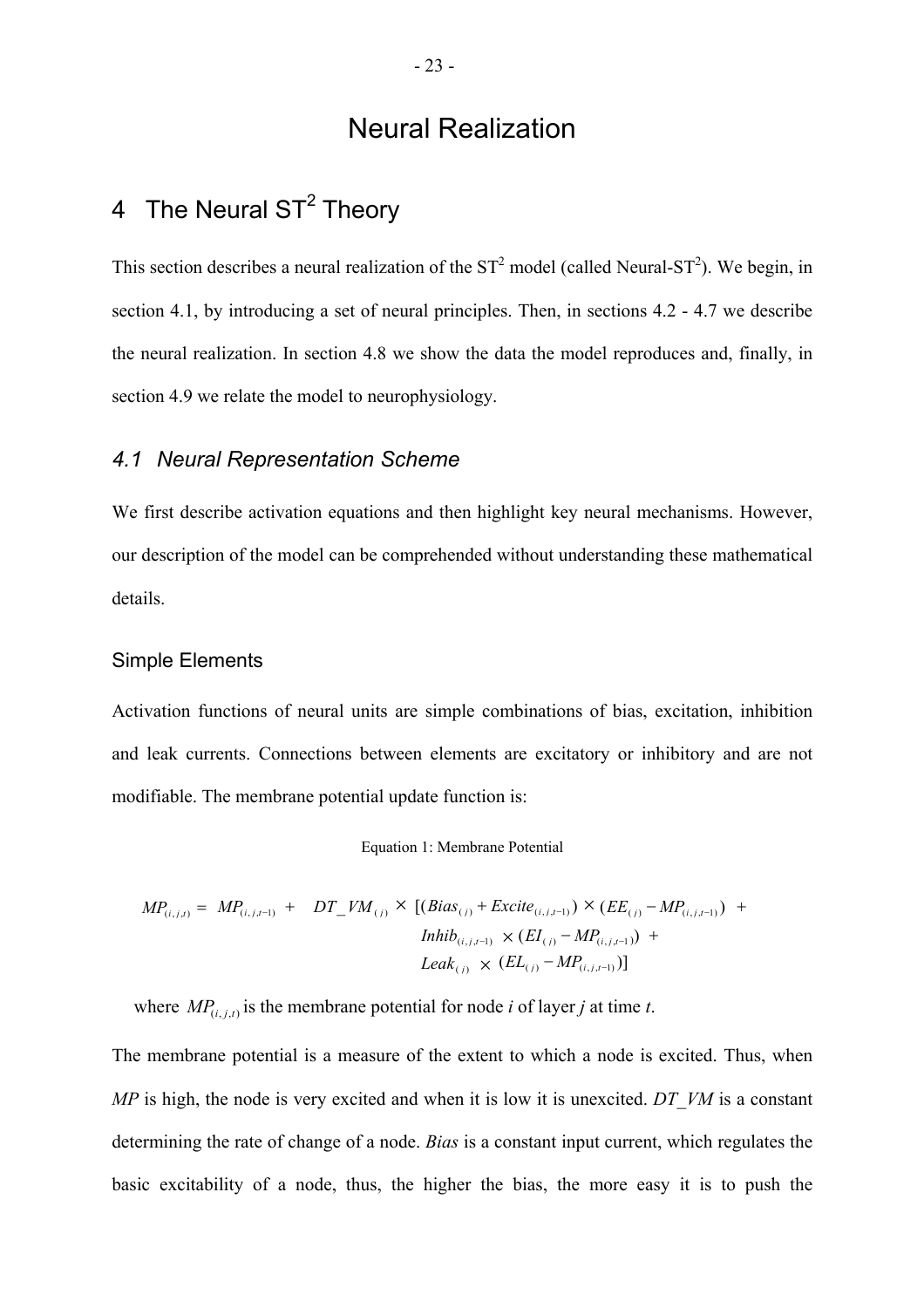# Neural Realization

# 4 The Neural ST<sup>2</sup> Theory

This section describes a neural realization of the  $ST^2$  model (called Neural-ST<sup>2</sup>). We begin, in section [4.1,](#page-22-1) by introducing a set of neural principles. Then, in sections [4.2](#page-25-0) - [4.7](#page-33-0) we describe the neural realization. In section [4.8](#page-34-0) we show the data the model reproduces and, finally, in section [4.9](#page-37-0) we relate the model to neurophysiology.

#### *4.1 Neural Representation Scheme*

<span id="page-23-0"></span>We first describe activation equations and then highlight key neural mechanisms. However, our description of the model can be comprehended without understanding these mathematical details.

#### Simple Elements

Activation functions of neural units are simple combinations of bias, excitation, inhibition and leak currents. Connections between elements are excitatory or inhibitory and are not modifiable. The membrane potential update function is:

Equation 1: Membrane Potential

$$
MP_{(i,j,t)} = MP_{(i,j,t-1)} + DT_{W_{(j)}} \times [(Bias_{(j)} + Excite_{(i,j,t-1)}) \times (EE_{(j)} - MP_{(i,j,t-1)}) +\nInhib_{(i,j,t-1)} \times (EI_{(j)} - MP_{(i,j,t-1)}) +\nLeak_{(j)} \times (EL_{(j)} - MP_{(i,j,t-1)})]
$$

where  $MP_{(i, i, t)}$  is the membrane potential for node *i* of layer *j* at time *t*.

The membrane potential is a measure of the extent to which a node is excited. Thus, when *MP* is high, the node is very excited and when it is low it is unexcited. *DT\_VM* is a constant determining the rate of change of a node. *Bias* is a constant input current, which regulates the basic excitability of a node, thus, the higher the bias, the more easy it is to push the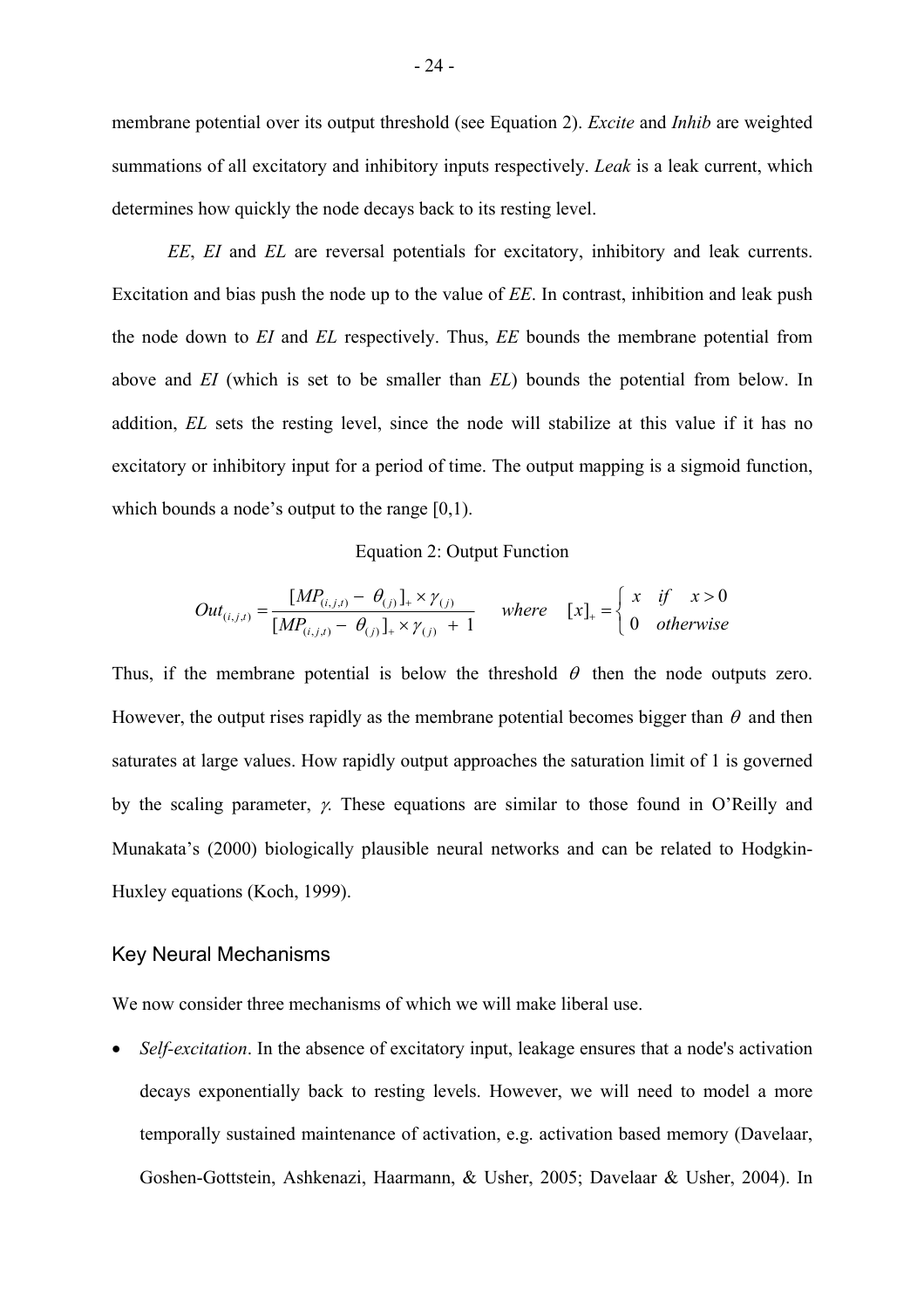membrane potential over its output threshold (see [Equation 2\)](#page-23-0). *Excite* and *Inhib* are weighted summations of all excitatory and inhibitory inputs respectively. *Leak* is a leak current, which determines how quickly the node decays back to its resting level.

*EE*, *EI* and *EL* are reversal potentials for excitatory, inhibitory and leak currents. Excitation and bias push the node up to the value of *EE*. In contrast, inhibition and leak push the node down to *EI* and *EL* respectively. Thus, *EE* bounds the membrane potential from above and *EI* (which is set to be smaller than *EL*) bounds the potential from below. In addition, *EL* sets the resting level, since the node will stabilize at this value if it has no excitatory or inhibitory input for a period of time. The output mapping is a sigmoid function, which bounds a node's output to the range  $[0,1)$ .

#### Equation 2: Output Function

$$
Out_{(i,j,t)} = \frac{[MP_{(i,j,t)} - \theta_{(j)}]_{+} \times \gamma_{(j)}}{[MP_{(i,j,t)} - \theta_{(j)}]_{+} \times \gamma_{(j)} + 1} \quad where \quad [x]_{+} = \begin{cases} x & \text{if } x > 0 \\ 0 & \text{otherwise} \end{cases}
$$

Thus, if the membrane potential is below the threshold  $\theta$  then the node outputs zero. However, the output rises rapidly as the membrane potential becomes bigger than  $\theta$  and then saturates at large values. How rapidly output approaches the saturation limit of 1 is governed by the scaling parameter,  $\gamma$ . These equations are similar to those found in O'Reilly and Munakata's (2000) biologically plausible neural networks and can be related to Hodgkin-Huxley equations (Koch, 1999).

#### Key Neural Mechanisms

We now consider three mechanisms of which we will make liberal use.

• *Self-excitation*. In the absence of excitatory input, leakage ensures that a node's activation decays exponentially back to resting levels. However, we will need to model a more temporally sustained maintenance of activation, e.g. activation based memory (Davelaar, Goshen-Gottstein, Ashkenazi, Haarmann, & Usher, 2005; Davelaar & Usher, 2004). In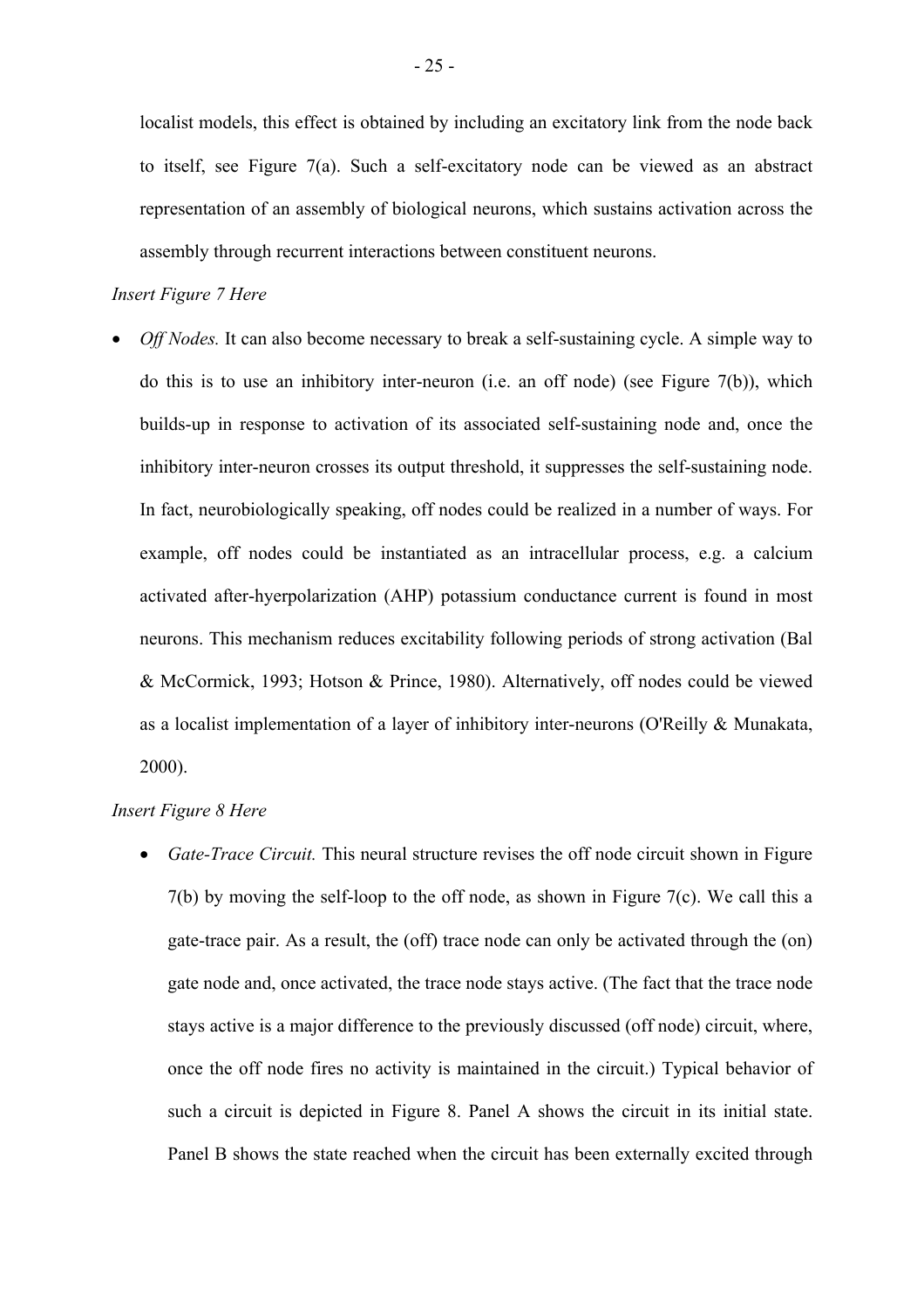localist models, this effect is obtained by including an excitatory link from the node back to itself, see Figure 7(a). Such a self-excitatory node can be viewed as an abstract representation of an assembly of biological neurons, which sustains activation across the assembly through recurrent interactions between constituent neurons.

#### *Insert Figure 7 Here*

• *Off Nodes.* It can also become necessary to break a self-sustaining cycle. A simple way to do this is to use an inhibitory inter-neuron (i.e. an off node) (see Figure 7(b)), which builds-up in response to activation of its associated self-sustaining node and, once the inhibitory inter-neuron crosses its output threshold, it suppresses the self-sustaining node. In fact, neurobiologically speaking, off nodes could be realized in a number of ways. For example, off nodes could be instantiated as an intracellular process, e.g. a calcium activated after-hyerpolarization (AHP) potassium conductance current is found in most neurons. This mechanism reduces excitability following periods of strong activation (Bal & McCormick, 1993; Hotson & Prince, 1980). Alternatively, off nodes could be viewed as a localist implementation of a layer of inhibitory inter-neurons (O'Reilly & Munakata, 2000).

#### <span id="page-25-0"></span>*Insert Figure 8 Here*

• *Gate-Trace Circuit.* This neural structure revises the off node circuit shown in Figure 7(b) by moving the self-loop to the off node, as shown in Figure 7(c). We call this a gate-trace pair. As a result, the (off) trace node can only be activated through the (on) gate node and, once activated, the trace node stays active. (The fact that the trace node stays active is a major difference to the previously discussed (off node) circuit, where, once the off node fires no activity is maintained in the circuit.) Typical behavior of such a circuit is depicted in Figure 8. Panel A shows the circuit in its initial state. Panel B shows the state reached when the circuit has been externally excited through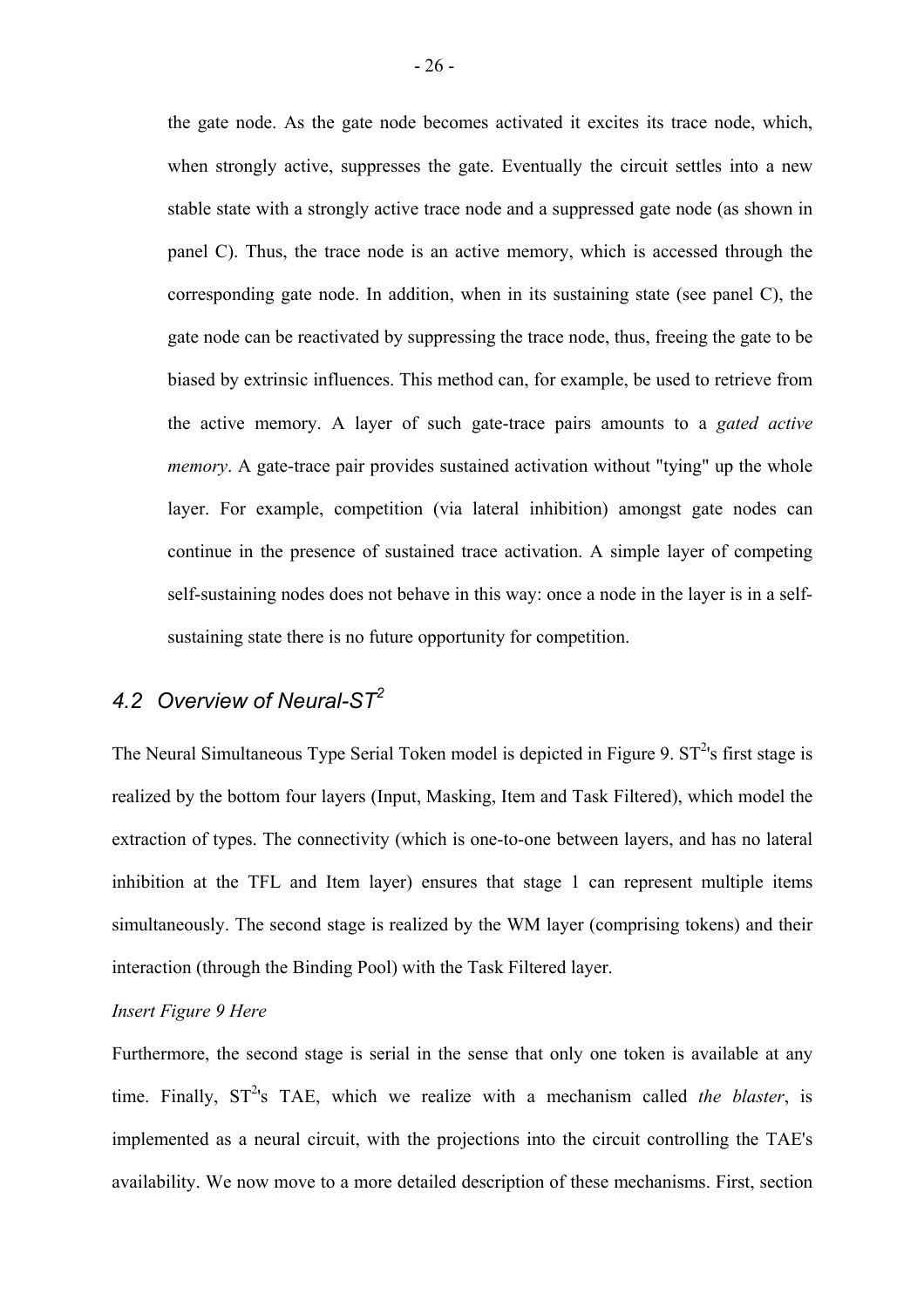<span id="page-26-0"></span>the gate node. As the gate node becomes activated it excites its trace node, which, when strongly active, suppresses the gate. Eventually the circuit settles into a new stable state with a strongly active trace node and a suppressed gate node (as shown in panel C). Thus, the trace node is an active memory, which is accessed through the corresponding gate node. In addition, when in its sustaining state (see panel C), the gate node can be reactivated by suppressing the trace node, thus, freeing the gate to be biased by extrinsic influences. This method can, for example, be used to retrieve from the active memory. A layer of such gate-trace pairs amounts to a *gated active memory*. A gate-trace pair provides sustained activation without "tying" up the whole layer. For example, competition (via lateral inhibition) amongst gate nodes can continue in the presence of sustained trace activation. A simple layer of competing self-sustaining nodes does not behave in this way: once a node in the layer is in a selfsustaining state there is no future opportunity for competition.

# *4.2 Overview of Neural-ST<sup>2</sup>*

The Neural Simultaneous Type Serial Token model is depicted in Figure 9.  $ST<sup>2</sup>$ 's first stage is realized by the bottom four layers (Input, Masking, Item and Task Filtered), which model the extraction of types. The connectivity (which is one-to-one between layers, and has no lateral inhibition at the TFL and Item layer) ensures that stage 1 can represent multiple items simultaneously. The second stage is realized by the WM layer (comprising tokens) and their interaction (through the Binding Pool) with the Task Filtered layer.

#### *Insert Figure 9 Here*

Furthermore, the second stage is serial in the sense that only one token is available at any time. Finally, ST<sup>2</sup>'s TAE, which we realize with a mechanism called *the blaster*, is implemented as a neural circuit, with the projections into the circuit controlling the TAE's availability. We now move to a more detailed description of these mechanisms. First, section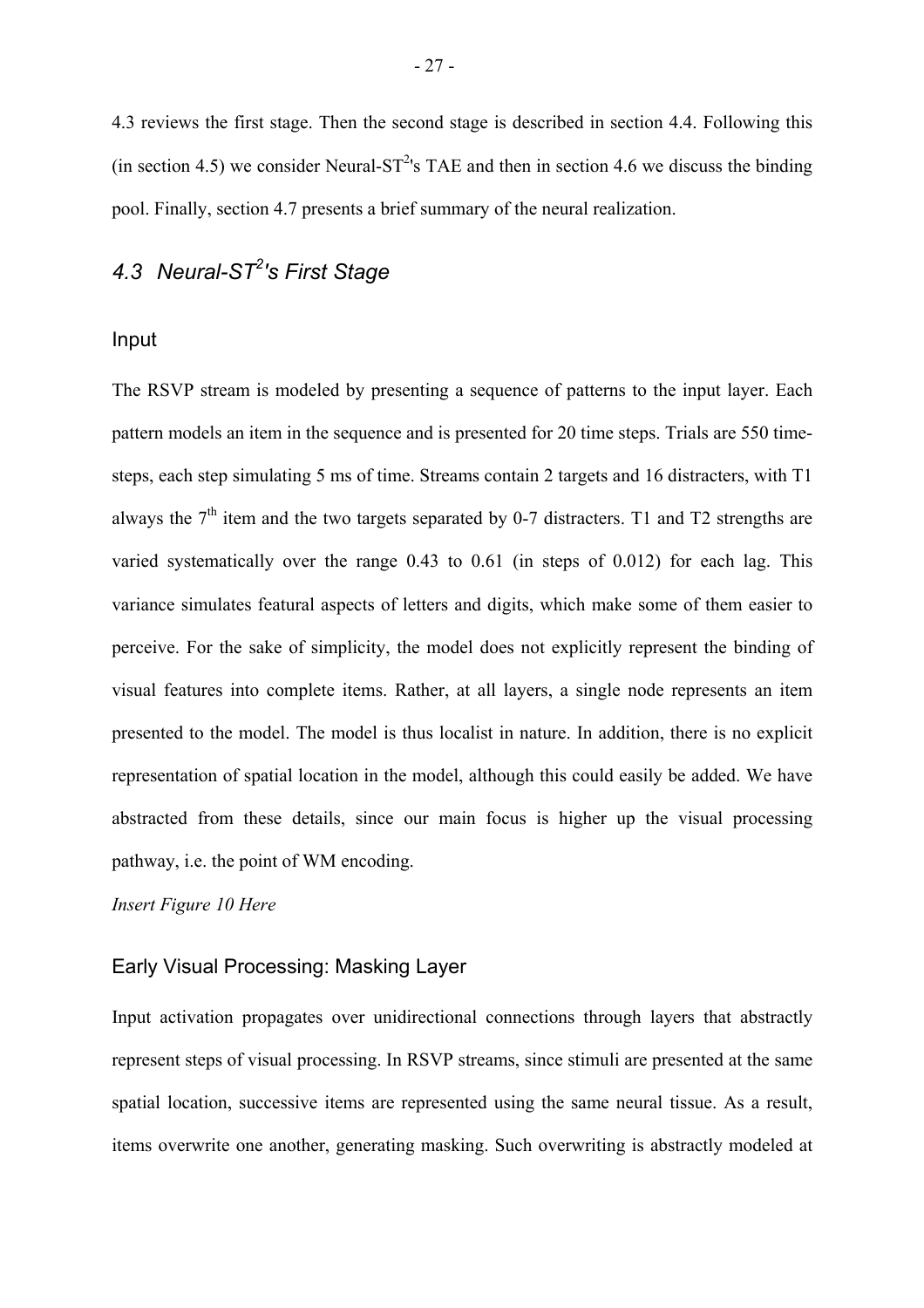[4.3](#page-26-0) reviews the first stage. Then the second stage is described in section [4.4.](#page-28-0) Following this (in section [4.5\)](#page-31-0) we consider Neural-ST<sup>2</sup>'s TAE and then in section [4.6](#page-32-0) we discuss the binding pool. Finally, section [4.7](#page-33-0) presents a brief summary of the neural realization.

## *4.3 Neural-ST<sup>2</sup> 's First Stage*

#### Input

The RSVP stream is modeled by presenting a sequence of patterns to the input layer. Each pattern models an item in the sequence and is presented for 20 time steps. Trials are 550 timesteps, each step simulating 5 ms of time. Streams contain 2 targets and 16 distracters, with T1 always the  $7<sup>th</sup>$  item and the two targets separated by 0-7 distracters. T1 and T2 strengths are varied systematically over the range 0.43 to 0.61 (in steps of 0.012) for each lag. This variance simulates featural aspects of letters and digits, which make some of them easier to perceive. For the sake of simplicity, the model does not explicitly represent the binding of visual features into complete items. Rather, at all layers, a single node represents an item presented to the model. The model is thus localist in nature. In addition, there is no explicit representation of spatial location in the model, although this could easily be added. We have abstracted from these details, since our main focus is higher up the visual processing pathway, i.e. the point of WM encoding.

#### *Insert Figure 10 Here*

#### Early Visual Processing: Masking Layer

Input activation propagates over unidirectional connections through layers that abstractly represent steps of visual processing. In RSVP streams, since stimuli are presented at the same spatial location, successive items are represented using the same neural tissue. As a result, items overwrite one another, generating masking. Such overwriting is abstractly modeled at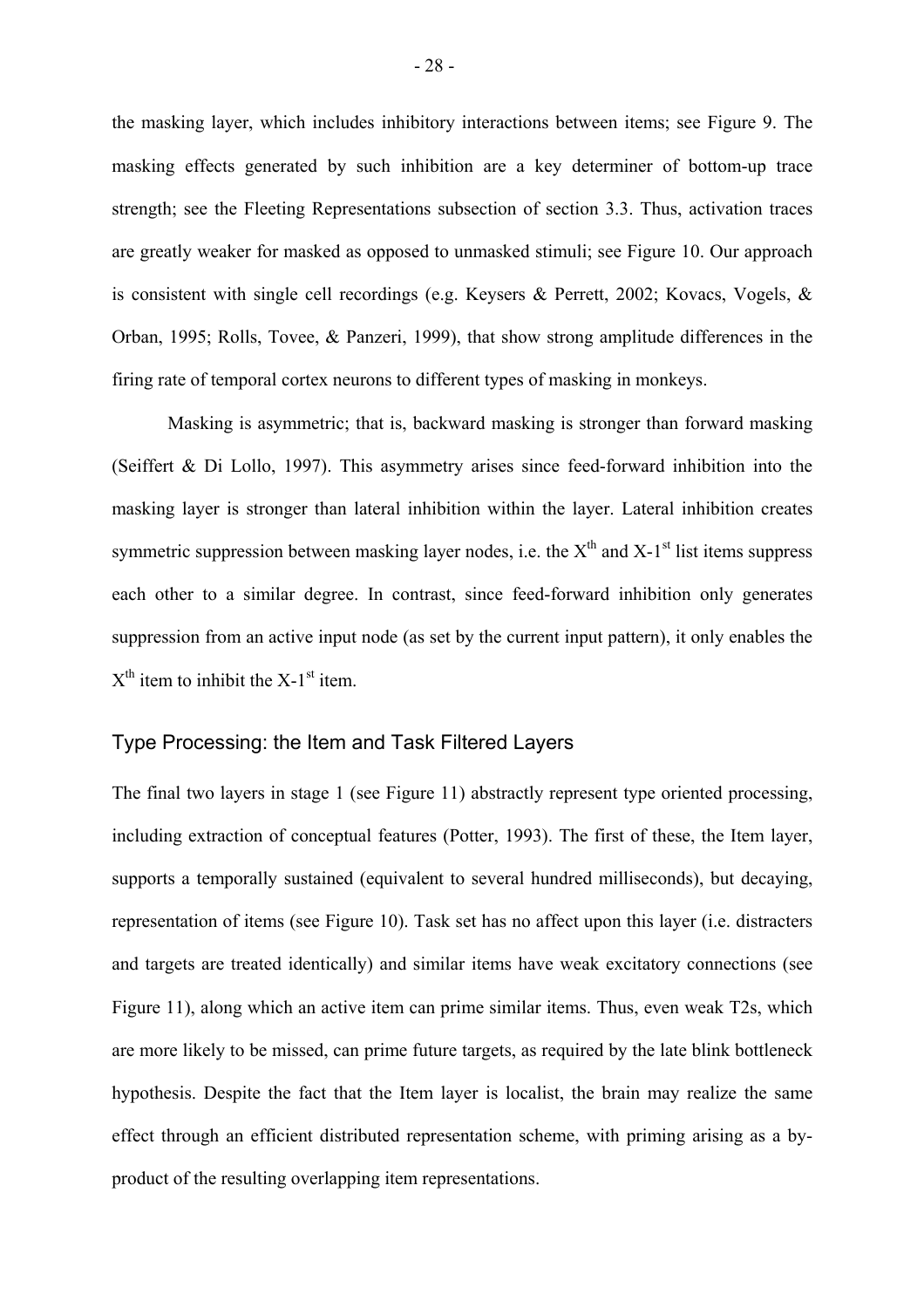the masking layer, which includes inhibitory interactions between items; see Figure 9. The masking effects generated by such inhibition are a key determiner of bottom-up trace strength; see the Fleeting Representations subsection of section [3.3.](#page-20-0) Thus, activation traces are greatly weaker for masked as opposed to unmasked stimuli; see Figure 10. Our approach is consistent with single cell recordings (e.g. Keysers & Perrett, 2002; Kovacs, Vogels, & Orban, 1995; Rolls, Tovee, & Panzeri, 1999), that show strong amplitude differences in the firing rate of temporal cortex neurons to different types of masking in monkeys.

<span id="page-28-0"></span>Masking is asymmetric; that is, backward masking is stronger than forward masking (Seiffert & Di Lollo, 1997). This asymmetry arises since feed-forward inhibition into the masking layer is stronger than lateral inhibition within the layer. Lateral inhibition creates symmetric suppression between masking layer nodes, i.e. the  $X<sup>th</sup>$  and  $X-1<sup>st</sup>$  list items suppress each other to a similar degree. In contrast, since feed-forward inhibition only generates suppression from an active input node (as set by the current input pattern), it only enables the  $X<sup>th</sup>$  item to inhibit the X-1<sup>st</sup> item.

#### Type Processing: the Item and Task Filtered Layers

The final two layers in stage 1 (see Figure 11) abstractly represent type oriented processing, including extraction of conceptual features (Potter, 1993). The first of these, the Item layer, supports a temporally sustained (equivalent to several hundred milliseconds), but decaying, representation of items (see Figure 10). Task set has no affect upon this layer (i.e. distracters and targets are treated identically) and similar items have weak excitatory connections (see Figure 11), along which an active item can prime similar items. Thus, even weak T2s, which are more likely to be missed, can prime future targets, as required by the late blink bottleneck hypothesis. Despite the fact that the Item layer is localist, the brain may realize the same effect through an efficient distributed representation scheme, with priming arising as a byproduct of the resulting overlapping item representations.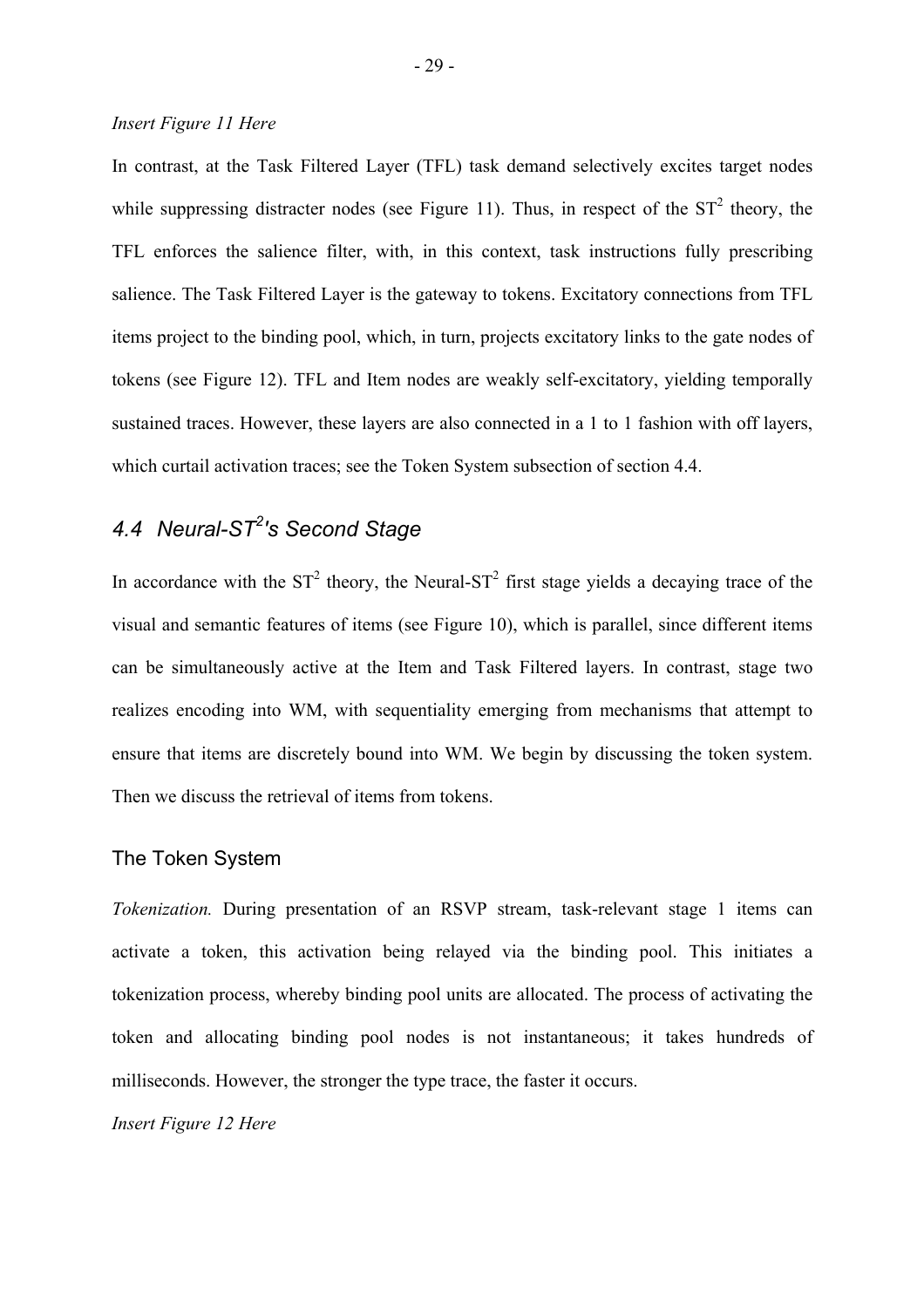#### *Insert Figure 11 Here*

In contrast, at the Task Filtered Layer (TFL) task demand selectively excites target nodes while suppressing distracter nodes (see Figure 11). Thus, in respect of the  $ST^2$  theory, the TFL enforces the salience filter, with, in this context, task instructions fully prescribing salience. The Task Filtered Layer is the gateway to tokens. Excitatory connections from TFL items project to the binding pool, which, in turn, projects excitatory links to the gate nodes of tokens (see Figure 12). TFL and Item nodes are weakly self-excitatory, yielding temporally sustained traces. However, these layers are also connected in a 1 to 1 fashion with off layers, which curtail activation traces; see the Token System subsection of section [4.4.](#page-28-0)

## *4.4 Neural-ST<sup>2</sup> 's Second Stage*

In accordance with the  $ST^2$  theory, the Neural- $ST^2$  first stage yields a decaying trace of the visual and semantic features of items (see Figure 10), which is parallel, since different items can be simultaneously active at the Item and Task Filtered layers. In contrast, stage two realizes encoding into WM, with sequentiality emerging from mechanisms that attempt to ensure that items are discretely bound into WM. We begin by discussing the token system. Then we discuss the retrieval of items from tokens.

#### The Token System

*Tokenization.* During presentation of an RSVP stream, task-relevant stage 1 items can activate a token, this activation being relayed via the binding pool. This initiates a tokenization process, whereby binding pool units are allocated. The process of activating the token and allocating binding pool nodes is not instantaneous; it takes hundreds of milliseconds. However, the stronger the type trace, the faster it occurs.

*Insert Figure 12 Here*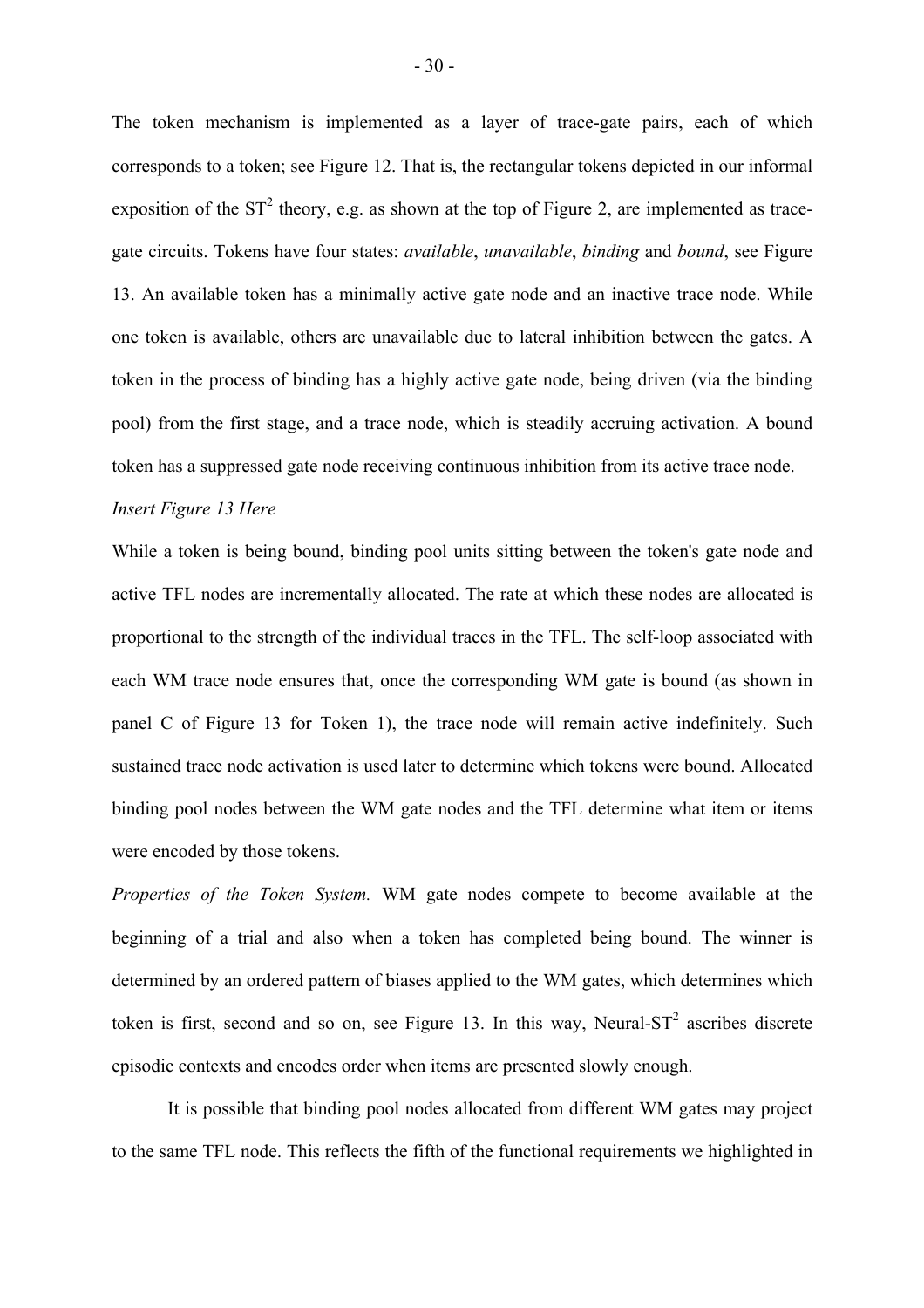The token mechanism is implemented as a layer of trace-gate pairs, each of which corresponds to a token; see Figure 12. That is, the rectangular tokens depicted in our informal exposition of the  $ST^2$  theory, e.g. as shown at the top of Figure 2, are implemented as tracegate circuits. Tokens have four states: *available*, *unavailable*, *binding* and *bound*, see Figure 13. An available token has a minimally active gate node and an inactive trace node. While one token is available, others are unavailable due to lateral inhibition between the gates. A token in the process of binding has a highly active gate node, being driven (via the binding pool) from the first stage, and a trace node, which is steadily accruing activation. A bound token has a suppressed gate node receiving continuous inhibition from its active trace node.

#### *Insert Figure 13 Here*

While a token is being bound, binding pool units sitting between the token's gate node and active TFL nodes are incrementally allocated. The rate at which these nodes are allocated is proportional to the strength of the individual traces in the TFL. The self-loop associated with each WM trace node ensures that, once the corresponding WM gate is bound (as shown in panel C of Figure 13 for Token 1), the trace node will remain active indefinitely. Such sustained trace node activation is used later to determine which tokens were bound. Allocated binding pool nodes between the WM gate nodes and the TFL determine what item or items were encoded by those tokens.

*Properties of the Token System.* WM gate nodes compete to become available at the beginning of a trial and also when a token has completed being bound. The winner is determined by an ordered pattern of biases applied to the WM gates, which determines which token is first, second and so on, see Figure 13. In this way, Neural- $ST<sup>2</sup>$  ascribes discrete episodic contexts and encodes order when items are presented slowly enough.

It is possible that binding pool nodes allocated from different WM gates may project to the same TFL node. This reflects the fifth of the functional requirements we highlighted in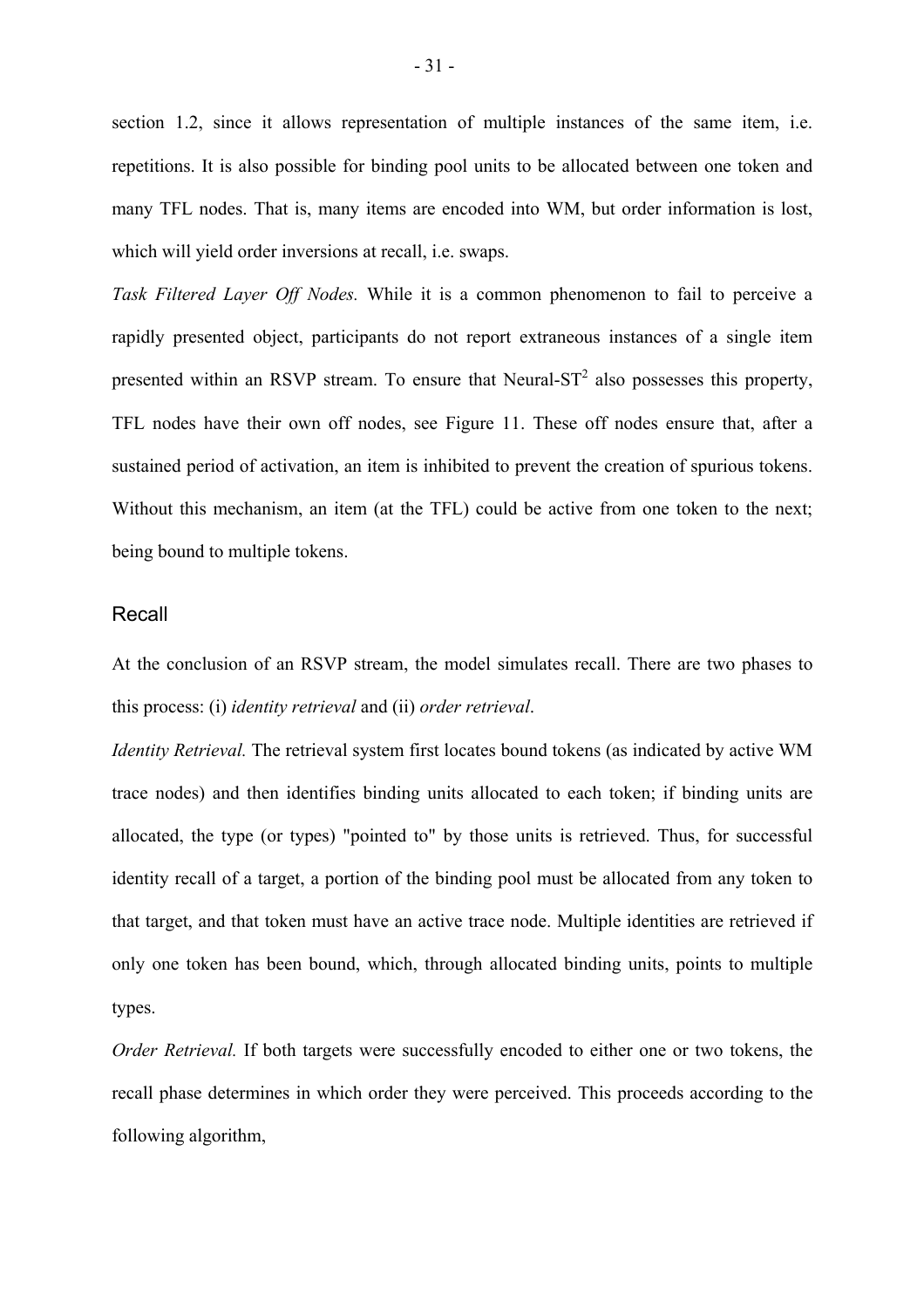section [1.2,](#page-4-0) since it allows representation of multiple instances of the same item, i.e. repetitions. It is also possible for binding pool units to be allocated between one token and many TFL nodes. That is, many items are encoded into WM, but order information is lost, which will yield order inversions at recall, i.e. swaps.

<span id="page-31-0"></span>*Task Filtered Layer Off Nodes.* While it is a common phenomenon to fail to perceive a rapidly presented object, participants do not report extraneous instances of a single item presented within an RSVP stream. To ensure that Neural- $ST<sup>2</sup>$  also possesses this property, TFL nodes have their own off nodes, see Figure 11. These off nodes ensure that, after a sustained period of activation, an item is inhibited to prevent the creation of spurious tokens. Without this mechanism, an item (at the TFL) could be active from one token to the next; being bound to multiple tokens.

#### Recall

At the conclusion of an RSVP stream, the model simulates recall. There are two phases to this process: (i) *identity retrieval* and (ii) *order retrieval*.

*Identity Retrieval.* The retrieval system first locates bound tokens (as indicated by active WM trace nodes) and then identifies binding units allocated to each token; if binding units are allocated, the type (or types) "pointed to" by those units is retrieved. Thus, for successful identity recall of a target, a portion of the binding pool must be allocated from any token to that target, and that token must have an active trace node. Multiple identities are retrieved if only one token has been bound, which, through allocated binding units, points to multiple types.

*Order Retrieval.* If both targets were successfully encoded to either one or two tokens, the recall phase determines in which order they were perceived. This proceeds according to the following algorithm,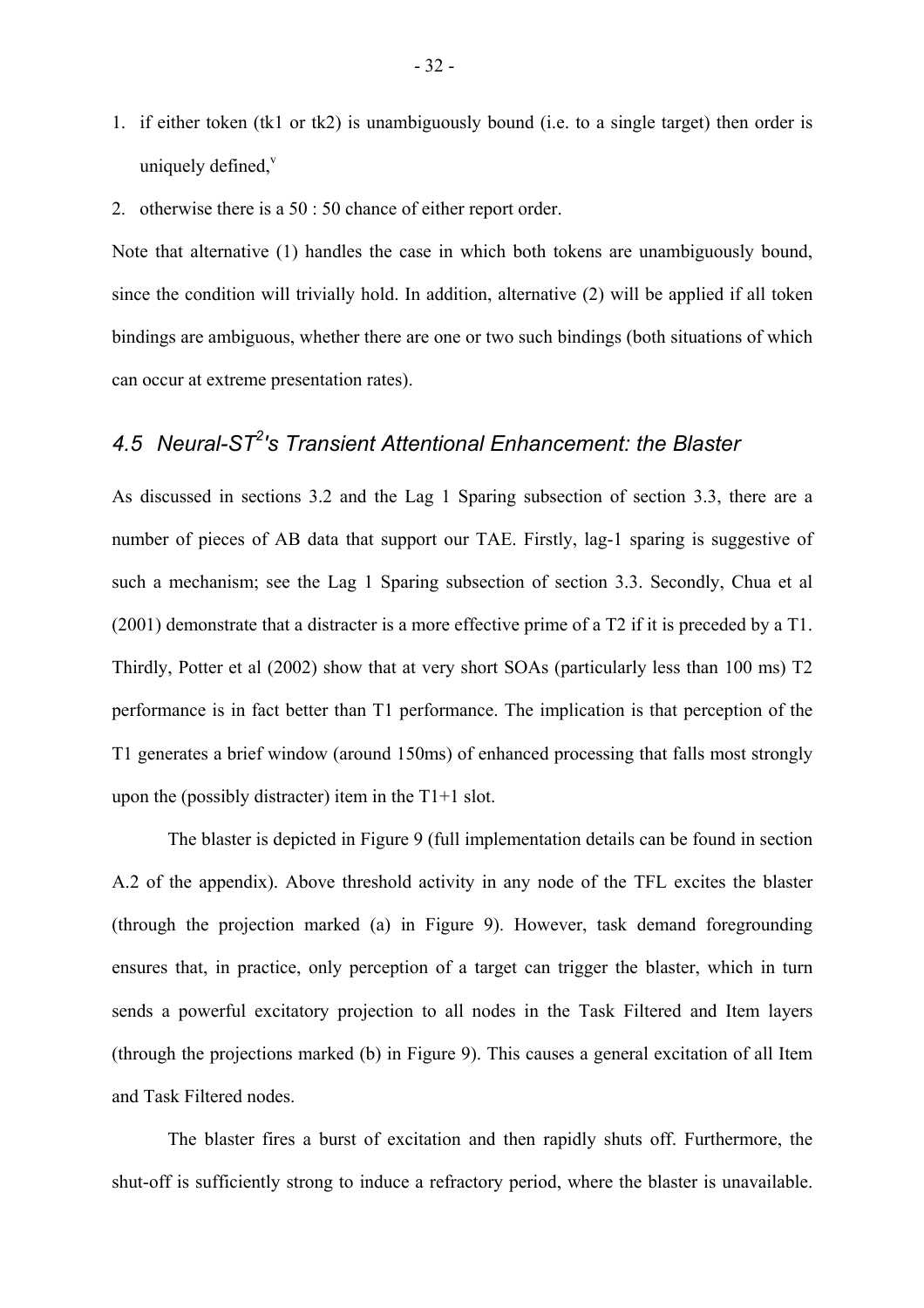- 1. if either token (tk1 or tk2) is unambiguously bound (i.e. to a single target) then order is uniquely defined, $v$
- 2. otherwise there is a 50 : 50 chance of either report order.

Note that alternative (1) handles the case in which both tokens are unambiguously bound, since the condition will trivially hold. In addition, alternative (2) will be applied if all token bindings are ambiguous, whether there are one or two such bindings (both situations of which can occur at extreme presentation rates).

## <span id="page-32-0"></span>*4.5 Neural-ST<sup>2</sup> 's Transient Attentional Enhancement: the Blaster*

As discussed in sections [3.2](#page-17-1) and the Lag 1 Sparing subsection of section [3.3,](#page-20-0) there are a number of pieces of AB data that support our TAE. Firstly, lag-1 sparing is suggestive of such a mechanism; see the Lag 1 Sparing subsection of section [3.3.](#page-20-0) Secondly, Chua et al (2001) demonstrate that a distracter is a more effective prime of a T2 if it is preceded by a T1. Thirdly, Potter et al (2002) show that at very short SOAs (particularly less than 100 ms) T2 performance is in fact better than T1 performance. The implication is that perception of the T1 generates a brief window (around 150ms) of enhanced processing that falls most strongly upon the (possibly distracter) item in the  $T1+1$  slot.

The blaster is depicted in Figure 9 (full implementation details can be found in section [A.2](#page-84-0) of the appendix). Above threshold activity in any node of the TFL excites the blaster (through the projection marked (a) in Figure 9). However, task demand foregrounding ensures that, in practice, only perception of a target can trigger the blaster, which in turn sends a powerful excitatory projection to all nodes in the Task Filtered and Item layers (through the projections marked (b) in Figure 9). This causes a general excitation of all Item and Task Filtered nodes.

The blaster fires a burst of excitation and then rapidly shuts off. Furthermore, the shut-off is sufficiently strong to induce a refractory period, where the blaster is unavailable.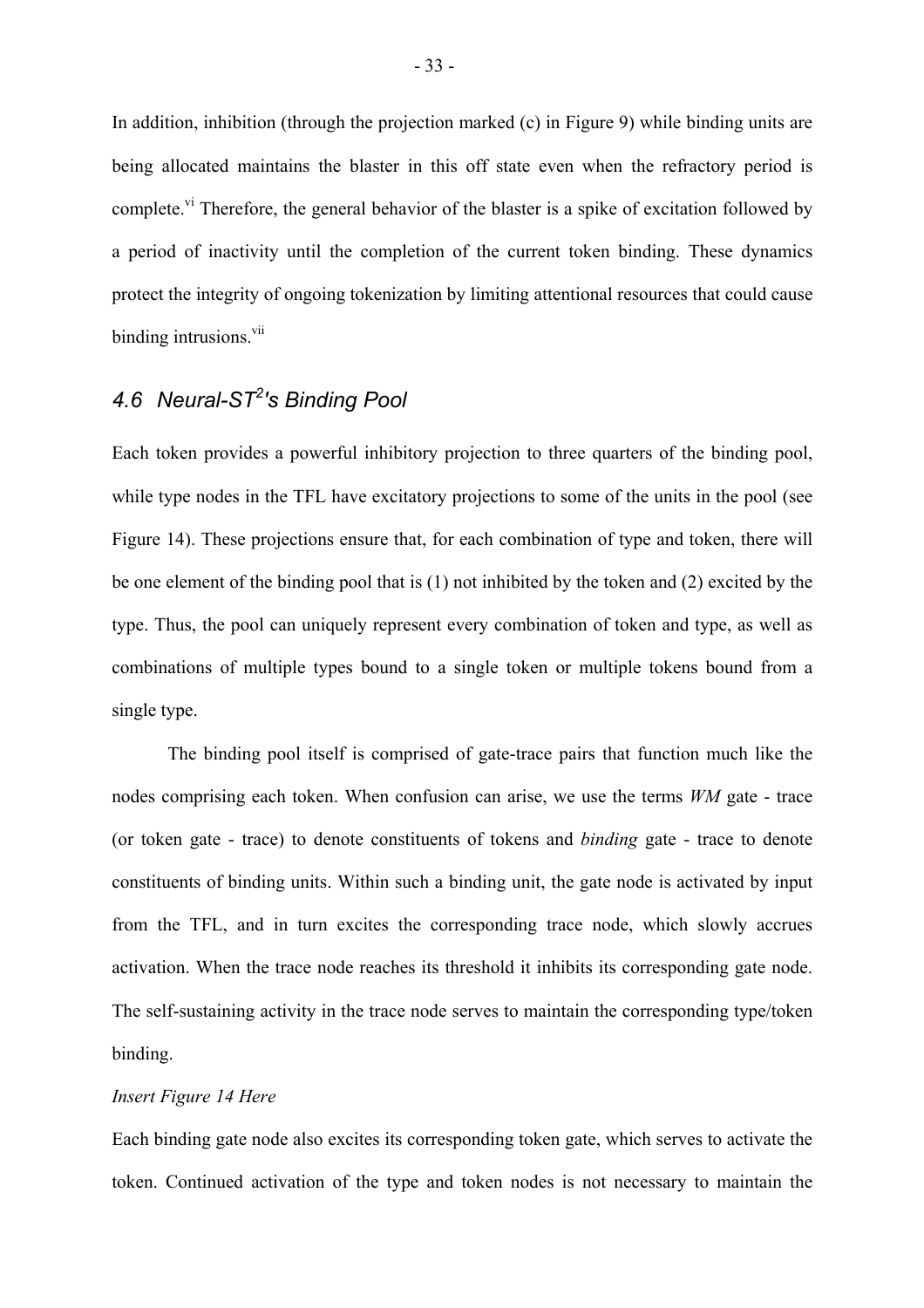In addition, inhibition (through the projection marked (c) in Figure 9) while binding units are being allocated maintains the blaster in this off state even when the refractory period is complete.<sup>[vi](#page-94-4)</sup> Therefore, the general behavior of the blaster is a spike of excitation followed by a period of inactivity until the completion of the current token binding. These dynamics protect the integrity of ongoing tokenization by limiting attentional resources that could cause binding intrusions.<sup>[vii](#page-94-5)</sup>

## <span id="page-33-0"></span>*4.6 Neural-ST<sup>2</sup> 's Binding Pool*

Each token provides a powerful inhibitory projection to three quarters of the binding pool, while type nodes in the TFL have excitatory projections to some of the units in the pool (see Figure 14). These projections ensure that, for each combination of type and token, there will be one element of the binding pool that is (1) not inhibited by the token and (2) excited by the type. Thus, the pool can uniquely represent every combination of token and type, as well as combinations of multiple types bound to a single token or multiple tokens bound from a single type.

 The binding pool itself is comprised of gate-trace pairs that function much like the nodes comprising each token. When confusion can arise, we use the terms *WM* gate - trace (or token gate - trace) to denote constituents of tokens and *binding* gate - trace to denote constituents of binding units. Within such a binding unit, the gate node is activated by input from the TFL, and in turn excites the corresponding trace node, which slowly accrues activation. When the trace node reaches its threshold it inhibits its corresponding gate node. The self-sustaining activity in the trace node serves to maintain the corresponding type/token binding.

#### *Insert Figure 14 Here*

Each binding gate node also excites its corresponding token gate, which serves to activate the token. Continued activation of the type and token nodes is not necessary to maintain the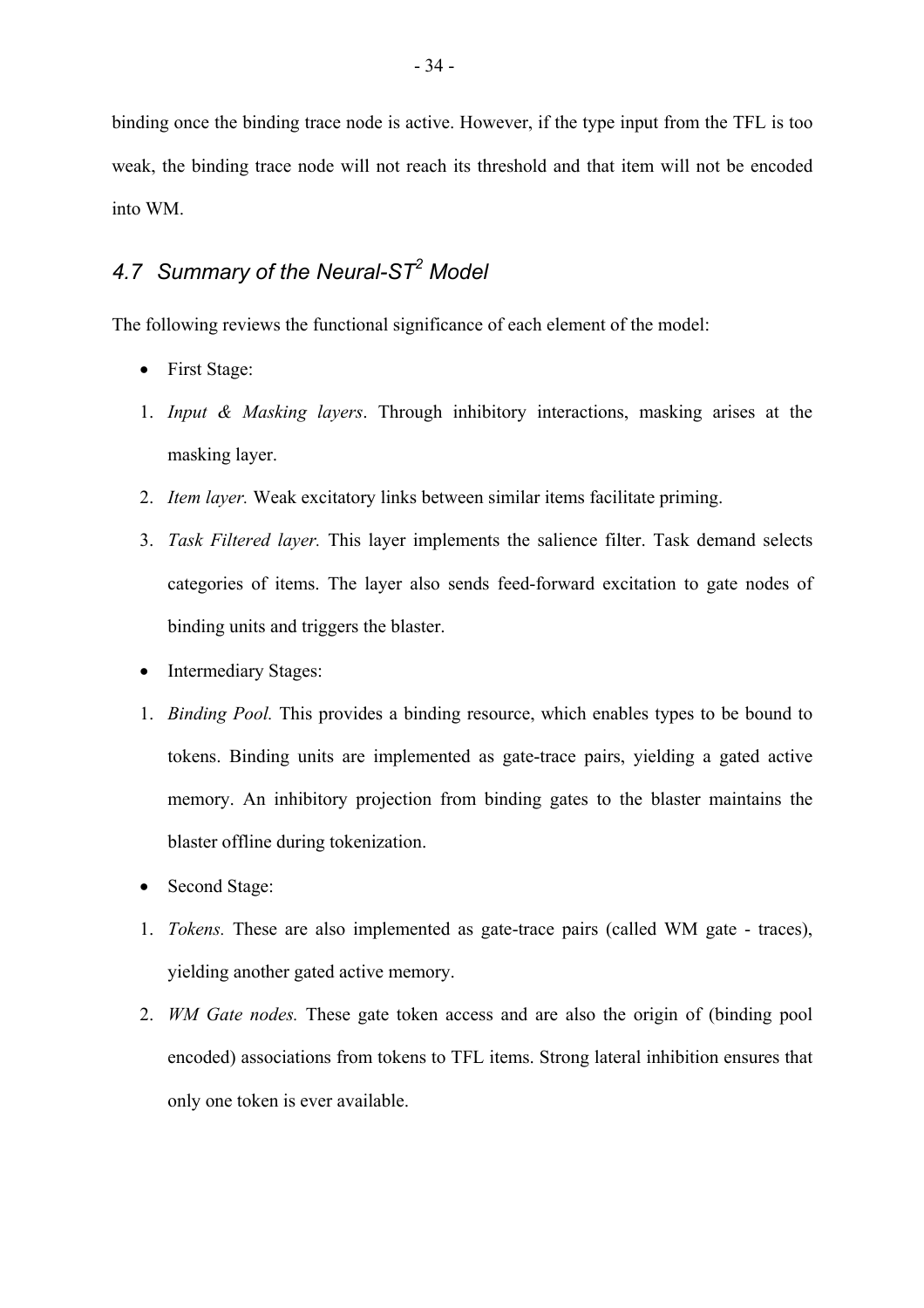binding once the binding trace node is active. However, if the type input from the TFL is too weak, the binding trace node will not reach its threshold and that item will not be encoded into WM.

## *4.7 Summary of the Neural-ST<sup>2</sup> Model*

The following reviews the functional significance of each element of the model:

- <span id="page-34-0"></span>• First Stage:
- 1. *Input & Masking layers*. Through inhibitory interactions, masking arises at the masking layer.
- 2. *Item layer.* Weak excitatory links between similar items facilitate priming.
- 3. *Task Filtered layer.* This layer implements the salience filter. Task demand selects categories of items. The layer also sends feed-forward excitation to gate nodes of binding units and triggers the blaster.
- Intermediary Stages:
- 1. *Binding Pool.* This provides a binding resource, which enables types to be bound to tokens. Binding units are implemented as gate-trace pairs, yielding a gated active memory. An inhibitory projection from binding gates to the blaster maintains the blaster offline during tokenization.
- Second Stage:
- 1. *Tokens.* These are also implemented as gate-trace pairs (called WM gate traces), yielding another gated active memory.
- 2. *WM Gate nodes.* These gate token access and are also the origin of (binding pool encoded) associations from tokens to TFL items. Strong lateral inhibition ensures that only one token is ever available.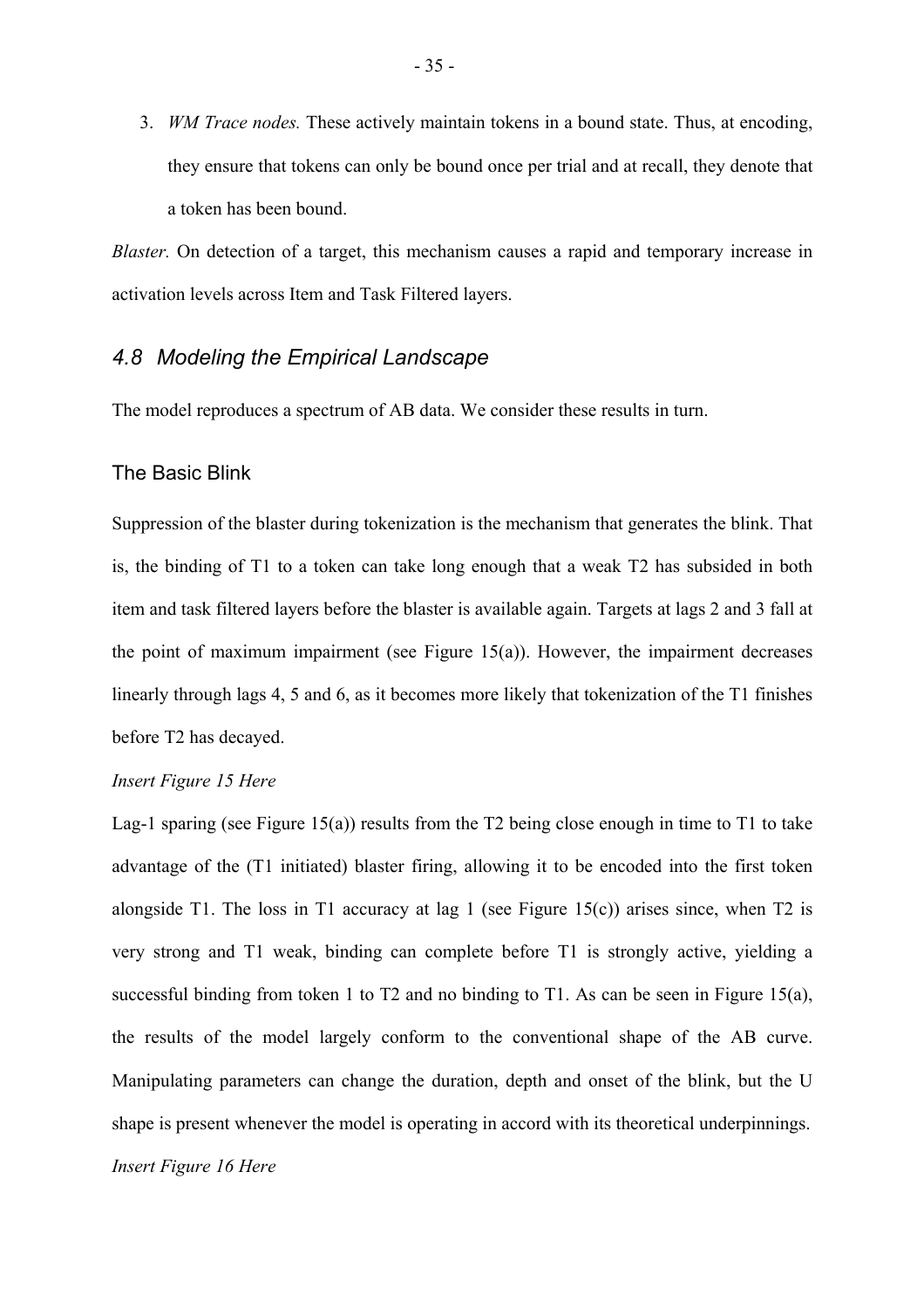3. *WM Trace nodes.* These actively maintain tokens in a bound state. Thus, at encoding, they ensure that tokens can only be bound once per trial and at recall, they denote that a token has been bound.

*Blaster.* On detection of a target, this mechanism causes a rapid and temporary increase in activation levels across Item and Task Filtered layers.

#### *4.8 Modeling the Empirical Landscape*

The model reproduces a spectrum of AB data. We consider these results in turn.

#### The Basic Blink

Suppression of the blaster during tokenization is the mechanism that generates the blink. That is, the binding of T1 to a token can take long enough that a weak T2 has subsided in both item and task filtered layers before the blaster is available again. Targets at lags 2 and 3 fall at the point of maximum impairment (see Figure 15(a)). However, the impairment decreases linearly through lags 4, 5 and 6, as it becomes more likely that tokenization of the T1 finishes before T2 has decayed.

#### *Insert Figure 15 Here*

Lag-1 sparing (see Figure 15(a)) results from the T2 being close enough in time to T1 to take advantage of the (T1 initiated) blaster firing, allowing it to be encoded into the first token alongside T1. The loss in T1 accuracy at lag 1 (see Figure 15(c)) arises since, when T2 is very strong and T1 weak, binding can complete before T1 is strongly active, yielding a successful binding from token 1 to T2 and no binding to T1. As can be seen in Figure 15(a), the results of the model largely conform to the conventional shape of the AB curve. Manipulating parameters can change the duration, depth and onset of the blink, but the U shape is present whenever the model is operating in accord with its theoretical underpinnings.

#### *Insert Figure 16 Here*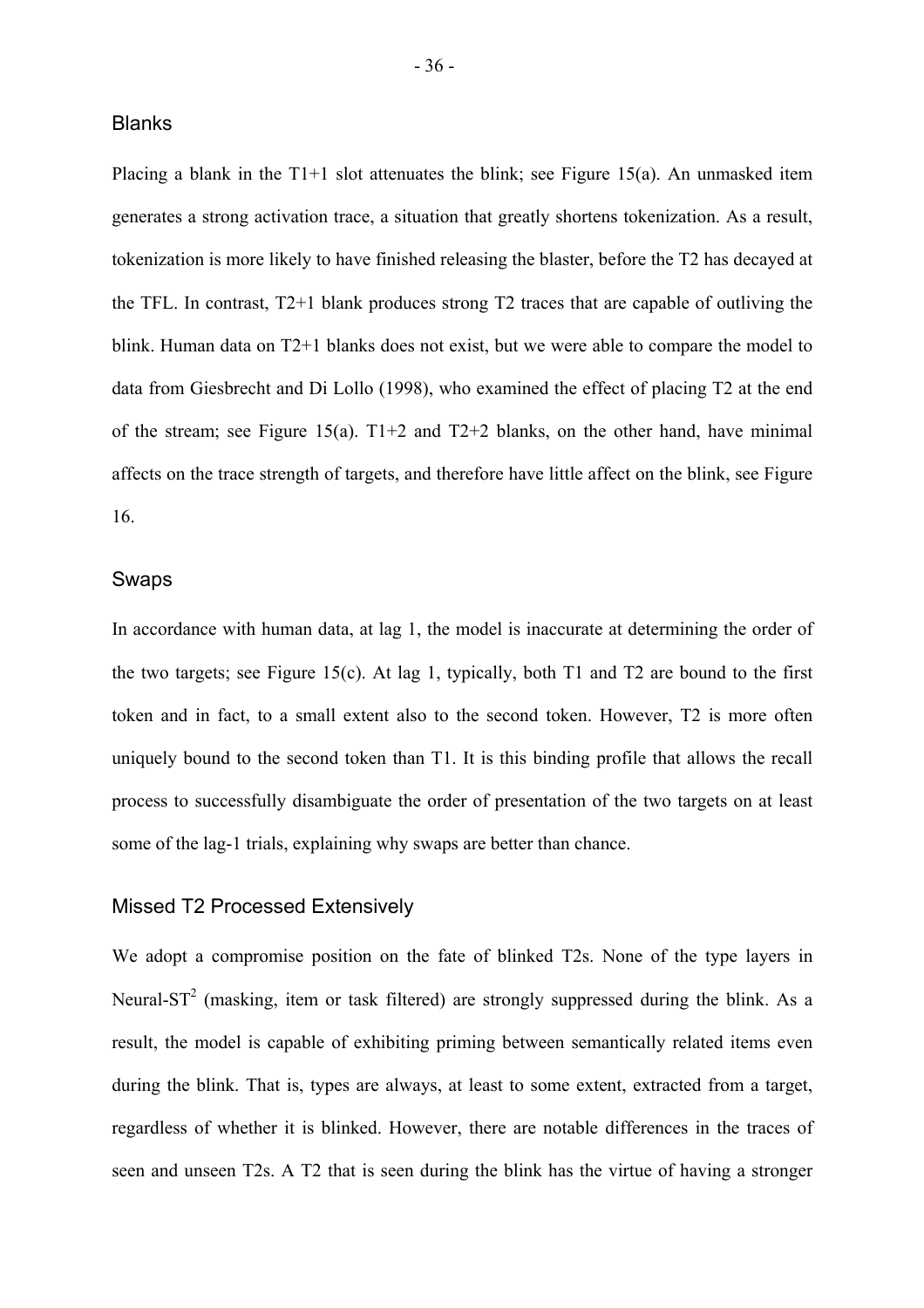#### Blanks

Placing a blank in the  $T1+1$  slot attenuates the blink; see Figure 15(a). An unmasked item generates a strong activation trace, a situation that greatly shortens tokenization. As a result, tokenization is more likely to have finished releasing the blaster, before the T2 has decayed at the TFL. In contrast, T2+1 blank produces strong T2 traces that are capable of outliving the blink. Human data on T2+1 blanks does not exist, but we were able to compare the model to data from Giesbrecht and Di Lollo (1998), who examined the effect of placing T2 at the end of the stream; see Figure 15(a).  $T1+2$  and  $T2+2$  blanks, on the other hand, have minimal affects on the trace strength of targets, and therefore have little affect on the blink, see Figure 16.

#### Swaps

In accordance with human data, at lag 1, the model is inaccurate at determining the order of the two targets; see Figure 15(c). At lag 1, typically, both T1 and T2 are bound to the first token and in fact, to a small extent also to the second token. However, T2 is more often uniquely bound to the second token than T1. It is this binding profile that allows the recall process to successfully disambiguate the order of presentation of the two targets on at least some of the lag-1 trials, explaining why swaps are better than chance.

#### Missed T2 Processed Extensively

We adopt a compromise position on the fate of blinked T2s. None of the type layers in Neural-ST<sup>2</sup> (masking, item or task filtered) are strongly suppressed during the blink. As a result, the model is capable of exhibiting priming between semantically related items even during the blink. That is, types are always, at least to some extent, extracted from a target, regardless of whether it is blinked. However, there are notable differences in the traces of seen and unseen T2s. A T2 that is seen during the blink has the virtue of having a stronger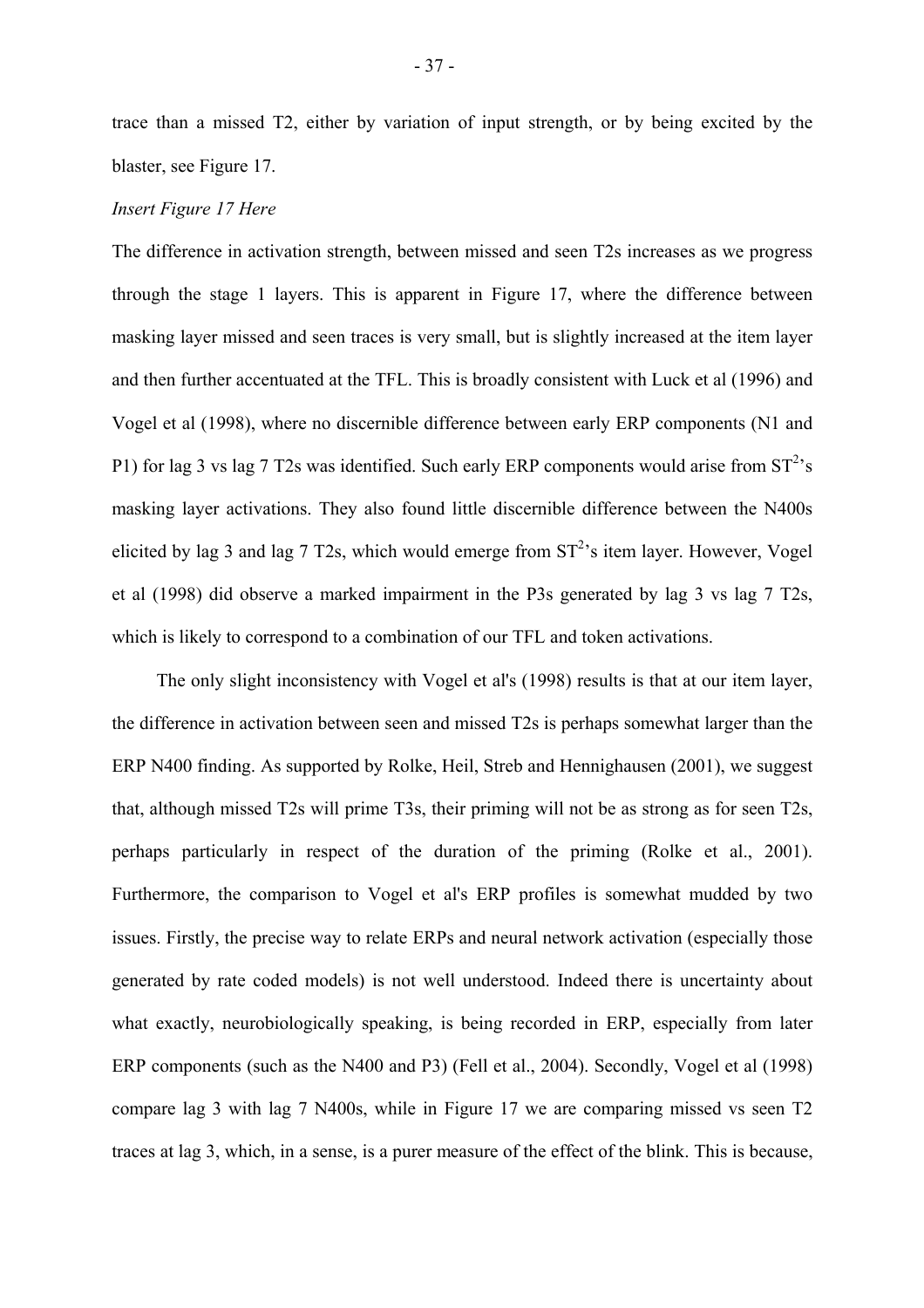trace than a missed T2, either by variation of input strength, or by being excited by the blaster, see Figure 17.

#### *Insert Figure 17 Here*

The difference in activation strength, between missed and seen T2s increases as we progress through the stage 1 layers. This is apparent in Figure 17, where the difference between masking layer missed and seen traces is very small, but is slightly increased at the item layer and then further accentuated at the TFL. This is broadly consistent with Luck et al (1996) and Vogel et al (1998), where no discernible difference between early ERP components (N1 and P1) for lag 3 vs lag 7 T2s was identified. Such early ERP components would arise from  $ST^2$ 's masking layer activations. They also found little discernible difference between the N400s elicited by lag 3 and lag 7 T2s, which would emerge from  $ST<sup>2</sup>$ 's item layer. However, Vogel et al (1998) did observe a marked impairment in the P3s generated by lag 3 vs lag 7 T2s, which is likely to correspond to a combination of our TFL and token activations.

The only slight inconsistency with Vogel et al's (1998) results is that at our item layer, the difference in activation between seen and missed T2s is perhaps somewhat larger than the ERP N400 finding. As supported by Rolke, Heil, Streb and Hennighausen (2001), we suggest that, although missed T2s will prime T3s, their priming will not be as strong as for seen T2s, perhaps particularly in respect of the duration of the priming (Rolke et al., 2001). Furthermore, the comparison to Vogel et al's ERP profiles is somewhat mudded by two issues. Firstly, the precise way to relate ERPs and neural network activation (especially those generated by rate coded models) is not well understood. Indeed there is uncertainty about what exactly, neurobiologically speaking, is being recorded in ERP, especially from later ERP components (such as the N400 and P3) (Fell et al., 2004). Secondly, Vogel et al (1998) compare lag 3 with lag 7 N400s, while in Figure 17 we are comparing missed vs seen T2 traces at lag 3, which, in a sense, is a purer measure of the effect of the blink. This is because,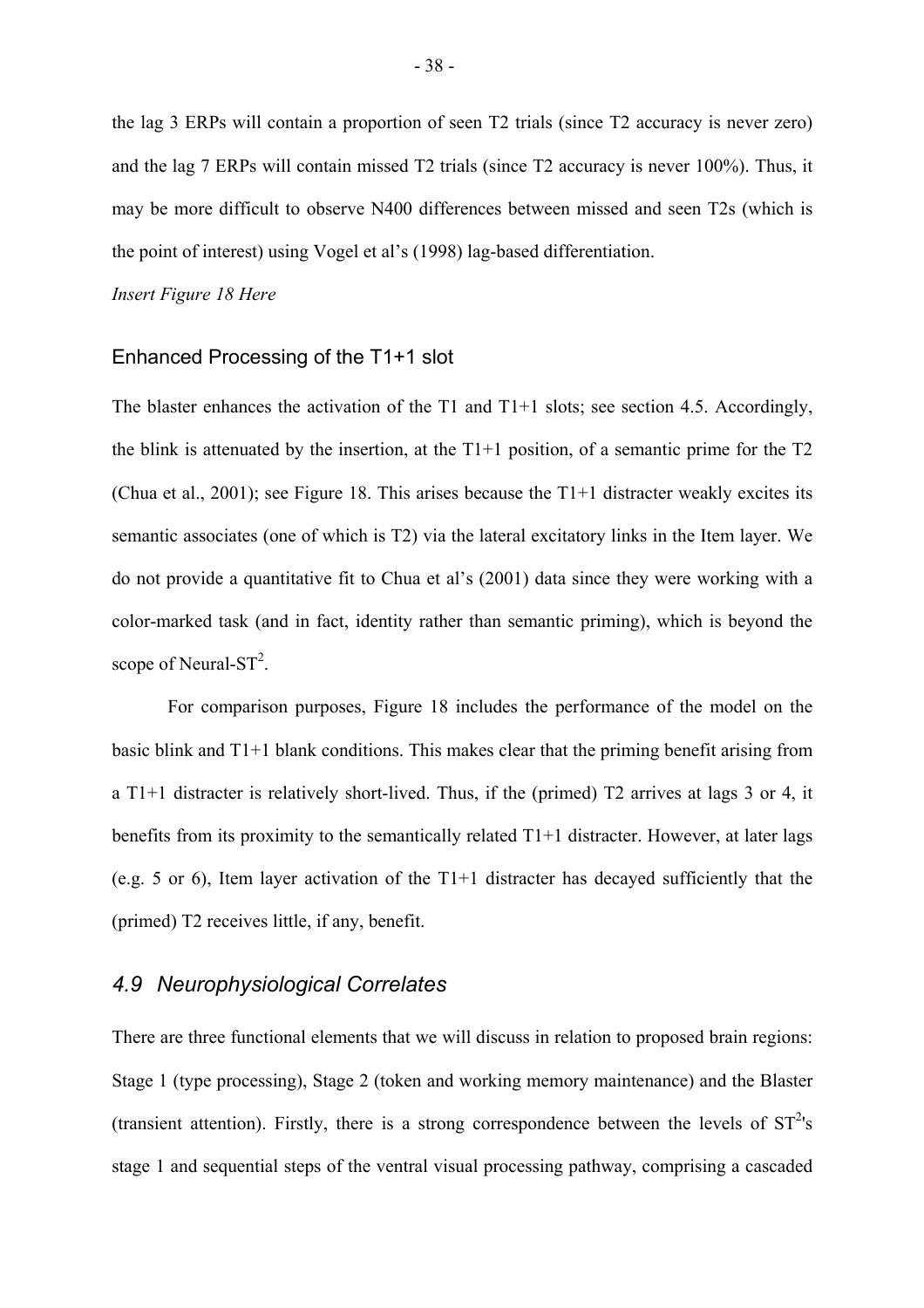the lag 3 ERPs will contain a proportion of seen T2 trials (since T2 accuracy is never zero) and the lag 7 ERPs will contain missed T2 trials (since T2 accuracy is never 100%). Thus, it may be more difficult to observe N400 differences between missed and seen T2s (which is the point of interest) using Vogel et al's (1998) lag-based differentiation.

*Insert Figure 18 Here* 

#### Enhanced Processing of the T1+1 slot

The blaster enhances the activation of the T1 and T1+1 slots; see section [4.5.](#page-31-0) Accordingly, the blink is attenuated by the insertion, at the  $T1+1$  position, of a semantic prime for the  $T2$ (Chua et al., 2001); see Figure 18. This arises because the T1+1 distracter weakly excites its semantic associates (one of which is T2) via the lateral excitatory links in the Item layer. We do not provide a quantitative fit to Chua et al's (2001) data since they were working with a color-marked task (and in fact, identity rather than semantic priming), which is beyond the scope of Neural-ST<sup>2</sup>.

For comparison purposes, Figure 18 includes the performance of the model on the basic blink and T1+1 blank conditions. This makes clear that the priming benefit arising from a T1+1 distracter is relatively short-lived. Thus, if the (primed) T2 arrives at lags 3 or 4, it benefits from its proximity to the semantically related T1+1 distracter. However, at later lags (e.g. 5 or 6), Item layer activation of the T1+1 distracter has decayed sufficiently that the (primed) T2 receives little, if any, benefit.

## *4.9 Neurophysiological Correlates*

There are three functional elements that we will discuss in relation to proposed brain regions: Stage 1 (type processing), Stage 2 (token and working memory maintenance) and the Blaster (transient attention). Firstly, there is a strong correspondence between the levels of  $ST<sup>2</sup>'s$ stage 1 and sequential steps of the ventral visual processing pathway, comprising a cascaded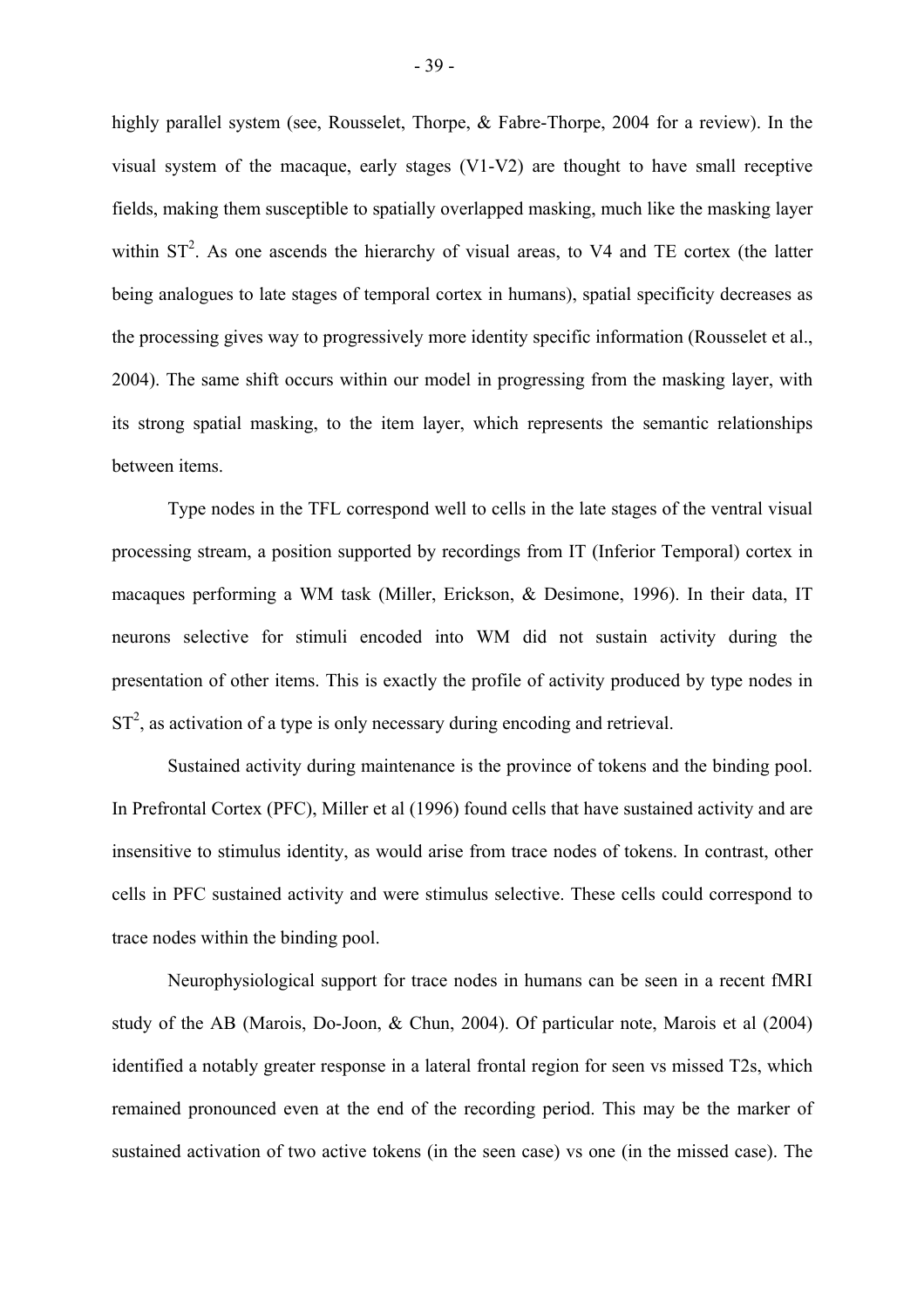highly parallel system (see, Rousselet, Thorpe, & Fabre-Thorpe, 2004 for a review). In the visual system of the macaque, early stages (V1-V2) are thought to have small receptive fields, making them susceptible to spatially overlapped masking, much like the masking layer within  $ST<sup>2</sup>$ . As one ascends the hierarchy of visual areas, to V4 and TE cortex (the latter being analogues to late stages of temporal cortex in humans), spatial specificity decreases as the processing gives way to progressively more identity specific information (Rousselet et al., 2004). The same shift occurs within our model in progressing from the masking layer, with its strong spatial masking, to the item layer, which represents the semantic relationships between items.

Type nodes in the TFL correspond well to cells in the late stages of the ventral visual processing stream, a position supported by recordings from IT (Inferior Temporal) cortex in macaques performing a WM task (Miller, Erickson, & Desimone, 1996). In their data, IT neurons selective for stimuli encoded into WM did not sustain activity during the presentation of other items. This is exactly the profile of activity produced by type nodes in  $ST<sup>2</sup>$ , as activation of a type is only necessary during encoding and retrieval.

Sustained activity during maintenance is the province of tokens and the binding pool. In Prefrontal Cortex (PFC), Miller et al (1996) found cells that have sustained activity and are insensitive to stimulus identity, as would arise from trace nodes of tokens. In contrast, other cells in PFC sustained activity and were stimulus selective. These cells could correspond to trace nodes within the binding pool.

Neurophysiological support for trace nodes in humans can be seen in a recent fMRI study of the AB (Marois, Do-Joon, & Chun, 2004). Of particular note, Marois et al (2004) identified a notably greater response in a lateral frontal region for seen vs missed T2s, which remained pronounced even at the end of the recording period. This may be the marker of sustained activation of two active tokens (in the seen case) vs one (in the missed case). The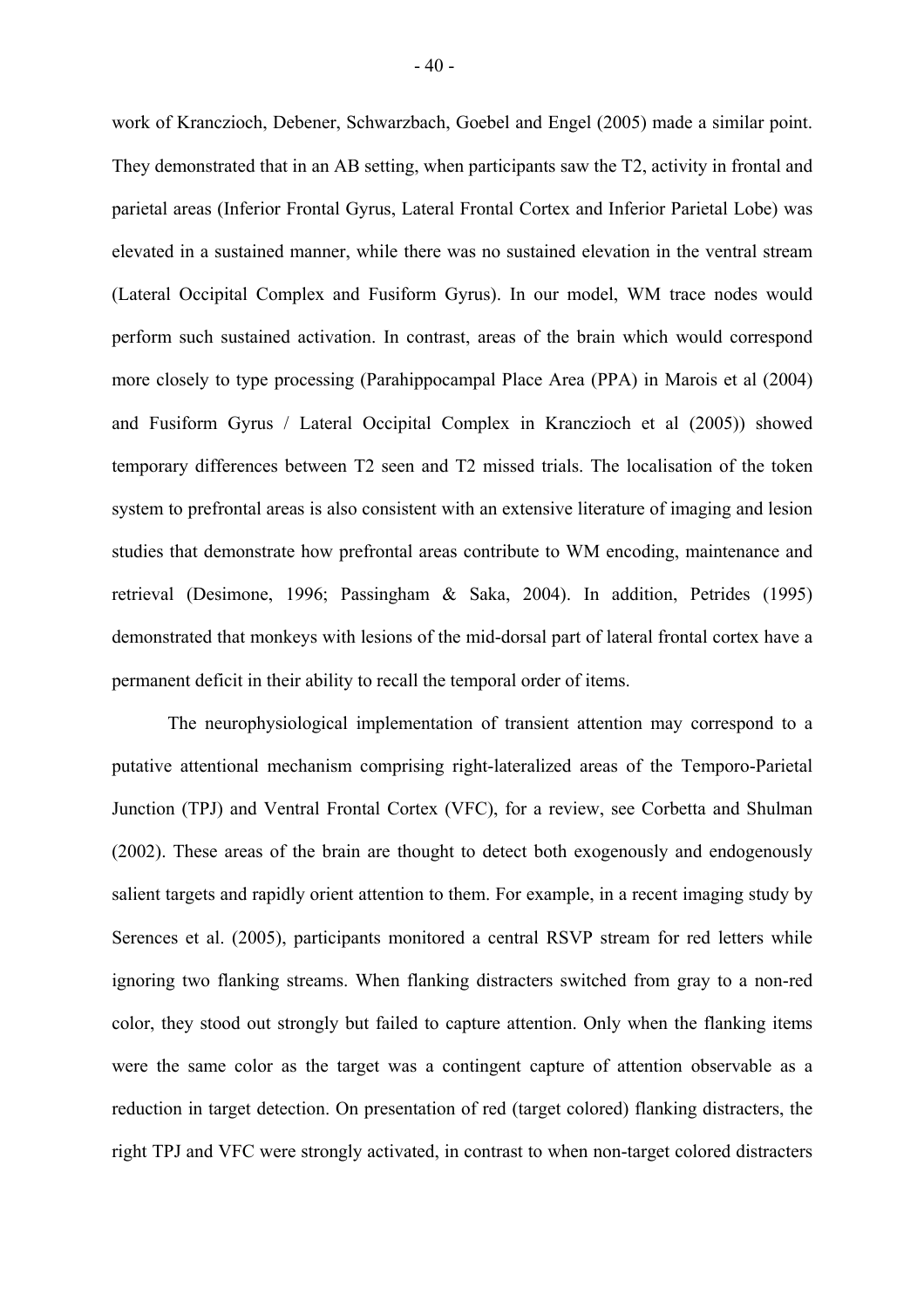work of Kranczioch, Debener, Schwarzbach, Goebel and Engel (2005) made a similar point. They demonstrated that in an AB setting, when participants saw the T2, activity in frontal and parietal areas (Inferior Frontal Gyrus, Lateral Frontal Cortex and Inferior Parietal Lobe) was elevated in a sustained manner, while there was no sustained elevation in the ventral stream (Lateral Occipital Complex and Fusiform Gyrus). In our model, WM trace nodes would perform such sustained activation. In contrast, areas of the brain which would correspond more closely to type processing (Parahippocampal Place Area (PPA) in Marois et al (2004) and Fusiform Gyrus / Lateral Occipital Complex in Kranczioch et al (2005)) showed temporary differences between T2 seen and T2 missed trials. The localisation of the token system to prefrontal areas is also consistent with an extensive literature of imaging and lesion studies that demonstrate how prefrontal areas contribute to WM encoding, maintenance and retrieval (Desimone, 1996; Passingham & Saka, 2004). In addition, Petrides (1995) demonstrated that monkeys with lesions of the mid-dorsal part of lateral frontal cortex have a permanent deficit in their ability to recall the temporal order of items.

<span id="page-40-0"></span>The neurophysiological implementation of transient attention may correspond to a putative attentional mechanism comprising right-lateralized areas of the Temporo-Parietal Junction (TPJ) and Ventral Frontal Cortex (VFC), for a review, see Corbetta and Shulman (2002). These areas of the brain are thought to detect both exogenously and endogenously salient targets and rapidly orient attention to them. For example, in a recent imaging study by Serences et al. (2005), participants monitored a central RSVP stream for red letters while ignoring two flanking streams. When flanking distracters switched from gray to a non-red color, they stood out strongly but failed to capture attention. Only when the flanking items were the same color as the target was a contingent capture of attention observable as a reduction in target detection. On presentation of red (target colored) flanking distracters, the right TPJ and VFC were strongly activated, in contrast to when non-target colored distracters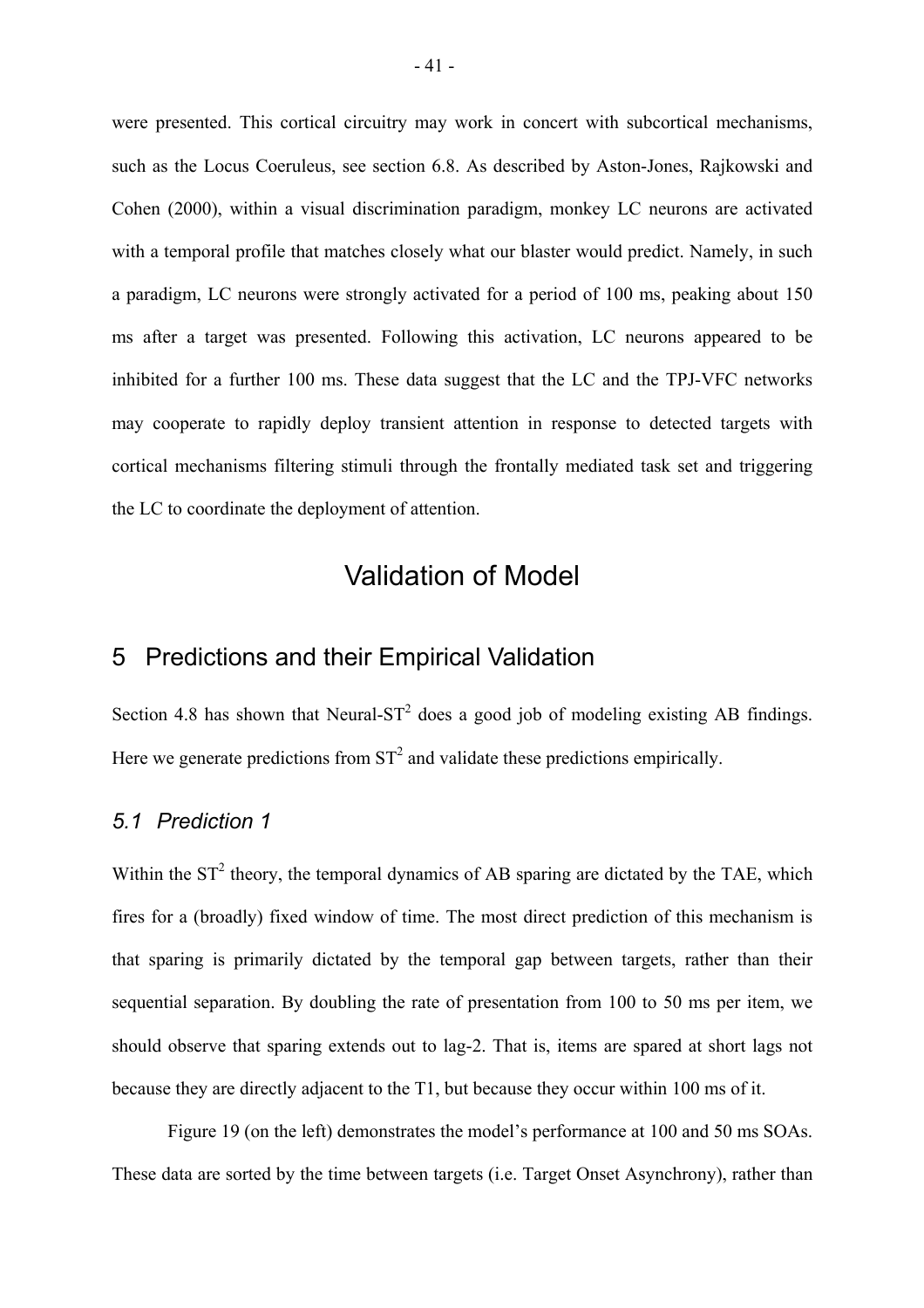were presented. This cortical circuitry may work in concert with subcortical mechanisms, such as the Locus Coeruleus, see section [6.8.](#page-58-0) As described by Aston-Jones, Rajkowski and Cohen (2000), within a visual discrimination paradigm, monkey LC neurons are activated with a temporal profile that matches closely what our blaster would predict. Namely, in such a paradigm, LC neurons were strongly activated for a period of 100 ms, peaking about 150 ms after a target was presented. Following this activation, LC neurons appeared to be inhibited for a further 100 ms. These data suggest that the LC and the TPJ-VFC networks may cooperate to rapidly deploy transient attention in response to detected targets with cortical mechanisms filtering stimuli through the frontally mediated task set and triggering the LC to coordinate the deployment of attention.

# Validation of Model

# 5 Predictions and their Empirical Validation

Section [4.8](#page-34-0) has shown that Neural- $ST^2$  does a good job of modeling existing AB findings. Here we generate predictions from  $ST^2$  and validate these predictions empirically.

#### *5.1 Prediction 1*

Within the  $ST^2$  theory, the temporal dynamics of AB sparing are dictated by the TAE, which fires for a (broadly) fixed window of time. The most direct prediction of this mechanism is that sparing is primarily dictated by the temporal gap between targets, rather than their sequential separation. By doubling the rate of presentation from 100 to 50 ms per item, we should observe that sparing extends out to lag-2. That is, items are spared at short lags not because they are directly adjacent to the T1, but because they occur within 100 ms of it.

Figure 19 (on the left) demonstrates the model's performance at 100 and 50 ms SOAs. These data are sorted by the time between targets (i.e. Target Onset Asynchrony), rather than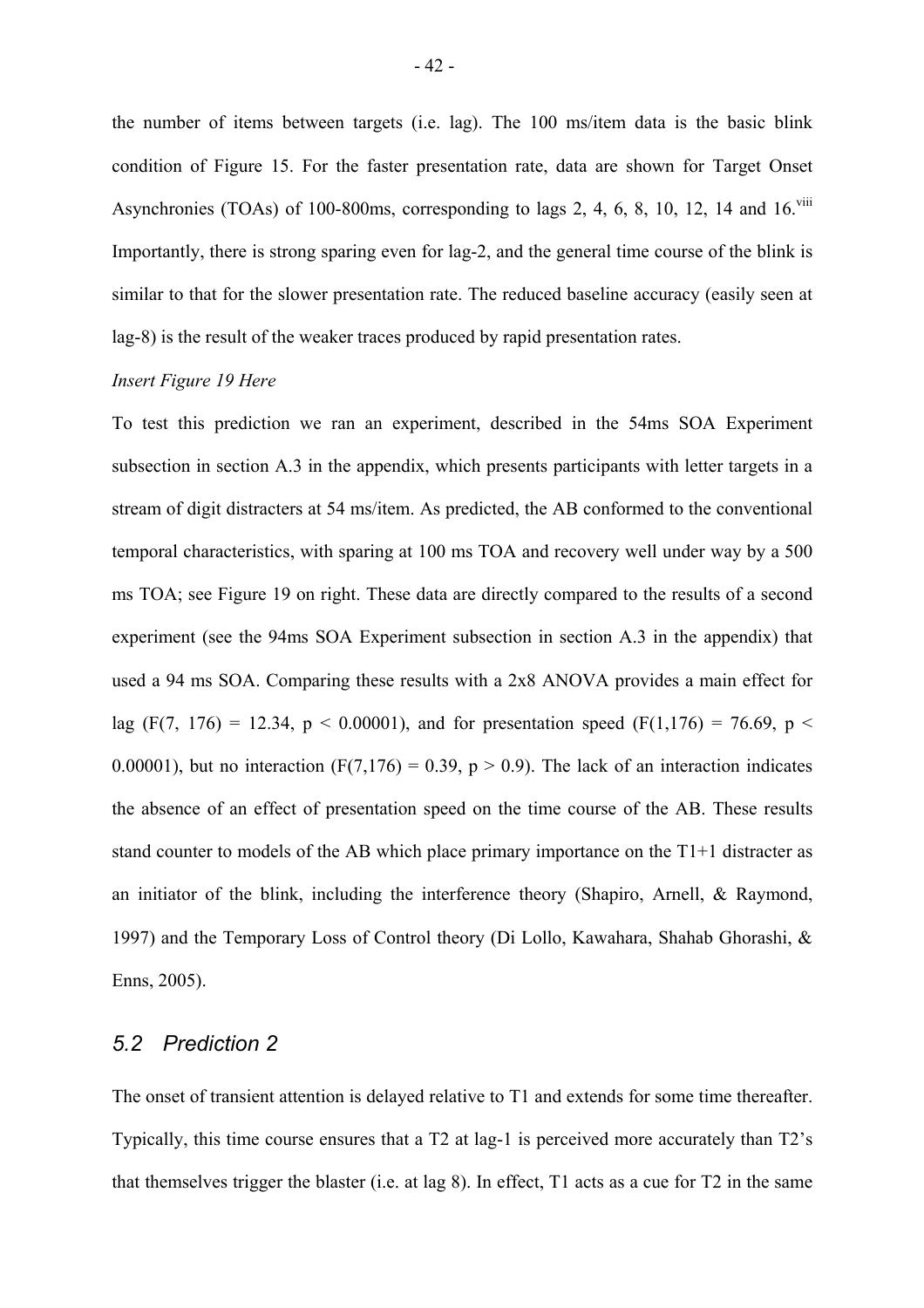the number of items between targets (i.e. lag). The 100 ms/item data is the basic blink condition of Figure 15. For the faster presentation rate, data are shown for Target Onset Asynchronies (TOAs) of 100-800ms, corresponding to lags 2, 4, 6, 8, 10, 12, 14 and  $16$ <sup>[viii](#page-94-0)</sup> Importantly, there is strong sparing even for lag-2, and the general time course of the blink is similar to that for the slower presentation rate. The reduced baseline accuracy (easily seen at lag-8) is the result of the weaker traces produced by rapid presentation rates.

#### *Insert Figure 19 Here*

To test this prediction we ran an experiment, described in the 54ms SOA Experiment subsection in section [A.3](#page-85-0) in the appendix, which presents participants with letter targets in a stream of digit distracters at 54 ms/item. As predicted, the AB conformed to the conventional temporal characteristics, with sparing at 100 ms TOA and recovery well under way by a 500 ms TOA; see Figure 19 on right. These data are directly compared to the results of a second experiment (see the 94ms SOA Experiment subsection in section [A.3](#page-85-0) in the appendix) that used a 94 ms SOA. Comparing these results with a 2x8 ANOVA provides a main effect for lag (F(7, 176) = 12.34,  $p < 0.00001$ ), and for presentation speed (F(1,176) = 76.69,  $p <$ 0.00001), but no interaction ( $F(7,176) = 0.39$ ,  $p > 0.9$ ). The lack of an interaction indicates the absence of an effect of presentation speed on the time course of the AB. These results stand counter to models of the AB which place primary importance on the T1+1 distracter as an initiator of the blink, including the interference theory (Shapiro, Arnell, & Raymond, 1997) and the Temporary Loss of Control theory (Di Lollo, Kawahara, Shahab Ghorashi, & Enns, 2005).

#### *5.2 Prediction 2*

The onset of transient attention is delayed relative to T1 and extends for some time thereafter. Typically, this time course ensures that a T2 at lag-1 is perceived more accurately than T2's that themselves trigger the blaster (i.e. at lag 8). In effect, T1 acts as a cue for T2 in the same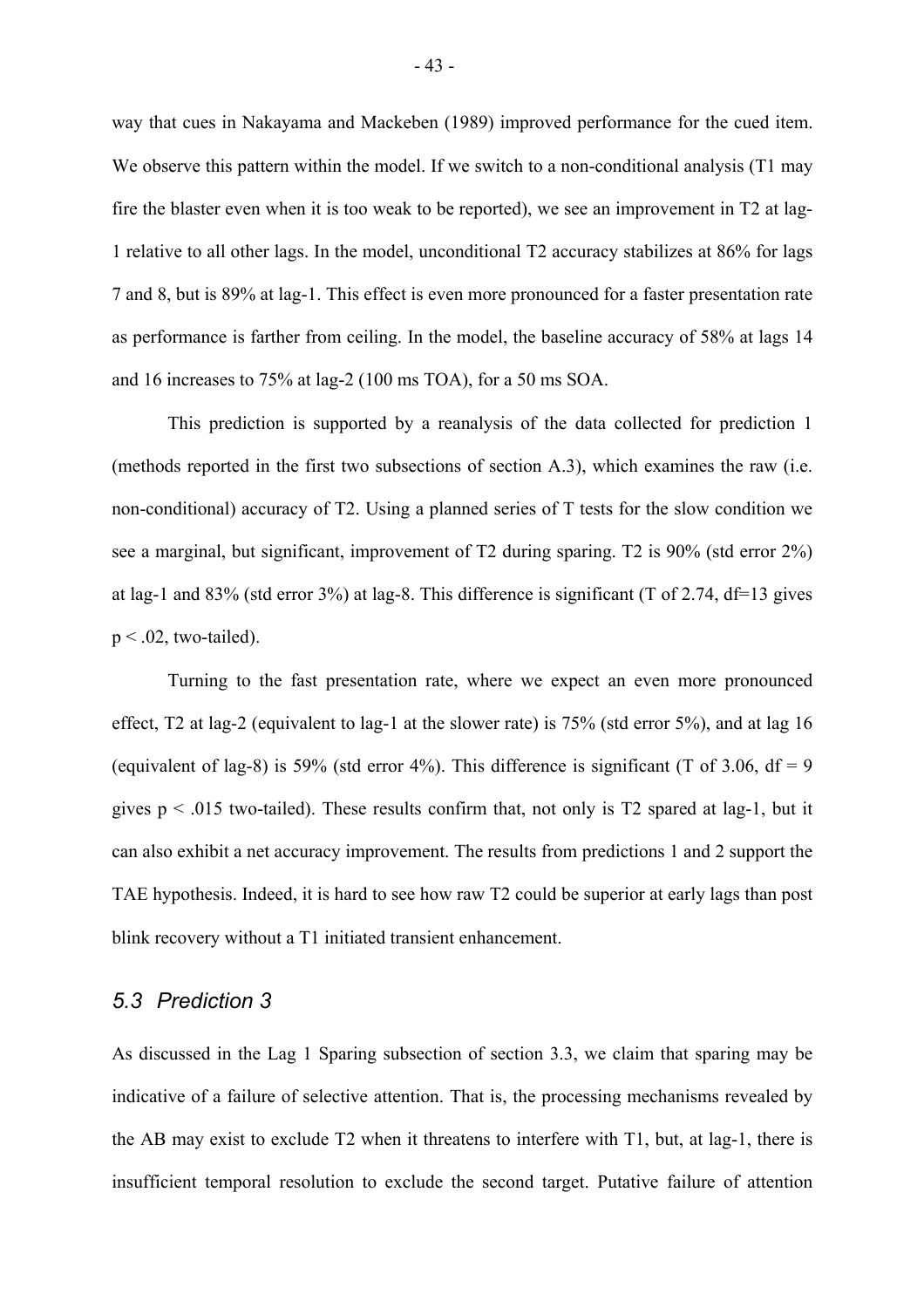way that cues in Nakayama and Mackeben (1989) improved performance for the cued item. We observe this pattern within the model. If we switch to a non-conditional analysis (T1 may fire the blaster even when it is too weak to be reported), we see an improvement in T2 at lag-1 relative to all other lags. In the model, unconditional T2 accuracy stabilizes at 86% for lags 7 and 8, but is 89% at lag-1. This effect is even more pronounced for a faster presentation rate as performance is farther from ceiling. In the model, the baseline accuracy of 58% at lags 14 and 16 increases to 75% at lag-2 (100 ms TOA), for a 50 ms SOA.

This prediction is supported by a reanalysis of the data collected for prediction 1 (methods reported in the first two subsections of section [A.3\)](#page-85-0), which examines the raw (i.e. non-conditional) accuracy of T2. Using a planned series of T tests for the slow condition we see a marginal, but significant, improvement of T2 during sparing. T2 is 90% (std error 2%) at lag-1 and 83% (std error 3%) at lag-8. This difference is significant (T of 2.74, df=13 gives  $p < .02$ , two-tailed).

Turning to the fast presentation rate, where we expect an even more pronounced effect, T2 at lag-2 (equivalent to lag-1 at the slower rate) is 75% (std error 5%), and at lag 16 (equivalent of lag-8) is 59% (std error 4%). This difference is significant (T of 3.06,  $df = 9$ gives  $p < .015$  two-tailed). These results confirm that, not only is T2 spared at lag-1, but it can also exhibit a net accuracy improvement. The results from predictions 1 and 2 support the TAE hypothesis. Indeed, it is hard to see how raw T2 could be superior at early lags than post blink recovery without a T1 initiated transient enhancement.

#### *5.3 Prediction 3*

As discussed in the Lag 1 Sparing subsection of section [3.3,](#page-20-0) we claim that sparing may be indicative of a failure of selective attention. That is, the processing mechanisms revealed by the AB may exist to exclude T2 when it threatens to interfere with T1, but, at lag-1, there is insufficient temporal resolution to exclude the second target. Putative failure of attention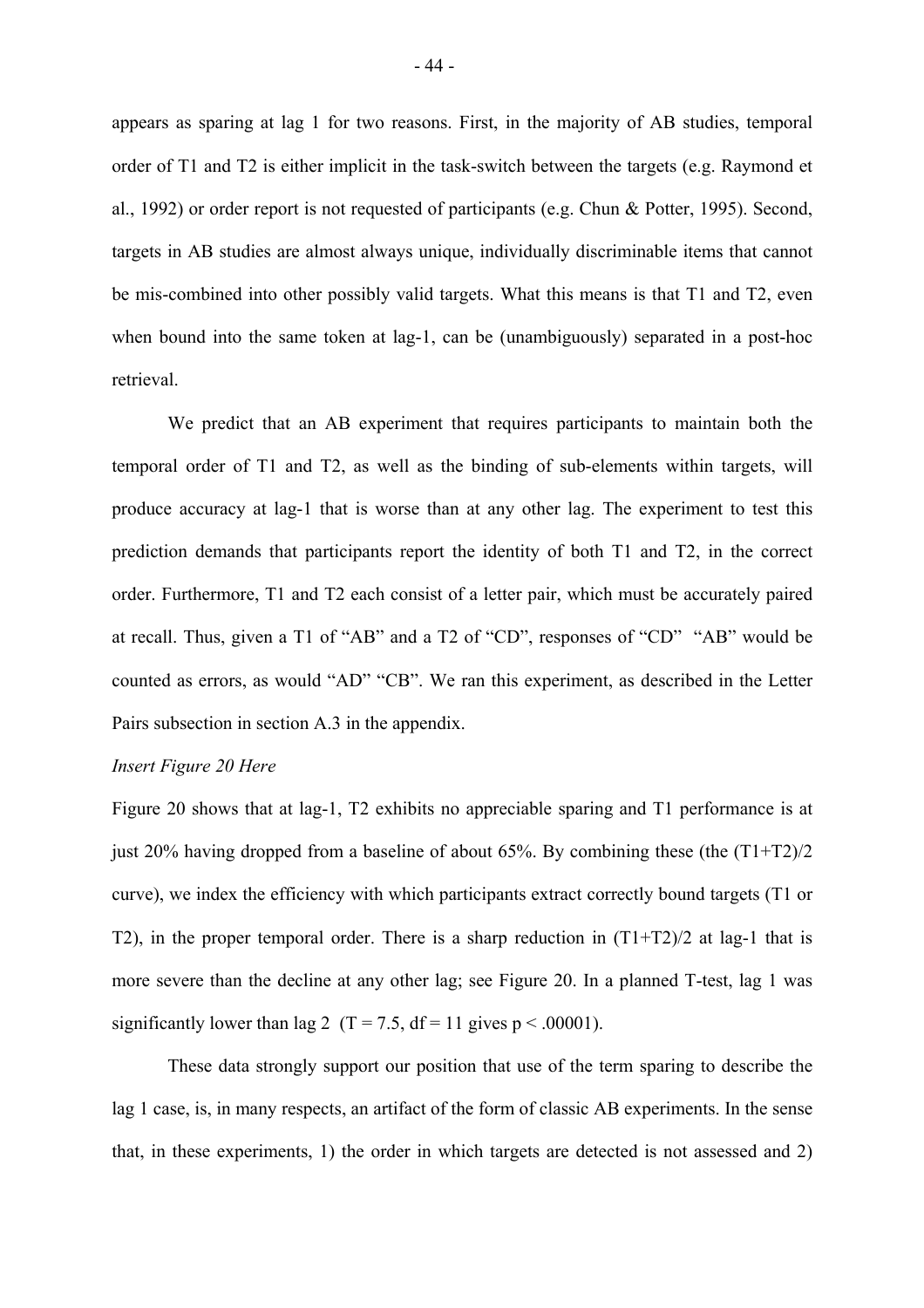appears as sparing at lag 1 for two reasons. First, in the majority of AB studies, temporal order of T1 and T2 is either implicit in the task-switch between the targets (e.g. Raymond et al., 1992) or order report is not requested of participants (e.g. Chun & Potter, 1995). Second, targets in AB studies are almost always unique, individually discriminable items that cannot be mis-combined into other possibly valid targets. What this means is that T1 and T2, even when bound into the same token at lag-1, can be (unambiguously) separated in a post-hoc retrieval.

We predict that an AB experiment that requires participants to maintain both the temporal order of T1 and T2, as well as the binding of sub-elements within targets, will produce accuracy at lag-1 that is worse than at any other lag. The experiment to test this prediction demands that participants report the identity of both T1 and T2, in the correct order. Furthermore, T1 and T2 each consist of a letter pair, which must be accurately paired at recall. Thus, given a T1 of "AB" and a T2 of "CD", responses of "CD" "AB" would be counted as errors, as would "AD" "CB". We ran this experiment, as described in the Letter Pairs subsection in section [A.3](#page-85-0) in the appendix.

### *Insert Figure 20 Here*

<span id="page-44-0"></span>Figure 20 shows that at lag-1, T2 exhibits no appreciable sparing and T1 performance is at just 20% having dropped from a baseline of about 65%. By combining these (the  $(T1+T2)/2$ curve), we index the efficiency with which participants extract correctly bound targets (T1 or T2), in the proper temporal order. There is a sharp reduction in (T1+T2)/2 at lag-1 that is more severe than the decline at any other lag; see Figure 20. In a planned T-test, lag 1 was significantly lower than lag 2 (T = 7.5, df = 11 gives  $p < .00001$ ).

These data strongly support our position that use of the term sparing to describe the lag 1 case, is, in many respects, an artifact of the form of classic AB experiments. In the sense that, in these experiments, 1) the order in which targets are detected is not assessed and 2)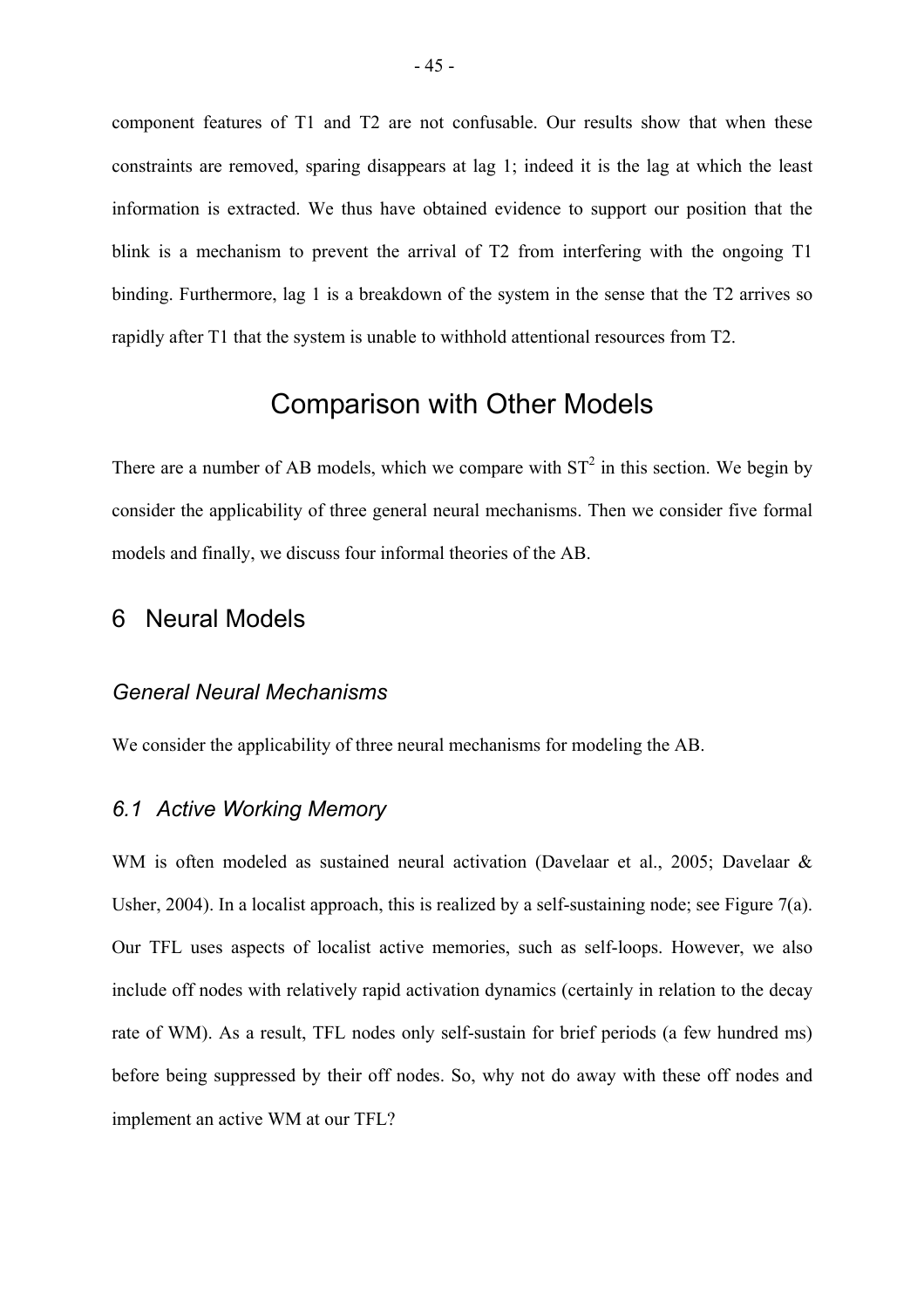component features of T1 and T2 are not confusable. Our results show that when these constraints are removed, sparing disappears at lag 1; indeed it is the lag at which the least information is extracted. We thus have obtained evidence to support our position that the blink is a mechanism to prevent the arrival of T2 from interfering with the ongoing T1 binding. Furthermore, lag 1 is a breakdown of the system in the sense that the T2 arrives so rapidly after T1 that the system is unable to withhold attentional resources from T2.

# Comparison with Other Models

<span id="page-45-0"></span>There are a number of AB models, which we compare with  $ST^2$  in this section. We begin by consider the applicability of three general neural mechanisms. Then we consider five formal models and finally, we discuss four informal theories of the AB.

# 6 Neural Models

## *General Neural Mechanisms*

We consider the applicability of three neural mechanisms for modeling the AB.

## *6.1 Active Working Memory*

WM is often modeled as sustained neural activation (Davelaar et al., 2005; Davelaar & Usher, 2004). In a localist approach, this is realized by a self-sustaining node; see Figure 7(a). Our TFL uses aspects of localist active memories, such as self-loops. However, we also include off nodes with relatively rapid activation dynamics (certainly in relation to the decay rate of WM). As a result, TFL nodes only self-sustain for brief periods (a few hundred ms) before being suppressed by their off nodes. So, why not do away with these off nodes and implement an active WM at our TFL?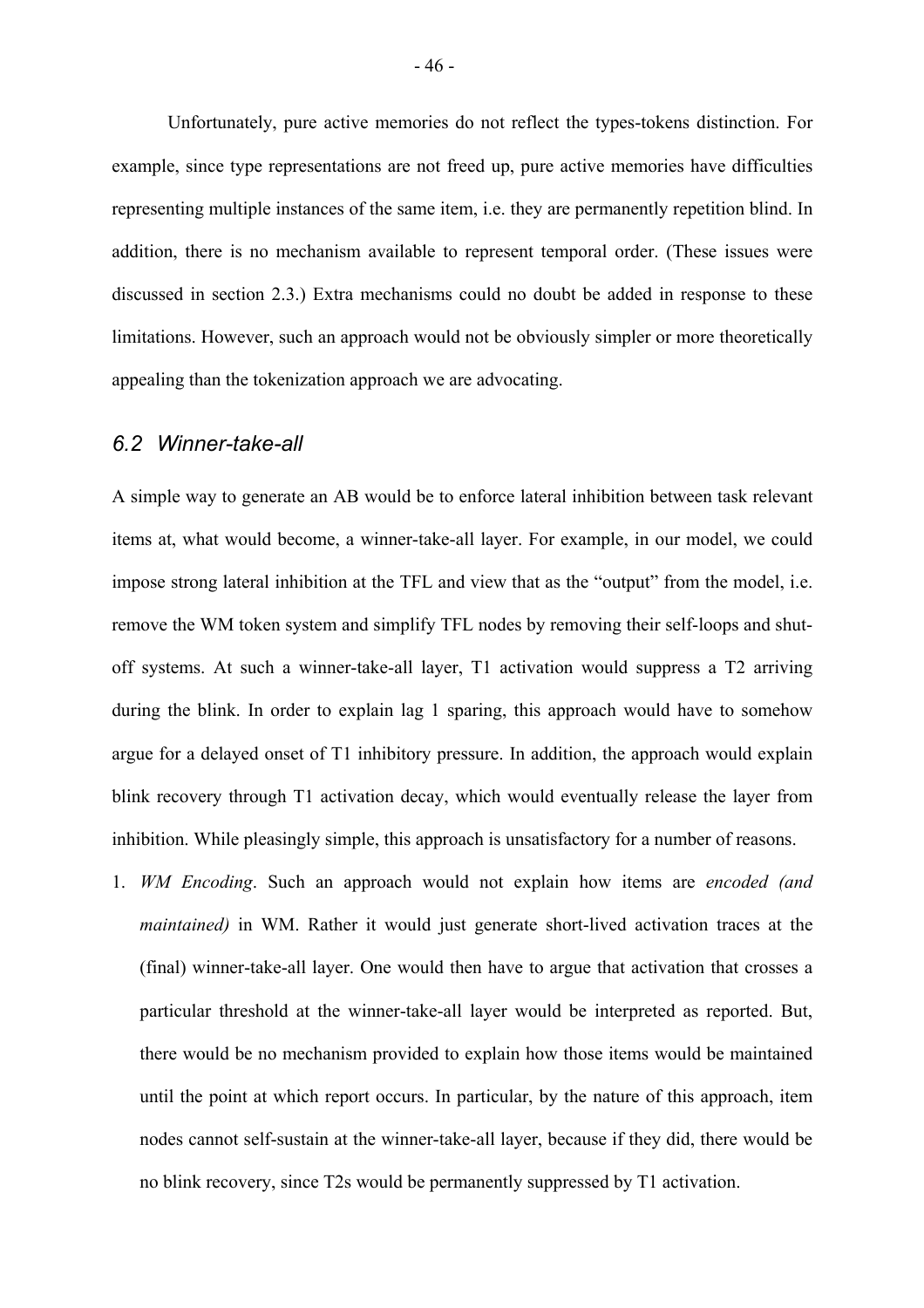Unfortunately, pure active memories do not reflect the types-tokens distinction. For example, since type representations are not freed up, pure active memories have difficulties representing multiple instances of the same item, i.e. they are permanently repetition blind. In addition, there is no mechanism available to represent temporal order. (These issues were discussed in section [2.3.](#page-8-0)) Extra mechanisms could no doubt be added in response to these limitations. However, such an approach would not be obviously simpler or more theoretically appealing than the tokenization approach we are advocating.

### *6.2 Winner-take-all*

A simple way to generate an AB would be to enforce lateral inhibition between task relevant items at, what would become, a winner-take-all layer. For example, in our model, we could impose strong lateral inhibition at the TFL and view that as the "output" from the model, i.e. remove the WM token system and simplify TFL nodes by removing their self-loops and shutoff systems. At such a winner-take-all layer, T1 activation would suppress a T2 arriving during the blink. In order to explain lag 1 sparing, this approach would have to somehow argue for a delayed onset of T1 inhibitory pressure. In addition, the approach would explain blink recovery through T1 activation decay, which would eventually release the layer from inhibition. While pleasingly simple, this approach is unsatisfactory for a number of reasons.

<span id="page-46-0"></span>1. *WM Encoding*. Such an approach would not explain how items are *encoded (and maintained)* in WM. Rather it would just generate short-lived activation traces at the (final) winner-take-all layer. One would then have to argue that activation that crosses a particular threshold at the winner-take-all layer would be interpreted as reported. But, there would be no mechanism provided to explain how those items would be maintained until the point at which report occurs. In particular, by the nature of this approach, item nodes cannot self-sustain at the winner-take-all layer, because if they did, there would be no blink recovery, since T2s would be permanently suppressed by T1 activation.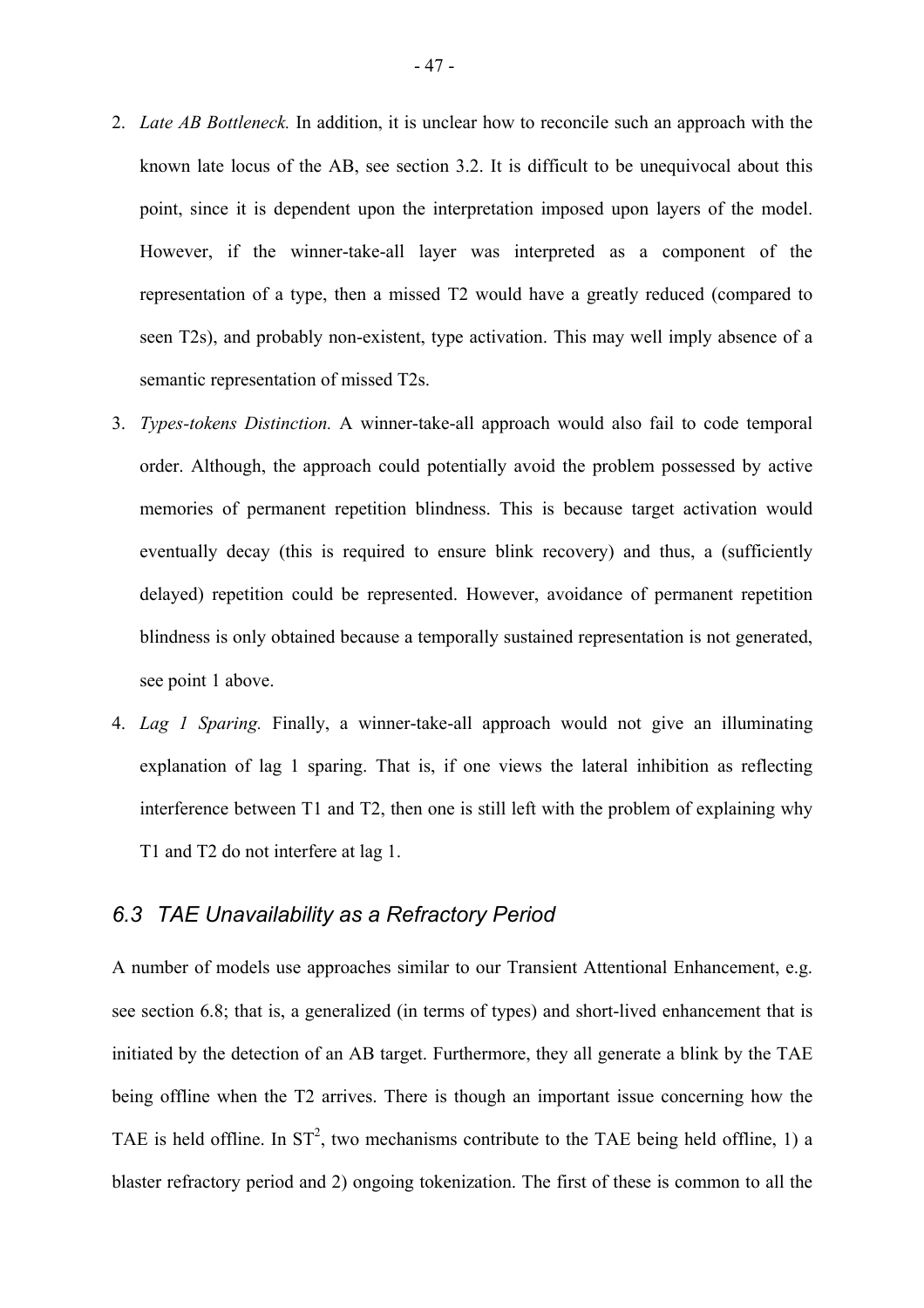- 2. *Late AB Bottleneck.* In addition, it is unclear how to reconcile such an approach with the known late locus of the AB, see section [3.2.](#page-17-0) It is difficult to be unequivocal about this point, since it is dependent upon the interpretation imposed upon layers of the model. However, if the winner-take-all layer was interpreted as a component of the representation of a type, then a missed T2 would have a greatly reduced (compared to seen T2s), and probably non-existent, type activation. This may well imply absence of a semantic representation of missed T2s.
- 3. *Types-tokens Distinction.* A winner-take-all approach would also fail to code temporal order. Although, the approach could potentially avoid the problem possessed by active memories of permanent repetition blindness. This is because target activation would eventually decay (this is required to ensure blink recovery) and thus, a (sufficiently delayed) repetition could be represented. However, avoidance of permanent repetition blindness is only obtained because a temporally sustained representation is not generated, see point 1 above.
- 4. *Lag 1 Sparing.* Finally, a winner-take-all approach would not give an illuminating explanation of lag 1 sparing. That is, if one views the lateral inhibition as reflecting interference between T1 and T2, then one is still left with the problem of explaining why T1 and T2 do not interfere at lag 1.

# *6.3 TAE Unavailability as a Refractory Period*

A number of models use approaches similar to our Transient Attentional Enhancement, e.g. see section [6.8;](#page-58-0) that is, a generalized (in terms of types) and short-lived enhancement that is initiated by the detection of an AB target. Furthermore, they all generate a blink by the TAE being offline when the T2 arrives. There is though an important issue concerning how the TAE is held offline. In  $ST^2$ , two mechanisms contribute to the TAE being held offline, 1) a blaster refractory period and 2) ongoing tokenization. The first of these is common to all the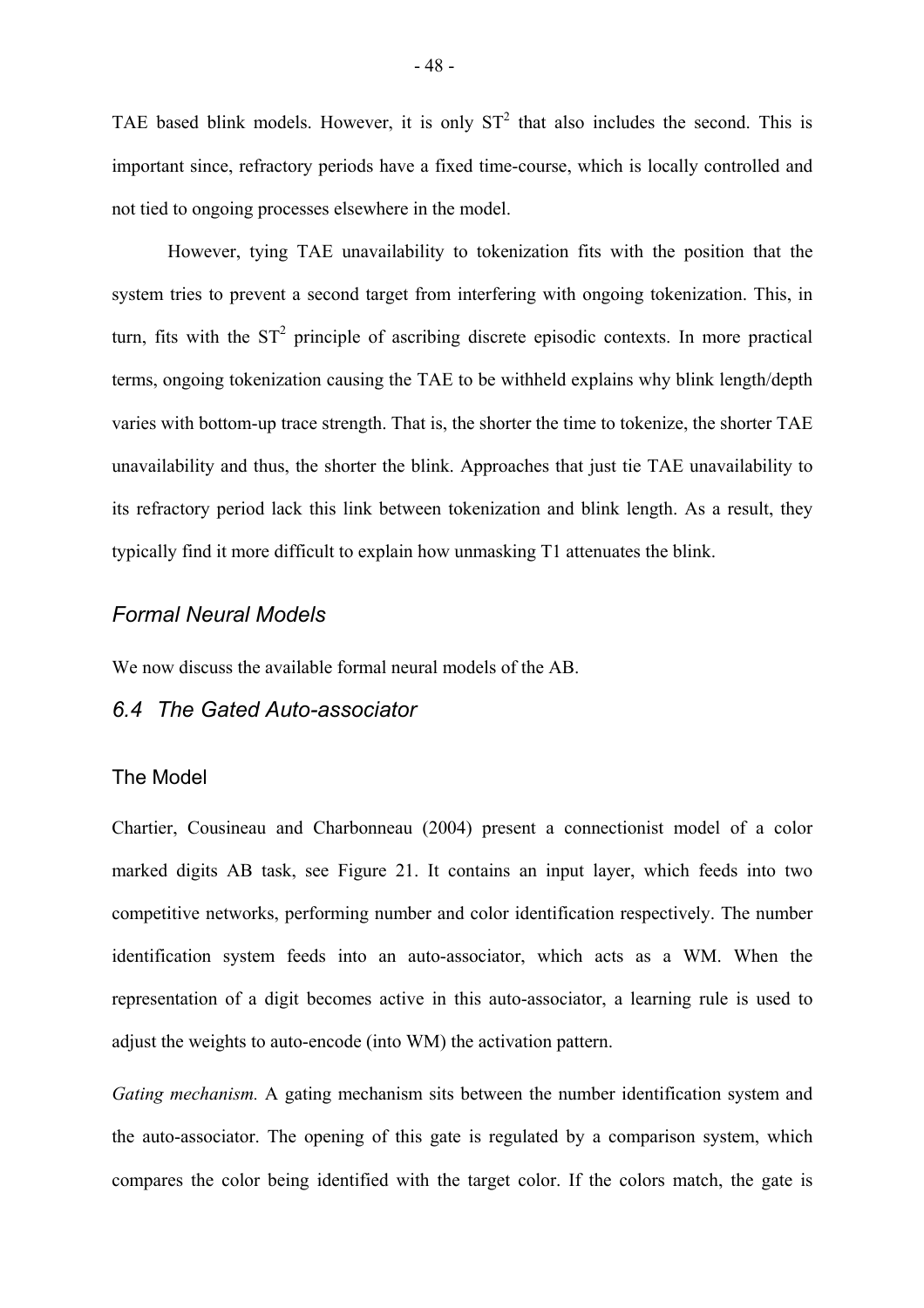TAE based blink models. However, it is only  $ST^2$  that also includes the second. This is important since, refractory periods have a fixed time-course, which is locally controlled and not tied to ongoing processes elsewhere in the model.

 However, tying TAE unavailability to tokenization fits with the position that the system tries to prevent a second target from interfering with ongoing tokenization. This, in turn, fits with the  $ST^2$  principle of ascribing discrete episodic contexts. In more practical terms, ongoing tokenization causing the TAE to be withheld explains why blink length/depth varies with bottom-up trace strength. That is, the shorter the time to tokenize, the shorter TAE unavailability and thus, the shorter the blink. Approaches that just tie TAE unavailability to its refractory period lack this link between tokenization and blink length. As a result, they typically find it more difficult to explain how unmasking T1 attenuates the blink.

#### *Formal Neural Models*

We now discuss the available formal neural models of the AB.

#### *6.4 The Gated Auto-associator*

## The Model

Chartier, Cousineau and Charbonneau (2004) present a connectionist model of a color marked digits AB task, see Figure 21. It contains an input layer, which feeds into two competitive networks, performing number and color identification respectively. The number identification system feeds into an auto-associator, which acts as a WM. When the representation of a digit becomes active in this auto-associator, a learning rule is used to adjust the weights to auto-encode (into WM) the activation pattern.

*Gating mechanism.* A gating mechanism sits between the number identification system and the auto-associator. The opening of this gate is regulated by a comparison system, which compares the color being identified with the target color. If the colors match, the gate is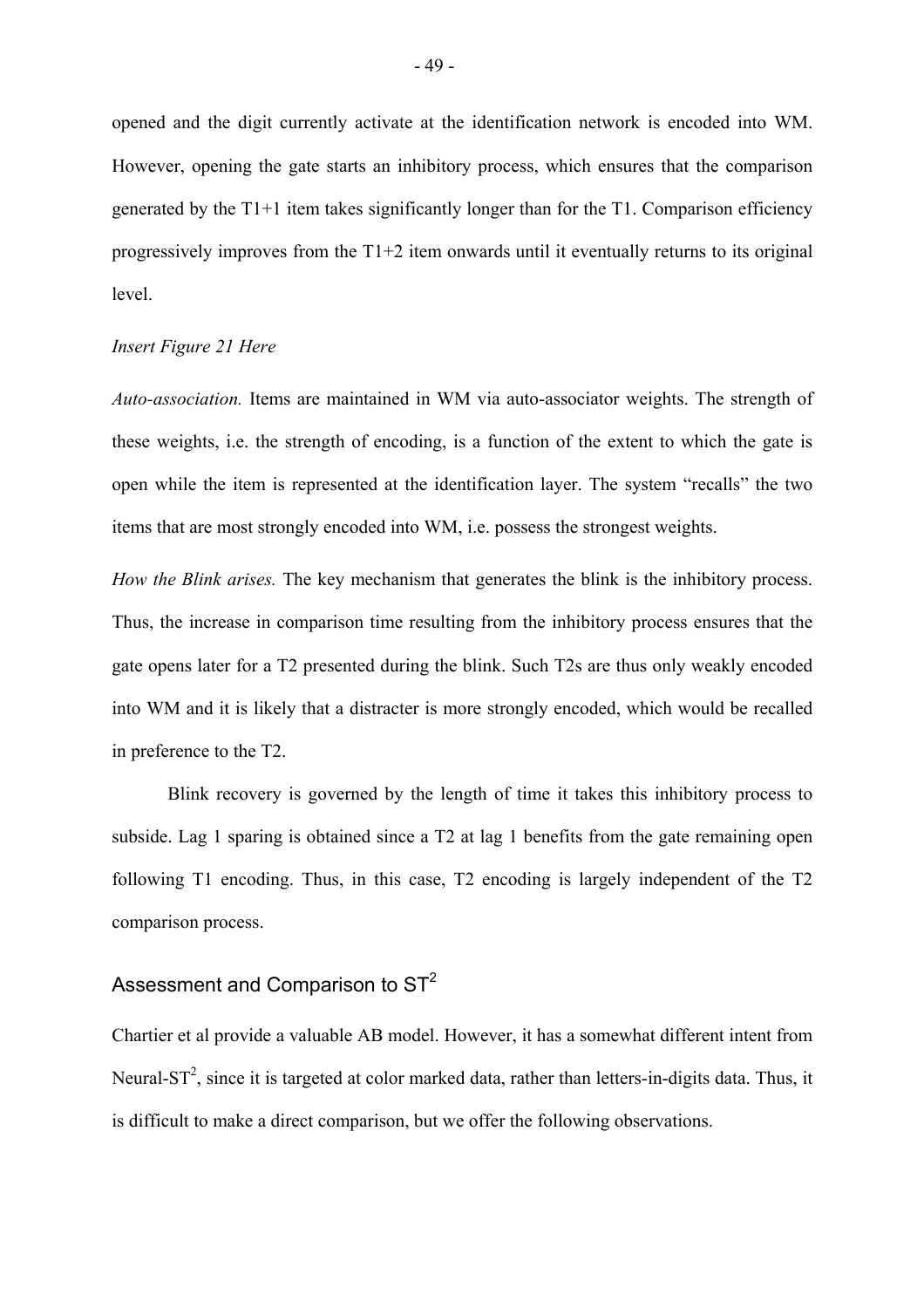opened and the digit currently activate at the identification network is encoded into WM. However, opening the gate starts an inhibitory process, which ensures that the comparison generated by the  $T1+1$  item takes significantly longer than for the T1. Comparison efficiency progressively improves from the T1+2 item onwards until it eventually returns to its original level.

#### *Insert Figure 21 Here*

*Auto-association.* Items are maintained in WM via auto-associator weights. The strength of these weights, i.e. the strength of encoding, is a function of the extent to which the gate is open while the item is represented at the identification layer. The system "recalls" the two items that are most strongly encoded into WM, i.e. possess the strongest weights.

*How the Blink arises.* The key mechanism that generates the blink is the inhibitory process. Thus, the increase in comparison time resulting from the inhibitory process ensures that the gate opens later for a T2 presented during the blink. Such T2s are thus only weakly encoded into WM and it is likely that a distracter is more strongly encoded, which would be recalled in preference to the T2.

 Blink recovery is governed by the length of time it takes this inhibitory process to subside. Lag 1 sparing is obtained since a T2 at lag 1 benefits from the gate remaining open following T1 encoding. Thus, in this case, T2 encoding is largely independent of the T2 comparison process.

# Assessment and Comparison to ST<sup>2</sup>

Chartier et al provide a valuable AB model. However, it has a somewhat different intent from Neural-ST<sup>2</sup>, since it is targeted at color marked data, rather than letters-in-digits data. Thus, it is difficult to make a direct comparison, but we offer the following observations.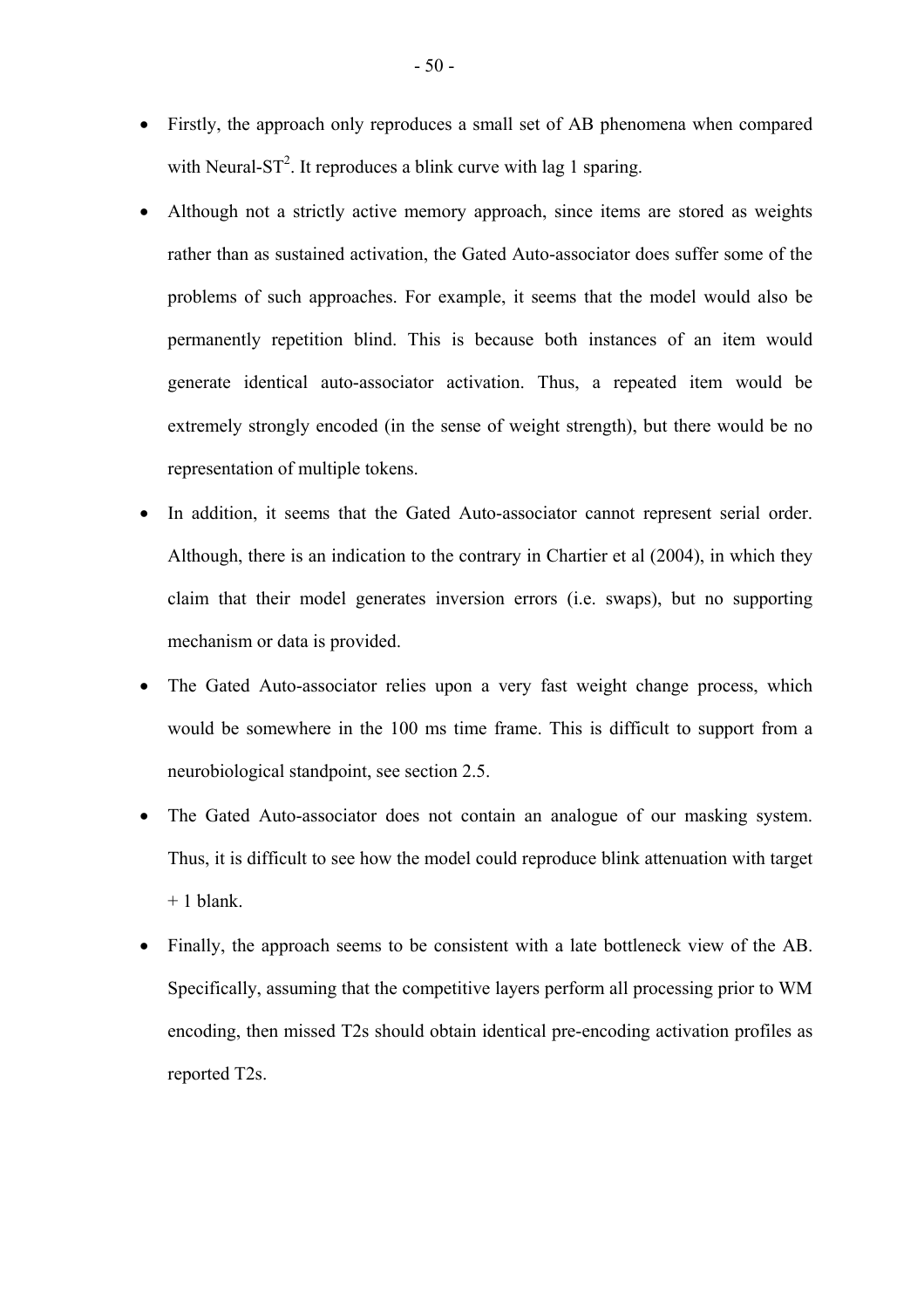- Firstly, the approach only reproduces a small set of AB phenomena when compared with Neural-ST<sup>2</sup>. It reproduces a blink curve with lag 1 sparing.
- Although not a strictly active memory approach, since items are stored as weights rather than as sustained activation, the Gated Auto-associator does suffer some of the problems of such approaches. For example, it seems that the model would also be permanently repetition blind. This is because both instances of an item would generate identical auto-associator activation. Thus, a repeated item would be extremely strongly encoded (in the sense of weight strength), but there would be no representation of multiple tokens.
- In addition, it seems that the Gated Auto-associator cannot represent serial order. Although, there is an indication to the contrary in Chartier et al (2004), in which they claim that their model generates inversion errors (i.e. swaps), but no supporting mechanism or data is provided.
- The Gated Auto-associator relies upon a very fast weight change process, which would be somewhere in the 100 ms time frame. This is difficult to support from a neurobiological standpoint, see section [2.5.](#page-13-0)
- The Gated Auto-associator does not contain an analogue of our masking system. Thus, it is difficult to see how the model could reproduce blink attenuation with target + 1 blank.
- Finally, the approach seems to be consistent with a late bottleneck view of the AB. Specifically, assuming that the competitive layers perform all processing prior to WM encoding, then missed T2s should obtain identical pre-encoding activation profiles as reported T2s.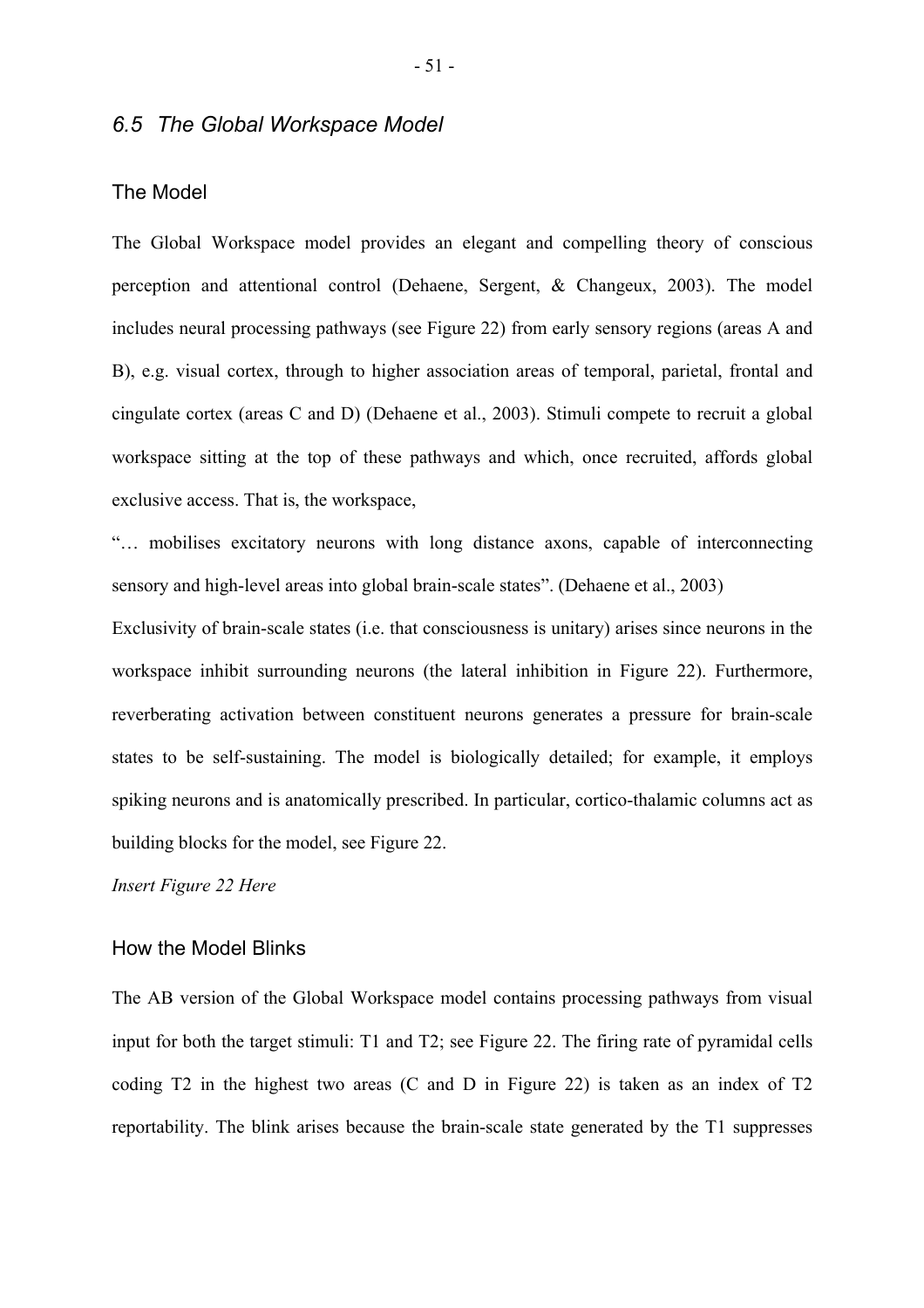#### *6.5 The Global Workspace Model*

#### The Model

The Global Workspace model provides an elegant and compelling theory of conscious perception and attentional control (Dehaene, Sergent, & Changeux, 2003). The model includes neural processing pathways (see Figure 22) from early sensory regions (areas A and B), e.g. visual cortex, through to higher association areas of temporal, parietal, frontal and cingulate cortex (areas C and D) (Dehaene et al., 2003). Stimuli compete to recruit a global workspace sitting at the top of these pathways and which, once recruited, affords global exclusive access. That is, the workspace,

ìÖ mobilises excitatory neurons with long distance axons, capable of interconnecting sensory and high-level areas into global brain-scale states". (Dehaene et al., 2003)

Exclusivity of brain-scale states (i.e. that consciousness is unitary) arises since neurons in the workspace inhibit surrounding neurons (the lateral inhibition in Figure 22). Furthermore, reverberating activation between constituent neurons generates a pressure for brain-scale states to be self-sustaining. The model is biologically detailed; for example, it employs spiking neurons and is anatomically prescribed. In particular, cortico-thalamic columns act as building blocks for the model, see Figure 22.

### *Insert Figure 22 Here*

## How the Model Blinks

The AB version of the Global Workspace model contains processing pathways from visual input for both the target stimuli: T1 and T2; see Figure 22. The firing rate of pyramidal cells coding T2 in the highest two areas (C and D in Figure 22) is taken as an index of T2 reportability. The blink arises because the brain-scale state generated by the T1 suppresses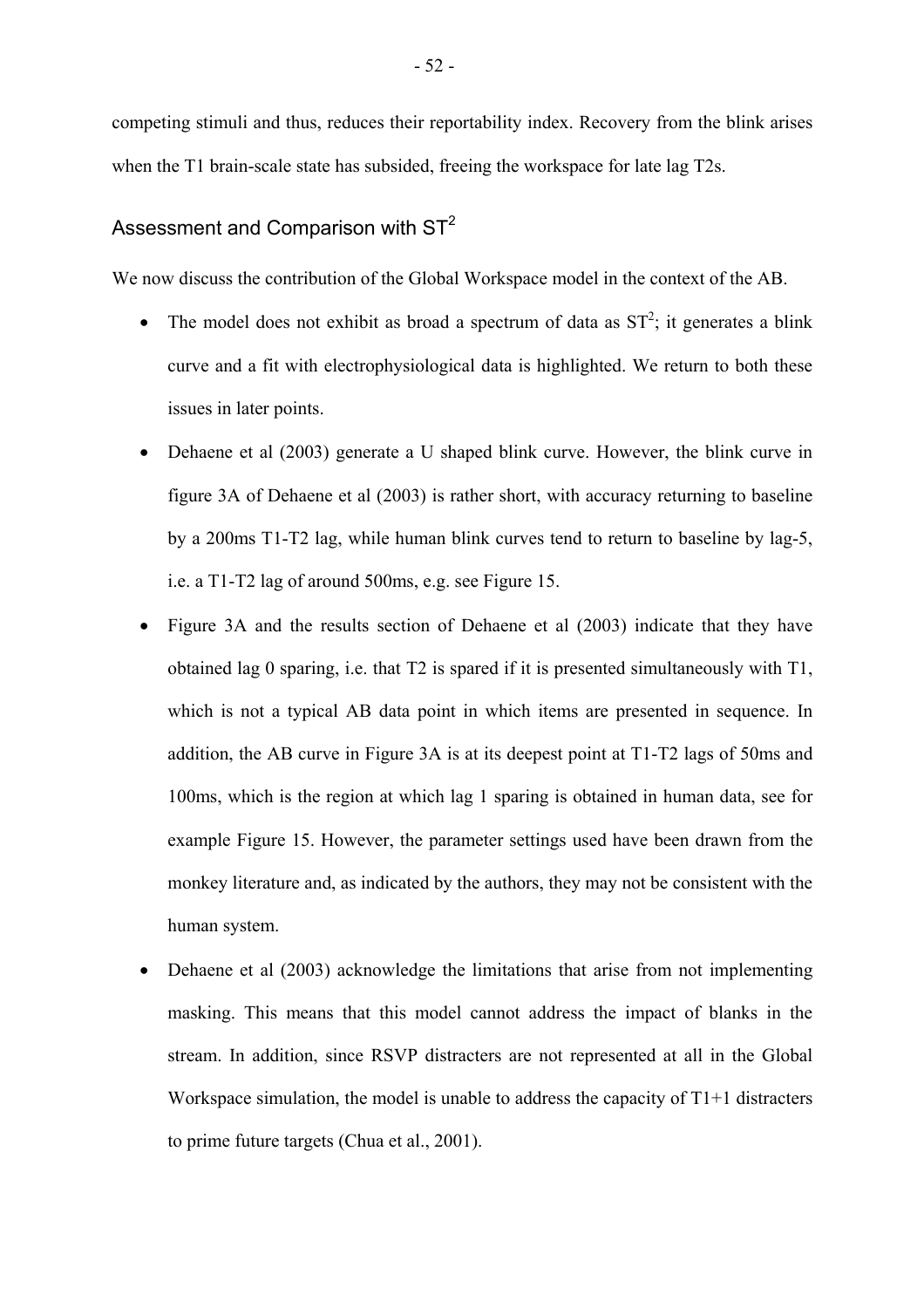competing stimuli and thus, reduces their reportability index. Recovery from the blink arises when the T1 brain-scale state has subsided, freeing the workspace for late lag T2s.

# Assessment and Comparison with  $ST<sup>2</sup>$

We now discuss the contribution of the Global Workspace model in the context of the AB.

- The model does not exhibit as broad a spectrum of data as  $ST^2$ ; it generates a blink curve and a fit with electrophysiological data is highlighted. We return to both these issues in later points.
- Dehaene et al (2003) generate a U shaped blink curve. However, the blink curve in figure 3A of Dehaene et al (2003) is rather short, with accuracy returning to baseline by a 200ms T1-T2 lag, while human blink curves tend to return to baseline by lag-5, i.e. a T1-T2 lag of around 500ms, e.g. see Figure 15.
- Figure 3A and the results section of Dehaene et al (2003) indicate that they have obtained lag 0 sparing, i.e. that T2 is spared if it is presented simultaneously with T1, which is not a typical AB data point in which items are presented in sequence. In addition, the AB curve in Figure 3A is at its deepest point at T1-T2 lags of 50ms and 100ms, which is the region at which lag 1 sparing is obtained in human data, see for example Figure 15. However, the parameter settings used have been drawn from the monkey literature and, as indicated by the authors, they may not be consistent with the human system.
- Dehaene et al (2003) acknowledge the limitations that arise from not implementing masking. This means that this model cannot address the impact of blanks in the stream. In addition, since RSVP distracters are not represented at all in the Global Workspace simulation, the model is unable to address the capacity of  $T_1+1$  distracters to prime future targets (Chua et al., 2001).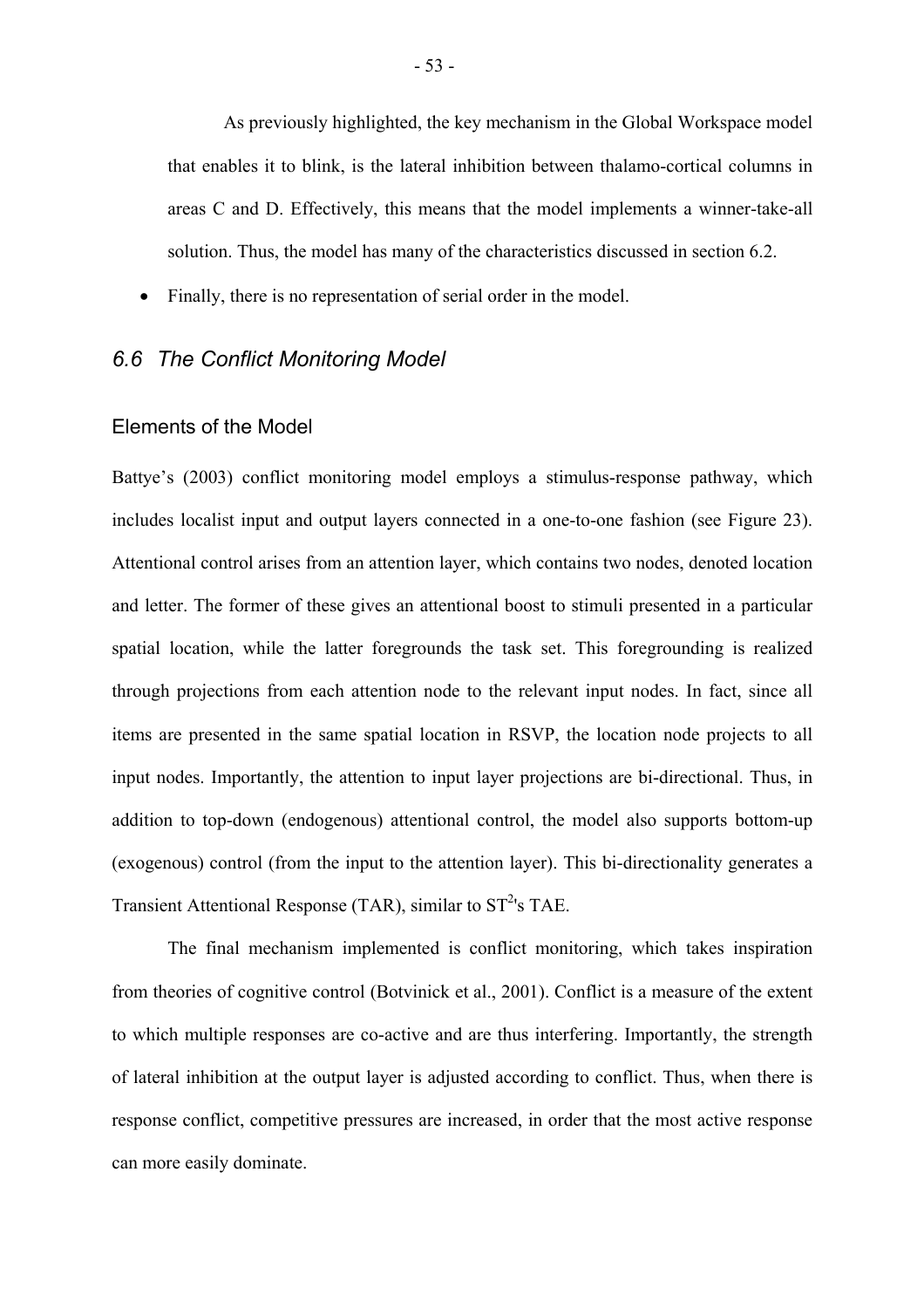As previously highlighted, the key mechanism in the Global Workspace model that enables it to blink, is the lateral inhibition between thalamo-cortical columns in areas C and D. Effectively, this means that the model implements a winner-take-all solution. Thus, the model has many of the characteristics discussed in section [6.2.](#page-45-0)

• Finally, there is no representation of serial order in the model.

### *6.6 The Conflict Monitoring Model*

#### Elements of the Model

Battye's (2003) conflict monitoring model employs a stimulus-response pathway, which includes localist input and output layers connected in a one-to-one fashion (see Figure 23). Attentional control arises from an attention layer, which contains two nodes, denoted location and letter. The former of these gives an attentional boost to stimuli presented in a particular spatial location, while the latter foregrounds the task set. This foregrounding is realized through projections from each attention node to the relevant input nodes. In fact, since all items are presented in the same spatial location in RSVP, the location node projects to all input nodes. Importantly, the attention to input layer projections are bi-directional. Thus, in addition to top-down (endogenous) attentional control, the model also supports bottom-up (exogenous) control (from the input to the attention layer). This bi-directionality generates a Transient Attentional Response (TAR), similar to  $ST<sup>2</sup>'s$  TAE.

The final mechanism implemented is conflict monitoring, which takes inspiration from theories of cognitive control (Botvinick et al., 2001). Conflict is a measure of the extent to which multiple responses are co-active and are thus interfering. Importantly, the strength of lateral inhibition at the output layer is adjusted according to conflict. Thus, when there is response conflict, competitive pressures are increased, in order that the most active response can more easily dominate.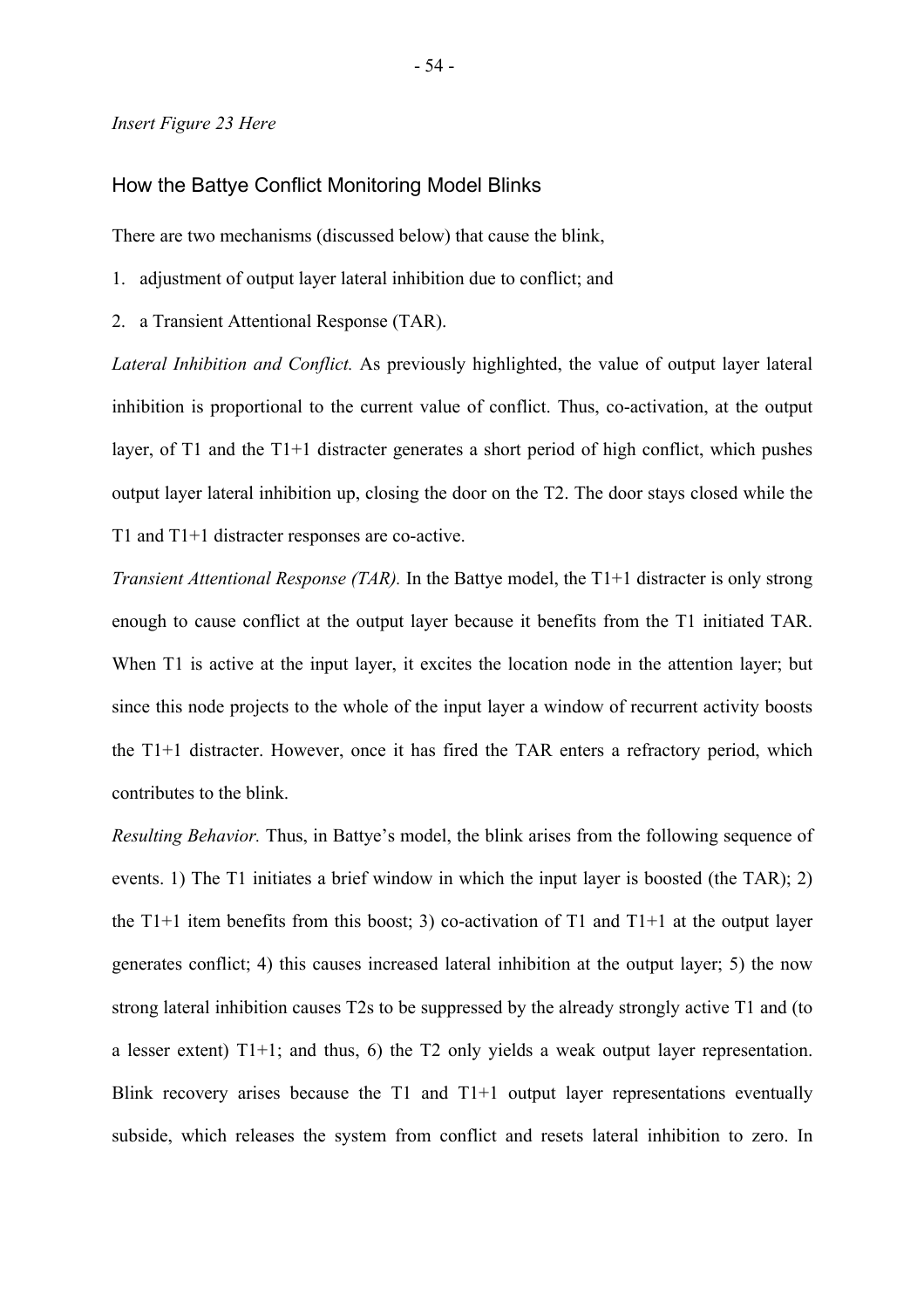#### *Insert Figure 23 Here*

#### How the Battye Conflict Monitoring Model Blinks

There are two mechanisms (discussed below) that cause the blink,

- 1. adjustment of output layer lateral inhibition due to conflict; and
- 2. a Transient Attentional Response (TAR).

*Lateral Inhibition and Conflict.* As previously highlighted, the value of output layer lateral inhibition is proportional to the current value of conflict. Thus, co-activation, at the output layer, of T1 and the T1+1 distracter generates a short period of high conflict, which pushes output layer lateral inhibition up, closing the door on the T2. The door stays closed while the T1 and T1+1 distracter responses are co-active.

*Transient Attentional Response (TAR).* In the Battye model, the T1+1 distracter is only strong enough to cause conflict at the output layer because it benefits from the T1 initiated TAR. When T1 is active at the input layer, it excites the location node in the attention layer; but since this node projects to the whole of the input layer a window of recurrent activity boosts the T1+1 distracter. However, once it has fired the TAR enters a refractory period, which contributes to the blink.

*Resulting Behavior.* Thus, in Battye's model, the blink arises from the following sequence of events. 1) The T1 initiates a brief window in which the input layer is boosted (the TAR); 2) the  $T1+1$  item benefits from this boost; 3) co-activation of T1 and  $T1+1$  at the output layer generates conflict; 4) this causes increased lateral inhibition at the output layer; 5) the now strong lateral inhibition causes T2s to be suppressed by the already strongly active T1 and (to a lesser extent) T1+1; and thus, 6) the T2 only yields a weak output layer representation. Blink recovery arises because the T1 and T1+1 output layer representations eventually subside, which releases the system from conflict and resets lateral inhibition to zero. In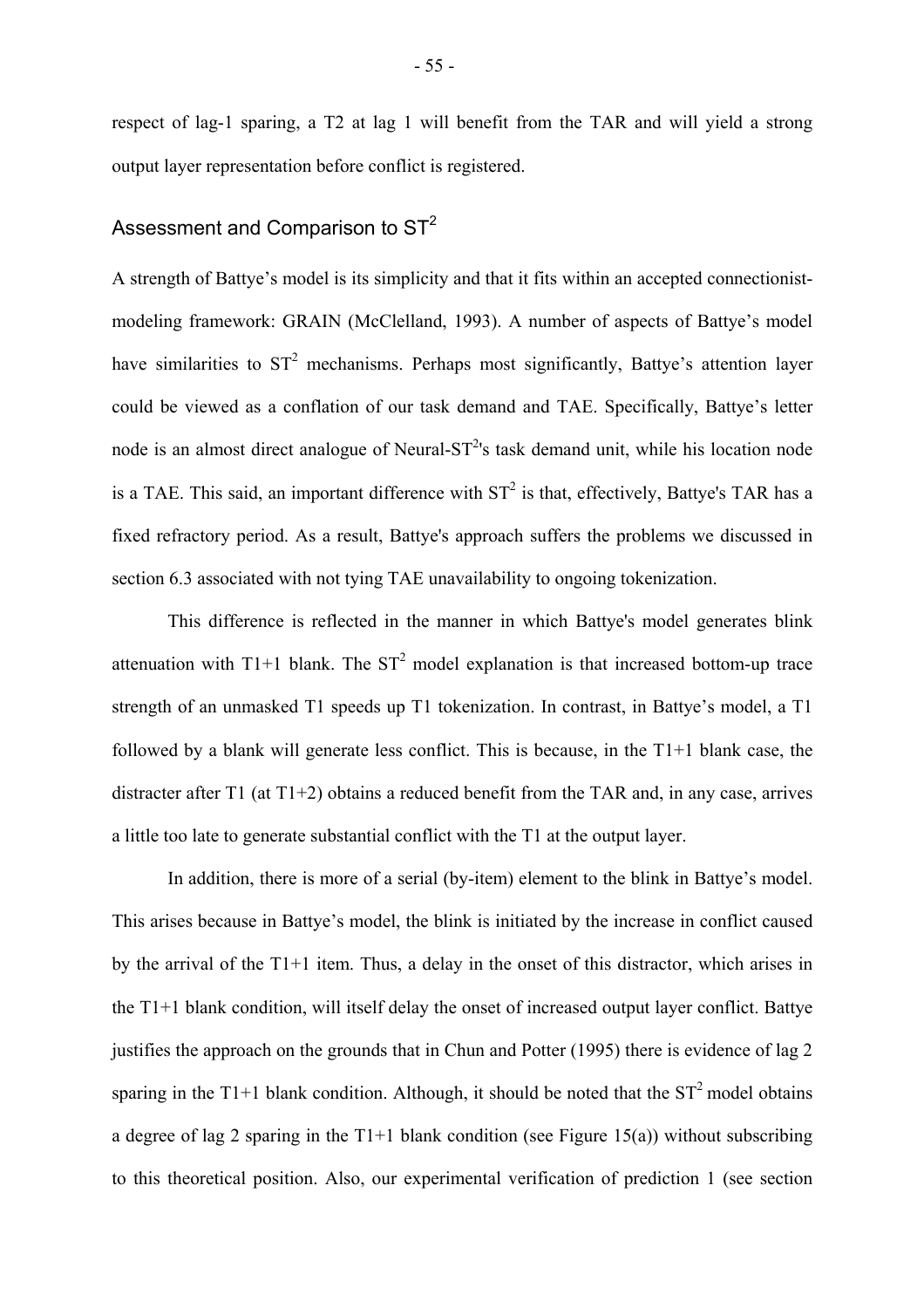respect of lag-1 sparing, a T2 at lag 1 will benefit from the TAR and will yield a strong output layer representation before conflict is registered.

# Assessment and Comparison to ST<sup>2</sup>

A strength of Battye's model is its simplicity and that it fits within an accepted connectionistmodeling framework: GRAIN (McClelland, 1993). A number of aspects of Battye's model have similarities to  $ST^2$  mechanisms. Perhaps most significantly, Battye's attention layer could be viewed as a conflation of our task demand and TAE. Specifically, Battye's letter node is an almost direct analogue of Neural- $ST<sup>2</sup>$ 's task demand unit, while his location node is a TAE. This said, an important difference with  $ST^2$  is that, effectively, Battye's TAR has a fixed refractory period. As a result, Battye's approach suffers the problems we discussed in section [6.3](#page-46-0) associated with not tying TAE unavailability to ongoing tokenization.

This difference is reflected in the manner in which Battye's model generates blink attenuation with  $T1+1$  blank. The  $ST^2$  model explanation is that increased bottom-up trace strength of an unmasked T1 speeds up T1 tokenization. In contrast, in Battye's model, a T1 followed by a blank will generate less conflict. This is because, in the T1+1 blank case, the distracter after T1 (at T1+2) obtains a reduced benefit from the TAR and, in any case, arrives a little too late to generate substantial conflict with the T1 at the output layer.

In addition, there is more of a serial (by-item) element to the blink in Battye's model. This arises because in Battye's model, the blink is initiated by the increase in conflict caused by the arrival of the T1+1 item. Thus, a delay in the onset of this distractor, which arises in the T1+1 blank condition, will itself delay the onset of increased output layer conflict. Battye justifies the approach on the grounds that in Chun and Potter (1995) there is evidence of lag 2 sparing in the T1+1 blank condition. Although, it should be noted that the  $ST^2$  model obtains a degree of lag 2 sparing in the  $T1+1$  blank condition (see Figure 15(a)) without subscribing to this theoretical position. Also, our experimental verification of prediction 1 (see section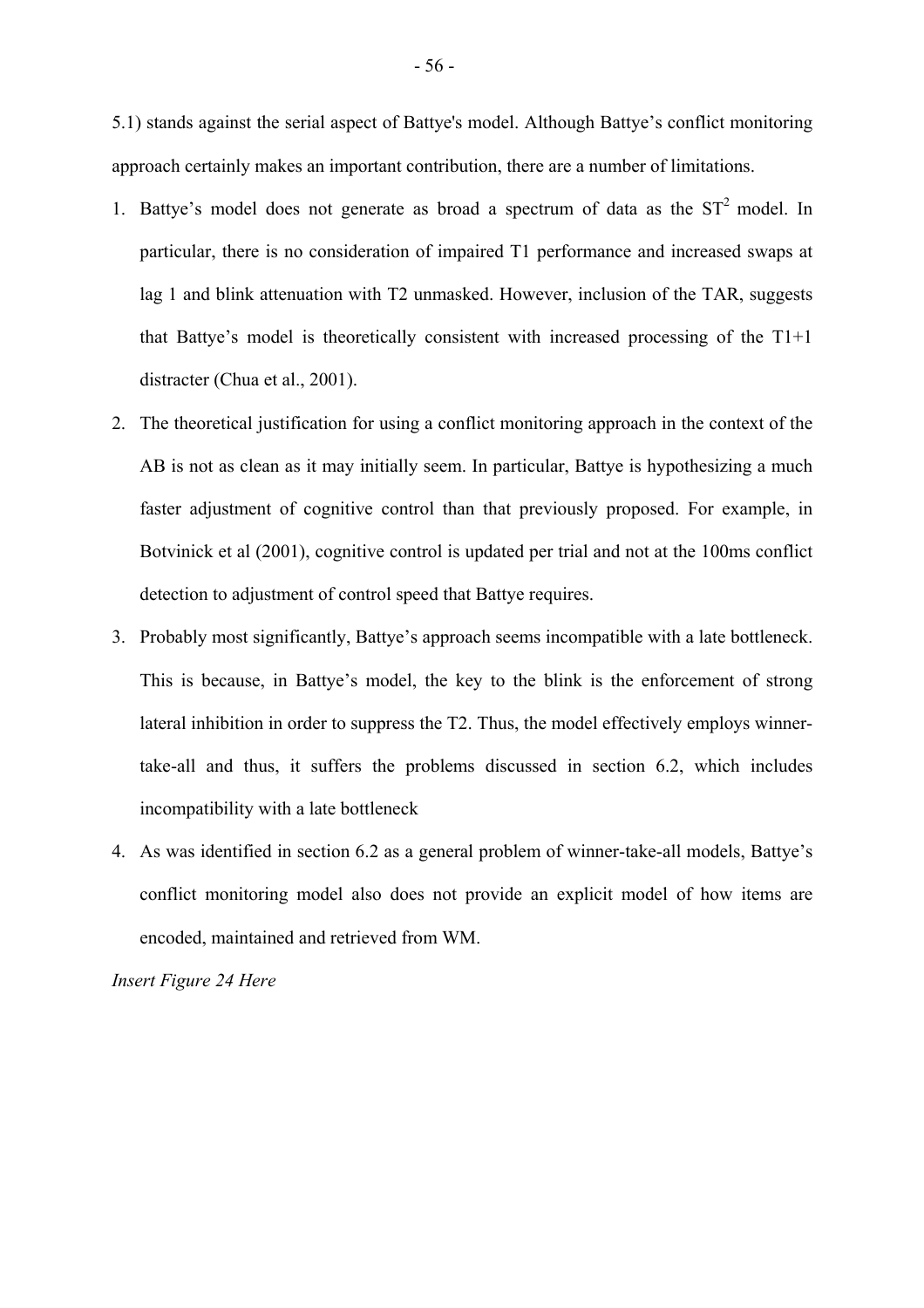[5.1\)](#page-40-0) stands against the serial aspect of Battye's model. Although Battye's conflict monitoring approach certainly makes an important contribution, there are a number of limitations.

- 1. Battye's model does not generate as broad a spectrum of data as the  $ST<sup>2</sup>$  model. In particular, there is no consideration of impaired T1 performance and increased swaps at lag 1 and blink attenuation with T2 unmasked. However, inclusion of the TAR, suggests that Battye's model is theoretically consistent with increased processing of the  $T1+1$ distracter (Chua et al., 2001).
- 2. The theoretical justification for using a conflict monitoring approach in the context of the AB is not as clean as it may initially seem. In particular, Battye is hypothesizing a much faster adjustment of cognitive control than that previously proposed. For example, in Botvinick et al (2001), cognitive control is updated per trial and not at the 100ms conflict detection to adjustment of control speed that Battye requires.
- 3. Probably most significantly, Battye's approach seems incompatible with a late bottleneck. This is because, in Battye's model, the key to the blink is the enforcement of strong lateral inhibition in order to suppress the T2. Thus, the model effectively employs winnertake-all and thus, it suffers the problems discussed in section [6.2,](#page-45-0) which includes incompatibility with a late bottleneck
- 4. As was identified in section [6.2](#page-45-0) as a general problem of winner-take-all models, Battye's conflict monitoring model also does not provide an explicit model of how items are encoded, maintained and retrieved from WM.

*Insert Figure 24 Here*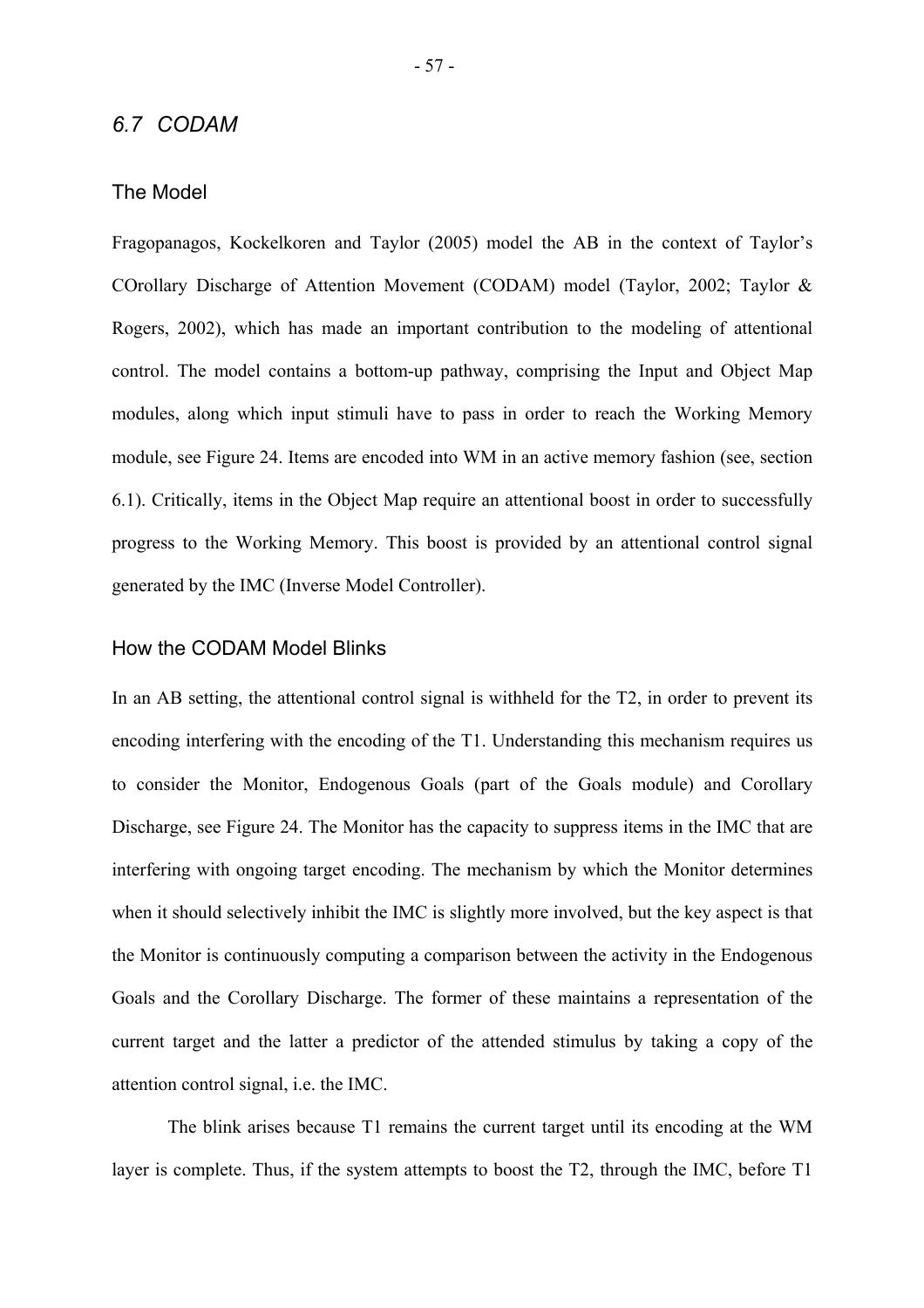#### *6.7 CODAM*

#### The Model

Fragopanagos, Kockelkoren and Taylor (2005) model the AB in the context of Taylor's COrollary Discharge of Attention Movement (CODAM) model (Taylor, 2002; Taylor & Rogers, 2002), which has made an important contribution to the modeling of attentional control. The model contains a bottom-up pathway, comprising the Input and Object Map modules, along which input stimuli have to pass in order to reach the Working Memory module, see Figure 24. Items are encoded into WM in an active memory fashion (see, section [6.1\)](#page-44-0). Critically, items in the Object Map require an attentional boost in order to successfully progress to the Working Memory. This boost is provided by an attentional control signal generated by the IMC (Inverse Model Controller).

#### How the CODAM Model Blinks

In an AB setting, the attentional control signal is withheld for the T2, in order to prevent its encoding interfering with the encoding of the T1. Understanding this mechanism requires us to consider the Monitor, Endogenous Goals (part of the Goals module) and Corollary Discharge, see Figure 24. The Monitor has the capacity to suppress items in the IMC that are interfering with ongoing target encoding. The mechanism by which the Monitor determines when it should selectively inhibit the IMC is slightly more involved, but the key aspect is that the Monitor is continuously computing a comparison between the activity in the Endogenous Goals and the Corollary Discharge. The former of these maintains a representation of the current target and the latter a predictor of the attended stimulus by taking a copy of the attention control signal, i.e. the IMC.

The blink arises because T1 remains the current target until its encoding at the WM layer is complete. Thus, if the system attempts to boost the T2, through the IMC, before T1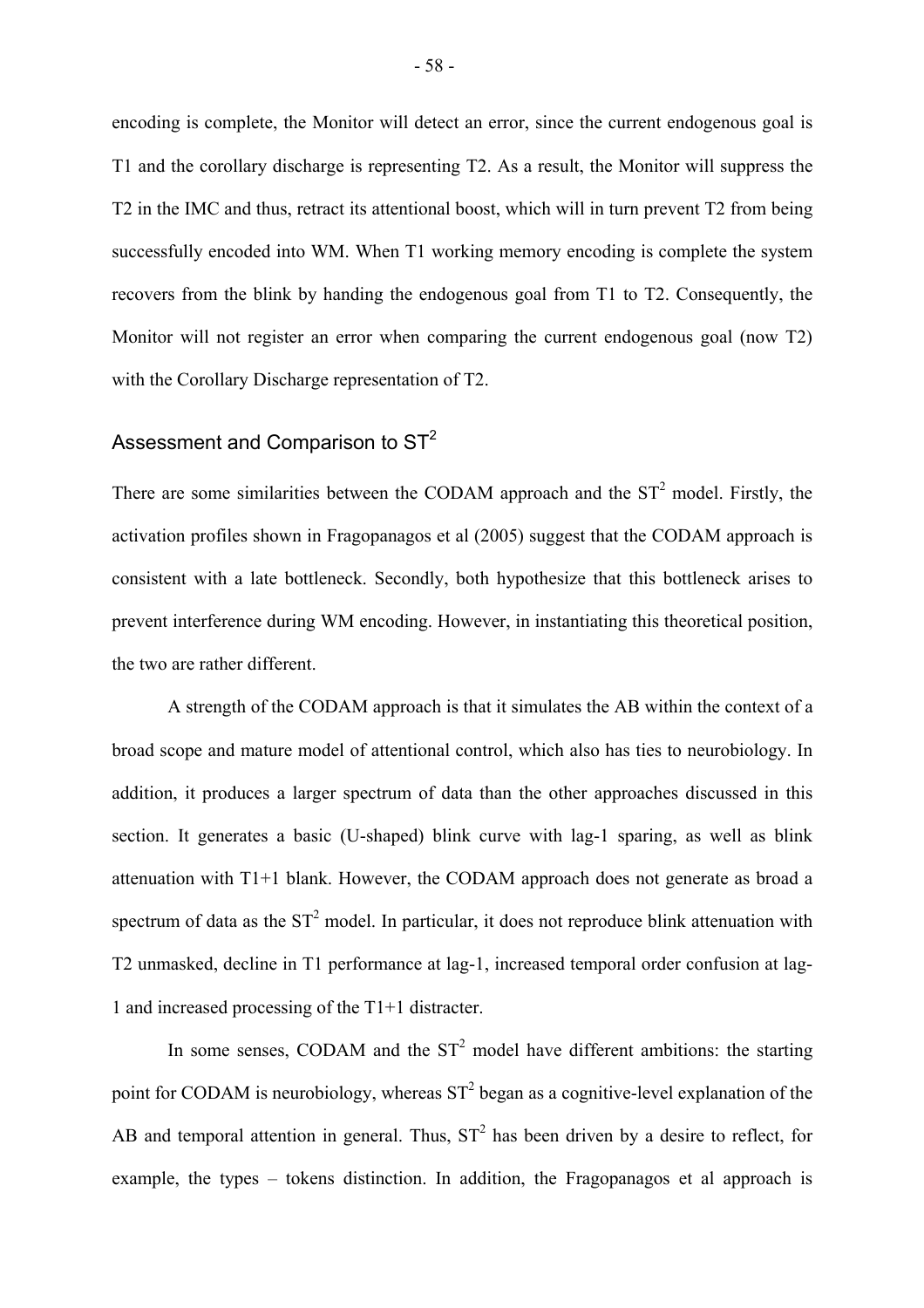encoding is complete, the Monitor will detect an error, since the current endogenous goal is T1 and the corollary discharge is representing T2. As a result, the Monitor will suppress the T2 in the IMC and thus, retract its attentional boost, which will in turn prevent T2 from being successfully encoded into WM. When T1 working memory encoding is complete the system recovers from the blink by handing the endogenous goal from T1 to T2. Consequently, the Monitor will not register an error when comparing the current endogenous goal (now T2) with the Corollary Discharge representation of T2.

# Assessment and Comparison to ST<sup>2</sup>

<span id="page-58-0"></span>There are some similarities between the CODAM approach and the  $ST<sup>2</sup>$  model. Firstly, the activation profiles shown in Fragopanagos et al (2005) suggest that the CODAM approach is consistent with a late bottleneck. Secondly, both hypothesize that this bottleneck arises to prevent interference during WM encoding. However, in instantiating this theoretical position, the two are rather different.

A strength of the CODAM approach is that it simulates the AB within the context of a broad scope and mature model of attentional control, which also has ties to neurobiology. In addition, it produces a larger spectrum of data than the other approaches discussed in this section. It generates a basic (U-shaped) blink curve with lag-1 sparing, as well as blink attenuation with T1+1 blank. However, the CODAM approach does not generate as broad a spectrum of data as the  $ST^2$  model. In particular, it does not reproduce blink attenuation with T2 unmasked, decline in T1 performance at lag-1, increased temporal order confusion at lag-1 and increased processing of the T1+1 distracter.

In some senses, CODAM and the  $ST^2$  model have different ambitions: the starting point for CODAM is neurobiology, whereas  $ST^2$  began as a cognitive-level explanation of the AB and temporal attention in general. Thus,  $ST^2$  has been driven by a desire to reflect, for example, the types  $-$  tokens distinction. In addition, the Fragopanagos et al approach is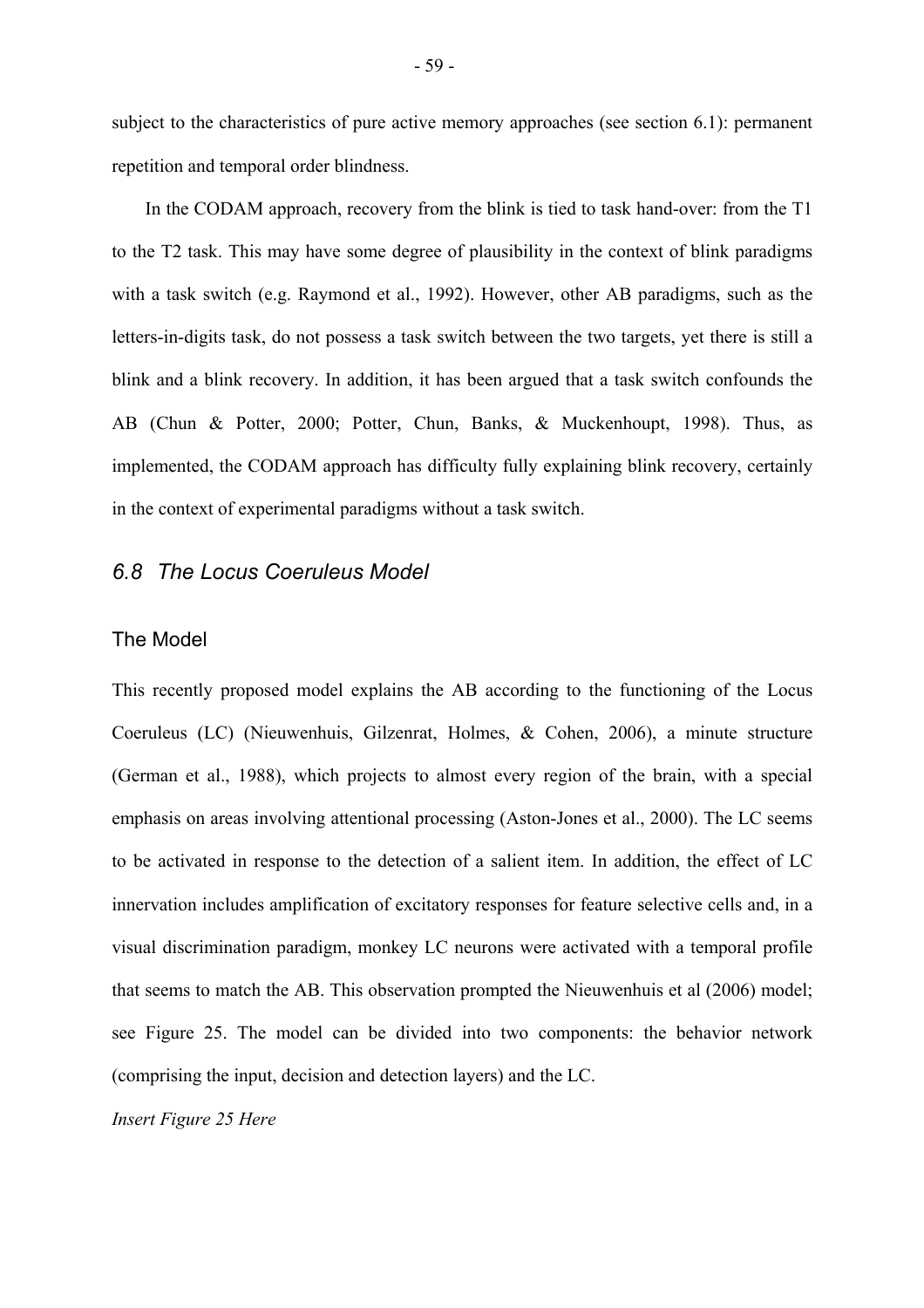subject to the characteristics of pure active memory approaches (see section [6.1\)](#page-44-0): permanent repetition and temporal order blindness.

In the CODAM approach, recovery from the blink is tied to task hand-over: from the T1 to the T2 task. This may have some degree of plausibility in the context of blink paradigms with a task switch (e.g. Raymond et al., 1992). However, other AB paradigms, such as the letters-in-digits task, do not possess a task switch between the two targets, yet there is still a blink and a blink recovery. In addition, it has been argued that a task switch confounds the AB (Chun & Potter, 2000; Potter, Chun, Banks, & Muckenhoupt, 1998). Thus, as implemented, the CODAM approach has difficulty fully explaining blink recovery, certainly in the context of experimental paradigms without a task switch.

#### *6.8 The Locus Coeruleus Model*

#### The Model

This recently proposed model explains the AB according to the functioning of the Locus Coeruleus (LC) (Nieuwenhuis, Gilzenrat, Holmes, & Cohen, 2006), a minute structure (German et al., 1988), which projects to almost every region of the brain, with a special emphasis on areas involving attentional processing (Aston-Jones et al., 2000). The LC seems to be activated in response to the detection of a salient item. In addition, the effect of LC innervation includes amplification of excitatory responses for feature selective cells and, in a visual discrimination paradigm, monkey LC neurons were activated with a temporal profile that seems to match the AB. This observation prompted the Nieuwenhuis et al (2006) model; see Figure 25. The model can be divided into two components: the behavior network (comprising the input, decision and detection layers) and the LC.

*Insert Figure 25 Here*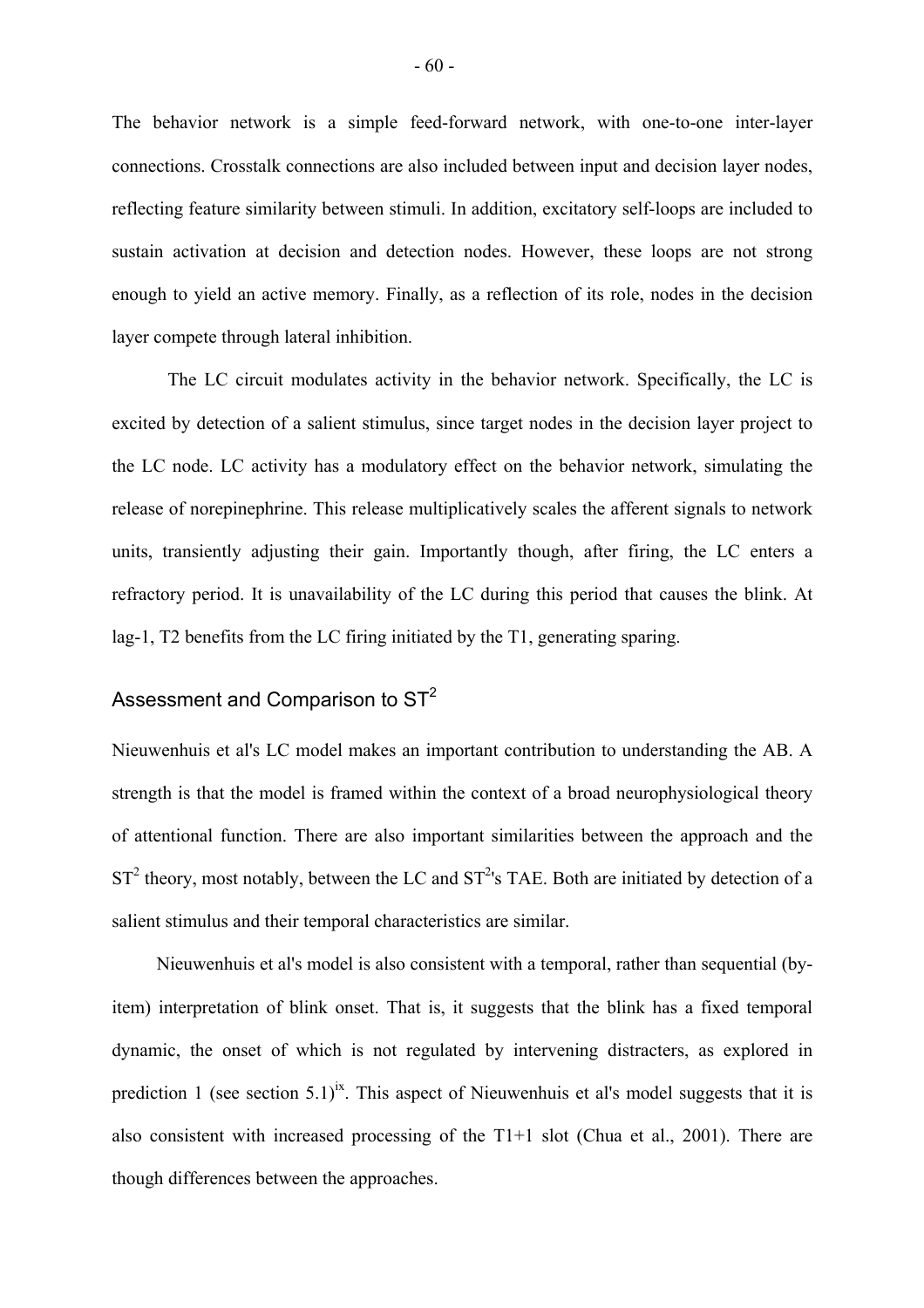The behavior network is a simple feed-forward network, with one-to-one inter-layer connections. Crosstalk connections are also included between input and decision layer nodes, reflecting feature similarity between stimuli. In addition, excitatory self-loops are included to sustain activation at decision and detection nodes. However, these loops are not strong enough to yield an active memory. Finally, as a reflection of its role, nodes in the decision layer compete through lateral inhibition.

The LC circuit modulates activity in the behavior network. Specifically, the LC is excited by detection of a salient stimulus, since target nodes in the decision layer project to the LC node. LC activity has a modulatory effect on the behavior network, simulating the release of norepinephrine. This release multiplicatively scales the afferent signals to network units, transiently adjusting their gain. Importantly though, after firing, the LC enters a refractory period. It is unavailability of the LC during this period that causes the blink. At lag-1, T2 benefits from the LC firing initiated by the T1, generating sparing.

# Assessment and Comparison to ST<sup>2</sup>

Nieuwenhuis et al's LC model makes an important contribution to understanding the AB. A strength is that the model is framed within the context of a broad neurophysiological theory of attentional function. There are also important similarities between the approach and the  $ST<sup>2</sup>$  theory, most notably, between the LC and  $ST<sup>2</sup>$ 's TAE. Both are initiated by detection of a salient stimulus and their temporal characteristics are similar.

Nieuwenhuis et al's model is also consistent with a temporal, rather than sequential (byitem) interpretation of blink onset. That is, it suggests that the blink has a fixed temporal dynamic, the onset of which is not regulated by intervening distracters, as explored in prediction 1 (see section [5.1\)](#page-40-0)<sup>[ix](#page-94-1)</sup>. This aspect of Nieuwenhuis et al's model suggests that it is also consistent with increased processing of the T1+1 slot (Chua et al., 2001). There are though differences between the approaches.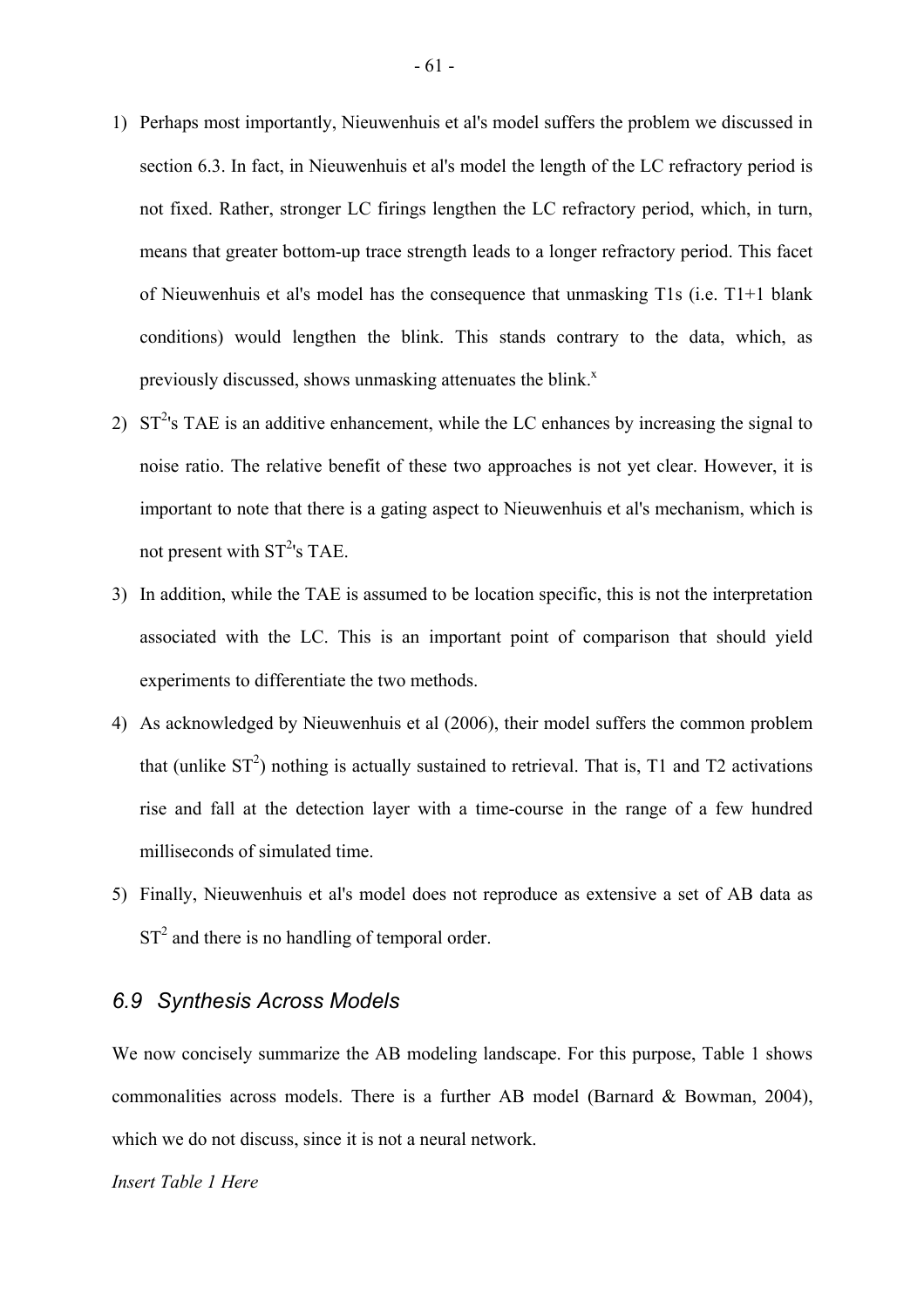- <span id="page-61-0"></span>1) Perhaps most importantly, Nieuwenhuis et al's model suffers the problem we discussed in section [6.3.](#page-46-0) In fact, in Nieuwenhuis et al's model the length of the LC refractory period is not fixed. Rather, stronger LC firings lengthen the LC refractory period, which, in turn, means that greater bottom-up trace strength leads to a longer refractory period. This facet of Nieuwenhuis et al's model has the consequence that unmasking T1s (i.e. T1+1 blank conditions) would lengthen the blink. This stands contrary to the data, which, as previously discussed, shows unmasking attenuates the blink.<sup>[x](#page-94-2)</sup>
- 2)  $ST<sup>2</sup>'s$  TAE is an additive enhancement, while the LC enhances by increasing the signal tonoise ratio. The relative benefit of these two approaches is not yet clear. However, it is important to note that there is a gating aspect to Nieuwenhuis et al's mechanism, which is not present with  $ST^2$ 's TAE.
- 3) In addition, while the TAE is assumed to be location specific, this is not the interpretation associated with the LC. This is an important point of comparison that should yield experiments to differentiate the two methods.
- 4) As acknowledged by Nieuwenhuis et al (2006), their model suffers the common problem that (unlike  $ST^2$ ) nothing is actually sustained to retrieval. That is, T1 and T2 activations rise and fall at the detection layer with a time-course in the range of a few hundred milliseconds of simulated time.
- 5) Finally, Nieuwenhuis et al's model does not reproduce as extensive a set of AB data as  $ST<sup>2</sup>$  and there is no handling of temporal order.

## *6.9 Synthesis Across Models*

We now concisely summarize the AB modeling landscape. For this purpose, [Table 1](#page-80-0) shows commonalities across models. There is a further AB model (Barnard & Bowman, 2004), which we do not discuss, since it is not a neural network.

*Insert Table 1 Here*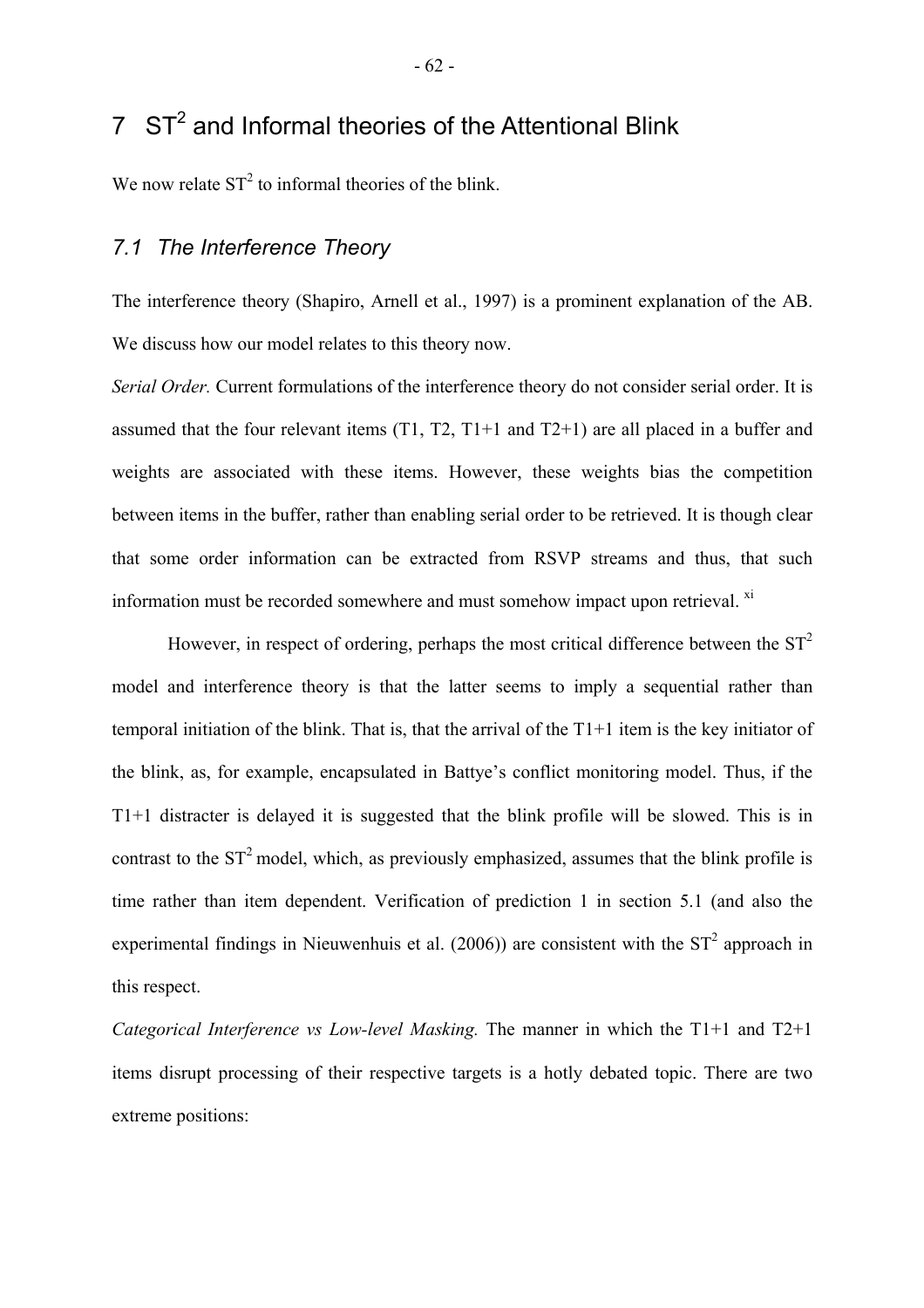# $7 S<sup>2</sup>$  and Informal theories of the Attentional Blink

We now relate  $ST^2$  to informal theories of the blink.

## *7.1 The Interference Theory*

The interference theory (Shapiro, Arnell et al., 1997) is a prominent explanation of the AB. We discuss how our model relates to this theory now.

*Serial Order.* Current formulations of the interference theory do not consider serial order. It is assumed that the four relevant items (T1, T2, T1+1 and T2+1) are all placed in a buffer and weights are associated with these items. However, these weights bias the competition between items in the buffer, rather than enabling serial order to be retrieved. It is though clear that some order information can be extracted from RSVP streams and thus, that such information must be recorded somewhere and must somehow impact upon retrieval.  $^{xi}$  $^{xi}$  $^{xi}$ 

However, in respect of ordering, perhaps the most critical difference between the  $ST<sup>2</sup>$ model and interference theory is that the latter seems to imply a sequential rather than temporal initiation of the blink. That is, that the arrival of the T1+1 item is the key initiator of the blink, as, for example, encapsulated in Battye's conflict monitoring model. Thus, if the T1+1 distracter is delayed it is suggested that the blink profile will be slowed. This is in contrast to the  $ST^2$  model, which, as previously emphasized, assumes that the blink profile is time rather than item dependent. Verification of prediction 1 in section [5.1](#page-40-0) (and also the experimental findings in Nieuwenhuis et al. (2006)) are consistent with the  $ST^2$  approach in this respect.

*Categorical Interference vs Low-level Masking.* The manner in which the T1+1 and T2+1 items disrupt processing of their respective targets is a hotly debated topic. There are two extreme positions: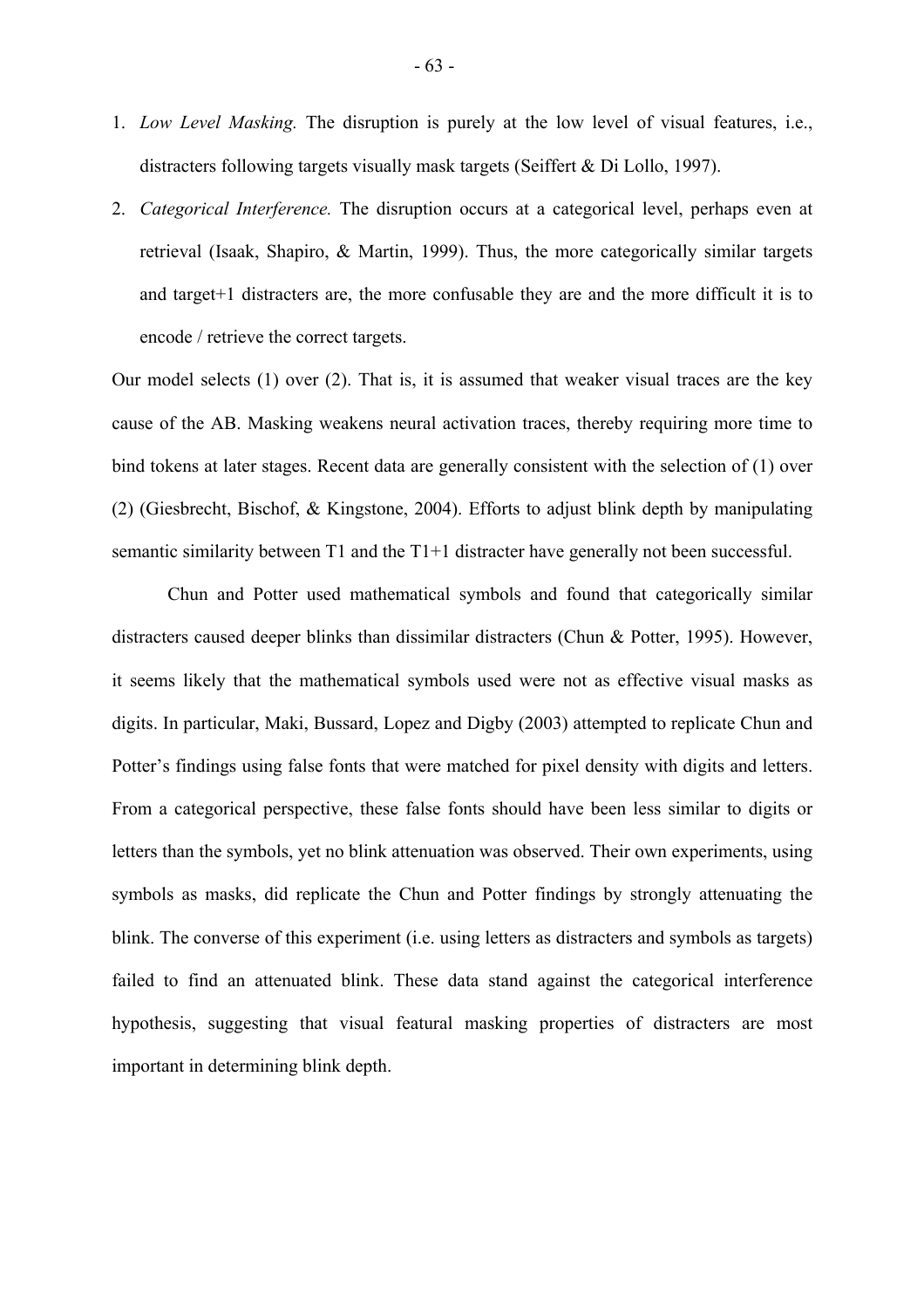- 1. *Low Level Masking.* The disruption is purely at the low level of visual features, i.e., distracters following targets visually mask targets (Seiffert & Di Lollo, 1997).
- 2. *Categorical Interference.* The disruption occurs at a categorical level, perhaps even at retrieval (Isaak, Shapiro, & Martin, 1999). Thus, the more categorically similar targets and target+1 distracters are, the more confusable they are and the more difficult it is to encode / retrieve the correct targets.

Our model selects (1) over (2). That is, it is assumed that weaker visual traces are the key cause of the AB. Masking weakens neural activation traces, thereby requiring more time to bind tokens at later stages. Recent data are generally consistent with the selection of (1) over (2) (Giesbrecht, Bischof, & Kingstone, 2004). Efforts to adjust blink depth by manipulating semantic similarity between T1 and the T1+1 distracter have generally not been successful.

Chun and Potter used mathematical symbols and found that categorically similar distracters caused deeper blinks than dissimilar distracters (Chun & Potter, 1995). However, it seems likely that the mathematical symbols used were not as effective visual masks as digits. In particular, Maki, Bussard, Lopez and Digby (2003) attempted to replicate Chun and Potter's findings using false fonts that were matched for pixel density with digits and letters. From a categorical perspective, these false fonts should have been less similar to digits or letters than the symbols, yet no blink attenuation was observed. Their own experiments, using symbols as masks, did replicate the Chun and Potter findings by strongly attenuating the blink. The converse of this experiment (i.e. using letters as distracters and symbols as targets) failed to find an attenuated blink. These data stand against the categorical interference hypothesis, suggesting that visual featural masking properties of distracters are most important in determining blink depth.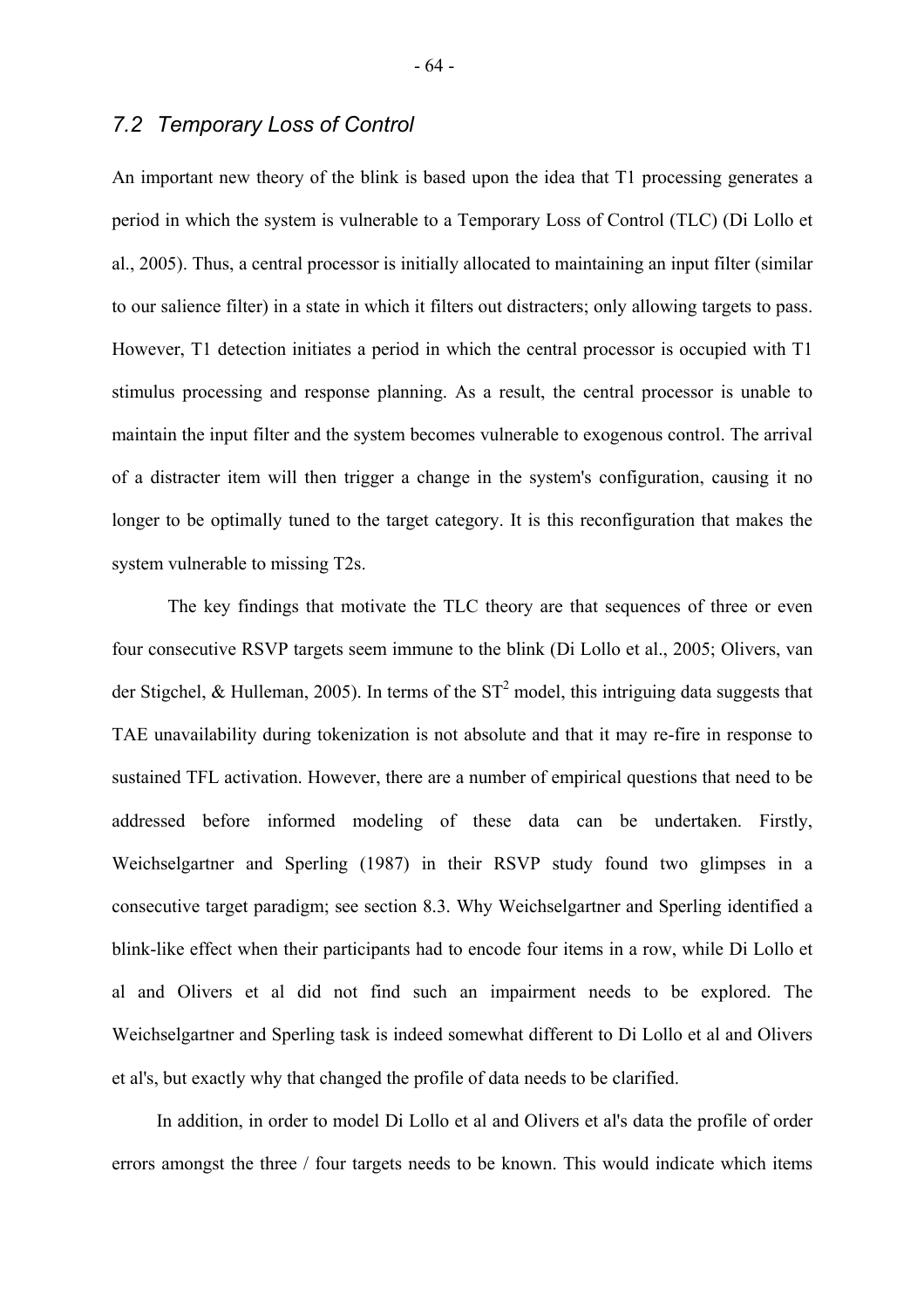## *7.2 Temporary Loss of Control*

An important new theory of the blink is based upon the idea that T1 processing generates a period in which the system is vulnerable to a Temporary Loss of Control (TLC) (Di Lollo et al., 2005). Thus, a central processor is initially allocated to maintaining an input filter (similar to our salience filter) in a state in which it filters out distracters; only allowing targets to pass. However, T1 detection initiates a period in which the central processor is occupied with T1 stimulus processing and response planning. As a result, the central processor is unable to maintain the input filter and the system becomes vulnerable to exogenous control. The arrival of a distracter item will then trigger a change in the system's configuration, causing it no longer to be optimally tuned to the target category. It is this reconfiguration that makes the system vulnerable to missing T2s.

 The key findings that motivate the TLC theory are that sequences of three or even four consecutive RSVP targets seem immune to the blink (Di Lollo et al., 2005; Olivers, van der Stigchel, & Hulleman, 2005). In terms of the  $ST^2$  model, this intriguing data suggests that TAE unavailability during tokenization is not absolute and that it may re-fire in response to sustained TFL activation. However, there are a number of empirical questions that need to be addressed before informed modeling of these data can be undertaken. Firstly, Weichselgartner and Sperling (1987) in their RSVP study found two glimpses in a consecutive target paradigm; see section [8.3.](#page-68-0) Why Weichselgartner and Sperling identified a blink-like effect when their participants had to encode four items in a row, while Di Lollo et al and Olivers et al did not find such an impairment needs to be explored. The Weichselgartner and Sperling task is indeed somewhat different to Di Lollo et al and Olivers et al's, but exactly why that changed the profile of data needs to be clarified.

In addition, in order to model Di Lollo et al and Olivers et al's data the profile of order errors amongst the three / four targets needs to be known. This would indicate which items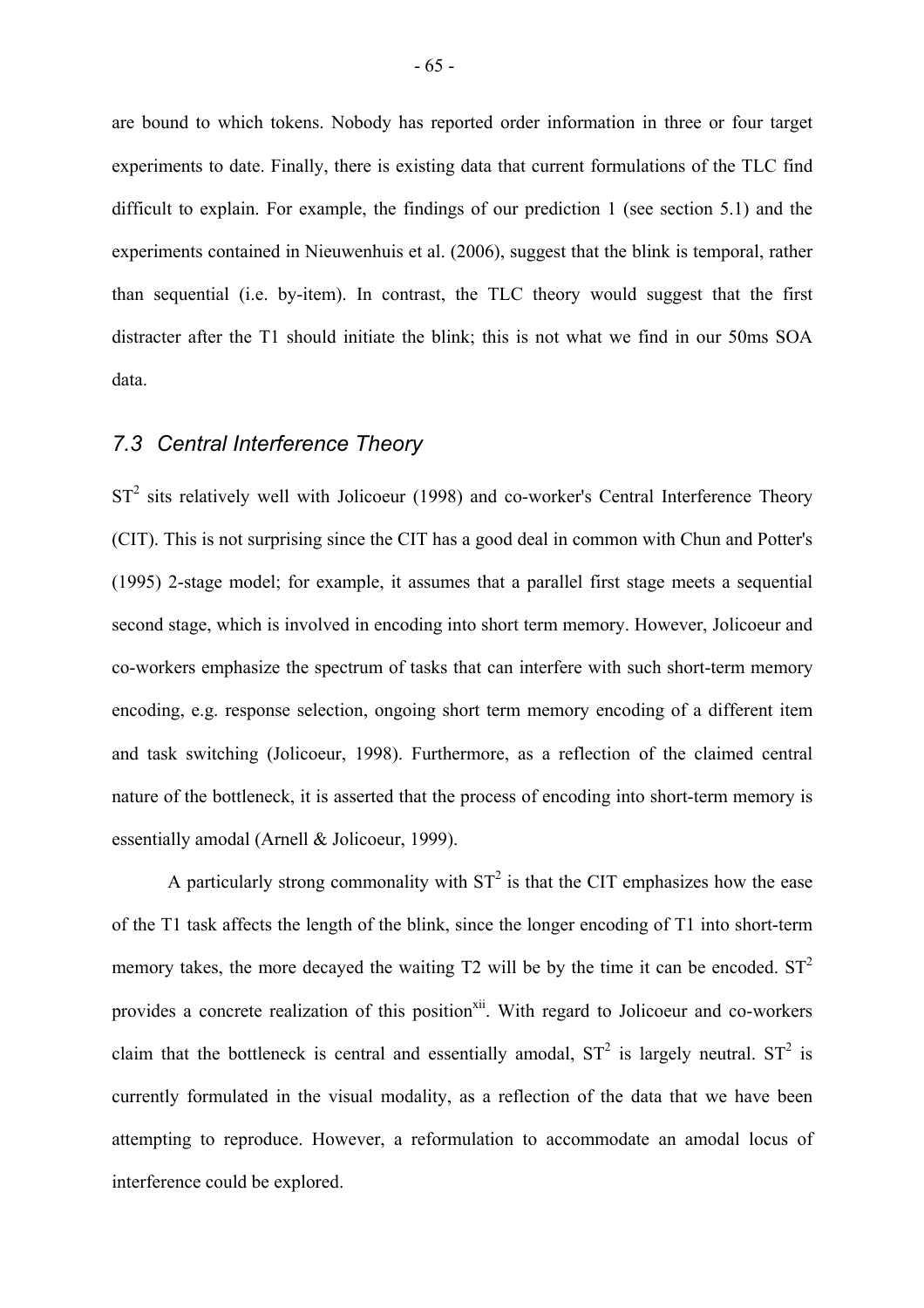are bound to which tokens. Nobody has reported order information in three or four target experiments to date. Finally, there is existing data that current formulations of the TLC find difficult to explain. For example, the findings of our prediction 1 (see section [5.1\)](#page-40-0) and the experiments contained in Nieuwenhuis et al. (2006), suggest that the blink is temporal, rather than sequential (i.e. by-item). In contrast, the TLC theory would suggest that the first distracter after the T1 should initiate the blink; this is not what we find in our 50ms SOA data.

## *7.3 Central Interference Theory*

 $ST<sup>2</sup>$  sits relatively well with Jolicoeur (1998) and co-worker's Central Interference Theory (CIT). This is not surprising since the CIT has a good deal in common with Chun and Potter's (1995) 2-stage model; for example, it assumes that a parallel first stage meets a sequential second stage, which is involved in encoding into short term memory. However, Jolicoeur and co-workers emphasize the spectrum of tasks that can interfere with such short-term memory encoding, e.g. response selection, ongoing short term memory encoding of a different item and task switching (Jolicoeur, 1998). Furthermore, as a reflection of the claimed central nature of the bottleneck, it is asserted that the process of encoding into short-term memory is essentially amodal (Arnell & Jolicoeur, 1999).

A particularly strong commonality with  $ST^2$  is that the CIT emphasizes how the ease of the T1 task affects the length of the blink, since the longer encoding of T1 into short-term memory takes, the more decayed the waiting T2 will be by the time it can be encoded.  $ST<sup>2</sup>$ provides a concrete realization of this position<sup>[xii](#page-94-4)</sup>. With regard to Jolicoeur and co-workers claim that the bottleneck is central and essentially amodal,  $ST^2$  is largely neutral.  $ST^2$  is currently formulated in the visual modality, as a reflection of the data that we have been attempting to reproduce. However, a reformulation to accommodate an amodal locus of interference could be explored.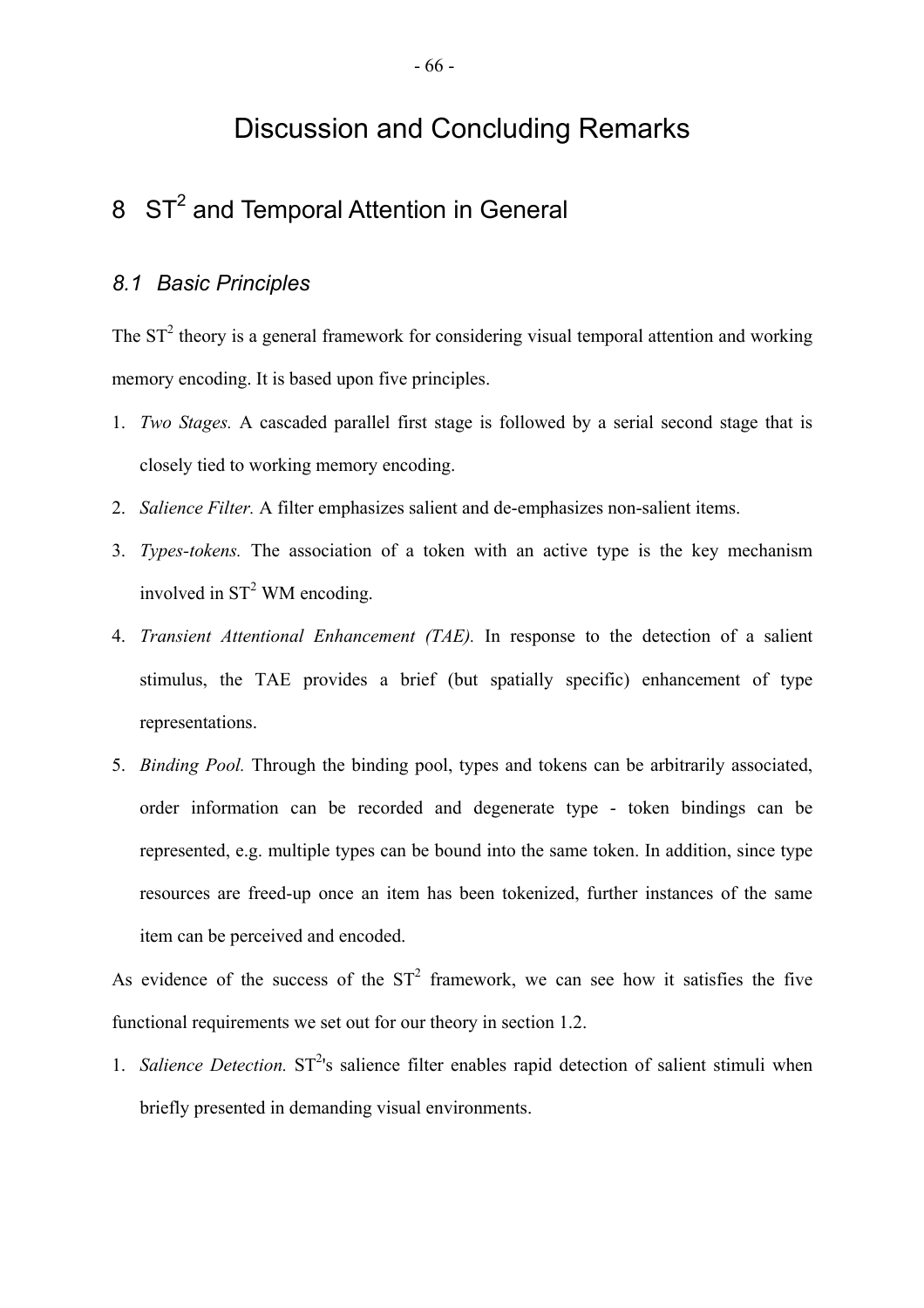# Discussion and Concluding Remarks

# 8  $ST<sup>2</sup>$  and Temporal Attention in General

## *8.1 Basic Principles*

The  $ST<sup>2</sup>$  theory is a general framework for considering visual temporal attention and working memory encoding. It is based upon five principles.

- 1. *Two Stages.* A cascaded parallel first stage is followed by a serial second stage that is closely tied to working memory encoding.
- 2. *Salience Filter.* A filter emphasizes salient and de-emphasizes non-salient items.
- 3. *Types-tokens.* The association of a token with an active type is the key mechanism involved in  $ST^2$  WM encoding.
- 4. *Transient Attentional Enhancement (TAE).* In response to the detection of a salient stimulus, the TAE provides a brief (but spatially specific) enhancement of type representations.
- 5. *Binding Pool.* Through the binding pool, types and tokens can be arbitrarily associated, order information can be recorded and degenerate type - token bindings can be represented, e.g. multiple types can be bound into the same token. In addition, since type resources are freed-up once an item has been tokenized, further instances of the same item can be perceived and encoded.

As evidence of the success of the  $ST^2$  framework, we can see how it satisfies the five functional requirements we set out for our theory in section [1.2.](#page-4-0)

1. Salience Detection. ST<sup>2</sup>'s salience filter enables rapid detection of salient stimuli when briefly presented in demanding visual environments.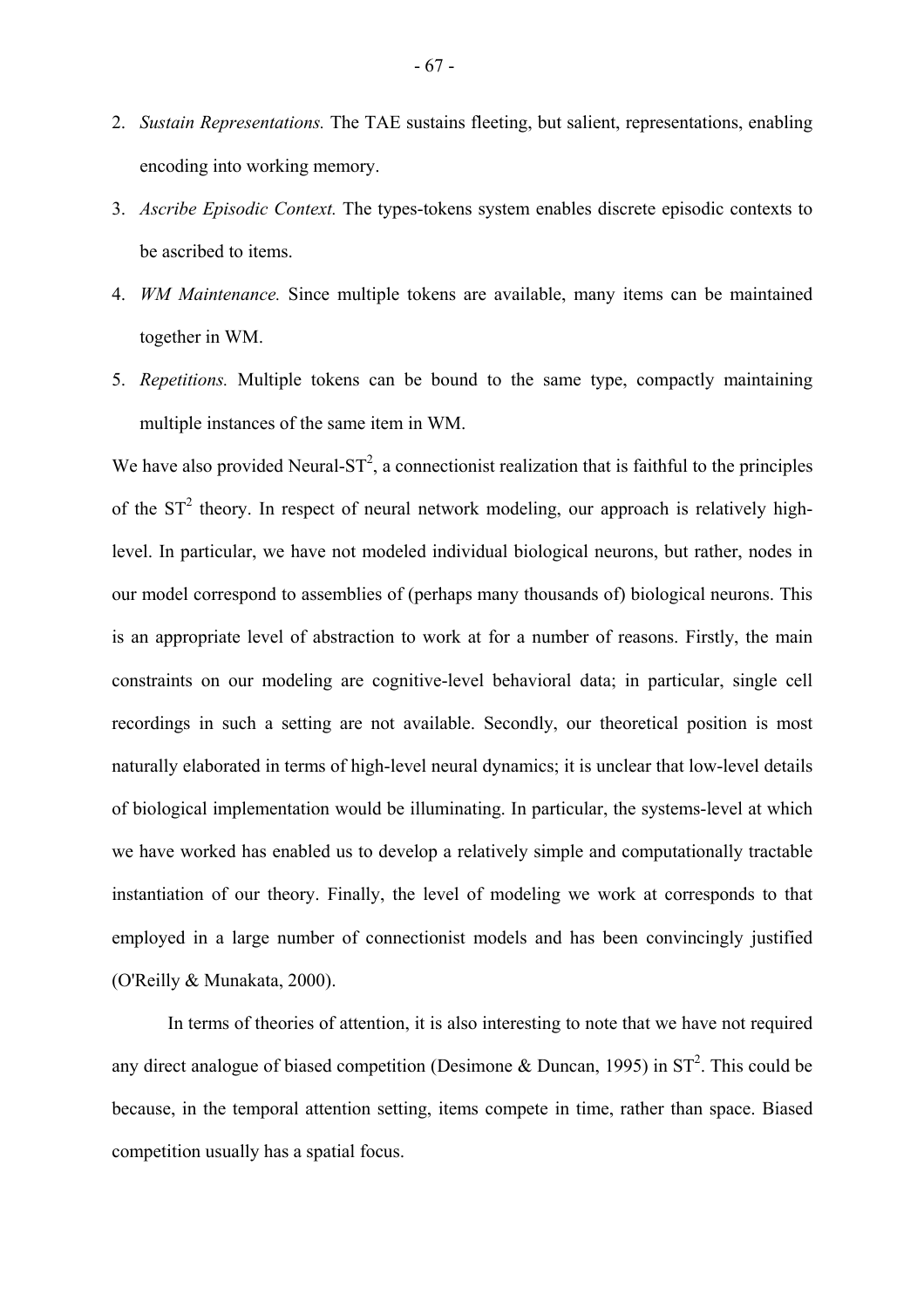- 2. *Sustain Representations.* The TAE sustains fleeting, but salient, representations, enabling encoding into working memory.
- 3. *Ascribe Episodic Context.* The types-tokens system enables discrete episodic contexts to be ascribed to items.
- 4. *WM Maintenance.* Since multiple tokens are available, many items can be maintained together in WM.
- 5. *Repetitions.* Multiple tokens can be bound to the same type, compactly maintaining multiple instances of the same item in WM.

We have also provided Neural- $ST^2$ , a connectionist realization that is faithful to the principles of the  $ST^2$  theory. In respect of neural network modeling, our approach is relatively highlevel. In particular, we have not modeled individual biological neurons, but rather, nodes in our model correspond to assemblies of (perhaps many thousands of) biological neurons. This is an appropriate level of abstraction to work at for a number of reasons. Firstly, the main constraints on our modeling are cognitive-level behavioral data; in particular, single cell recordings in such a setting are not available. Secondly, our theoretical position is most naturally elaborated in terms of high-level neural dynamics; it is unclear that low-level details of biological implementation would be illuminating. In particular, the systems-level at which we have worked has enabled us to develop a relatively simple and computationally tractable instantiation of our theory. Finally, the level of modeling we work at corresponds to that employed in a large number of connectionist models and has been convincingly justified (O'Reilly & Munakata, 2000).

In terms of theories of attention, it is also interesting to note that we have not required any direct analogue of biased competition (Desimone & Duncan, 1995) in  $ST^2$ . This could be because, in the temporal attention setting, items compete in time, rather than space. Biased competition usually has a spatial focus.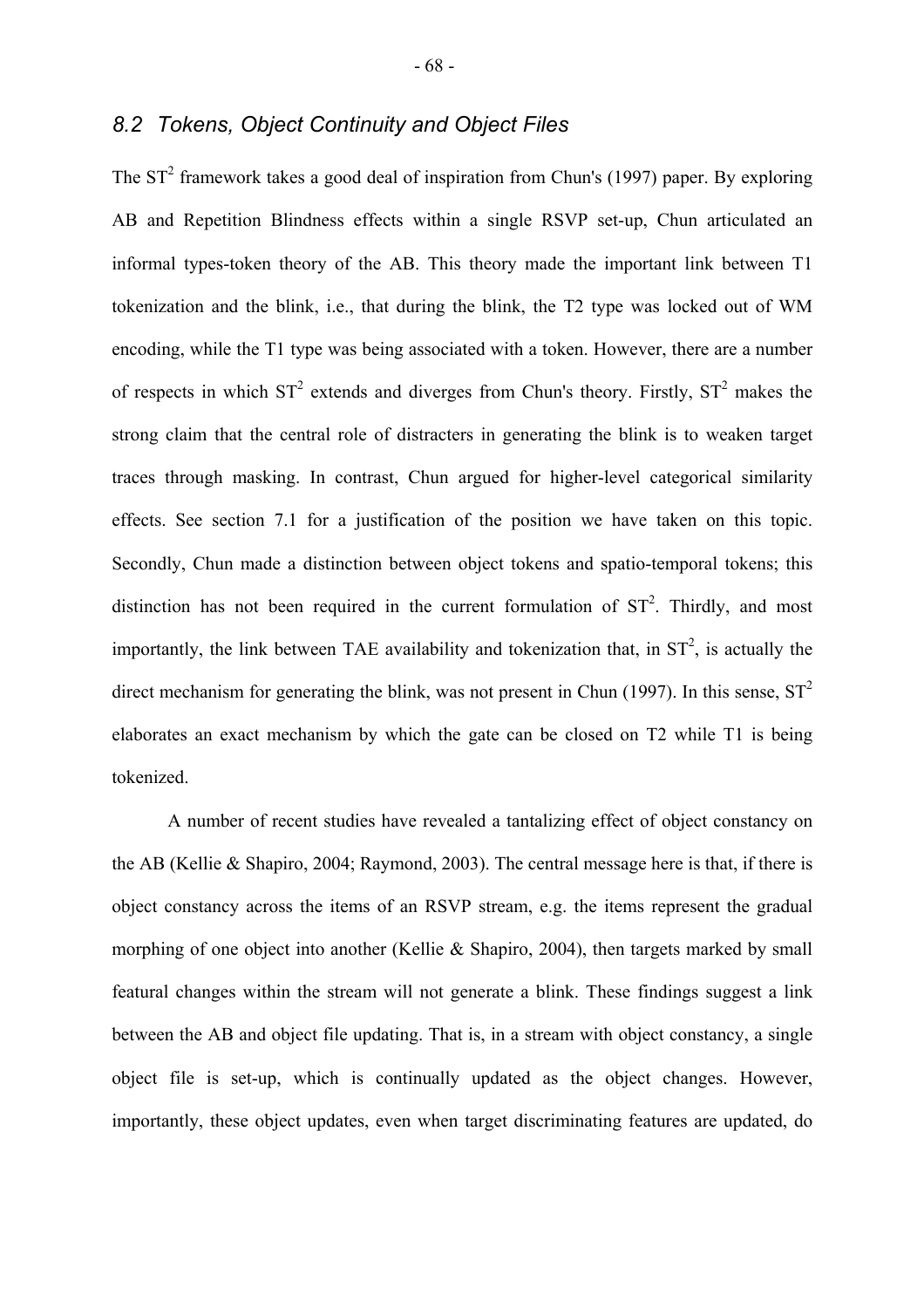# *8.2 Tokens, Object Continuity and Object Files*

<span id="page-68-0"></span>The  $ST<sup>2</sup>$  framework takes a good deal of inspiration from Chun's (1997) paper. By exploring AB and Repetition Blindness effects within a single RSVP set-up, Chun articulated an informal types-token theory of the AB. This theory made the important link between T1 tokenization and the blink, i.e., that during the blink, the T2 type was locked out of WM encoding, while the T1 type was being associated with a token. However, there are a number of respects in which  $ST^2$  extends and diverges from Chun's theory. Firstly,  $ST^2$  makes the strong claim that the central role of distracters in generating the blink is to weaken target traces through masking. In contrast, Chun argued for higher-level categorical similarity effects. See section [7.1](#page-61-0) for a justification of the position we have taken on this topic. Secondly, Chun made a distinction between object tokens and spatio-temporal tokens; this distinction has not been required in the current formulation of  $ST<sup>2</sup>$ . Thirdly, and most importantly, the link between TAE availability and tokenization that, in  $ST^2$ , is actually the direct mechanism for generating the blink, was not present in Chun (1997). In this sense,  $ST^2$ elaborates an exact mechanism by which the gate can be closed on T2 while T1 is being tokenized.

 A number of recent studies have revealed a tantalizing effect of object constancy on the AB (Kellie & Shapiro, 2004; Raymond, 2003). The central message here is that, if there is object constancy across the items of an RSVP stream, e.g. the items represent the gradual morphing of one object into another (Kellie & Shapiro, 2004), then targets marked by small featural changes within the stream will not generate a blink. These findings suggest a link between the AB and object file updating. That is, in a stream with object constancy, a single object file is set-up, which is continually updated as the object changes. However, importantly, these object updates, even when target discriminating features are updated, do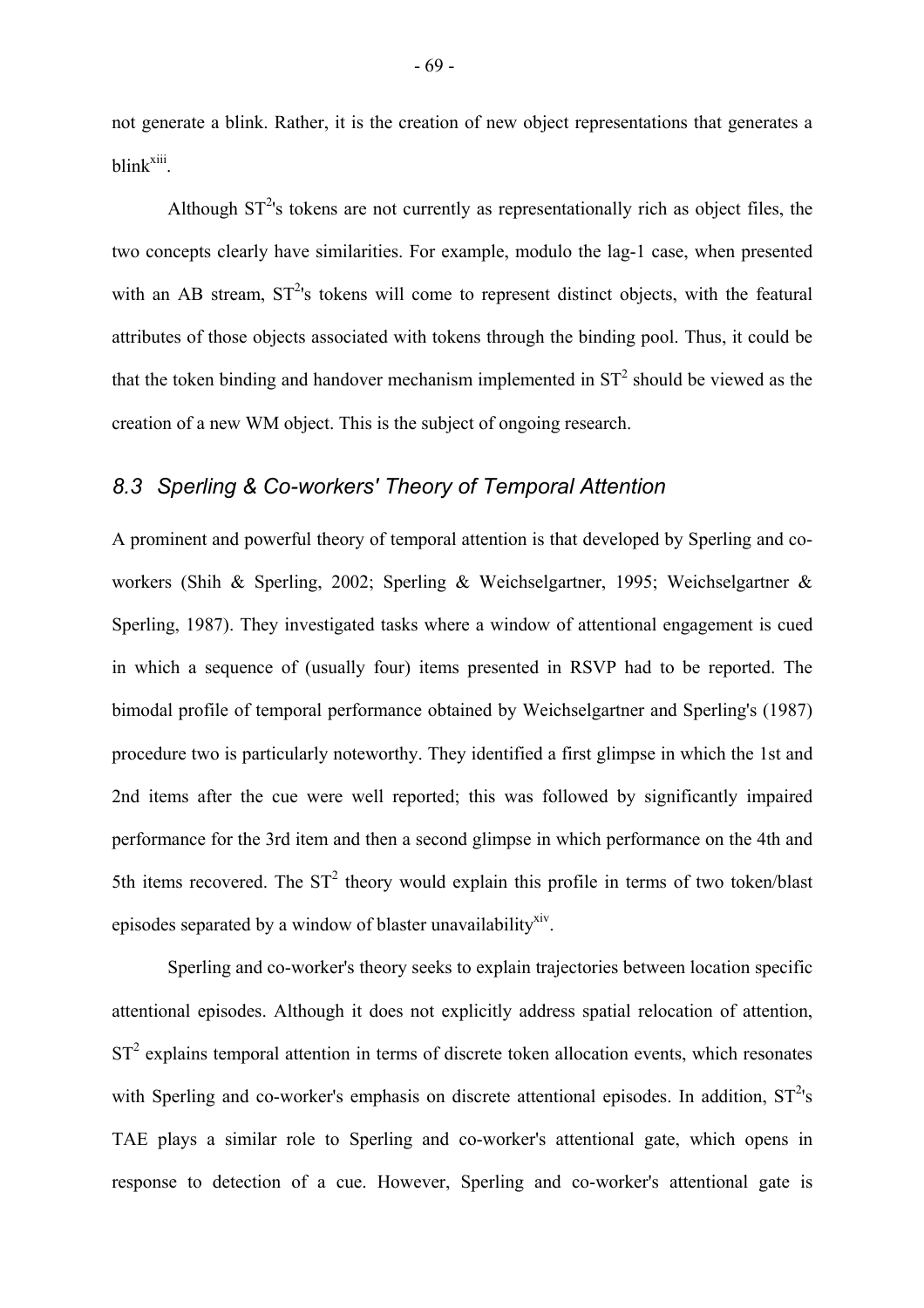not generate a blink. Rather, it is the creation of new object representations that generates a blink<sup>[xiii](#page-94-5)</sup>.

Although  $ST<sup>2</sup>$ 's tokens are not currently as representationally rich as object files, the two concepts clearly have similarities. For example, modulo the lag-1 case, when presented with an AB stream,  $ST<sup>2</sup>'s$  tokens will come to represent distinct objects, with the featural attributes of those objects associated with tokens through the binding pool. Thus, it could be that the token binding and handover mechanism implemented in  $ST^2$  should be viewed as the creation of a new WM object. This is the subject of ongoing research.

## *8.3 Sperling & Co-workers' Theory of Temporal Attention*

A prominent and powerful theory of temporal attention is that developed by Sperling and coworkers (Shih & Sperling, 2002; Sperling & Weichselgartner, 1995; Weichselgartner & Sperling, 1987). They investigated tasks where a window of attentional engagement is cued in which a sequence of (usually four) items presented in RSVP had to be reported. The bimodal profile of temporal performance obtained by Weichselgartner and Sperling's (1987) procedure two is particularly noteworthy. They identified a first glimpse in which the 1st and 2nd items after the cue were well reported; this was followed by significantly impaired performance for the 3rd item and then a second glimpse in which performance on the 4th and 5th items recovered. The  $ST^2$  theory would explain this profile in terms of two token/blast episodes separated by a window of blaster unavailability<sup>[xiv](#page-94-6)</sup>.

Sperling and co-worker's theory seeks to explain trajectories between location specific attentional episodes. Although it does not explicitly address spatial relocation of attention,  $ST<sup>2</sup>$  explains temporal attention in terms of discrete token allocation events, which resonates with Sperling and co-worker's emphasis on discrete attentional episodes. In addition,  $ST<sup>2</sup>'s$ TAE plays a similar role to Sperling and co-worker's attentional gate, which opens in response to detection of a cue. However, Sperling and co-worker's attentional gate is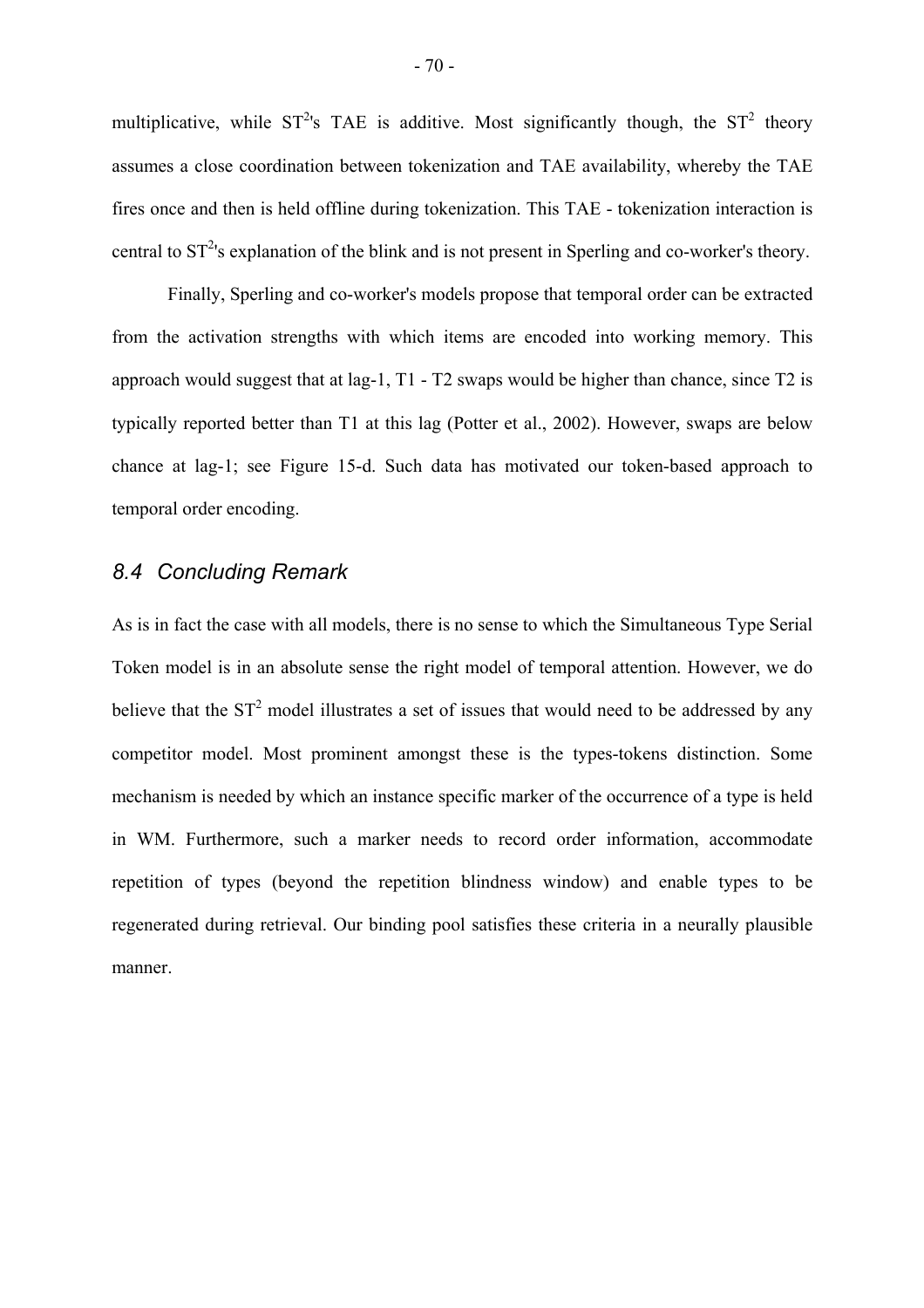multiplicative, while  $ST^2$ 's TAE is additive. Most significantly though, the  $ST^2$  theory assumes a close coordination between tokenization and TAE availability, whereby the TAE fires once and then is held offline during tokenization. This TAE - tokenization interaction is central to  $ST<sup>2</sup>'s$  explanation of the blink and is not present in Sperling and co-worker's theory.

Finally, Sperling and co-worker's models propose that temporal order can be extracted from the activation strengths with which items are encoded into working memory. This approach would suggest that at lag-1, T1 - T2 swaps would be higher than chance, since T2 is typically reported better than T1 at this lag (Potter et al., 2002). However, swaps are below chance at lag-1; see Figure 15-d. Such data has motivated our token-based approach to temporal order encoding.

## *8.4 Concluding Remark*

As is in fact the case with all models, there is no sense to which the Simultaneous Type Serial Token model is in an absolute sense the right model of temporal attention. However, we do believe that the  $ST^2$  model illustrates a set of issues that would need to be addressed by any competitor model. Most prominent amongst these is the types-tokens distinction. Some mechanism is needed by which an instance specific marker of the occurrence of a type is held in WM. Furthermore, such a marker needs to record order information, accommodate repetition of types (beyond the repetition blindness window) and enable types to be regenerated during retrieval. Our binding pool satisfies these criteria in a neurally plausible manner.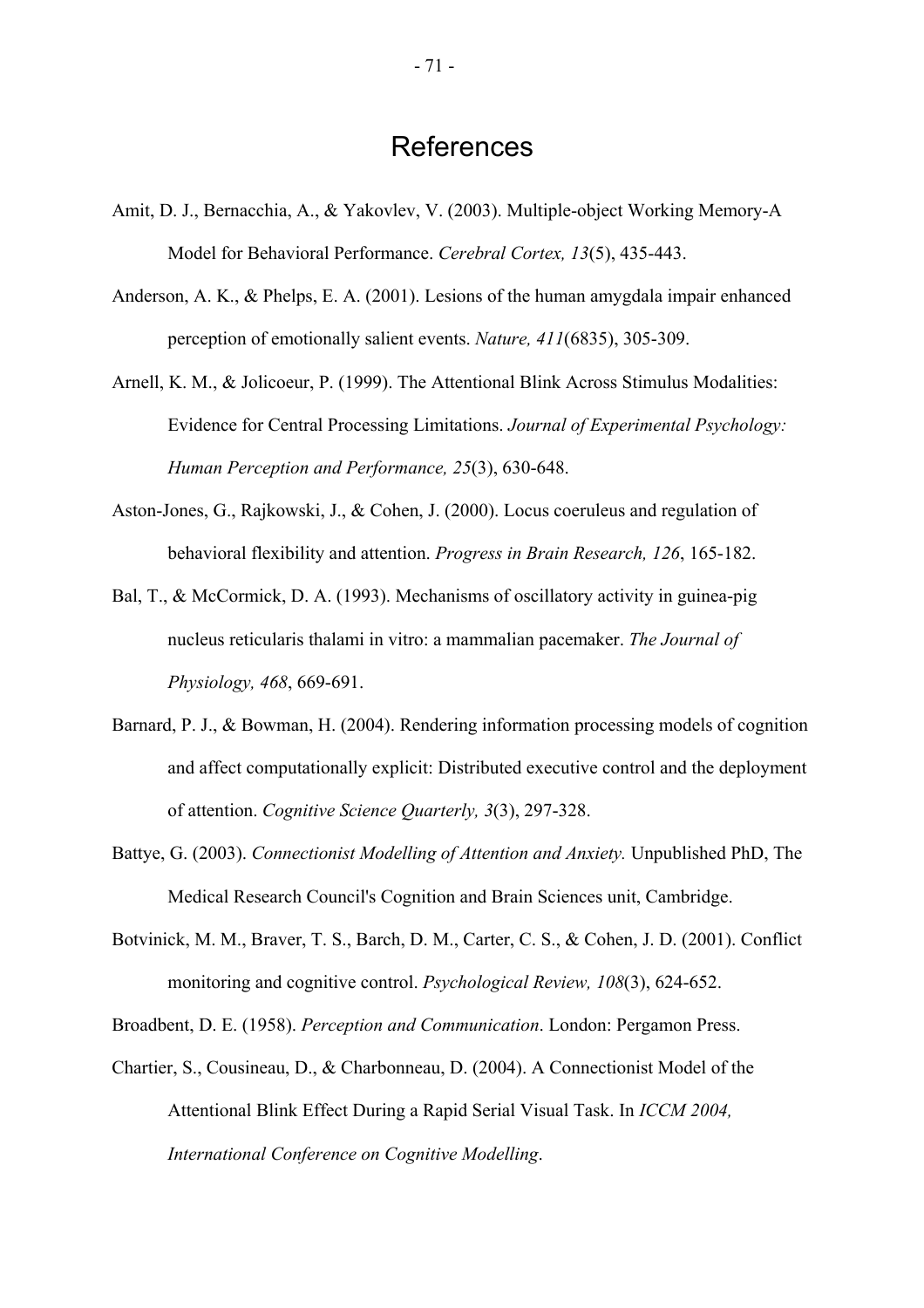# References

- Amit, D. J., Bernacchia, A., & Yakovlev, V. (2003). Multiple-object Working Memory-A Model for Behavioral Performance. *Cerebral Cortex, 13*(5), 435-443.
- Anderson, A. K., & Phelps, E. A. (2001). Lesions of the human amygdala impair enhanced perception of emotionally salient events. *Nature, 411*(6835), 305-309.
- Arnell, K. M., & Jolicoeur, P. (1999). The Attentional Blink Across Stimulus Modalities: Evidence for Central Processing Limitations. *Journal of Experimental Psychology: Human Perception and Performance, 25*(3), 630-648.
- Aston-Jones, G., Rajkowski, J., & Cohen, J. (2000). Locus coeruleus and regulation of behavioral flexibility and attention. *Progress in Brain Research, 126*, 165-182.
- Bal, T., & McCormick, D. A. (1993). Mechanisms of oscillatory activity in guinea-pig nucleus reticularis thalami in vitro: a mammalian pacemaker. *The Journal of Physiology, 468*, 669-691.
- Barnard, P. J., & Bowman, H. (2004). Rendering information processing models of cognition and affect computationally explicit: Distributed executive control and the deployment of attention. *Cognitive Science Quarterly, 3*(3), 297-328.
- Battye, G. (2003). *Connectionist Modelling of Attention and Anxiety.* Unpublished PhD, The Medical Research Council's Cognition and Brain Sciences unit, Cambridge.
- Botvinick, M. M., Braver, T. S., Barch, D. M., Carter, C. S., & Cohen, J. D. (2001). Conflict monitoring and cognitive control. *Psychological Review, 108*(3), 624-652.

Broadbent, D. E. (1958). *Perception and Communication*. London: Pergamon Press.

Chartier, S., Cousineau, D., & Charbonneau, D. (2004). A Connectionist Model of the Attentional Blink Effect During a Rapid Serial Visual Task. In *ICCM 2004, International Conference on Cognitive Modelling*.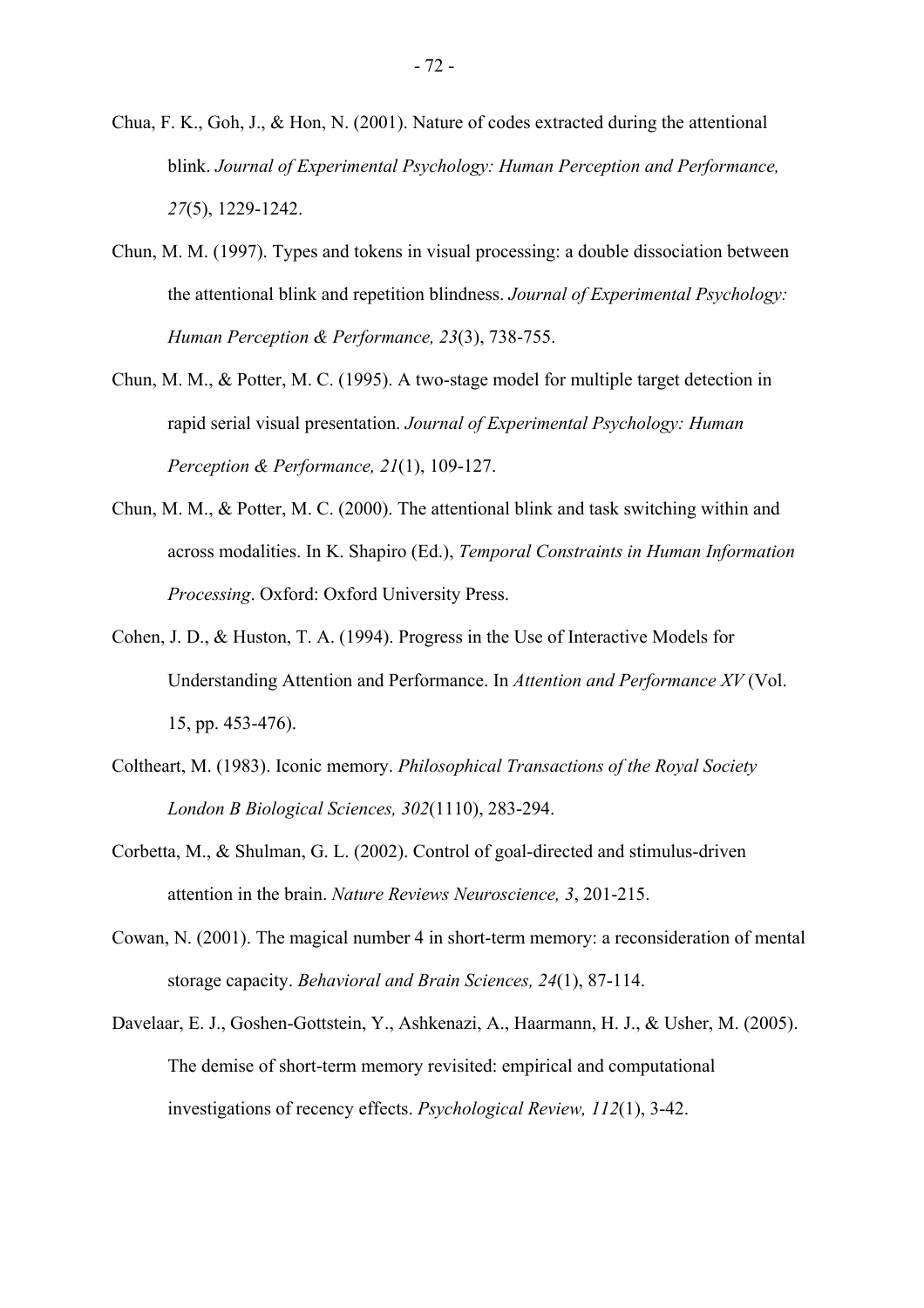- Chua, F. K., Goh, J., & Hon, N. (2001). Nature of codes extracted during the attentional blink. *Journal of Experimental Psychology: Human Perception and Performance, 27*(5), 1229-1242.
- Chun, M. M. (1997). Types and tokens in visual processing: a double dissociation between the attentional blink and repetition blindness. *Journal of Experimental Psychology: Human Perception & Performance, 23*(3), 738-755.
- Chun, M. M., & Potter, M. C. (1995). A two-stage model for multiple target detection in rapid serial visual presentation. *Journal of Experimental Psychology: Human Perception & Performance, 21*(1), 109-127.
- Chun, M. M., & Potter, M. C. (2000). The attentional blink and task switching within and across modalities. In K. Shapiro (Ed.), *Temporal Constraints in Human Information Processing*. Oxford: Oxford University Press.
- Cohen, J. D., & Huston, T. A. (1994). Progress in the Use of Interactive Models for Understanding Attention and Performance. In *Attention and Performance XV* (Vol. 15, pp. 453-476).
- Coltheart, M. (1983). Iconic memory. *Philosophical Transactions of the Royal Society London B Biological Sciences, 302*(1110), 283-294.
- Corbetta, M., & Shulman, G. L. (2002). Control of goal-directed and stimulus-driven attention in the brain. *Nature Reviews Neuroscience, 3*, 201-215.
- Cowan, N. (2001). The magical number 4 in short-term memory: a reconsideration of mental storage capacity. *Behavioral and Brain Sciences, 24*(1), 87-114.
- Davelaar, E. J., Goshen-Gottstein, Y., Ashkenazi, A., Haarmann, H. J., & Usher, M. (2005). The demise of short-term memory revisited: empirical and computational investigations of recency effects. *Psychological Review, 112*(1), 3-42.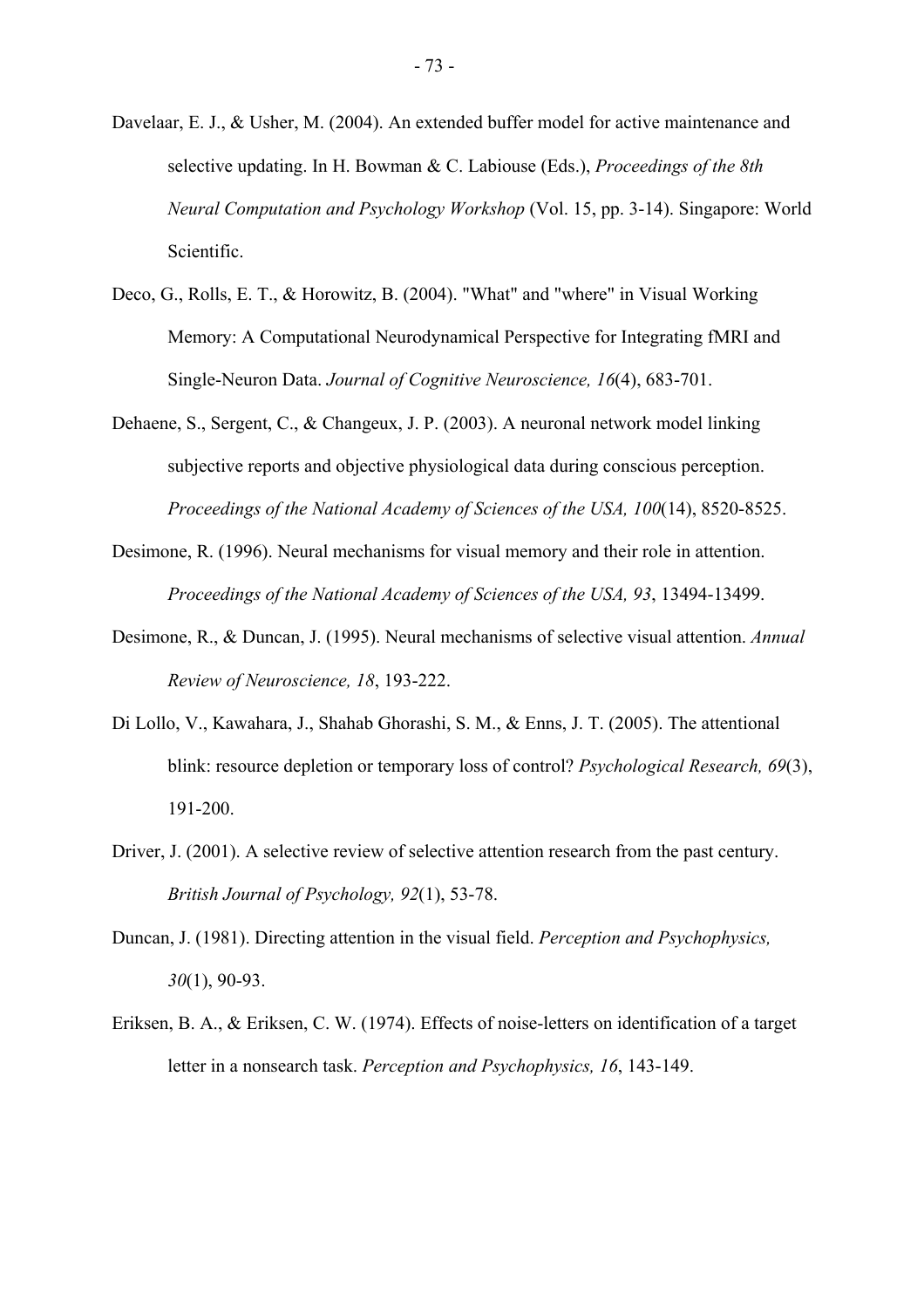- Davelaar, E. J., & Usher, M. (2004). An extended buffer model for active maintenance and selective updating. In H. Bowman & C. Labiouse (Eds.), *Proceedings of the 8th Neural Computation and Psychology Workshop* (Vol. 15, pp. 3-14). Singapore: World Scientific.
- Deco, G., Rolls, E. T., & Horowitz, B. (2004). "What" and "where" in Visual Working Memory: A Computational Neurodynamical Perspective for Integrating fMRI and Single-Neuron Data. *Journal of Cognitive Neuroscience, 16*(4), 683-701.
- Dehaene, S., Sergent, C., & Changeux, J. P. (2003). A neuronal network model linking subjective reports and objective physiological data during conscious perception. *Proceedings of the National Academy of Sciences of the USA, 100*(14), 8520-8525.
- Desimone, R. (1996). Neural mechanisms for visual memory and their role in attention. *Proceedings of the National Academy of Sciences of the USA, 93*, 13494-13499.
- Desimone, R., & Duncan, J. (1995). Neural mechanisms of selective visual attention. *Annual Review of Neuroscience, 18*, 193-222.
- Di Lollo, V., Kawahara, J., Shahab Ghorashi, S. M., & Enns, J. T. (2005). The attentional blink: resource depletion or temporary loss of control? *Psychological Research, 69*(3), 191-200.
- Driver, J. (2001). A selective review of selective attention research from the past century. *British Journal of Psychology, 92*(1), 53-78.
- Duncan, J. (1981). Directing attention in the visual field. *Perception and Psychophysics, 30*(1), 90-93.
- Eriksen, B. A., & Eriksen, C. W. (1974). Effects of noise-letters on identification of a target letter in a nonsearch task. *Perception and Psychophysics, 16*, 143-149.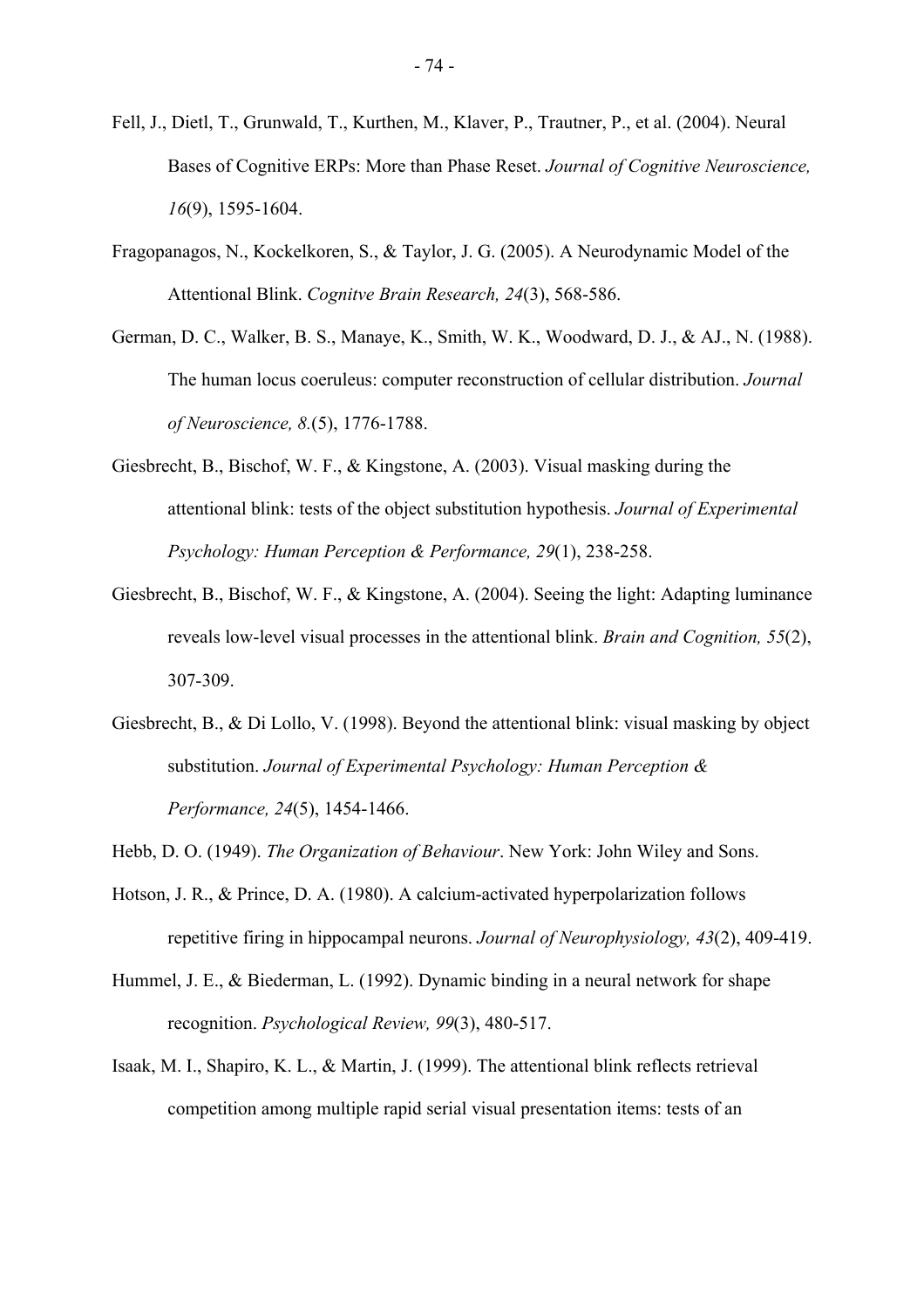- Fell, J., Dietl, T., Grunwald, T., Kurthen, M., Klaver, P., Trautner, P., et al. (2004). Neural Bases of Cognitive ERPs: More than Phase Reset. *Journal of Cognitive Neuroscience, 16*(9), 1595-1604.
- Fragopanagos, N., Kockelkoren, S., & Taylor, J. G. (2005). A Neurodynamic Model of the Attentional Blink. *Cognitve Brain Research, 24*(3), 568-586.
- German, D. C., Walker, B. S., Manaye, K., Smith, W. K., Woodward, D. J., & AJ., N. (1988). The human locus coeruleus: computer reconstruction of cellular distribution. *Journal of Neuroscience, 8.*(5), 1776-1788.
- Giesbrecht, B., Bischof, W. F., & Kingstone, A. (2003). Visual masking during the attentional blink: tests of the object substitution hypothesis. *Journal of Experimental Psychology: Human Perception & Performance, 29*(1), 238-258.
- Giesbrecht, B., Bischof, W. F., & Kingstone, A. (2004). Seeing the light: Adapting luminance reveals low-level visual processes in the attentional blink. *Brain and Cognition, 55*(2), 307-309.
- Giesbrecht, B., & Di Lollo, V. (1998). Beyond the attentional blink: visual masking by object substitution. *Journal of Experimental Psychology: Human Perception & Performance, 24*(5), 1454-1466.
- Hebb, D. O. (1949). *The Organization of Behaviour*. New York: John Wiley and Sons.
- Hotson, J. R., & Prince, D. A. (1980). A calcium-activated hyperpolarization follows repetitive firing in hippocampal neurons. *Journal of Neurophysiology, 43*(2), 409-419.
- Hummel, J. E., & Biederman, L. (1992). Dynamic binding in a neural network for shape recognition. *Psychological Review, 99*(3), 480-517.
- Isaak, M. I., Shapiro, K. L., & Martin, J. (1999). The attentional blink reflects retrieval competition among multiple rapid serial visual presentation items: tests of an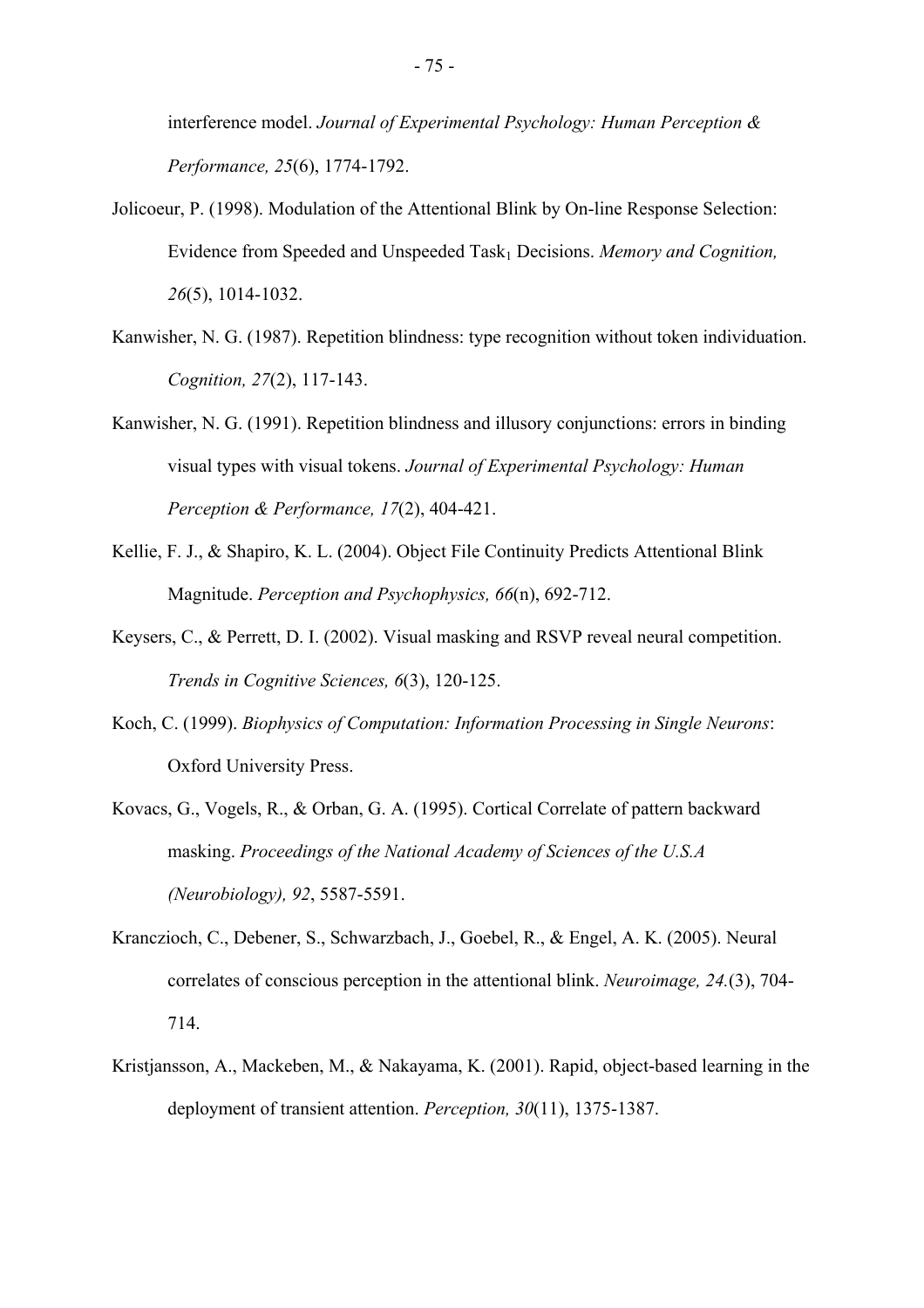interference model. *Journal of Experimental Psychology: Human Perception & Performance, 25*(6), 1774-1792.

- Jolicoeur, P. (1998). Modulation of the Attentional Blink by On-line Response Selection: Evidence from Speeded and Unspeeded Task<sub>1</sub> Decisions. *Memory and Cognition*, *26*(5), 1014-1032.
- Kanwisher, N. G. (1987). Repetition blindness: type recognition without token individuation. *Cognition, 27*(2), 117-143.
- Kanwisher, N. G. (1991). Repetition blindness and illusory conjunctions: errors in binding visual types with visual tokens. *Journal of Experimental Psychology: Human Perception & Performance, 17*(2), 404-421.
- Kellie, F. J., & Shapiro, K. L. (2004). Object File Continuity Predicts Attentional Blink Magnitude. *Perception and Psychophysics, 66*(n), 692-712.
- Keysers, C., & Perrett, D. I. (2002). Visual masking and RSVP reveal neural competition. *Trends in Cognitive Sciences, 6*(3), 120-125.
- Koch, C. (1999). *Biophysics of Computation: Information Processing in Single Neurons*: Oxford University Press.
- Kovacs, G., Vogels, R., & Orban, G. A. (1995). Cortical Correlate of pattern backward masking. *Proceedings of the National Academy of Sciences of the U.S.A (Neurobiology), 92*, 5587-5591.
- Kranczioch, C., Debener, S., Schwarzbach, J., Goebel, R., & Engel, A. K. (2005). Neural correlates of conscious perception in the attentional blink. *Neuroimage, 24.*(3), 704- 714.
- Kristjansson, A., Mackeben, M., & Nakayama, K. (2001). Rapid, object-based learning in the deployment of transient attention. *Perception, 30*(11), 1375-1387.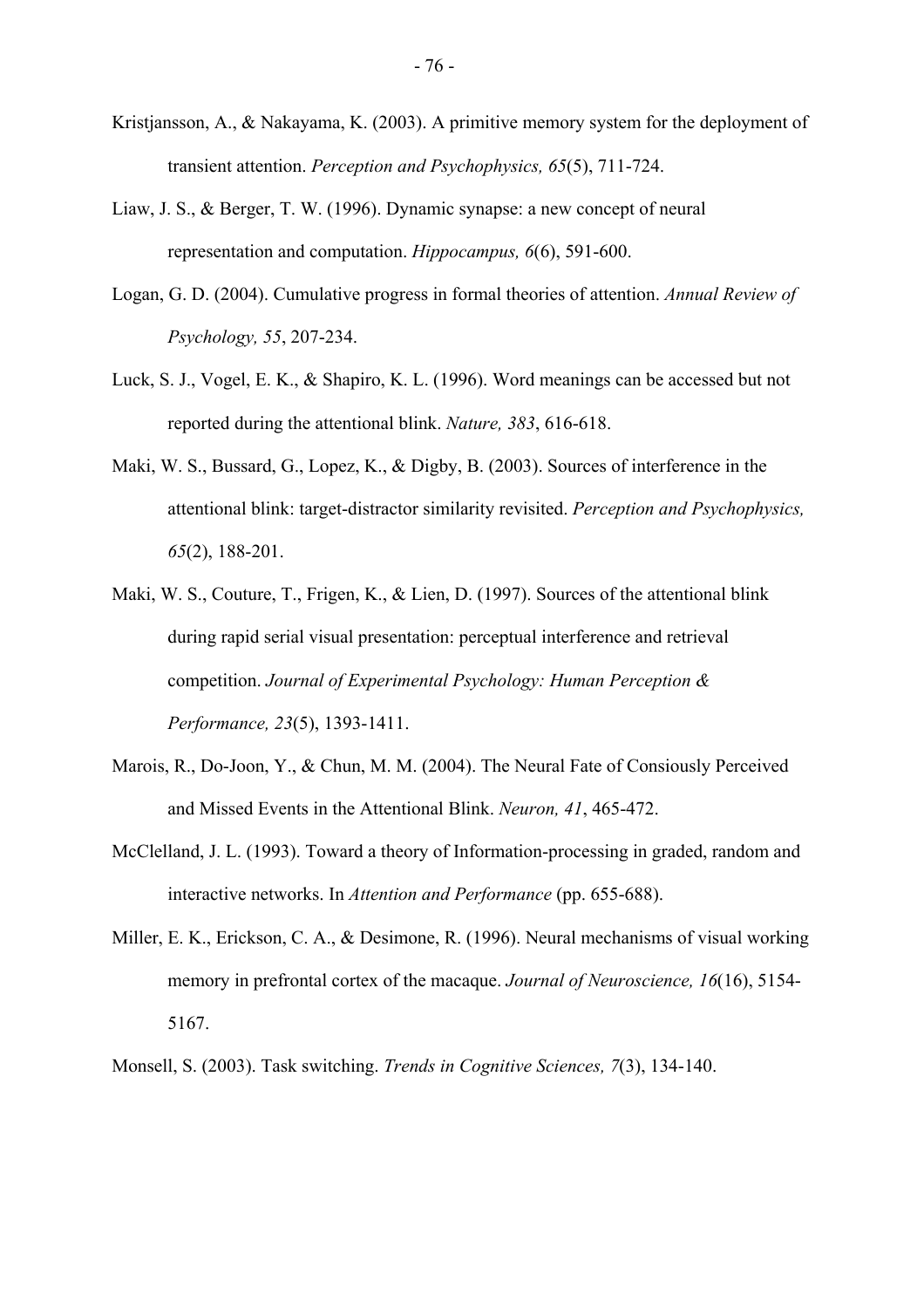- Kristjansson, A., & Nakayama, K. (2003). A primitive memory system for the deployment of transient attention. *Perception and Psychophysics, 65*(5), 711-724.
- Liaw, J. S., & Berger, T. W. (1996). Dynamic synapse: a new concept of neural representation and computation. *Hippocampus, 6*(6), 591-600.
- Logan, G. D. (2004). Cumulative progress in formal theories of attention. *Annual Review of Psychology, 55*, 207-234.
- Luck, S. J., Vogel, E. K., & Shapiro, K. L. (1996). Word meanings can be accessed but not reported during the attentional blink. *Nature, 383*, 616-618.
- Maki, W. S., Bussard, G., Lopez, K., & Digby, B. (2003). Sources of interference in the attentional blink: target-distractor similarity revisited. *Perception and Psychophysics, 65*(2), 188-201.
- Maki, W. S., Couture, T., Frigen, K., & Lien, D. (1997). Sources of the attentional blink during rapid serial visual presentation: perceptual interference and retrieval competition. *Journal of Experimental Psychology: Human Perception & Performance, 23*(5), 1393-1411.
- Marois, R., Do-Joon, Y., & Chun, M. M. (2004). The Neural Fate of Consiously Perceived and Missed Events in the Attentional Blink. *Neuron, 41*, 465-472.
- McClelland, J. L. (1993). Toward a theory of Information-processing in graded, random and interactive networks. In *Attention and Performance* (pp. 655-688).
- Miller, E. K., Erickson, C. A., & Desimone, R. (1996). Neural mechanisms of visual working memory in prefrontal cortex of the macaque. *Journal of Neuroscience, 16*(16), 5154- 5167.
- Monsell, S. (2003). Task switching. *Trends in Cognitive Sciences, 7*(3), 134-140.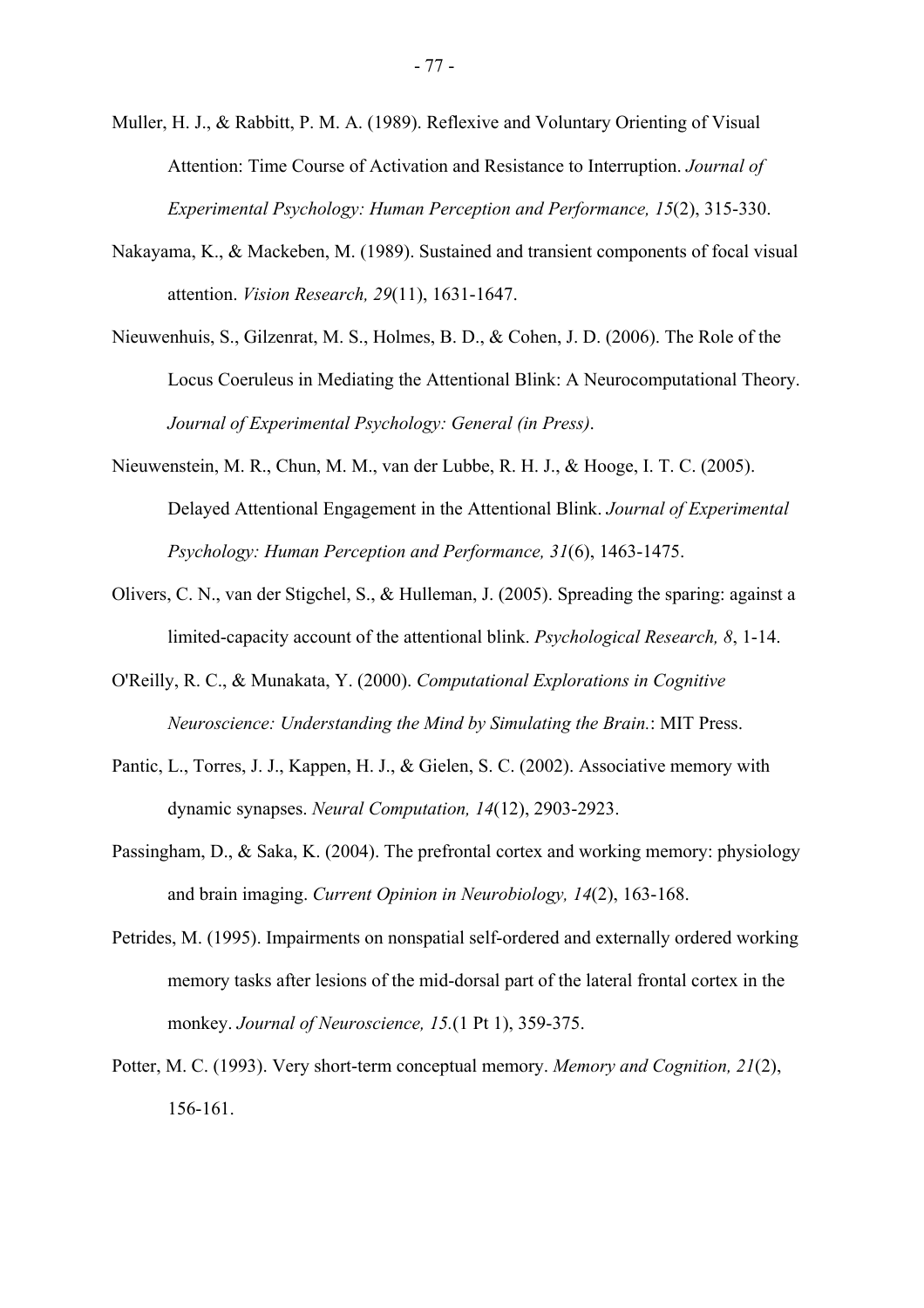Muller, H. J., & Rabbitt, P. M. A. (1989). Reflexive and Voluntary Orienting of Visual Attention: Time Course of Activation and Resistance to Interruption. *Journal of Experimental Psychology: Human Perception and Performance, 15*(2), 315-330.

- Nakayama, K., & Mackeben, M. (1989). Sustained and transient components of focal visual attention. *Vision Research, 29*(11), 1631-1647.
- Nieuwenhuis, S., Gilzenrat, M. S., Holmes, B. D., & Cohen, J. D. (2006). The Role of the Locus Coeruleus in Mediating the Attentional Blink: A Neurocomputational Theory. *Journal of Experimental Psychology: General (in Press)*.
- Nieuwenstein, M. R., Chun, M. M., van der Lubbe, R. H. J., & Hooge, I. T. C. (2005). Delayed Attentional Engagement in the Attentional Blink. *Journal of Experimental Psychology: Human Perception and Performance, 31*(6), 1463-1475.
- Olivers, C. N., van der Stigchel, S., & Hulleman, J. (2005). Spreading the sparing: against a limited-capacity account of the attentional blink. *Psychological Research, 8*, 1-14.
- O'Reilly, R. C., & Munakata, Y. (2000). *Computational Explorations in Cognitive Neuroscience: Understanding the Mind by Simulating the Brain.*: MIT Press.
- Pantic, L., Torres, J. J., Kappen, H. J., & Gielen, S. C. (2002). Associative memory with dynamic synapses. *Neural Computation, 14*(12), 2903-2923.
- Passingham, D., & Saka, K. (2004). The prefrontal cortex and working memory: physiology and brain imaging. *Current Opinion in Neurobiology, 14*(2), 163-168.
- Petrides, M. (1995). Impairments on nonspatial self-ordered and externally ordered working memory tasks after lesions of the mid-dorsal part of the lateral frontal cortex in the monkey. *Journal of Neuroscience, 15.*(1 Pt 1), 359-375.
- Potter, M. C. (1993). Very short-term conceptual memory. *Memory and Cognition, 21*(2), 156-161.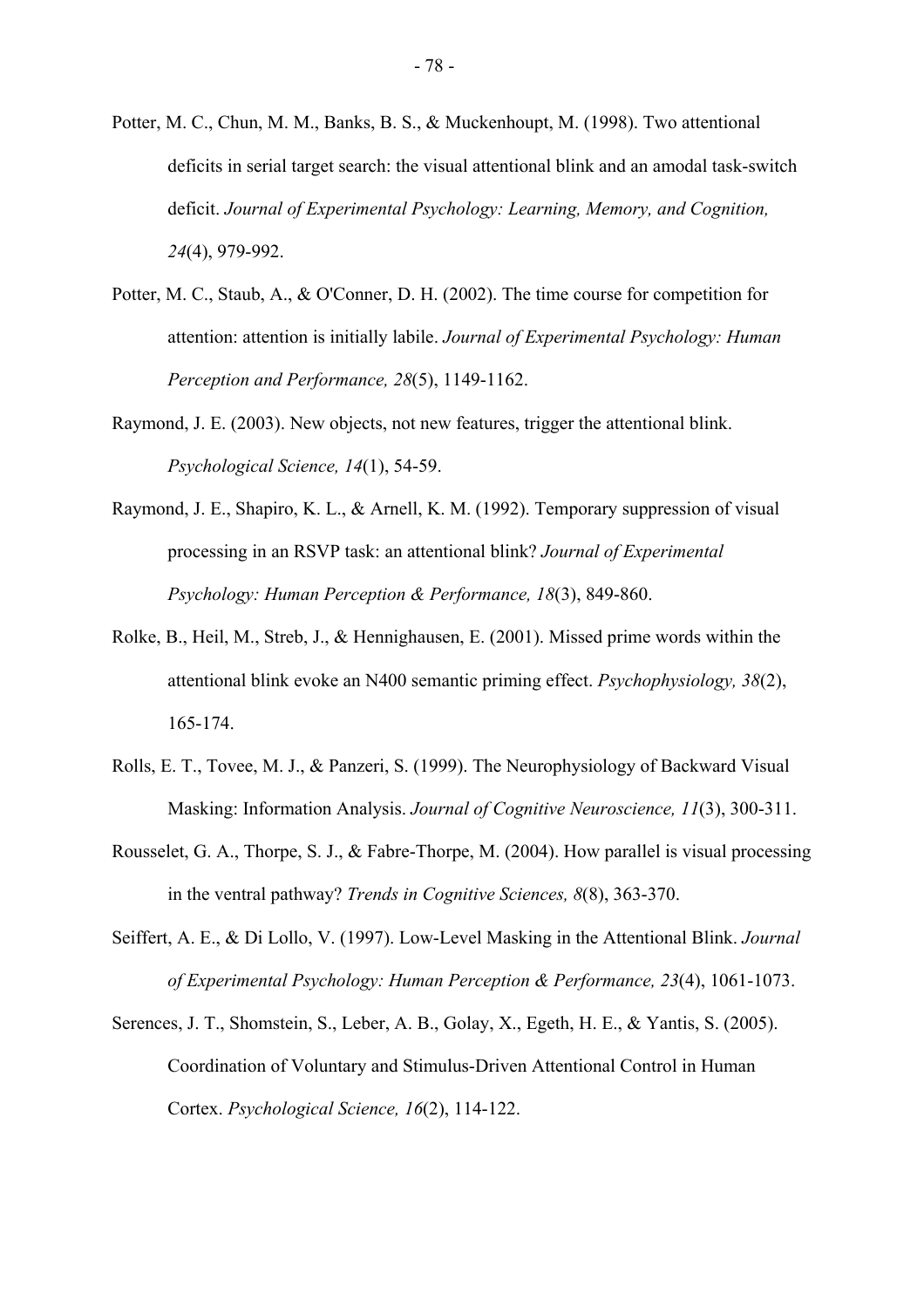Potter, M. C., Chun, M. M., Banks, B. S., & Muckenhoupt, M. (1998). Two attentional deficits in serial target search: the visual attentional blink and an amodal task-switch deficit. *Journal of Experimental Psychology: Learning, Memory, and Cognition, 24*(4), 979-992.

- Potter, M. C., Staub, A., & O'Conner, D. H. (2002). The time course for competition for attention: attention is initially labile. *Journal of Experimental Psychology: Human Perception and Performance, 28*(5), 1149-1162.
- Raymond, J. E. (2003). New objects, not new features, trigger the attentional blink. *Psychological Science, 14*(1), 54-59.
- Raymond, J. E., Shapiro, K. L., & Arnell, K. M. (1992). Temporary suppression of visual processing in an RSVP task: an attentional blink? *Journal of Experimental Psychology: Human Perception & Performance, 18*(3), 849-860.
- Rolke, B., Heil, M., Streb, J., & Hennighausen, E. (2001). Missed prime words within the attentional blink evoke an N400 semantic priming effect. *Psychophysiology, 38*(2), 165-174.
- Rolls, E. T., Tovee, M. J., & Panzeri, S. (1999). The Neurophysiology of Backward Visual Masking: Information Analysis. *Journal of Cognitive Neuroscience, 11*(3), 300-311.
- Rousselet, G. A., Thorpe, S. J., & Fabre-Thorpe, M. (2004). How parallel is visual processing in the ventral pathway? *Trends in Cognitive Sciences, 8*(8), 363-370.
- Seiffert, A. E., & Di Lollo, V. (1997). Low-Level Masking in the Attentional Blink. *Journal of Experimental Psychology: Human Perception & Performance, 23*(4), 1061-1073.
- Serences, J. T., Shomstein, S., Leber, A. B., Golay, X., Egeth, H. E., & Yantis, S. (2005). Coordination of Voluntary and Stimulus-Driven Attentional Control in Human Cortex. *Psychological Science, 16*(2), 114-122.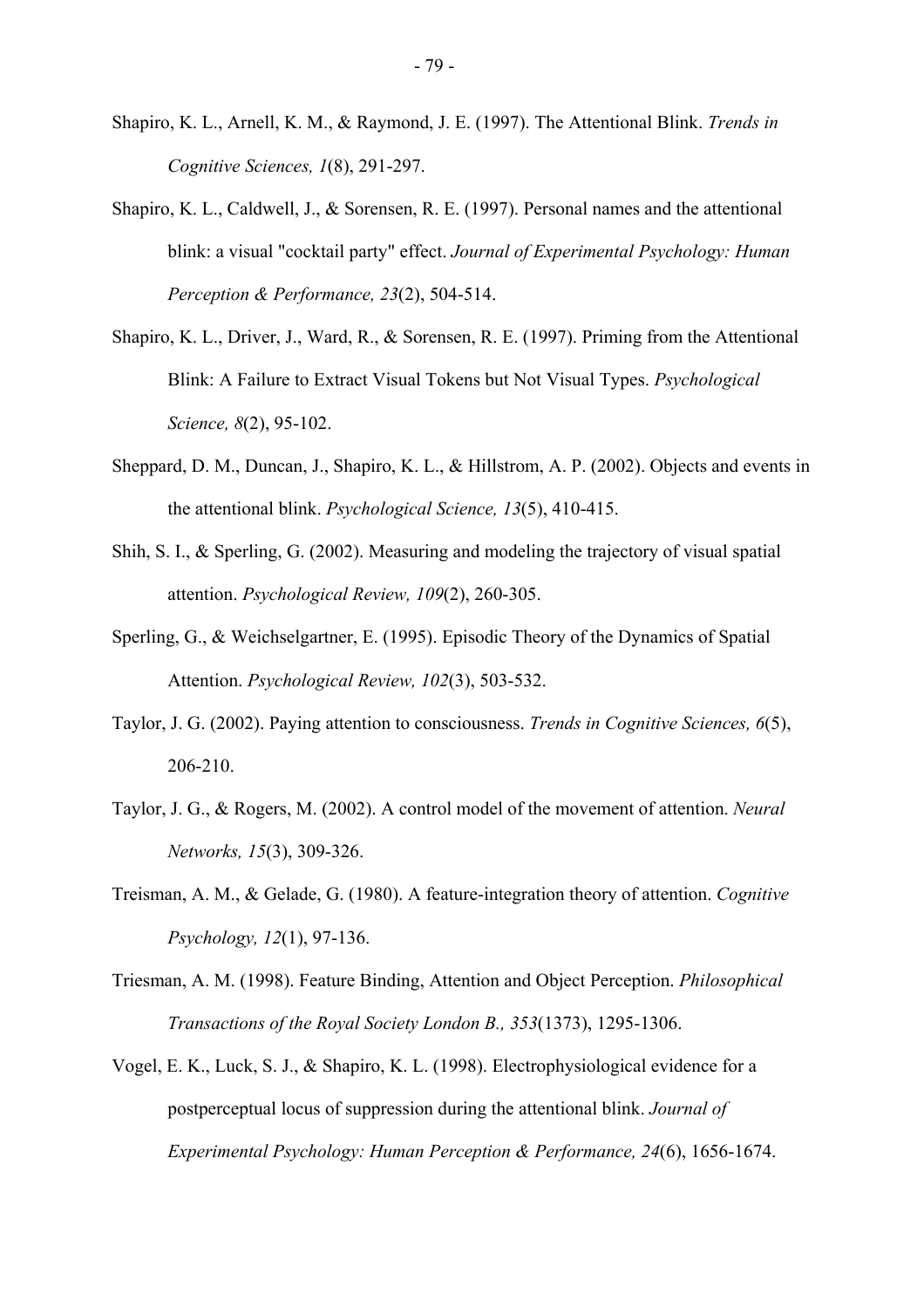- Shapiro, K. L., Arnell, K. M., & Raymond, J. E. (1997). The Attentional Blink. *Trends in Cognitive Sciences, 1*(8), 291-297.
- Shapiro, K. L., Caldwell, J., & Sorensen, R. E. (1997). Personal names and the attentional blink: a visual "cocktail party" effect. *Journal of Experimental Psychology: Human Perception & Performance, 23*(2), 504-514.
- Shapiro, K. L., Driver, J., Ward, R., & Sorensen, R. E. (1997). Priming from the Attentional Blink: A Failure to Extract Visual Tokens but Not Visual Types. *Psychological Science, 8*(2), 95-102.
- Sheppard, D. M., Duncan, J., Shapiro, K. L., & Hillstrom, A. P. (2002). Objects and events in the attentional blink. *Psychological Science, 13*(5), 410-415.
- Shih, S. I., & Sperling, G. (2002). Measuring and modeling the trajectory of visual spatial attention. *Psychological Review, 109*(2), 260-305.
- Sperling, G., & Weichselgartner, E. (1995). Episodic Theory of the Dynamics of Spatial Attention. *Psychological Review, 102*(3), 503-532.
- Taylor, J. G. (2002). Paying attention to consciousness. *Trends in Cognitive Sciences, 6*(5), 206-210.
- Taylor, J. G., & Rogers, M. (2002). A control model of the movement of attention. *Neural Networks, 15*(3), 309-326.
- Treisman, A. M., & Gelade, G. (1980). A feature-integration theory of attention. *Cognitive Psychology, 12*(1), 97-136.
- Triesman, A. M. (1998). Feature Binding, Attention and Object Perception. *Philosophical Transactions of the Royal Society London B., 353*(1373), 1295-1306.
- Vogel, E. K., Luck, S. J., & Shapiro, K. L. (1998). Electrophysiological evidence for a postperceptual locus of suppression during the attentional blink. *Journal of Experimental Psychology: Human Perception & Performance, 24*(6), 1656-1674.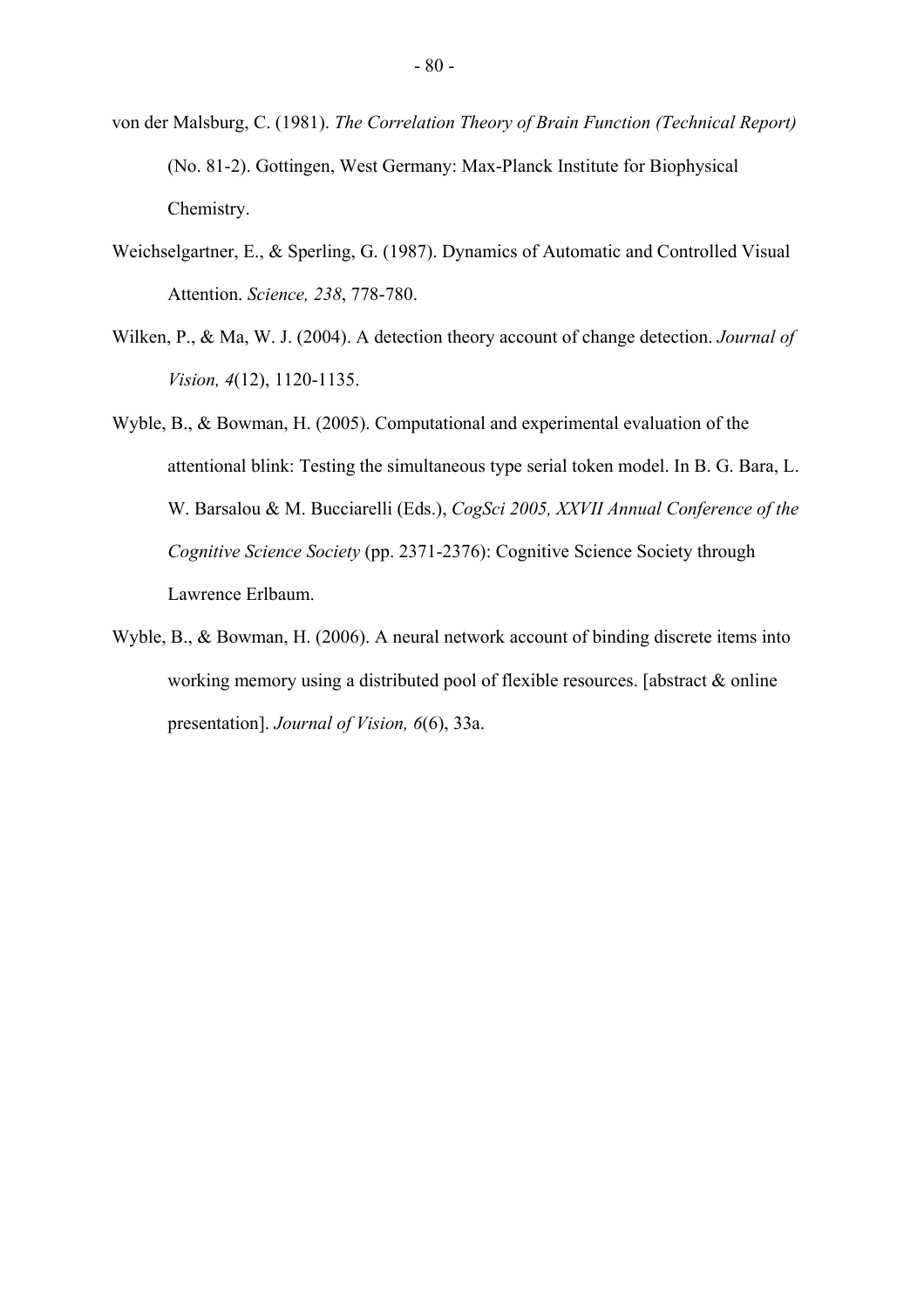- von der Malsburg, C. (1981). *The Correlation Theory of Brain Function (Technical Report)* (No. 81-2). Gottingen, West Germany: Max-Planck Institute for Biophysical Chemistry.
- Weichselgartner, E., & Sperling, G. (1987). Dynamics of Automatic and Controlled Visual Attention. *Science, 238*, 778-780.
- Wilken, P., & Ma, W. J. (2004). A detection theory account of change detection. *Journal of Vision, 4*(12), 1120-1135.
- Wyble, B., & Bowman, H. (2005). Computational and experimental evaluation of the attentional blink: Testing the simultaneous type serial token model. In B. G. Bara, L. W. Barsalou & M. Bucciarelli (Eds.), *CogSci 2005, XXVII Annual Conference of the Cognitive Science Society* (pp. 2371-2376): Cognitive Science Society through Lawrence Erlbaum.
- Wyble, B., & Bowman, H. (2006). A neural network account of binding discrete items into working memory using a distributed pool of flexible resources. [abstract & online presentation]. *Journal of Vision, 6*(6), 33a.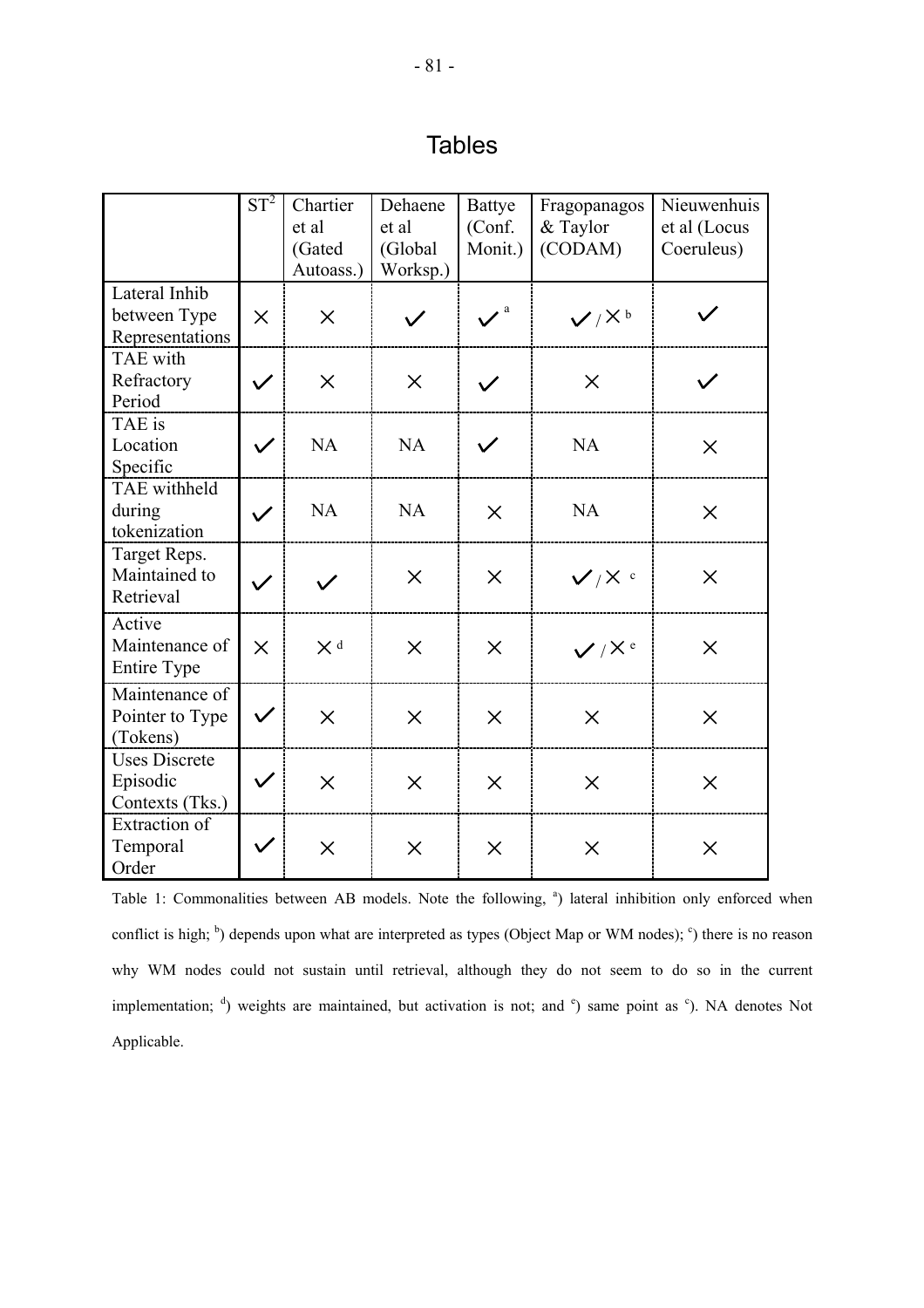# Tables

<span id="page-81-0"></span>

|                                                     | $ST^2$       | Chartier<br>et al<br>(Gated<br>Autoass.) | Dehaene<br>et al<br>(Global<br>Worksp.) | <b>Battye</b><br>(Conf.<br>Monit.) | Fragopanagos<br>$&$ Taylor<br>(CODAM) | Nieuwenhuis<br>et al (Locus<br>Coeruleus) |
|-----------------------------------------------------|--------------|------------------------------------------|-----------------------------------------|------------------------------------|---------------------------------------|-------------------------------------------|
| Lateral Inhib<br>between Type<br>Representations    | $\times$     | $\times$                                 |                                         |                                    | $V/X^b$                               |                                           |
| TAE with<br>Refractory<br>Period                    | $\checkmark$ | $\times$                                 | $\times$                                |                                    | $\times$                              | ✓                                         |
| TAE is<br>Location<br>Specific                      | $\checkmark$ | <b>NA</b>                                | NA                                      |                                    | <b>NA</b>                             | $\times$                                  |
| TAE withheld<br>during<br>tokenization              | $\checkmark$ | <b>NA</b>                                | <b>NA</b>                               | $\times$                           | <b>NA</b>                             | $\times$                                  |
| Target Reps.<br>Maintained to<br>Retrieval          | $\checkmark$ |                                          | $\times$                                | $\times$                           | V/X                                   | $\times$                                  |
| Active<br>Maintenance of<br>Entire Type             | $\times$     | $\times$ d                               | $\times$                                | $\times$                           | $V/X$ <sup>e</sup>                    | $\times$                                  |
| Maintenance of<br>Pointer to Type<br>(Tokens)       | $\checkmark$ | $\times$                                 | $\times$                                | $\times$                           | $\times$                              | $\times$                                  |
| <b>Uses Discrete</b><br>Episodic<br>Contexts (Tks.) | $\checkmark$ | $\times$                                 | $\times$                                | $\times$                           | $\times$                              | $\times$                                  |
| <b>Extraction of</b><br>Temporal<br>Order           | $\checkmark$ | $\times$                                 | $\times$                                | X                                  | $\times$                              | $\times$                                  |

Table 1: Commonalities between AB models. Note the following, <sup>a</sup>) lateral inhibition only enforced when conflict is high;  $\binom{b}{b}$  depends upon what are interpreted as types (Object Map or WM nodes);  $\binom{c}{b}$  there is no reason why WM nodes could not sustain until retrieval, although they do not seem to do so in the current implementation;  $\phi$ ) weights are maintained, but activation is not; and  $\phi$ ) same point as  $\phi$ ). NA denotes Not Applicable.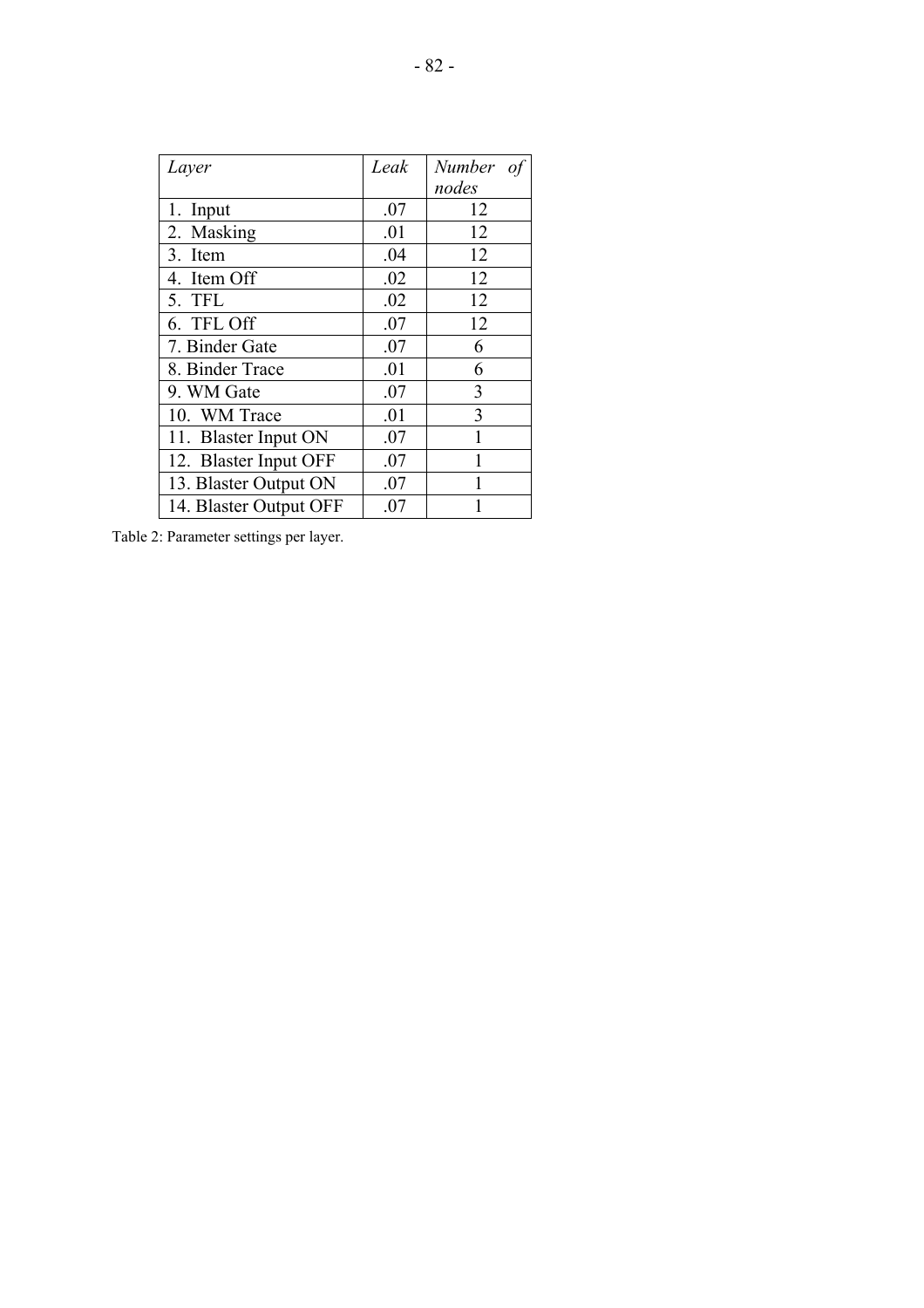| Layer                  | Leak | <b>Number</b><br>of |
|------------------------|------|---------------------|
|                        |      | nodes               |
| 1. Input               | .07  | 12                  |
| 2. Masking             | .01  | 12                  |
| 3. Item                | .04  | 12                  |
| 4. Item Off            | .02  | 12                  |
| 5. TFL                 | .02  | 12                  |
| 6. TFL Off             | .07  | 12                  |
| 7. Binder Gate         | .07  | 6                   |
| 8. Binder Trace        | .01  | 6                   |
| 9. WM Gate             | .07  | 3                   |
| 10. WM Trace           | .01  | 3                   |
| 11. Blaster Input ON   | .07  | 1                   |
| 12. Blaster Input OFF  | .07  |                     |
| 13. Blaster Output ON  | .07  |                     |
| 14. Blaster Output OFF | .07  |                     |

<span id="page-82-0"></span>Table 2: Parameter settings per layer.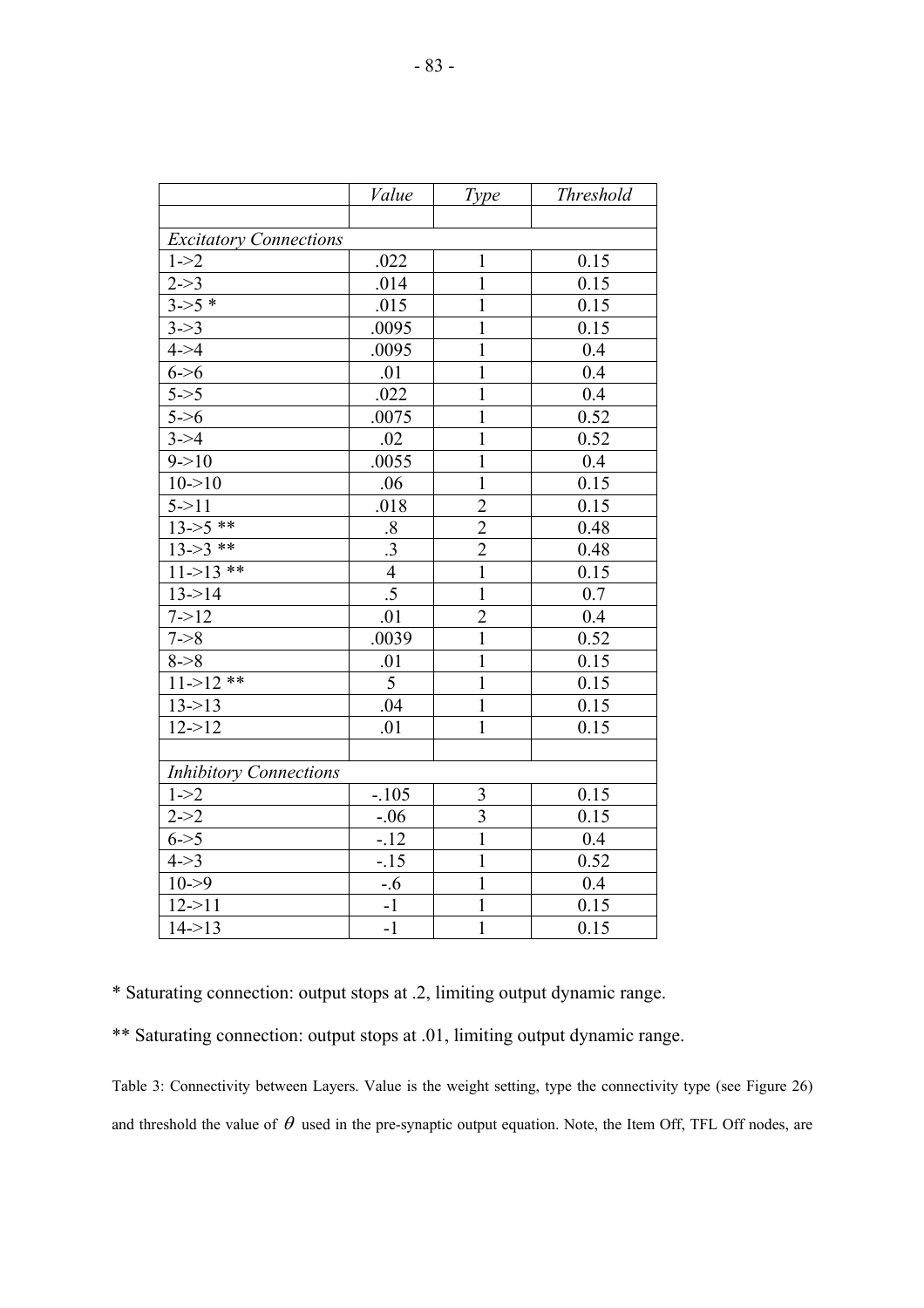|                               | Value           | Type                    | Threshold        |
|-------------------------------|-----------------|-------------------------|------------------|
|                               |                 |                         |                  |
| <b>Excitatory Connections</b> |                 |                         |                  |
| $1 - 2$                       | .022            | $\mathbf{1}$            | 0.15             |
| $2 - > 3$                     | .014            | $\overline{1}$          | 0.15             |
| $3 - 5$ *                     | .015            | $\mathbf{1}$            | 0.15             |
| $3 - > 3$                     | .0095           | $\overline{1}$          | 0.15             |
| $4 - > 4$                     | .0095           | $\overline{1}$          | 0.4              |
| $6 - 56$                      | .01             | $\overline{1}$          | $\overline{0.4}$ |
| $5 - > 5$                     | .022            | $\overline{1}$          | 0.4              |
| $\overline{5}$ ->6            | .0075           | $\overline{1}$          | 0.52             |
| $3 - > 4$                     | .02             | $\mathbf{1}$            | 0.52             |
| $9 - > 10$                    | .0055           | $\mathbf{1}$            | 0.4              |
| $10-10$                       | .06             | $\overline{1}$          | 0.15             |
| $5 - 11$                      | .018            |                         | 0.15             |
| $13 - 5$ **                   | $.8\,$          | $\frac{2}{2}$           | 0.48             |
| $13 - 3$ **                   | $\overline{.3}$ | $\overline{2}$          | 0.48             |
| $11 - > 13$ **                | $\overline{4}$  | $\overline{1}$          | 0.15             |
| $13 - 14$                     | $\overline{.5}$ | $\overline{1}$          | $\overline{0.7}$ |
| $7 - 12$                      | .01             | $\overline{2}$          | 0.4              |
| $7 - > 8$                     | .0039           | $\overline{1}$          | 0.52             |
| $8 - 8$                       | .01             | $\overline{1}$          | 0.15             |
| $11 - 12$ **                  | $\overline{5}$  | $\mathbf{1}$            | 0.15             |
| $13 - 13$                     | .04             | $\overline{1}$          | 0.15             |
| $12 - 12$                     | .01             | $\mathbf{1}$            | 0.15             |
|                               |                 |                         |                  |
| <b>Inhibitory Connections</b> |                 |                         |                  |
| $1 - > 2$                     | $-.105$         | $\overline{\mathbf{3}}$ | 0.15             |
| $2 - > 2$                     | $-.06$          | $\overline{\mathbf{3}}$ | 0.15             |
| $6 - > 5$                     | $-.12$          | $\overline{1}$          | 0.4              |
| $4 - > 3$                     | $-15$           | $\overline{1}$          | 0.52             |
| $10 - 9$                      | $-.6$           | $\overline{1}$          | 0.4              |
| $12 - 11$                     | $-1$            | $\mathbf{1}$            | 0.15             |
| $14 - 13$                     | $-1$            | $\mathbf{1}$            | 0.15             |

\* Saturating connection: output stops at .2, limiting output dynamic range.

\*\* Saturating connection: output stops at .01, limiting output dynamic range.

Table 3: Connectivity between Layers. Value is the weight setting, type the connectivity type (see Figure 26) and threshold the value of  $\theta$  used in the pre-synaptic output equation. Note, the Item Off, TFL Off nodes, are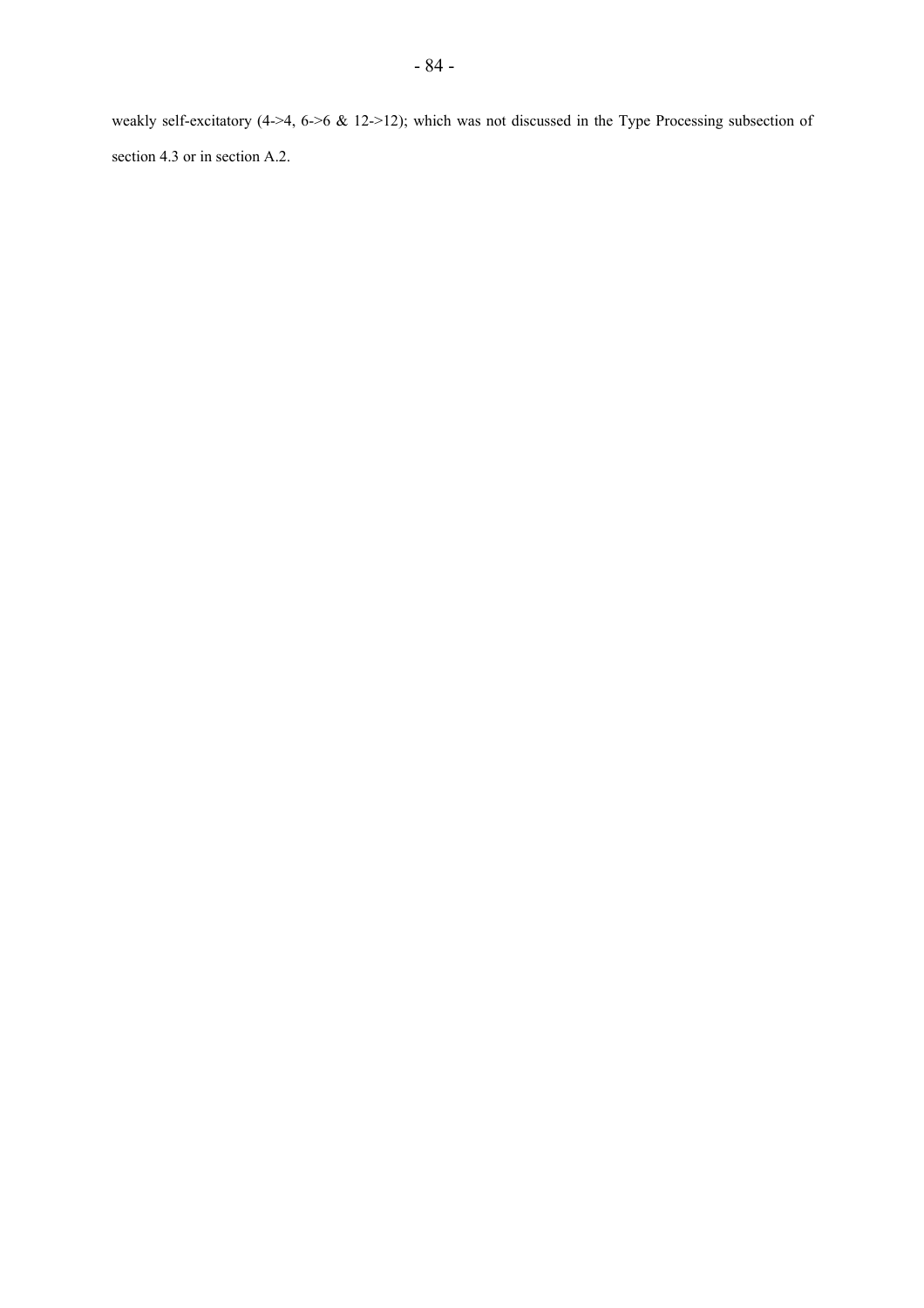<span id="page-84-0"></span>weakly self-excitatory (4->4, 6->6 & 12->12); which was not discussed in the Type Processing subsection of section [4.3](#page-26-0) or in section [A.2.](#page-84-0)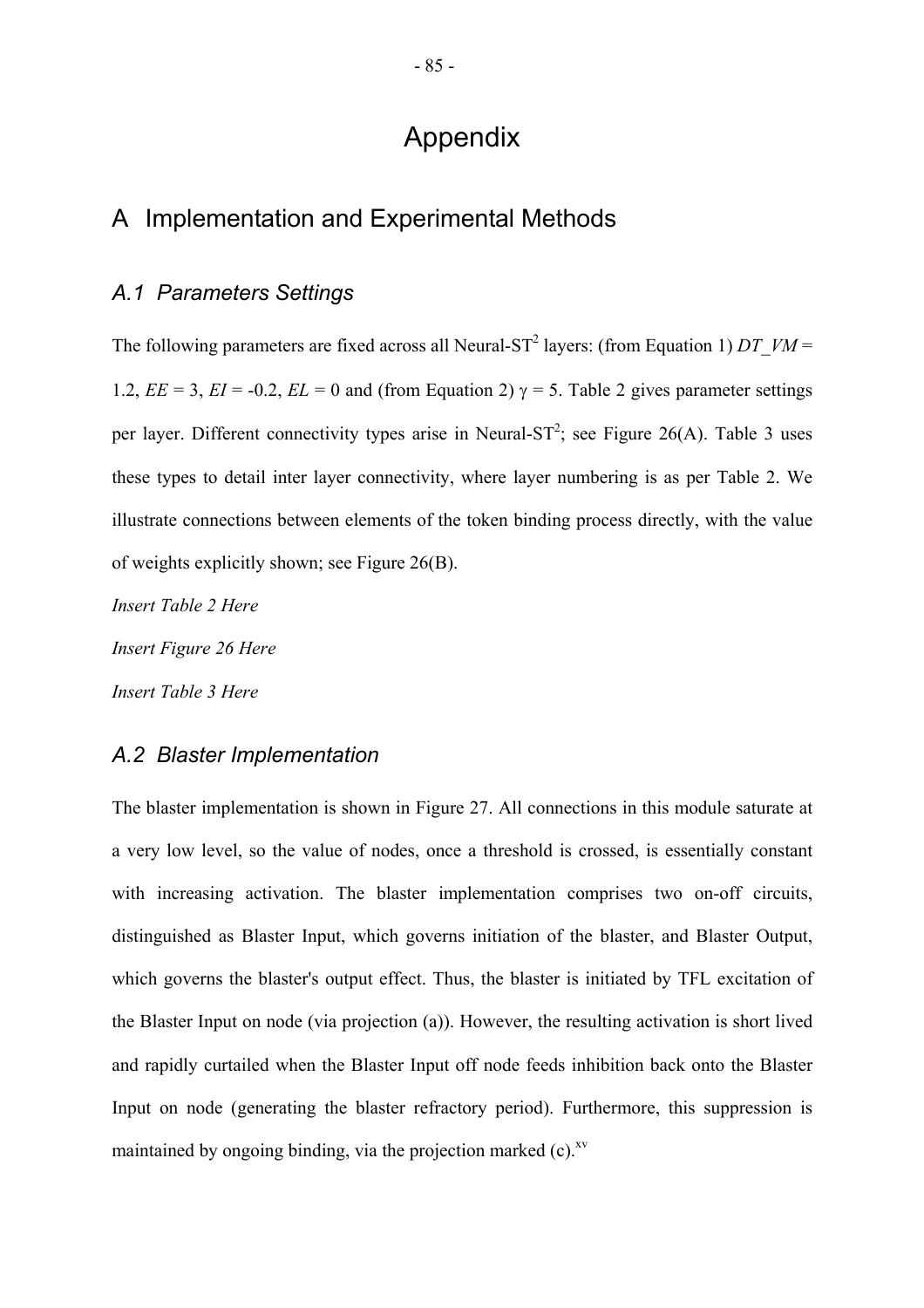# Appendix

# A Implementation and Experimental Methods

## *A.1 Parameters Settings*

The following parameters are fixed across all Neural-ST<sup>2</sup> layers: (from [Equation 1\)](#page-22-0)  $DT\_VM =$ 1.2,  $EE = 3$ ,  $EI = -0.2$ ,  $EL = 0$  and (from [Equation 2\)](#page-23-0)  $\gamma = 5$ . [Table 2](#page-81-0) gives parameter settings per layer. Different connectivity types arise in Neural-ST<sup>2</sup>; see Figure 26(A). [Table 3](#page-82-0) uses these types to detail inter layer connectivity, where layer numbering is as per [Table 2.](#page-81-0) We illustrate connections between elements of the token binding process directly, with the value of weights explicitly shown; see Figure 26(B).

*Insert Table 2 Here Insert Figure 26 Here Insert Table 3 Here* 

## *A.2 Blaster Implementation*

The blaster implementation is shown in Figure 27. All connections in this module saturate at a very low level, so the value of nodes, once a threshold is crossed, is essentially constant with increasing activation. The blaster implementation comprises two on-off circuits, distinguished as Blaster Input, which governs initiation of the blaster, and Blaster Output, which governs the blaster's output effect. Thus, the blaster is initiated by TFL excitation of the Blaster Input on node (via projection (a)). However, the resulting activation is short lived and rapidly curtailed when the Blaster Input off node feeds inhibition back onto the Blaster Input on node (generating the blaster refractory period). Furthermore, this suppression is maintained by ongoing binding, via the projection marked  $(c)$ .<sup>[xv](#page-94-0)</sup>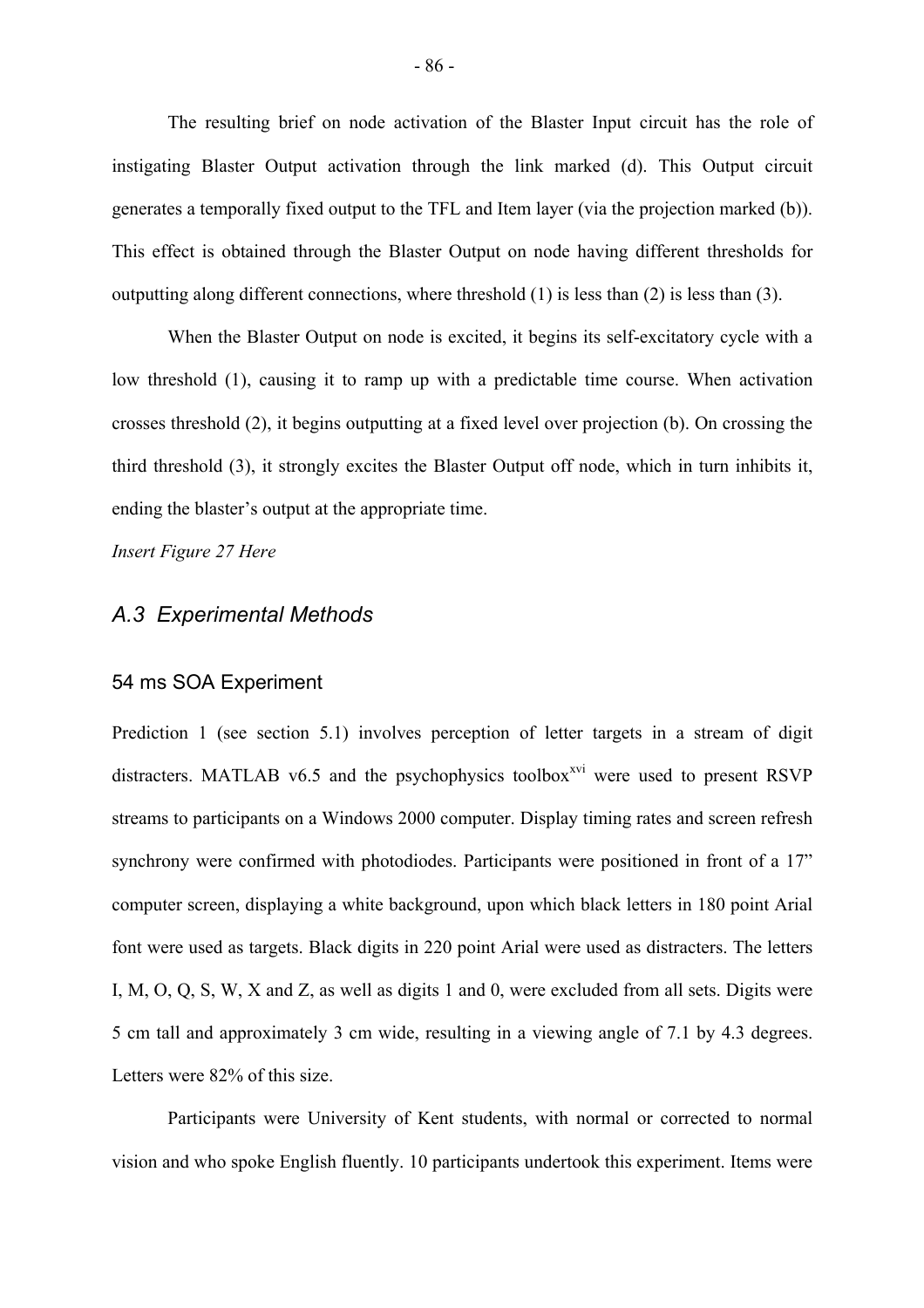The resulting brief on node activation of the Blaster Input circuit has the role of instigating Blaster Output activation through the link marked (d). This Output circuit generates a temporally fixed output to the TFL and Item layer (via the projection marked (b)). This effect is obtained through the Blaster Output on node having different thresholds for outputting along different connections, where threshold (1) is less than (2) is less than (3).

When the Blaster Output on node is excited, it begins its self-excitatory cycle with a low threshold (1), causing it to ramp up with a predictable time course. When activation crosses threshold (2), it begins outputting at a fixed level over projection (b). On crossing the third threshold (3), it strongly excites the Blaster Output off node, which in turn inhibits it, ending the blaster's output at the appropriate time.

*Insert Figure 27 Here* 

### *A.3 Experimental Methods*

#### 54 ms SOA Experiment

Prediction 1 (see section [5.1\)](#page-40-0) involves perception of letter targets in a stream of digit distracters. MATLAB v6.5 and the psychophysics toolbox<sup>[xvi](#page-94-1)</sup> were used to present RSVP streams to participants on a Windows 2000 computer. Display timing rates and screen refresh synchrony were confirmed with photodiodes. Participants were positioned in front of a 17<sup>n</sup> computer screen, displaying a white background, upon which black letters in 180 point Arial font were used as targets. Black digits in 220 point Arial were used as distracters. The letters I, M, O, Q, S, W, X and Z, as well as digits 1 and 0, were excluded from all sets. Digits were 5 cm tall and approximately 3 cm wide, resulting in a viewing angle of 7.1 by 4.3 degrees. Letters were 82% of this size.

 Participants were University of Kent students, with normal or corrected to normal vision and who spoke English fluently. 10 participants undertook this experiment. Items were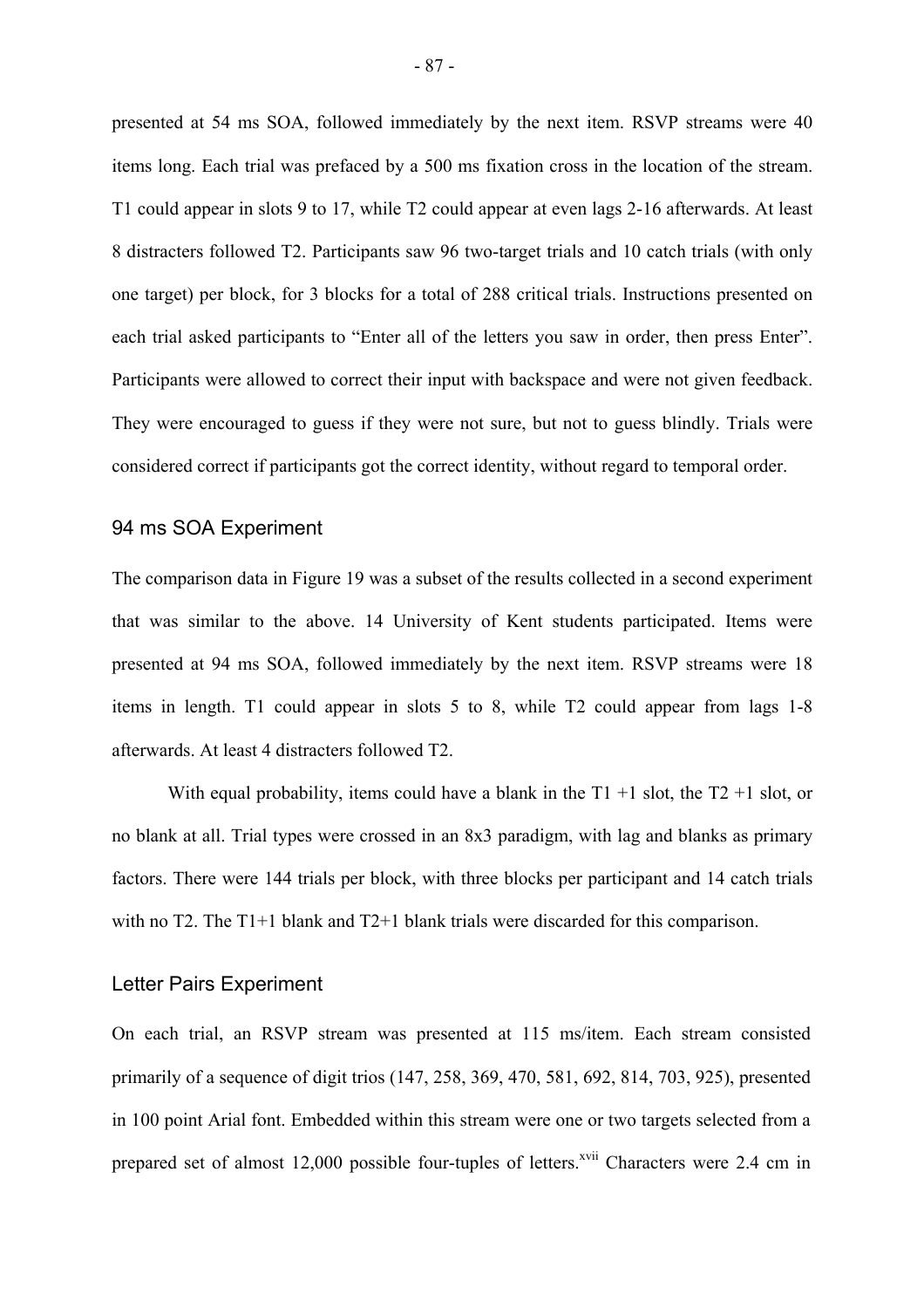presented at 54 ms SOA, followed immediately by the next item. RSVP streams were 40 items long. Each trial was prefaced by a 500 ms fixation cross in the location of the stream. T1 could appear in slots 9 to 17, while T2 could appear at even lags 2-16 afterwards. At least 8 distracters followed T2. Participants saw 96 two-target trials and 10 catch trials (with only one target) per block, for 3 blocks for a total of 288 critical trials. Instructions presented on each trial asked participants to "Enter all of the letters you saw in order, then press Enter". Participants were allowed to correct their input with backspace and were not given feedback. They were encouraged to guess if they were not sure, but not to guess blindly. Trials were considered correct if participants got the correct identity, without regard to temporal order.

#### 94 ms SOA Experiment

The comparison data in Figure 19 was a subset of the results collected in a second experiment that was similar to the above. 14 University of Kent students participated. Items were presented at 94 ms SOA, followed immediately by the next item. RSVP streams were 18 items in length. T1 could appear in slots 5 to 8, while T2 could appear from lags 1-8 afterwards. At least 4 distracters followed T2.

With equal probability, items could have a blank in the  $T1 + 1$  slot, the  $T2 + 1$  slot, or no blank at all. Trial types were crossed in an 8x3 paradigm, with lag and blanks as primary factors. There were 144 trials per block, with three blocks per participant and 14 catch trials with no T2. The T1+1 blank and T2+1 blank trials were discarded for this comparison.

#### Letter Pairs Experiment

On each trial, an RSVP stream was presented at 115 ms/item. Each stream consisted primarily of a sequence of digit trios (147, 258, 369, 470, 581, 692, 814, 703, 925), presented in 100 point Arial font. Embedded within this stream were one or two targets selected from a prepared set of almost  $12,000$  possible four-tuples of letters.<sup>[xvii](#page-94-2)</sup> Characters were  $2.4$  cm in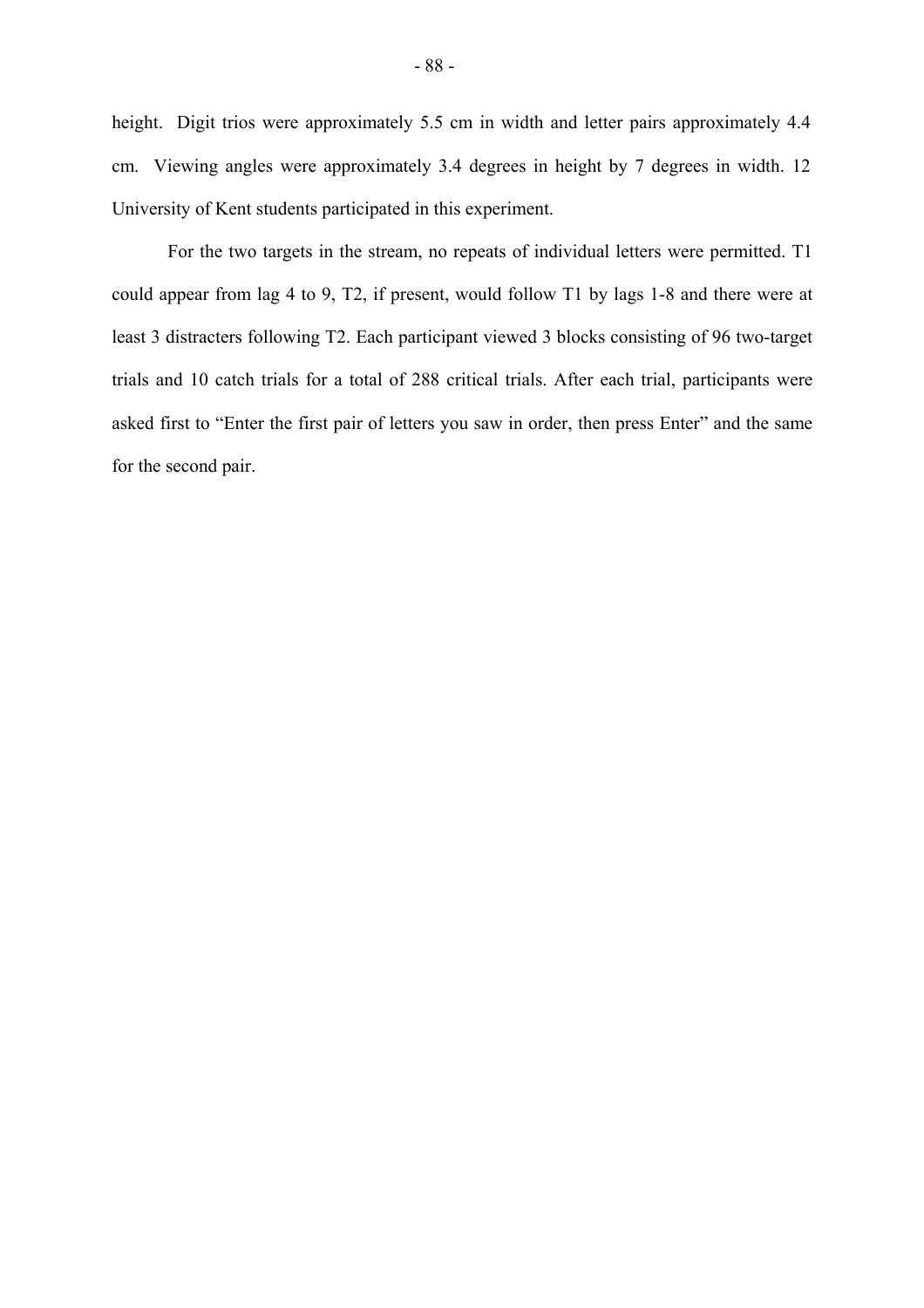height. Digit trios were approximately 5.5 cm in width and letter pairs approximately 4.4 cm. Viewing angles were approximately 3.4 degrees in height by 7 degrees in width. 12 University of Kent students participated in this experiment.

For the two targets in the stream, no repeats of individual letters were permitted. T1 could appear from lag 4 to 9, T2, if present, would follow T1 by lags 1-8 and there were at least 3 distracters following T2. Each participant viewed 3 blocks consisting of 96 two-target trials and 10 catch trials for a total of 288 critical trials. After each trial, participants were asked first to "Enter the first pair of letters you saw in order, then press Enter" and the same for the second pair.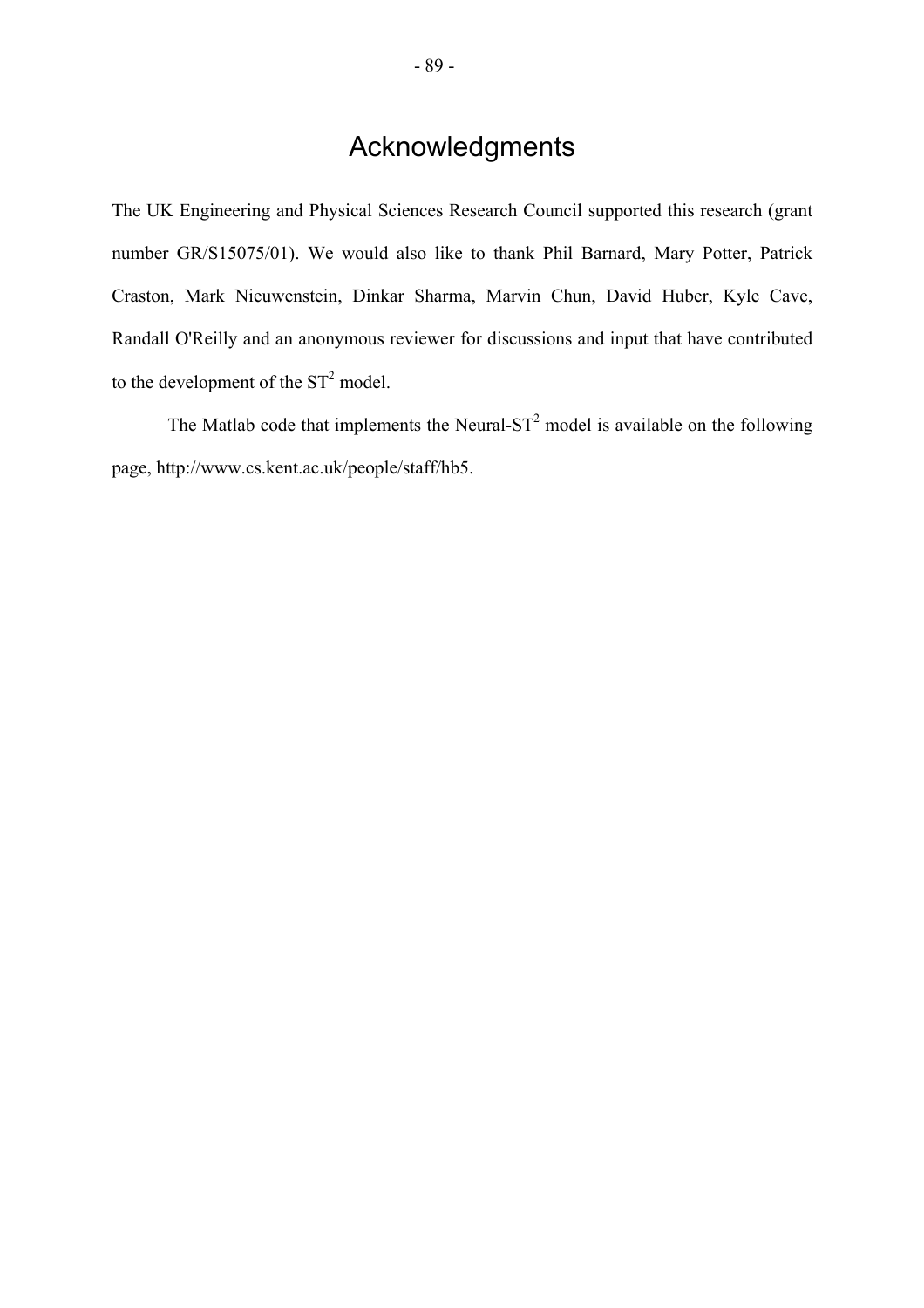# Acknowledgments

The UK Engineering and Physical Sciences Research Council supported this research (grant number GR/S15075/01). We would also like to thank Phil Barnard, Mary Potter, Patrick Craston, Mark Nieuwenstein, Dinkar Sharma, Marvin Chun, David Huber, Kyle Cave, Randall O'Reilly and an anonymous reviewer for discussions and input that have contributed to the development of the  $ST^2$  model.

The Matlab code that implements the Neural- $ST<sup>2</sup>$  model is available on the following page, http://www.cs.kent.ac.uk/people/staff/hb5.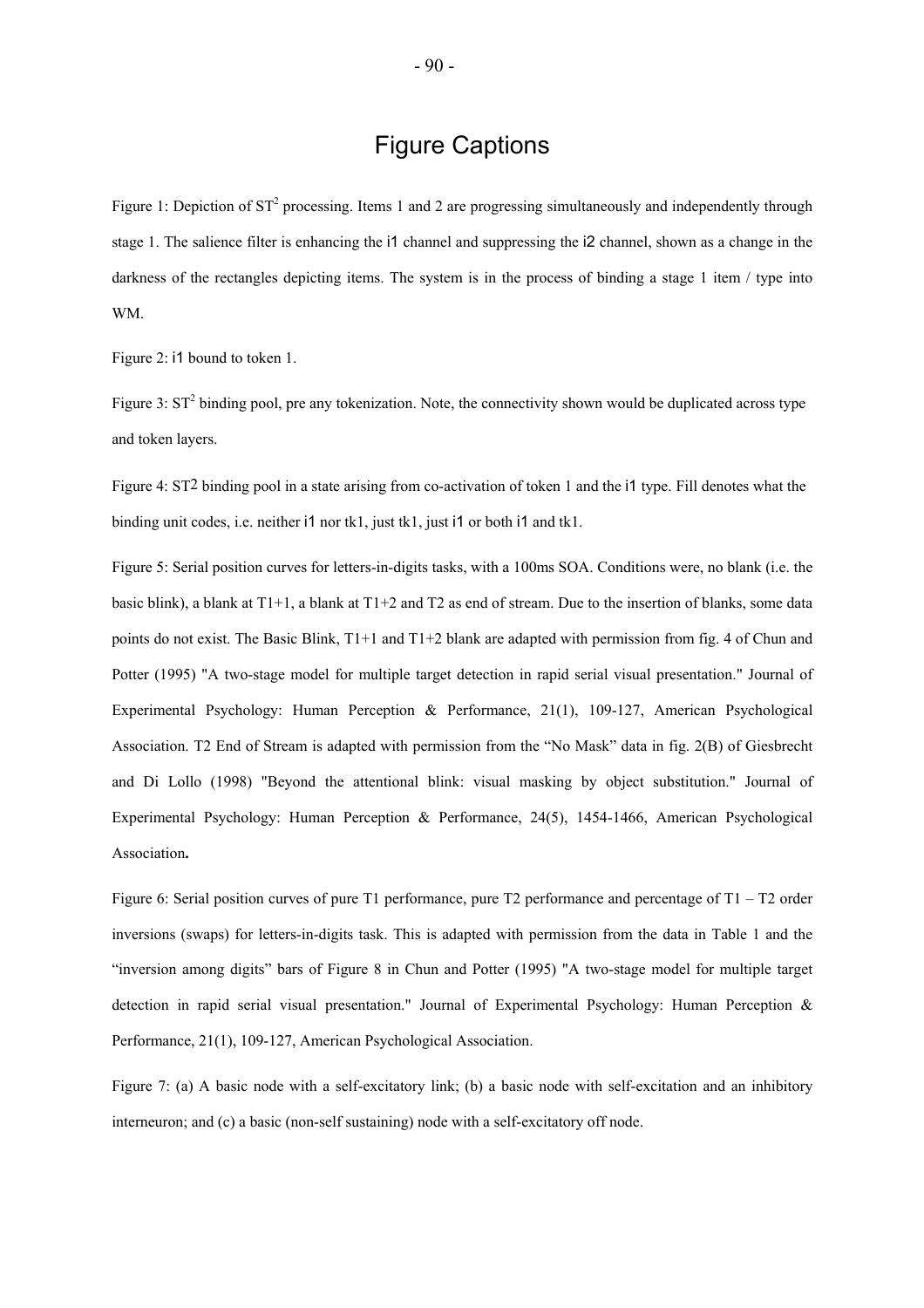## Figure Captions

Figure 1: Depiction of  $ST^2$  processing. Items 1 and 2 are progressing simultaneously and independently through stage 1. The salience filter is enhancing the i1 channel and suppressing the i2 channel, shown as a change in the darkness of the rectangles depicting items. The system is in the process of binding a stage 1 item / type into WM.

Figure 2: i1 bound to token 1.

Figure 3:  $ST^2$  binding pool, pre any tokenization. Note, the connectivity shown would be duplicated across type and token layers.

Figure 4: ST2 binding pool in a state arising from co-activation of token 1 and the i1 type. Fill denotes what the binding unit codes, i.e. neither i1 nor tk1, just tk1, just i1 or both i1 and tk1.

Figure 5: Serial position curves for letters-in-digits tasks, with a 100ms SOA. Conditions were, no blank (i.e. the basic blink), a blank at T1+1, a blank at T1+2 and T2 as end of stream. Due to the insertion of blanks, some data points do not exist. The Basic Blink, T1+1 and T1+2 blank are adapted with permission from fig. 4 of Chun and Potter (1995) "A two-stage model for multiple target detection in rapid serial visual presentation." Journal of Experimental Psychology: Human Perception & Performance, 21(1), 109-127, American Psychological Association. T2 End of Stream is adapted with permission from the "No Mask" data in fig. 2(B) of Giesbrecht and Di Lollo (1998) "Beyond the attentional blink: visual masking by object substitution." Journal of Experimental Psychology: Human Perception & Performance, 24(5), 1454-1466, American Psychological Association**.**

Figure 6: Serial position curves of pure T1 performance, pure T2 performance and percentage of  $T1 - T2$  order inversions (swaps) for letters-in-digits task. This is adapted with permission from the data in Table 1 and the ìinversion among digitsî bars of Figure 8 in Chun and Potter (1995) "A two-stage model for multiple target detection in rapid serial visual presentation." Journal of Experimental Psychology: Human Perception & Performance, 21(1), 109-127, American Psychological Association.

Figure 7: (a) A basic node with a self-excitatory link; (b) a basic node with self-excitation and an inhibitory interneuron; and (c) a basic (non-self sustaining) node with a self-excitatory off node.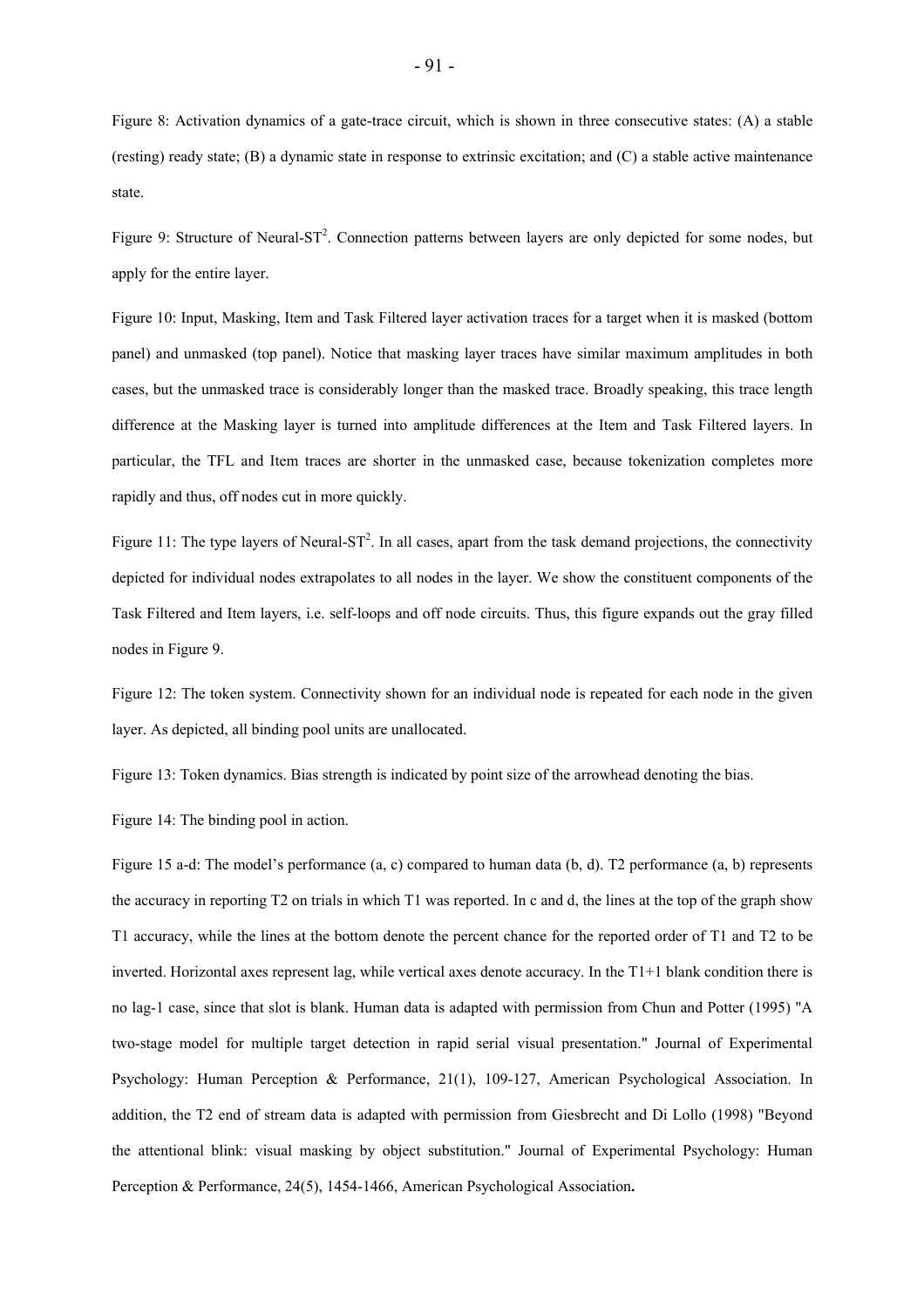Figure 8: Activation dynamics of a gate-trace circuit, which is shown in three consecutive states: (A) a stable (resting) ready state; (B) a dynamic state in response to extrinsic excitation; and (C) a stable active maintenance state.

Figure 9: Structure of Neural-ST<sup>2</sup>. Connection patterns between layers are only depicted for some nodes, but apply for the entire layer.

Figure 10: Input, Masking, Item and Task Filtered layer activation traces for a target when it is masked (bottom panel) and unmasked (top panel). Notice that masking layer traces have similar maximum amplitudes in both cases, but the unmasked trace is considerably longer than the masked trace. Broadly speaking, this trace length difference at the Masking layer is turned into amplitude differences at the Item and Task Filtered layers. In particular, the TFL and Item traces are shorter in the unmasked case, because tokenization completes more rapidly and thus, off nodes cut in more quickly.

Figure 11: The type layers of Neural-ST<sup>2</sup>. In all cases, apart from the task demand projections, the connectivity depicted for individual nodes extrapolates to all nodes in the layer. We show the constituent components of the Task Filtered and Item layers, i.e. self-loops and off node circuits. Thus, this figure expands out the gray filled nodes in Figure 9.

Figure 12: The token system. Connectivity shown for an individual node is repeated for each node in the given layer. As depicted, all binding pool units are unallocated.

Figure 13: Token dynamics. Bias strength is indicated by point size of the arrowhead denoting the bias.

Figure 14: The binding pool in action.

Figure 15 a-d: The model's performance  $(a, c)$  compared to human data  $(b, d)$ . T2 performance  $(a, b)$  represents the accuracy in reporting T2 on trials in which T1 was reported. In c and d, the lines at the top of the graph show T1 accuracy, while the lines at the bottom denote the percent chance for the reported order of T1 and T2 to be inverted. Horizontal axes represent lag, while vertical axes denote accuracy. In the T1+1 blank condition there is no lag-1 case, since that slot is blank. Human data is adapted with permission from Chun and Potter (1995) "A two-stage model for multiple target detection in rapid serial visual presentation." Journal of Experimental Psychology: Human Perception & Performance, 21(1), 109-127, American Psychological Association. In addition, the T2 end of stream data is adapted with permission from Giesbrecht and Di Lollo (1998) "Beyond the attentional blink: visual masking by object substitution." Journal of Experimental Psychology: Human Perception & Performance, 24(5), 1454-1466, American Psychological Association**.**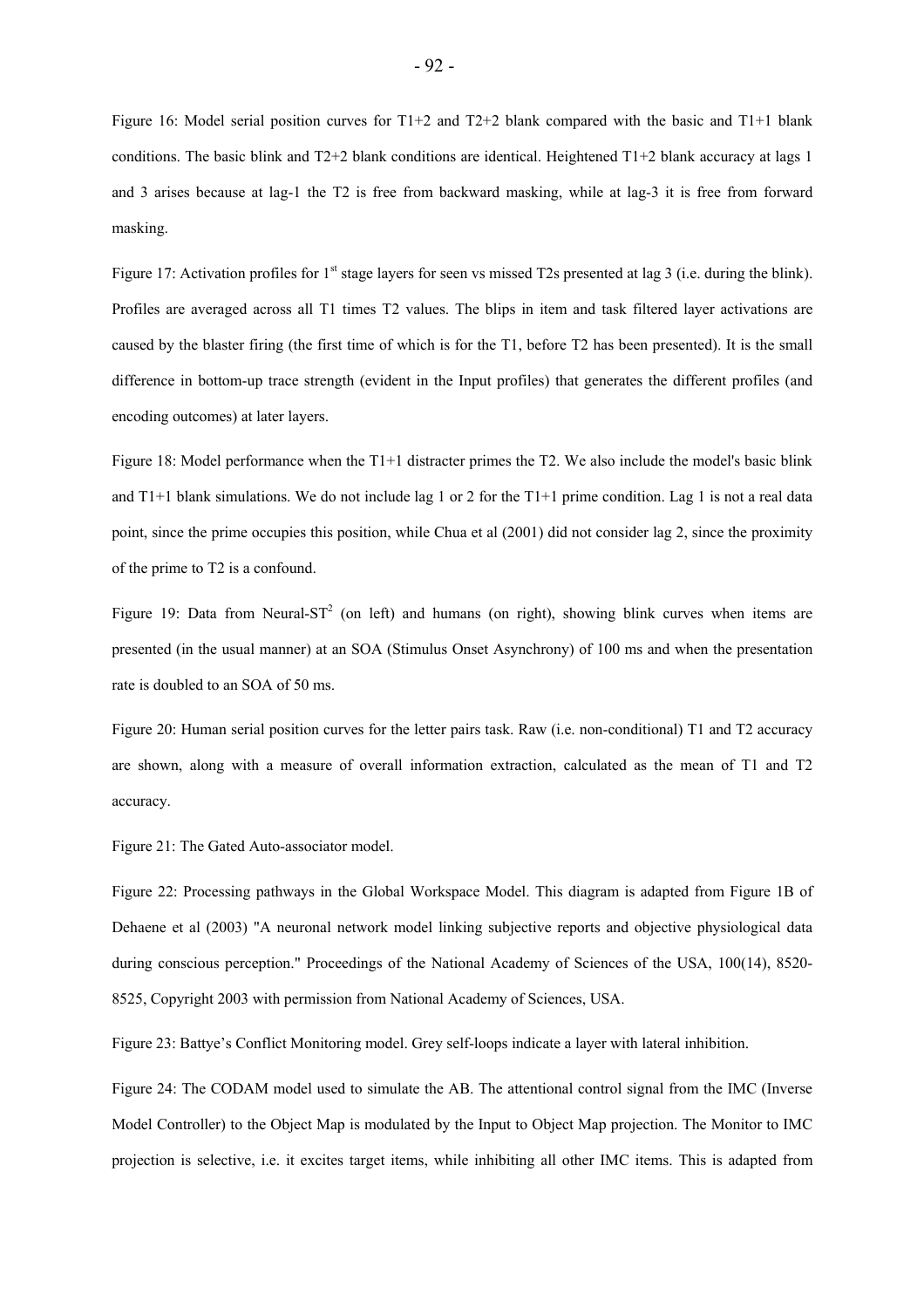Figure 16: Model serial position curves for T1+2 and T2+2 blank compared with the basic and T1+1 blank conditions. The basic blink and  $T2+2$  blank conditions are identical. Heightened  $T1+2$  blank accuracy at lags 1 and 3 arises because at lag-1 the T2 is free from backward masking, while at lag-3 it is free from forward masking.

Figure 17: Activation profiles for  $1<sup>st</sup>$  stage layers for seen vs missed T2s presented at lag 3 (i.e. during the blink). Profiles are averaged across all T1 times T2 values. The blips in item and task filtered layer activations are caused by the blaster firing (the first time of which is for the T1, before T2 has been presented). It is the small difference in bottom-up trace strength (evident in the Input profiles) that generates the different profiles (and encoding outcomes) at later layers.

Figure 18: Model performance when the T1+1 distracter primes the T2. We also include the model's basic blink and  $T1+1$  blank simulations. We do not include lag 1 or 2 for the  $T1+1$  prime condition. Lag 1 is not a real data point, since the prime occupies this position, while Chua et al (2001) did not consider lag 2, since the proximity of the prime to T2 is a confound.

Figure 19: Data from Neural-ST<sup>2</sup> (on left) and humans (on right), showing blink curves when items are presented (in the usual manner) at an SOA (Stimulus Onset Asynchrony) of 100 ms and when the presentation rate is doubled to an SOA of 50 ms.

Figure 20: Human serial position curves for the letter pairs task. Raw (i.e. non-conditional) T1 and T2 accuracy are shown, along with a measure of overall information extraction, calculated as the mean of T1 and T2 accuracy.

Figure 21: The Gated Auto-associator model.

Figure 22: Processing pathways in the Global Workspace Model. This diagram is adapted from Figure 1B of Dehaene et al (2003) "A neuronal network model linking subjective reports and objective physiological data during conscious perception." Proceedings of the National Academy of Sciences of the USA, 100(14), 8520- 8525, Copyright 2003 with permission from National Academy of Sciences, USA.

Figure 23: Battye's Conflict Monitoring model. Grey self-loops indicate a layer with lateral inhibition.

Figure 24: The CODAM model used to simulate the AB. The attentional control signal from the IMC (Inverse Model Controller) to the Object Map is modulated by the Input to Object Map projection. The Monitor to IMC projection is selective, i.e. it excites target items, while inhibiting all other IMC items. This is adapted from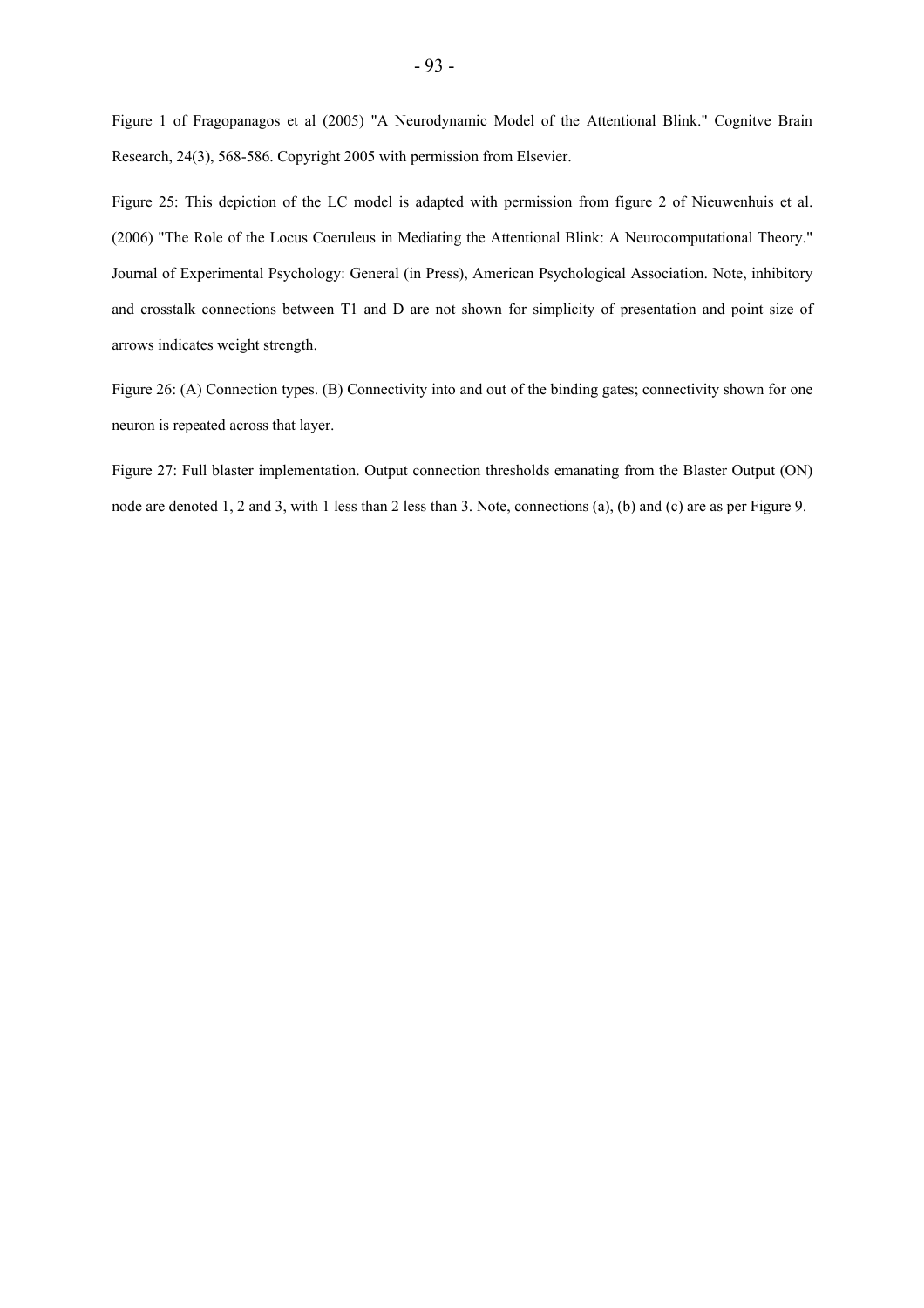Figure 1 of Fragopanagos et al (2005) "A Neurodynamic Model of the Attentional Blink." Cognitve Brain Research, 24(3), 568-586. Copyright 2005 with permission from Elsevier.

Figure 25: This depiction of the LC model is adapted with permission from figure 2 of Nieuwenhuis et al. (2006) "The Role of the Locus Coeruleus in Mediating the Attentional Blink: A Neurocomputational Theory." Journal of Experimental Psychology: General (in Press), American Psychological Association. Note, inhibitory and crosstalk connections between T1 and D are not shown for simplicity of presentation and point size of arrows indicates weight strength.

Figure 26: (A) Connection types. (B) Connectivity into and out of the binding gates; connectivity shown for one neuron is repeated across that layer.

Figure 27: Full blaster implementation. Output connection thresholds emanating from the Blaster Output (ON) node are denoted 1, 2 and 3, with 1 less than 2 less than 3. Note, connections (a), (b) and (c) are as per Figure 9.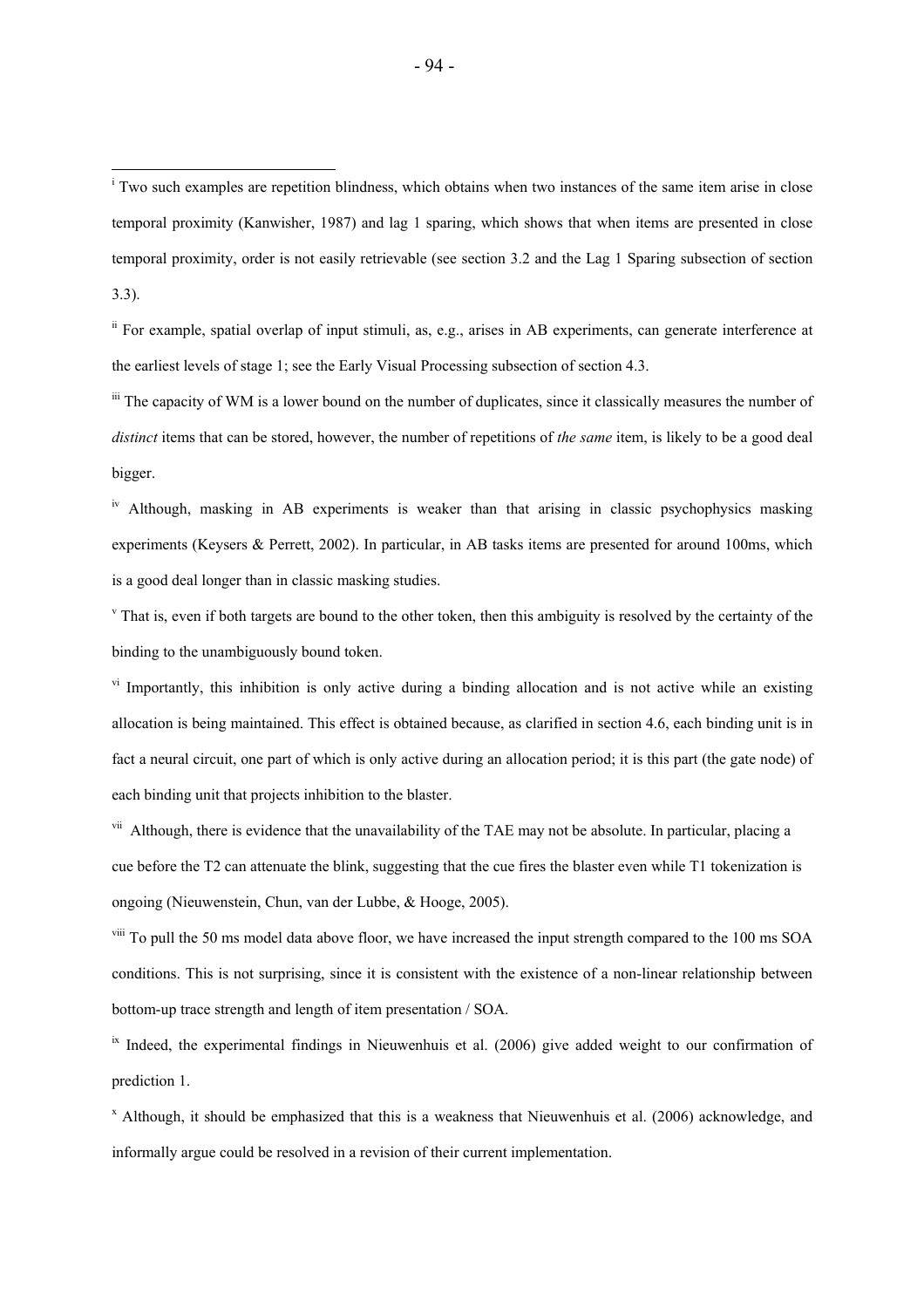ii For example, spatial overlap of input stimuli, as, e.g., arises in AB experiments, can generate interference at the earliest levels of stage 1; see the Early Visual Processing subsection of section 4.3.

<sup>iii</sup> The capacity of WM is a lower bound on the number of duplicates, since it classically measures the number of *distinct* items that can be stored, however, the number of repetitions of *the same* item, is likely to be a good deal bigger.

<sup>iv</sup> Although, masking in AB experiments is weaker than that arising in classic psychophysics masking experiments (Keysers & Perrett, 2002). In particular, in AB tasks items are presented for around 100ms, which is a good deal longer than in classic masking studies.

<sup>v</sup> That is, even if both targets are bound to the other token, then this ambiguity is resolved by the certainty of the binding to the unambiguously bound token.

<sup>vi</sup> Importantly, this inhibition is only active during a binding allocation and is not active while an existing allocation is being maintained. This effect is obtained because, as clarified in section 4.6, each binding unit is in fact a neural circuit, one part of which is only active during an allocation period; it is this part (the gate node) of each binding unit that projects inhibition to the blaster.

<span id="page-94-1"></span> $\overline{v}$ <sup>ii</sup> Although, there is evidence that the unavailability of the TAE may not be absolute. In particular, placing a cue before the T2 can attenuate the blink, suggesting that the cue fires the blaster even while T1 tokenization is ongoing (Nieuwenstein, Chun, van der Lubbe, & Hooge, 2005).

<sup>viii</sup> To pull the 50 ms model data above floor, we have increased the input strength compared to the 100 ms SOA conditions. This is not surprising, since it is consistent with the existence of a non-linear relationship between bottom-up trace strength and length of item presentation / SOA.

 $i<sup>x</sup>$  Indeed, the experimental findings in Nieuwenhuis et al. (2006) give added weight to our confirmation of prediction 1.

<span id="page-94-2"></span>x Although, it should be emphasized that this is a weakness that Nieuwenhuis et al. (2006) acknowledge, and informally argue could be resolved in a revision of their current implementation.

<span id="page-94-0"></span> $\overline{a}$ 

<sup>&</sup>lt;sup>i</sup> Two such examples are repetition blindness, which obtains when two instances of the same item arise in close temporal proximity (Kanwisher, 1987) and lag 1 sparing, which shows that when items are presented in close temporal proximity, order is not easily retrievable (see section 3.2 and the Lag 1 Sparing subsection of section 3.3).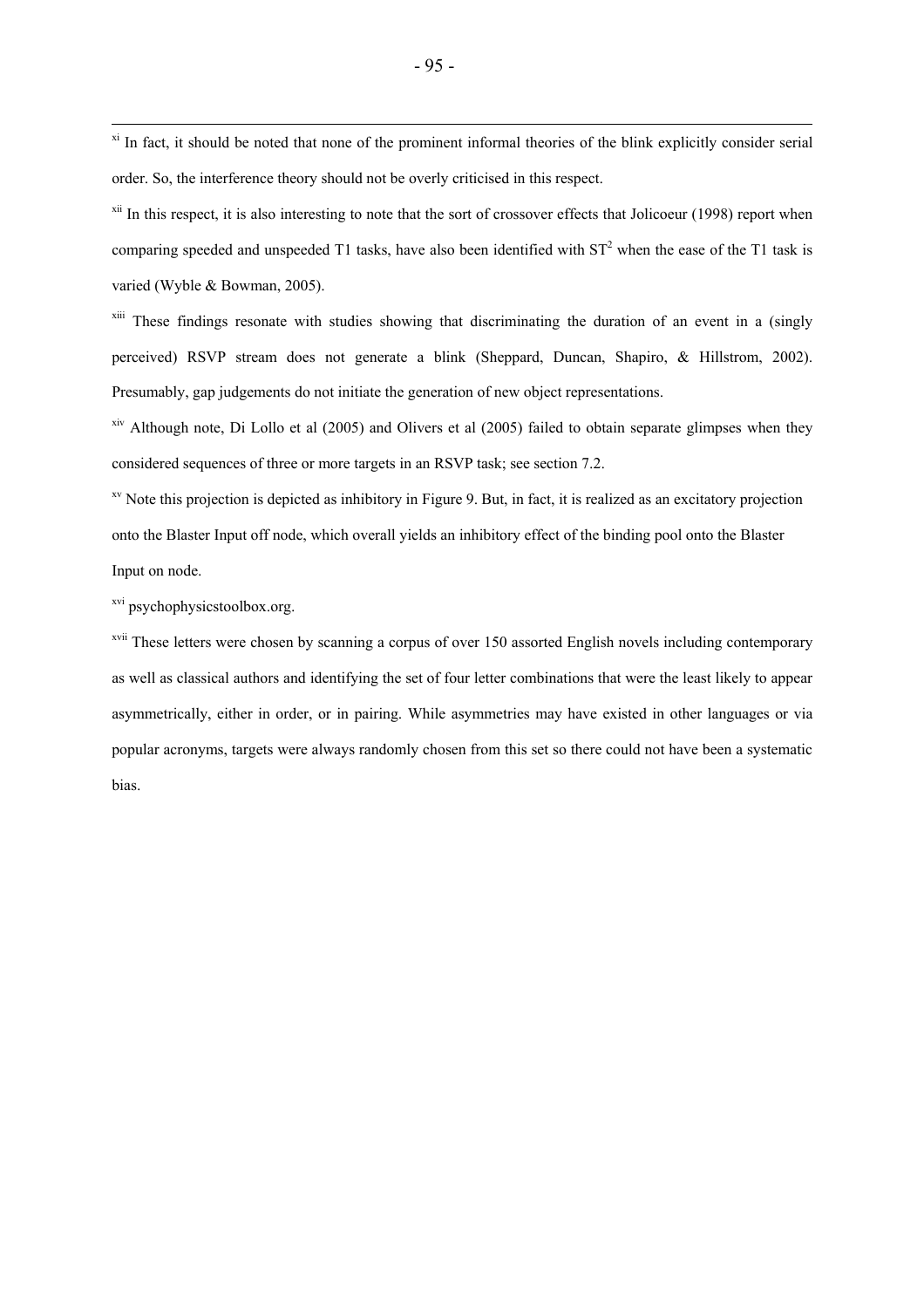<sup>xi</sup> In fact, it should be noted that none of the prominent informal theories of the blink explicitly consider serial order. So, the interference theory should not be overly criticised in this respect.

 $x$ <sup>xii</sup> In this respect, it is also interesting to note that the sort of crossover effects that Jolicoeur (1998) report when comparing speeded and unspeeded T1 tasks, have also been identified with  $ST<sup>2</sup>$  when the ease of the T1 task is varied (Wyble & Bowman, 2005).

<sup>xiii</sup> These findings resonate with studies showing that discriminating the duration of an event in a (singly perceived) RSVP stream does not generate a blink (Sheppard, Duncan, Shapiro, & Hillstrom, 2002). Presumably, gap judgements do not initiate the generation of new object representations.

xiv Although note, Di Lollo et al (2005) and Olivers et al (2005) failed to obtain separate glimpses when they considered sequences of three or more targets in an RSVP task; see section 7.2.

xv Note this projection is depicted as inhibitory in Figure 9. But, in fact, it is realized as an excitatory projection onto the Blaster Input off node, which overall yields an inhibitory effect of the binding pool onto the Blaster Input on node.

xvi psychophysicstoolbox.org.

 $\overline{a}$ 

<sup>xvii</sup> These letters were chosen by scanning a corpus of over 150 assorted English novels including contemporary as well as classical authors and identifying the set of four letter combinations that were the least likely to appear asymmetrically, either in order, or in pairing. While asymmetries may have existed in other languages or via popular acronyms, targets were always randomly chosen from this set so there could not have been a systematic bias.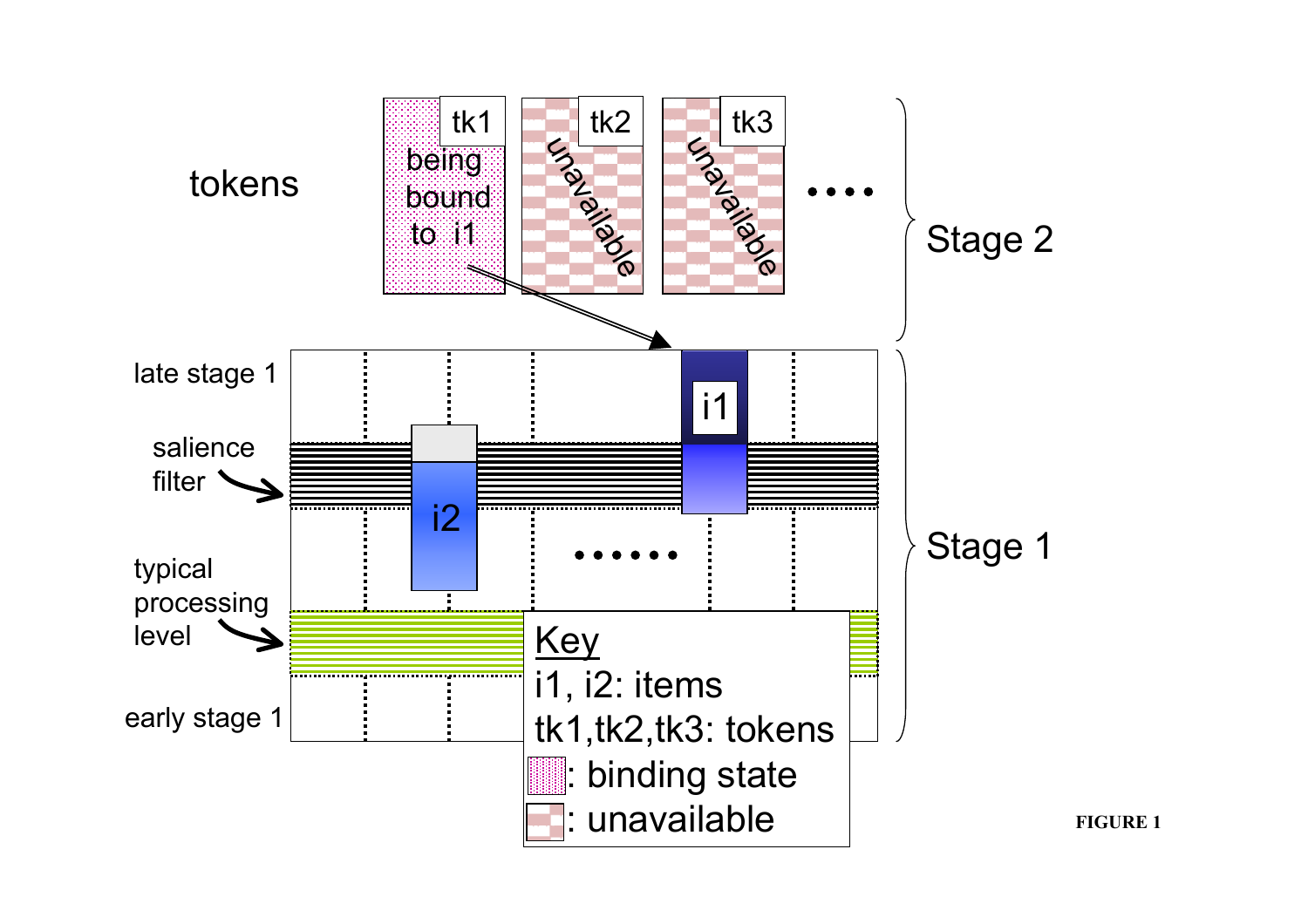

**FIGURE 1**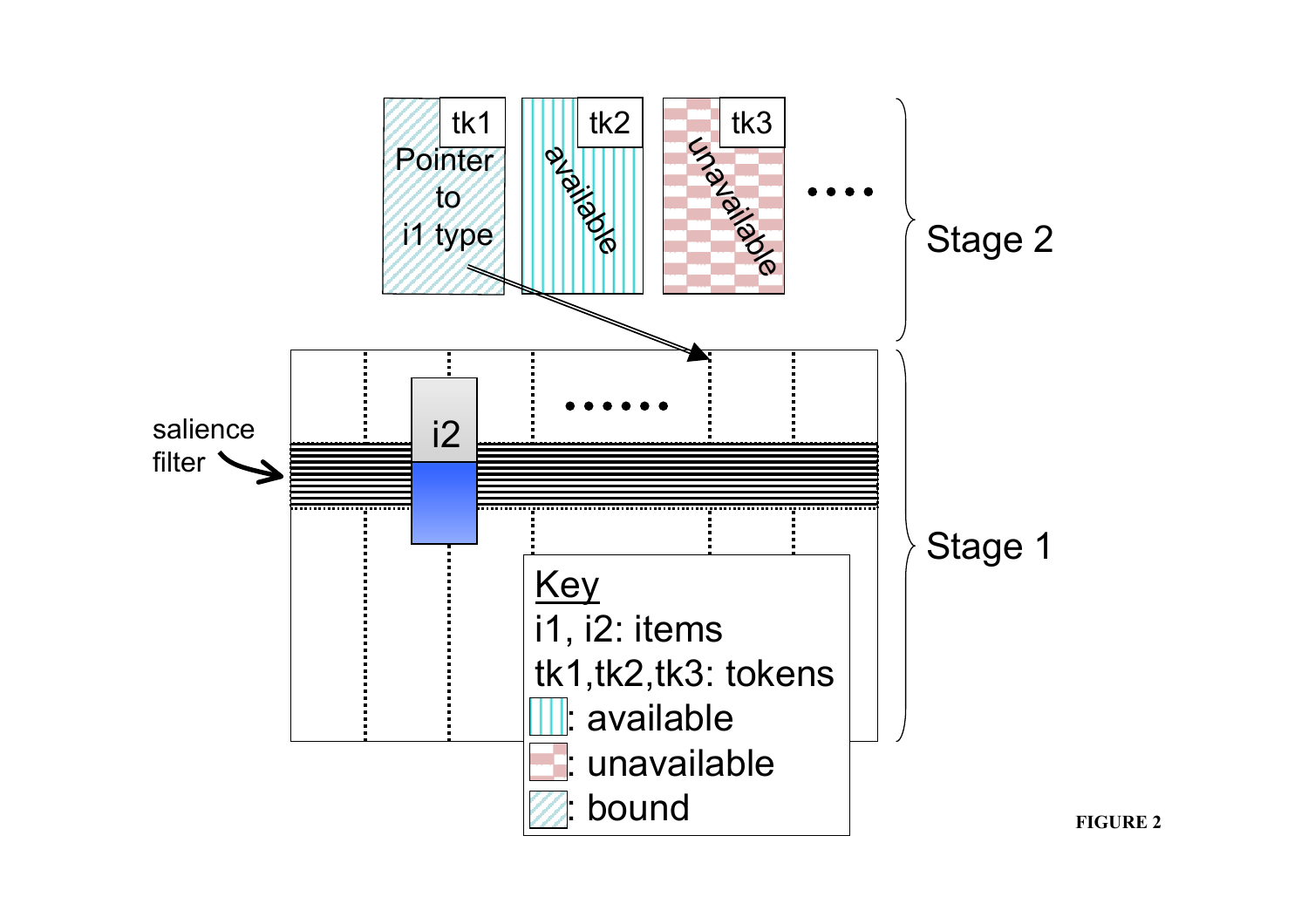

**FIGURE 2**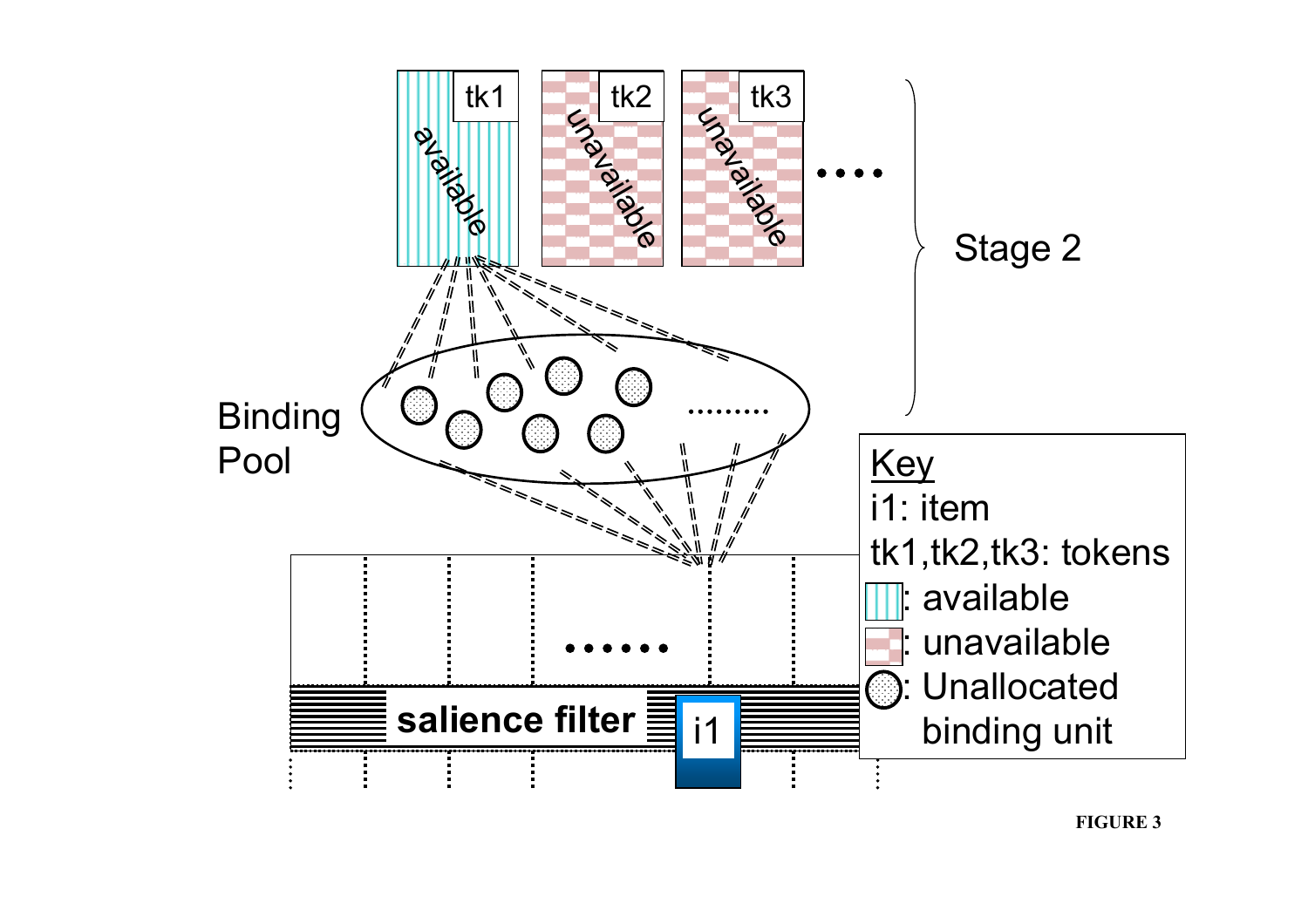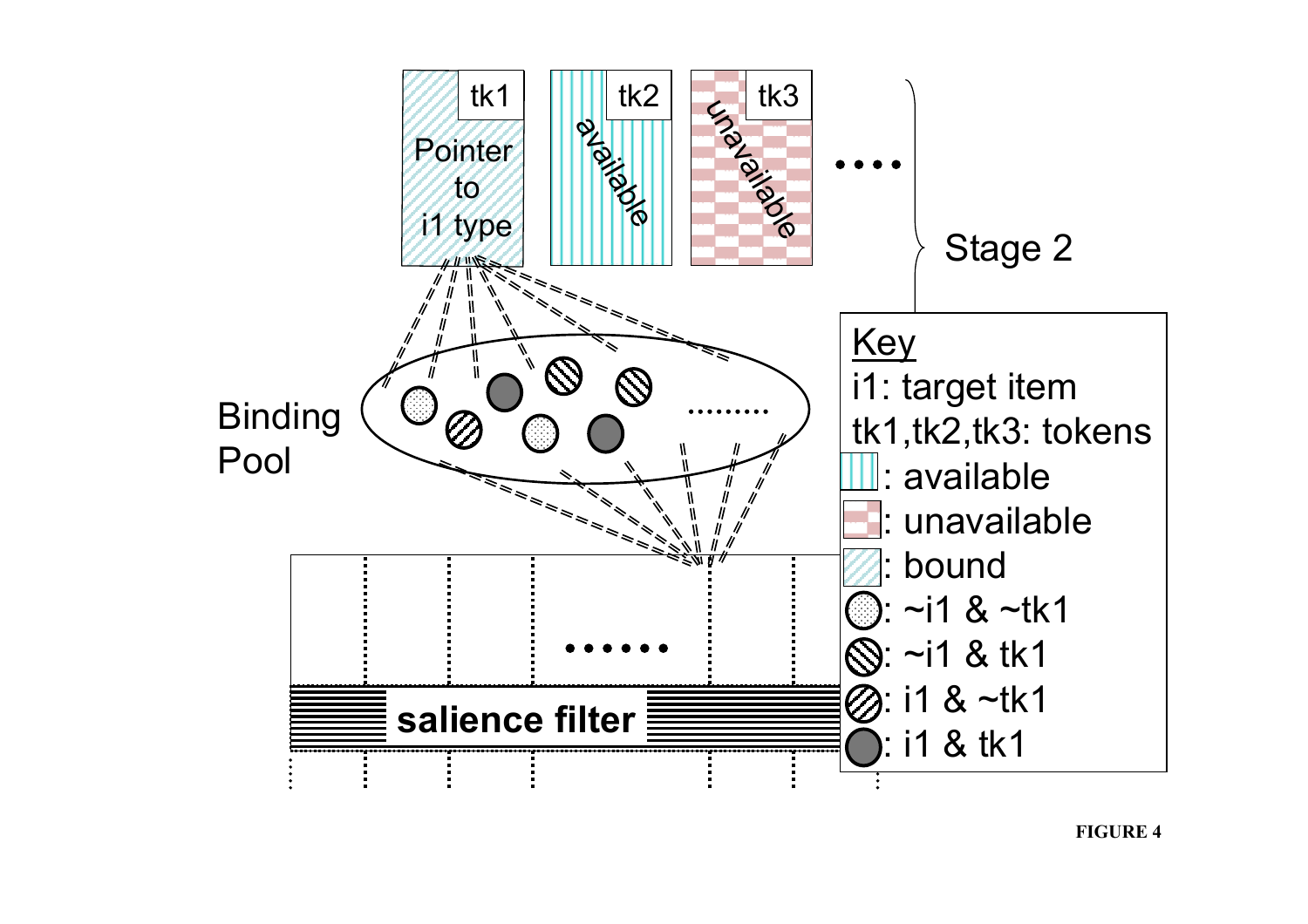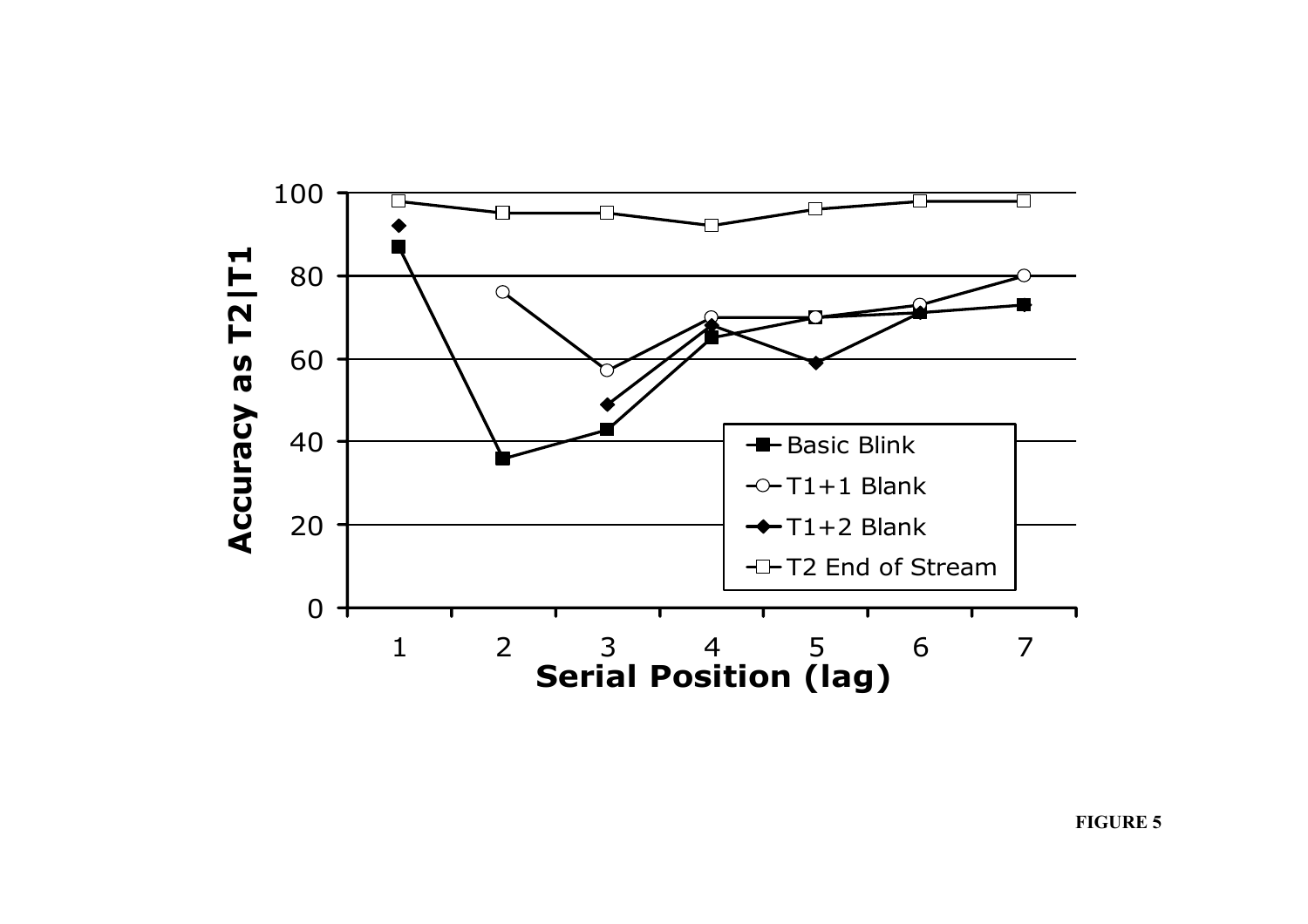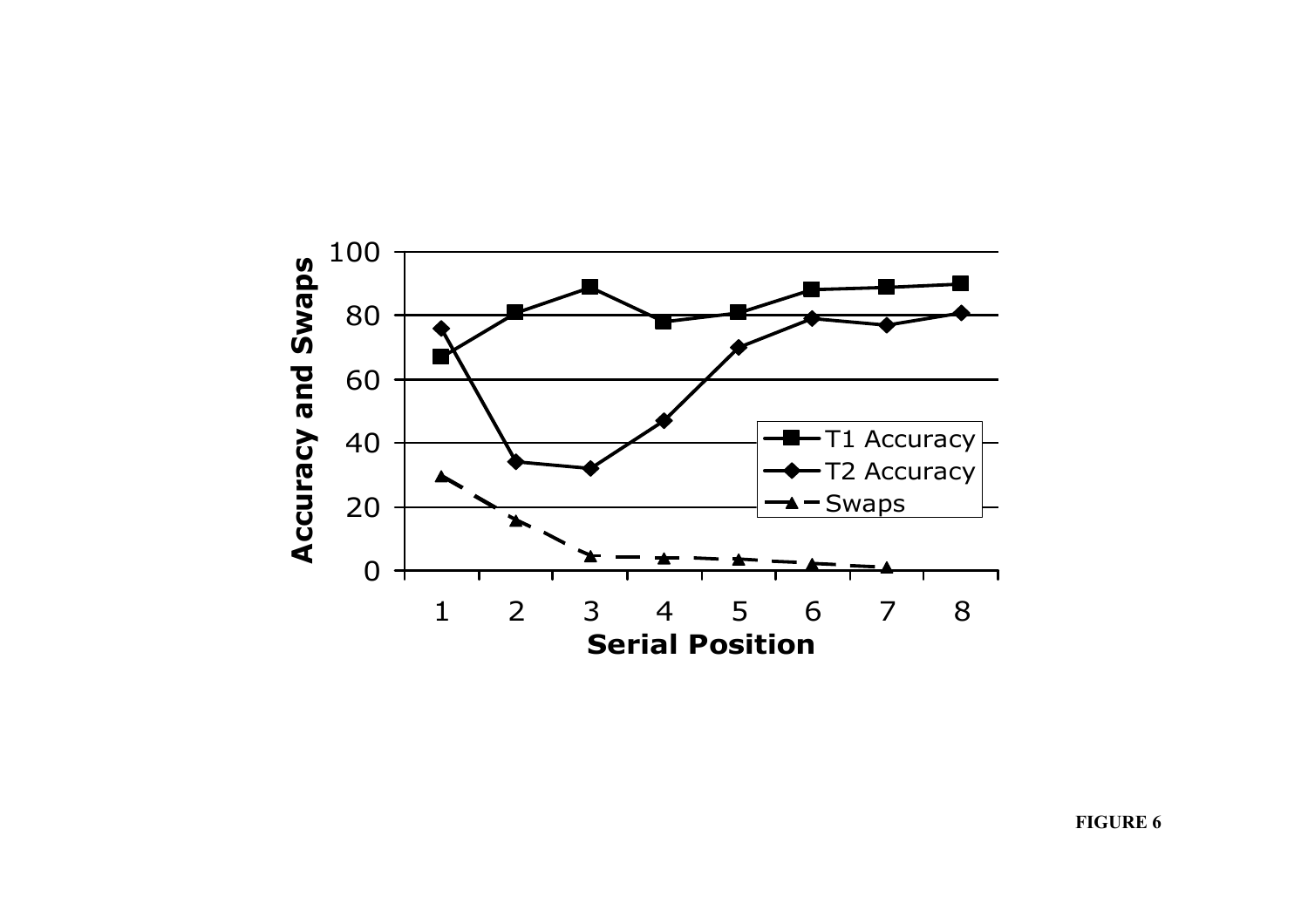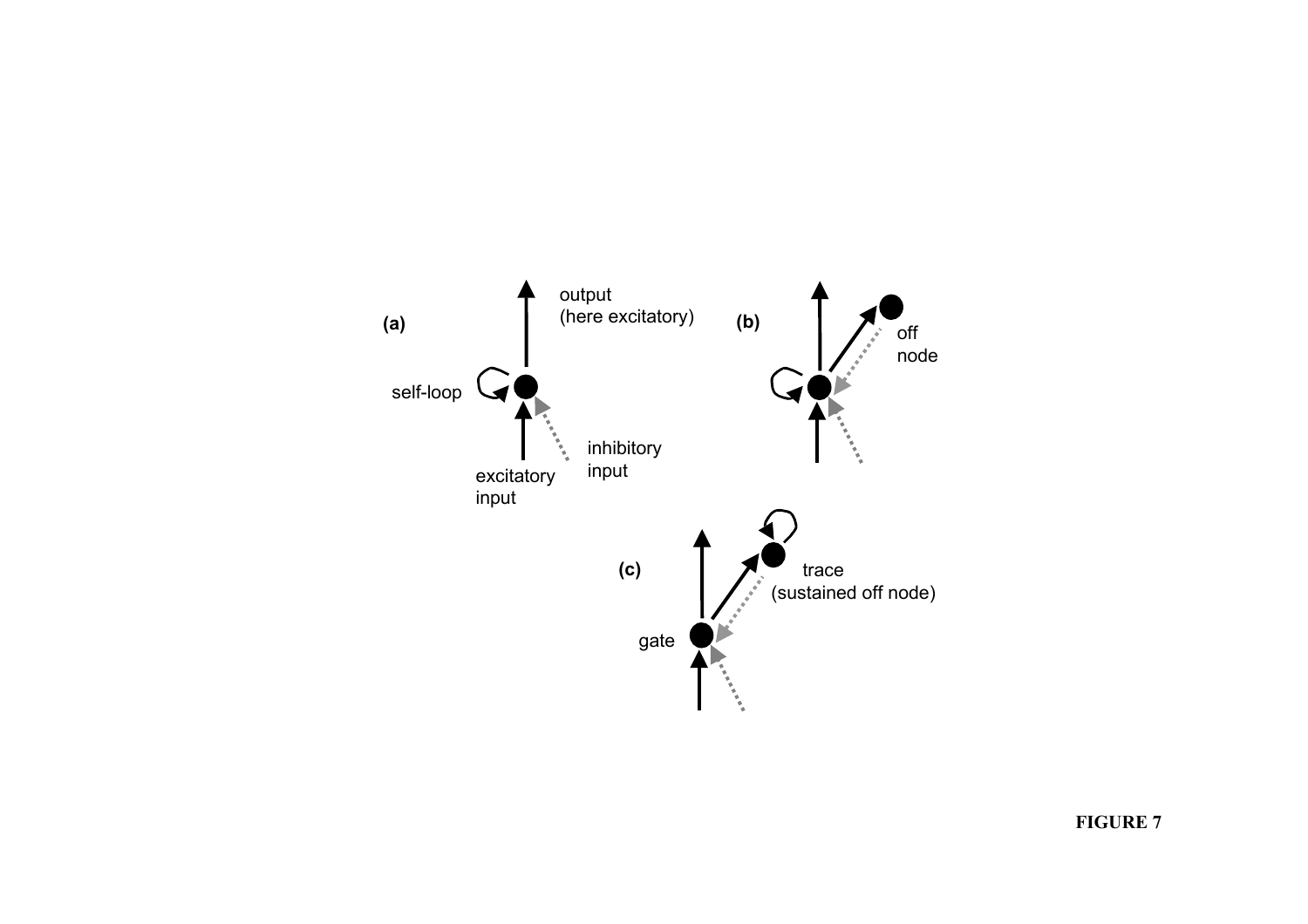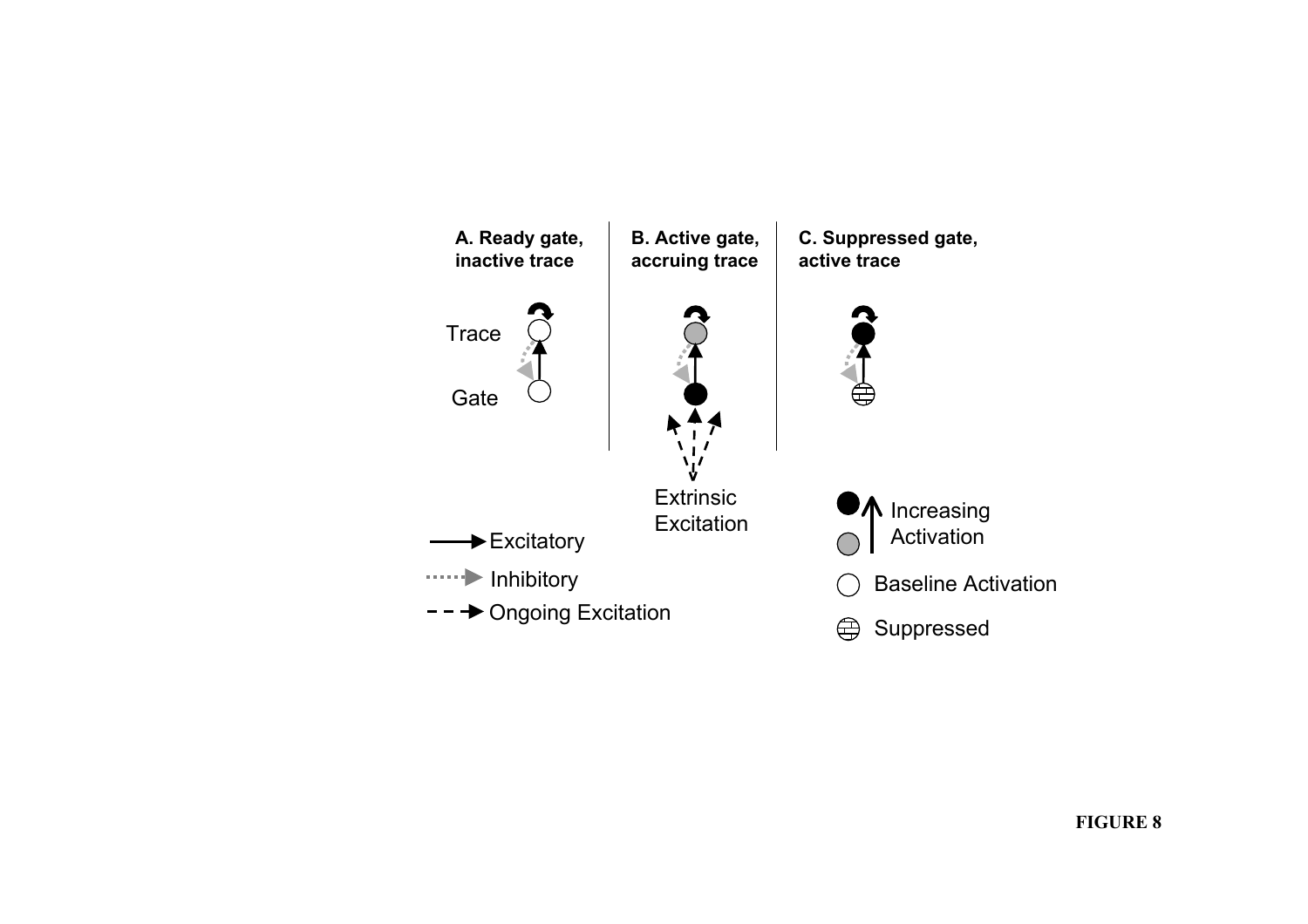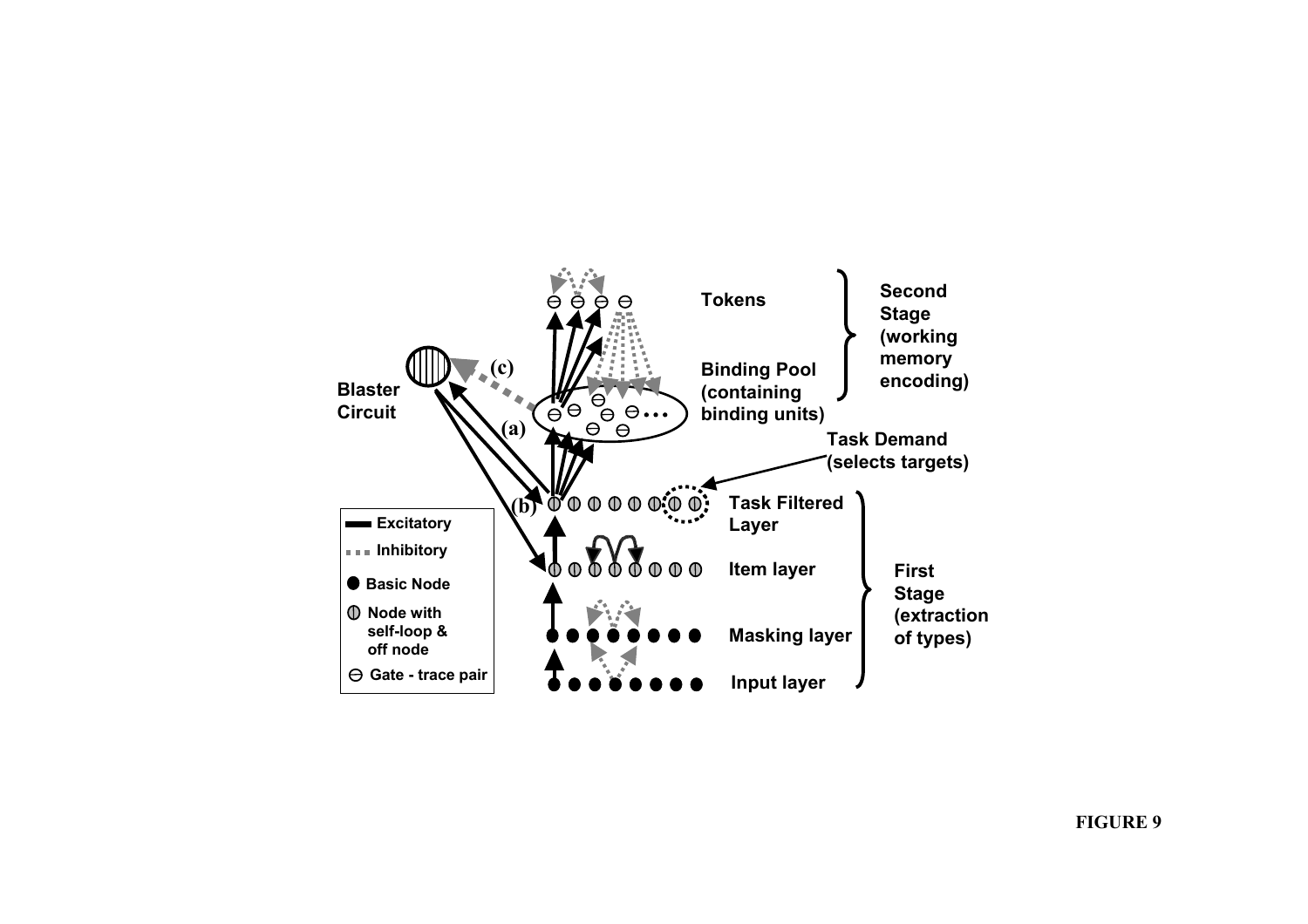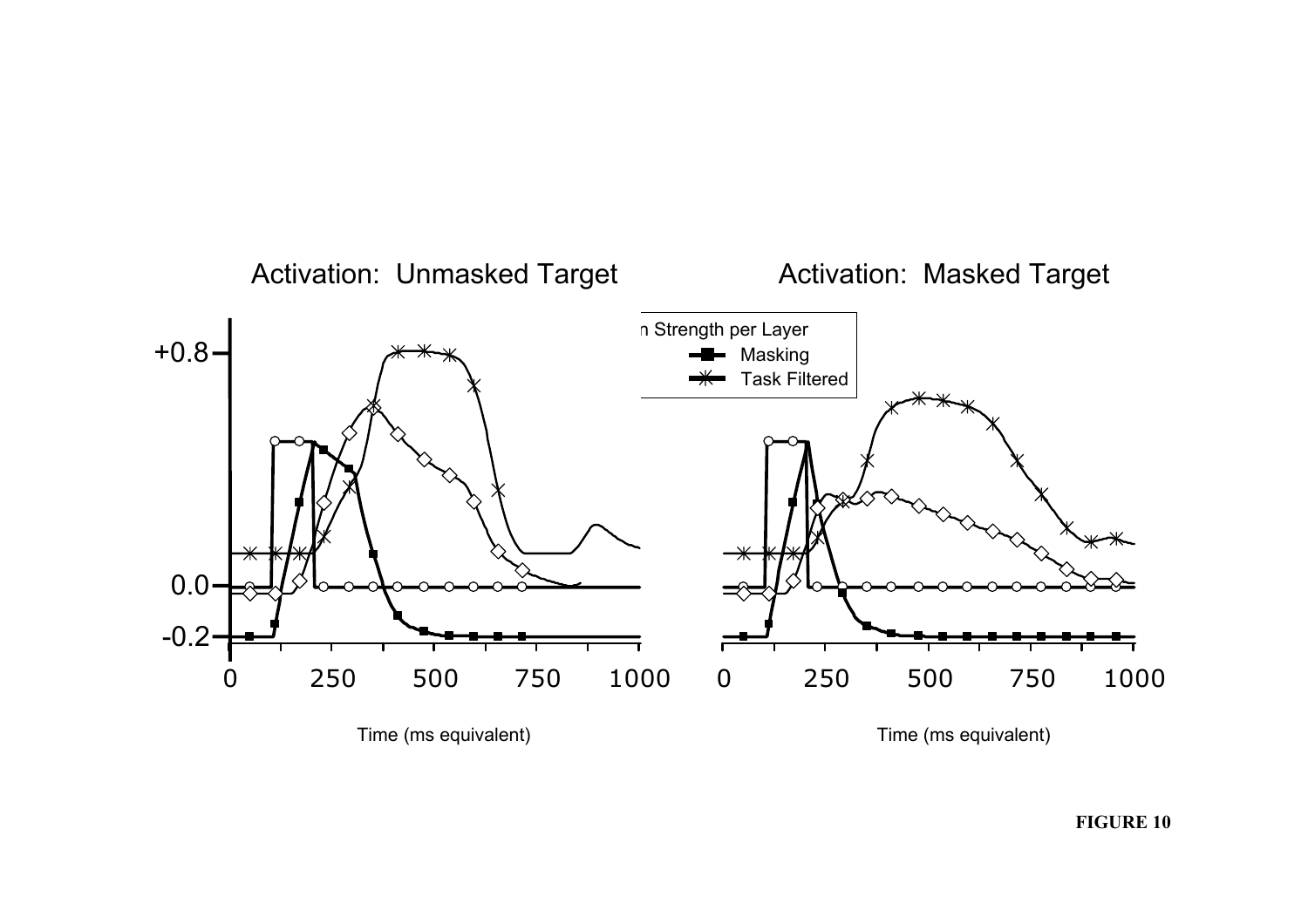

## **FIGURE 10**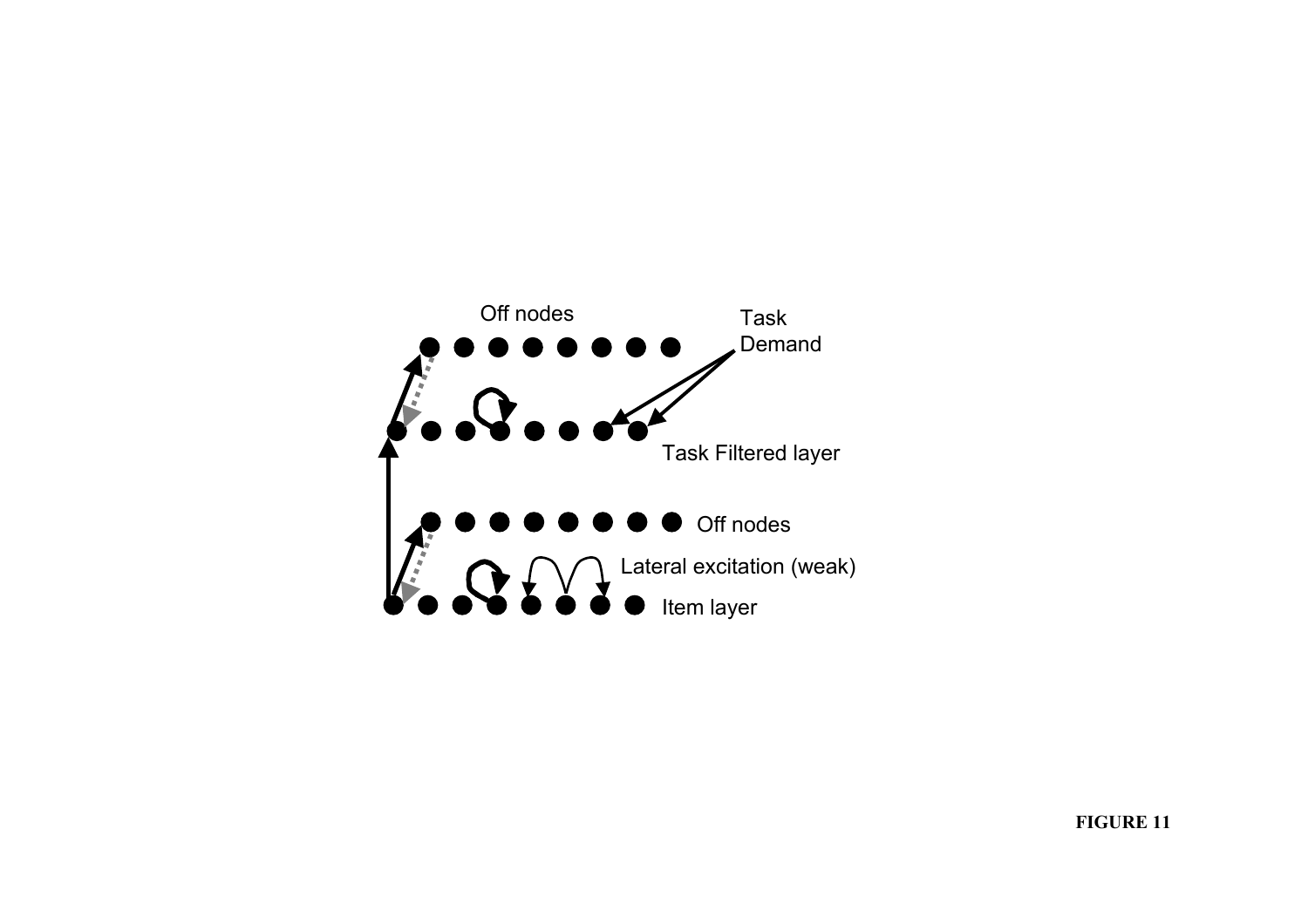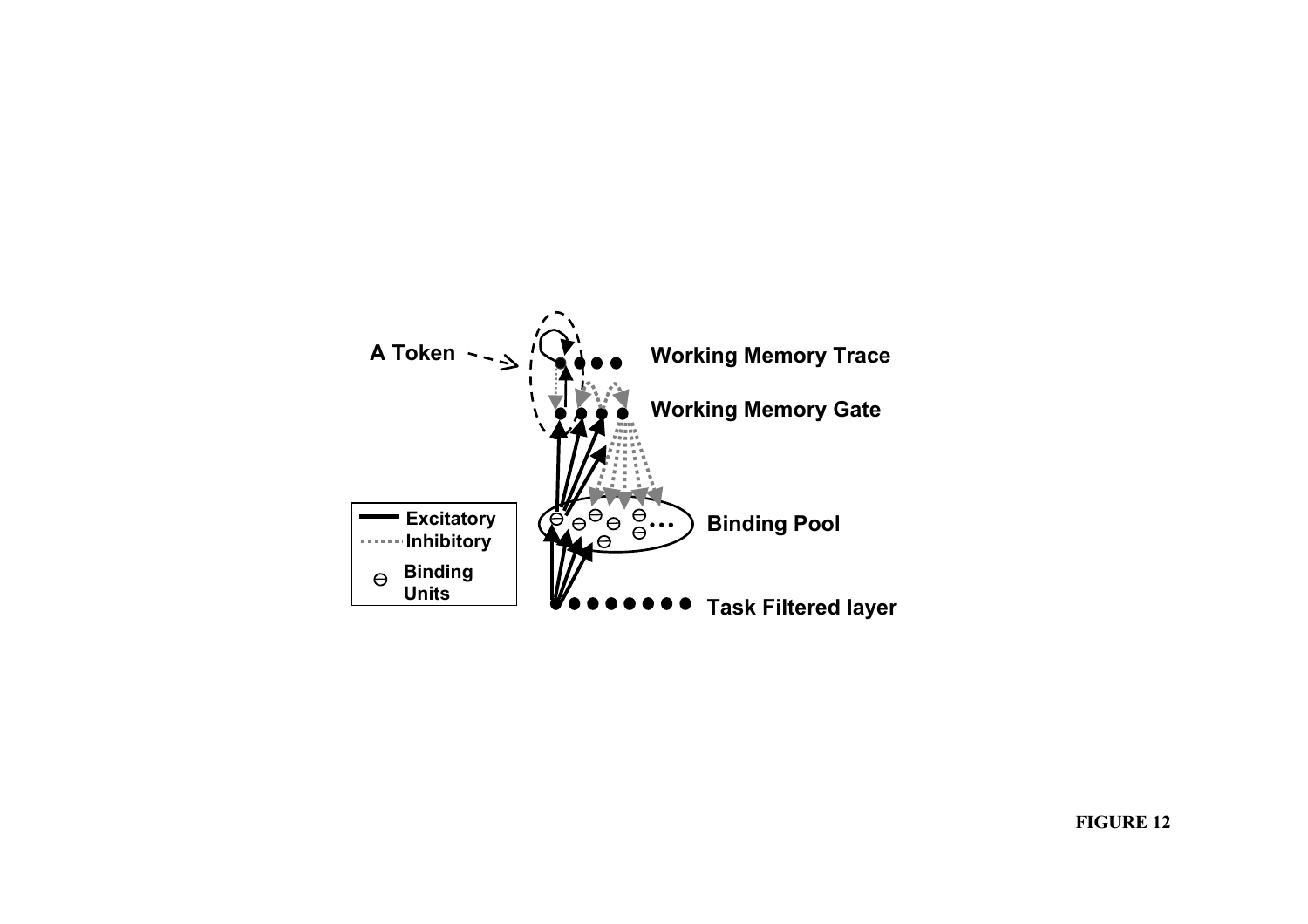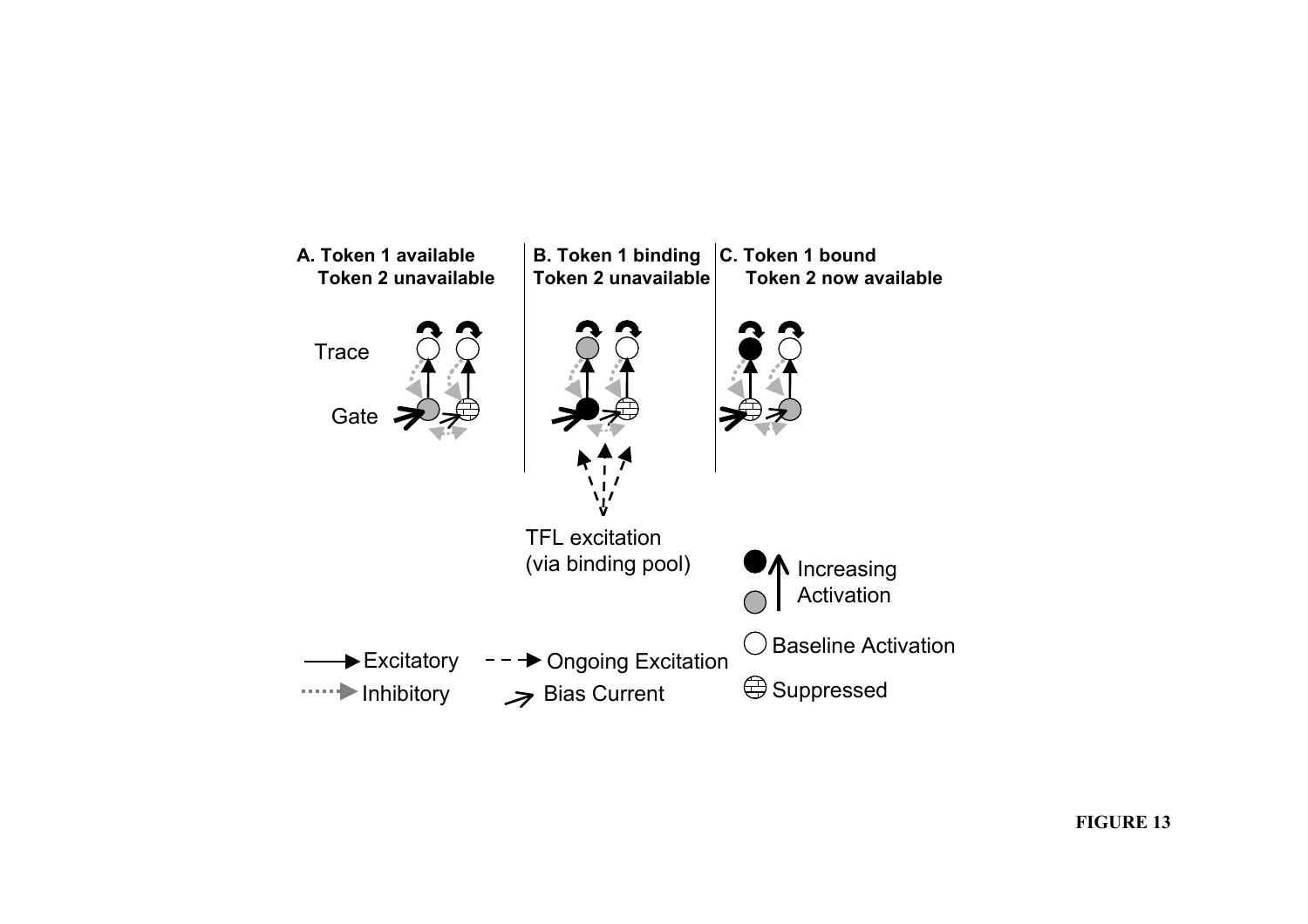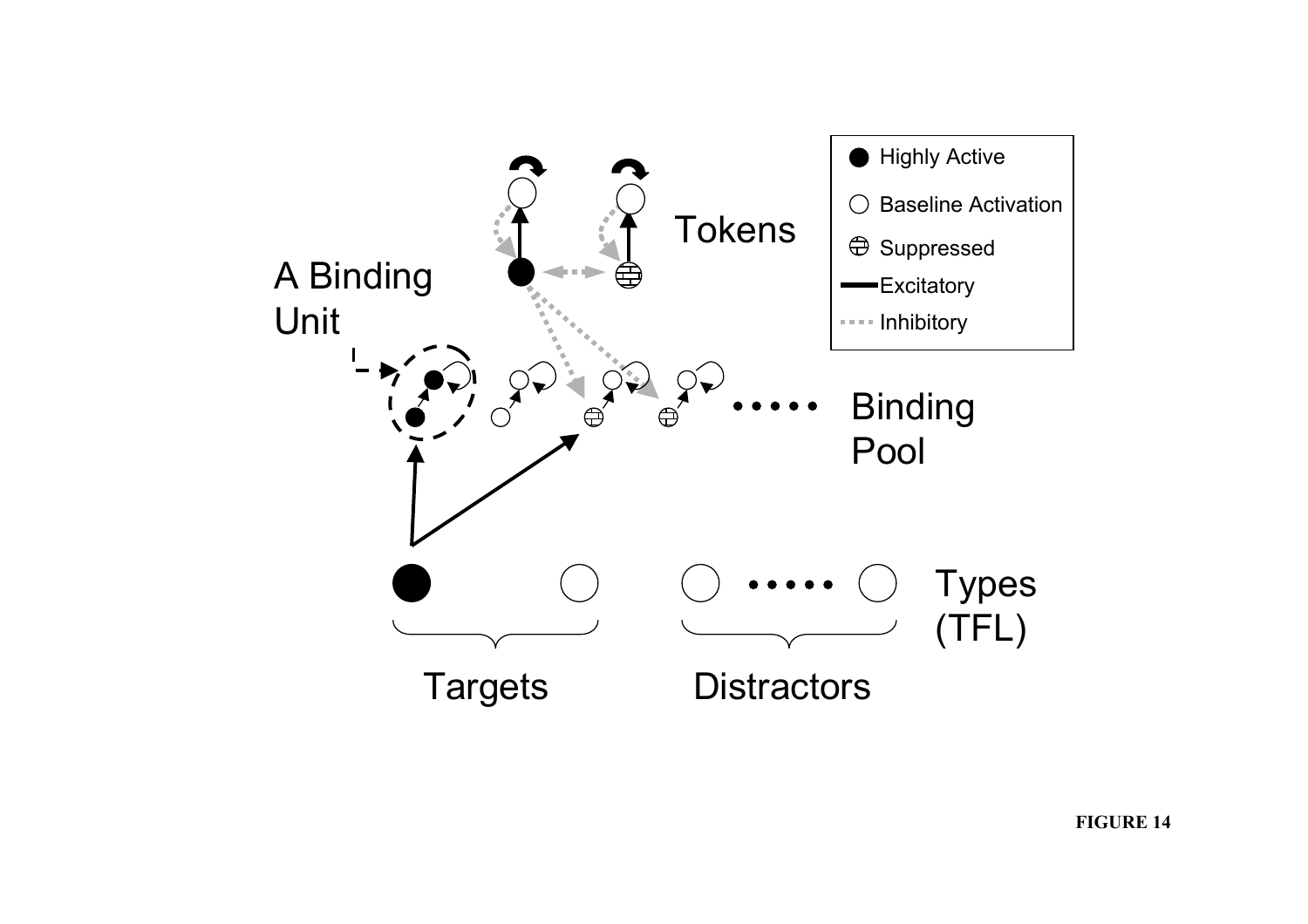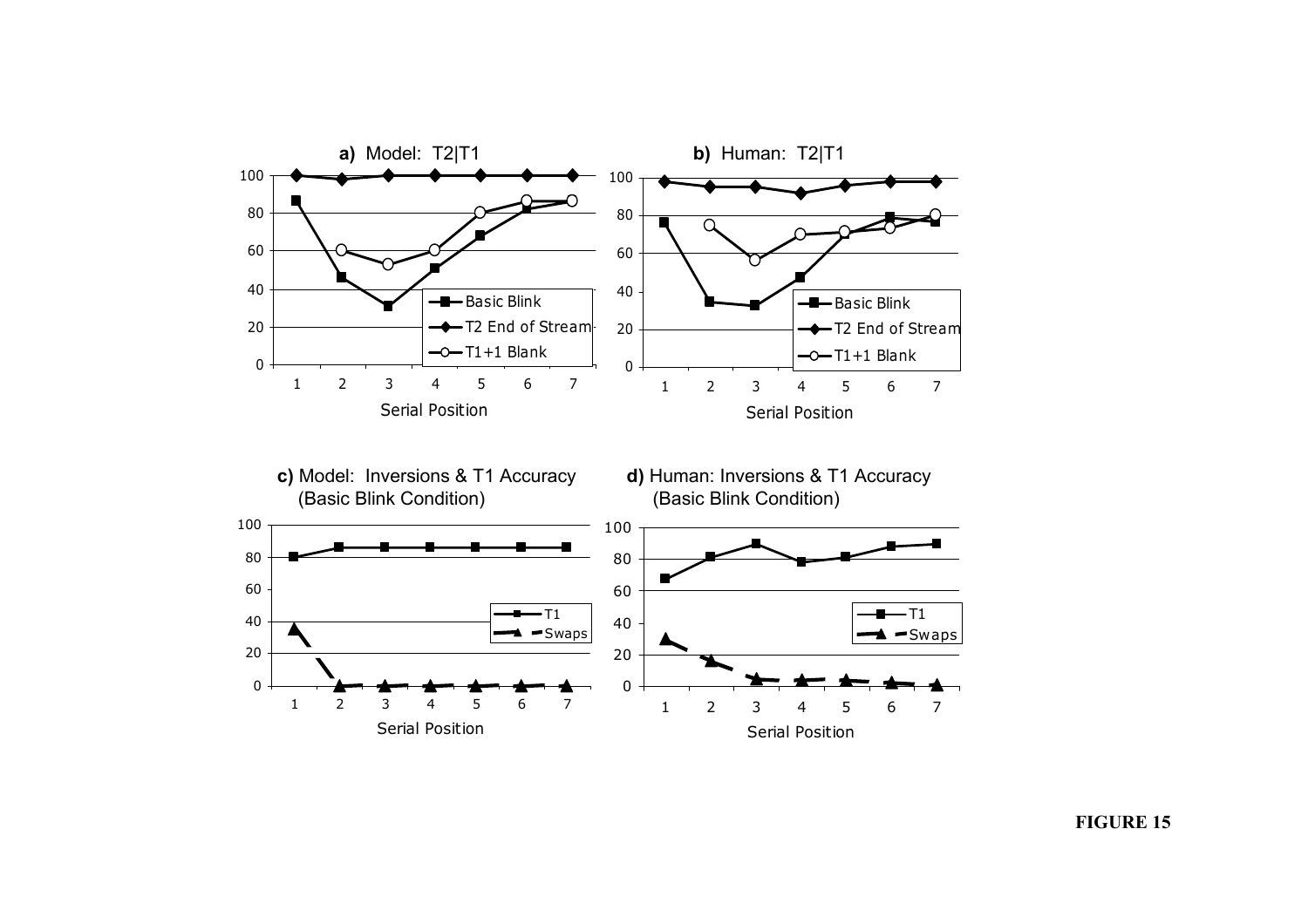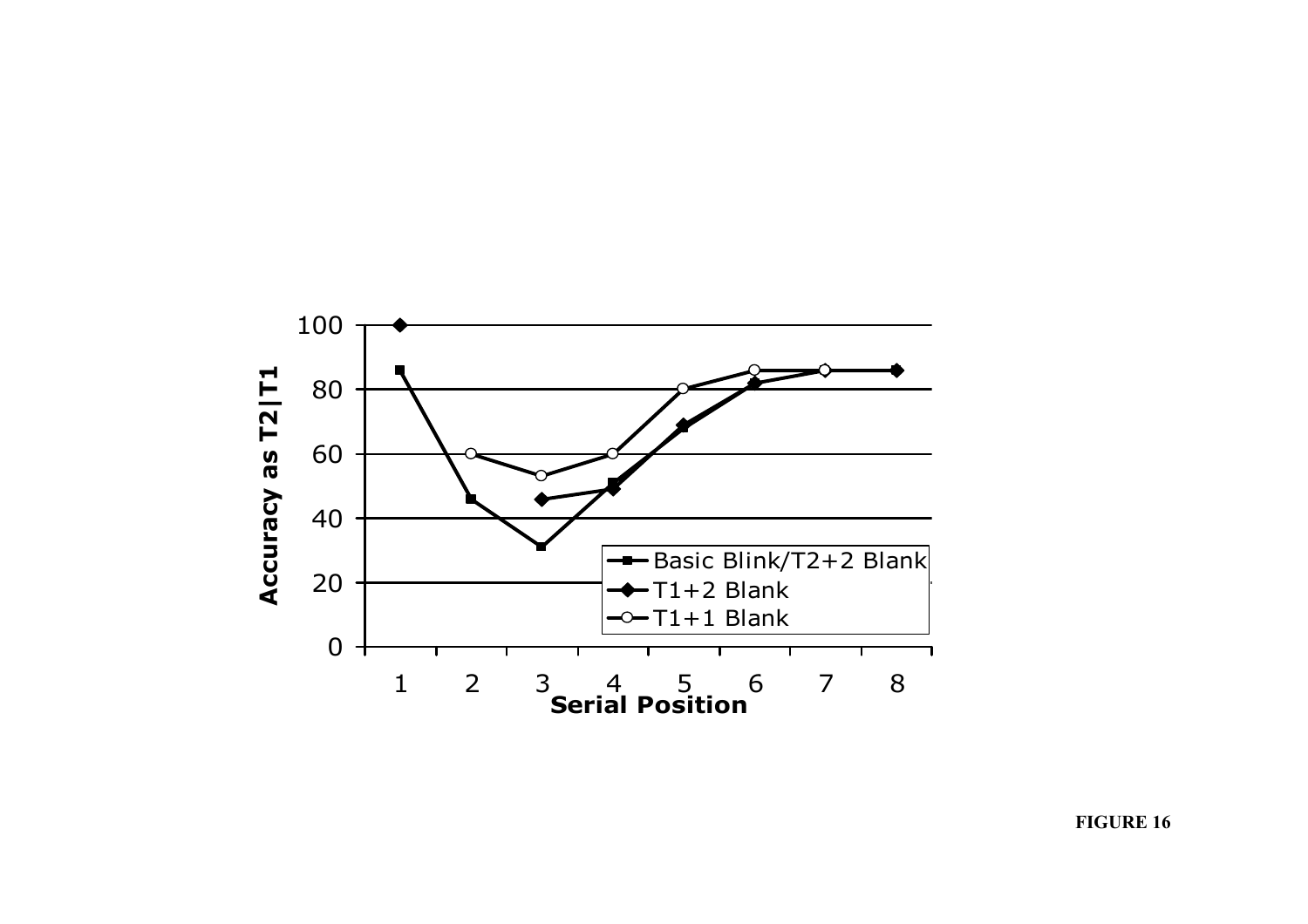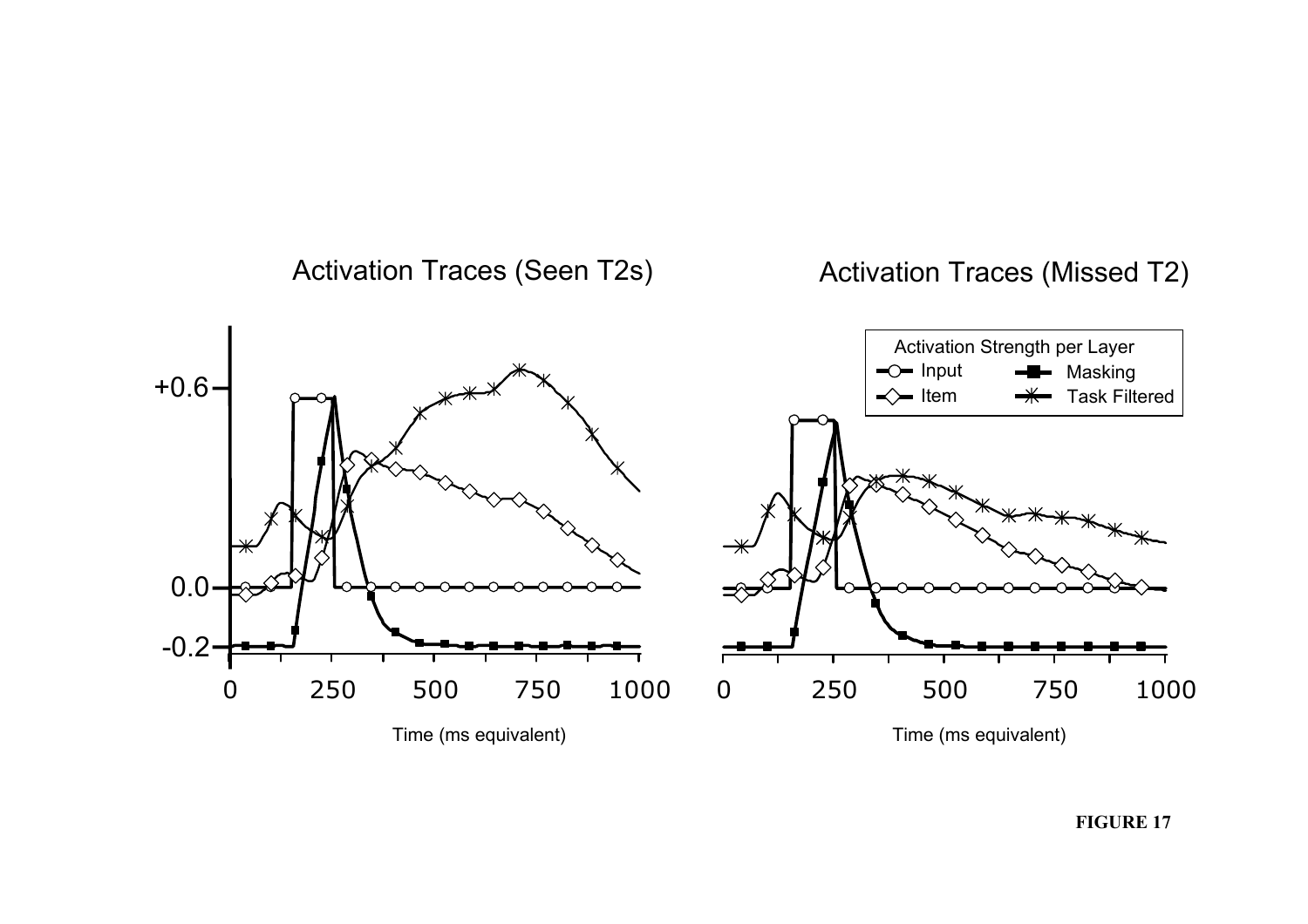

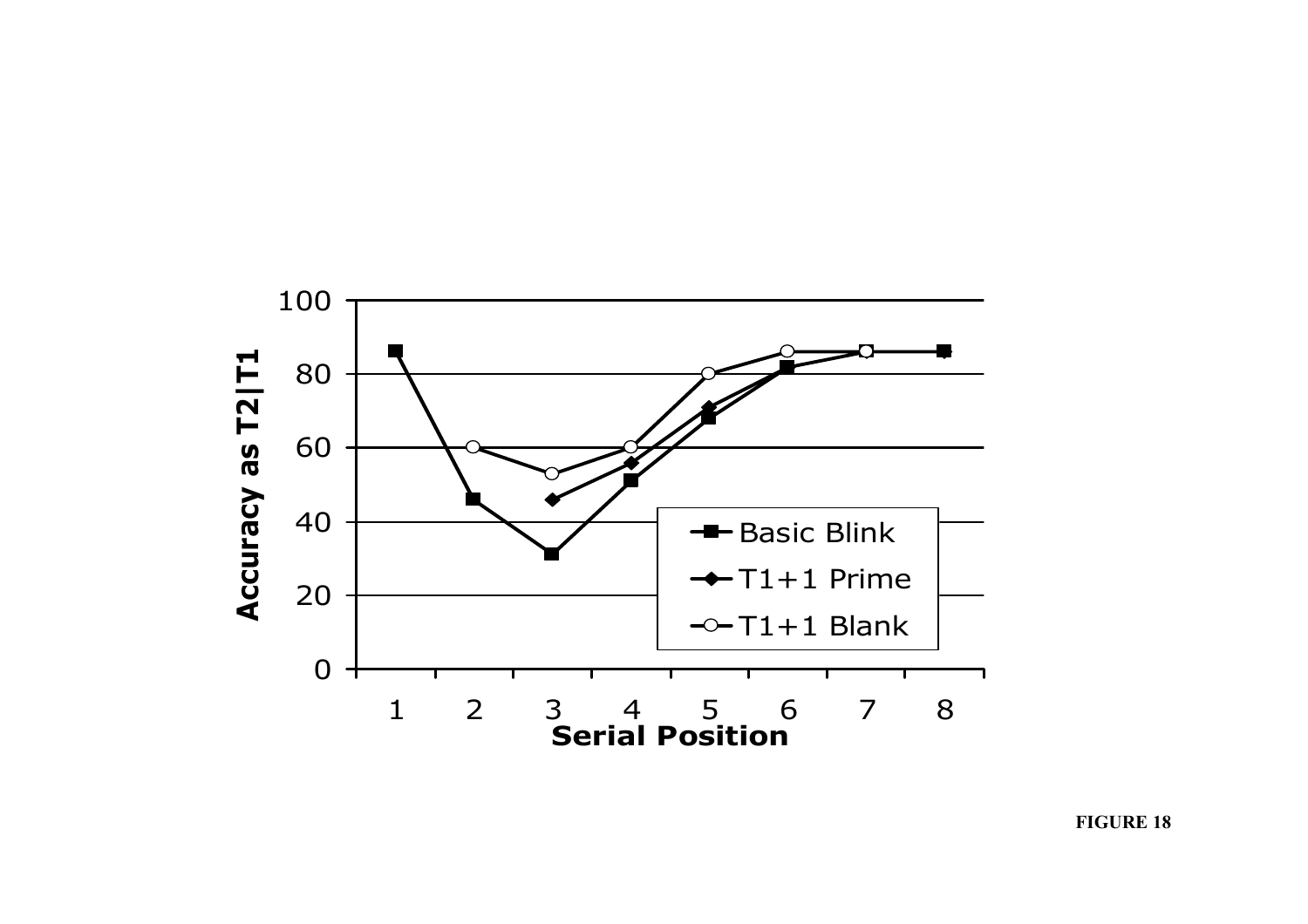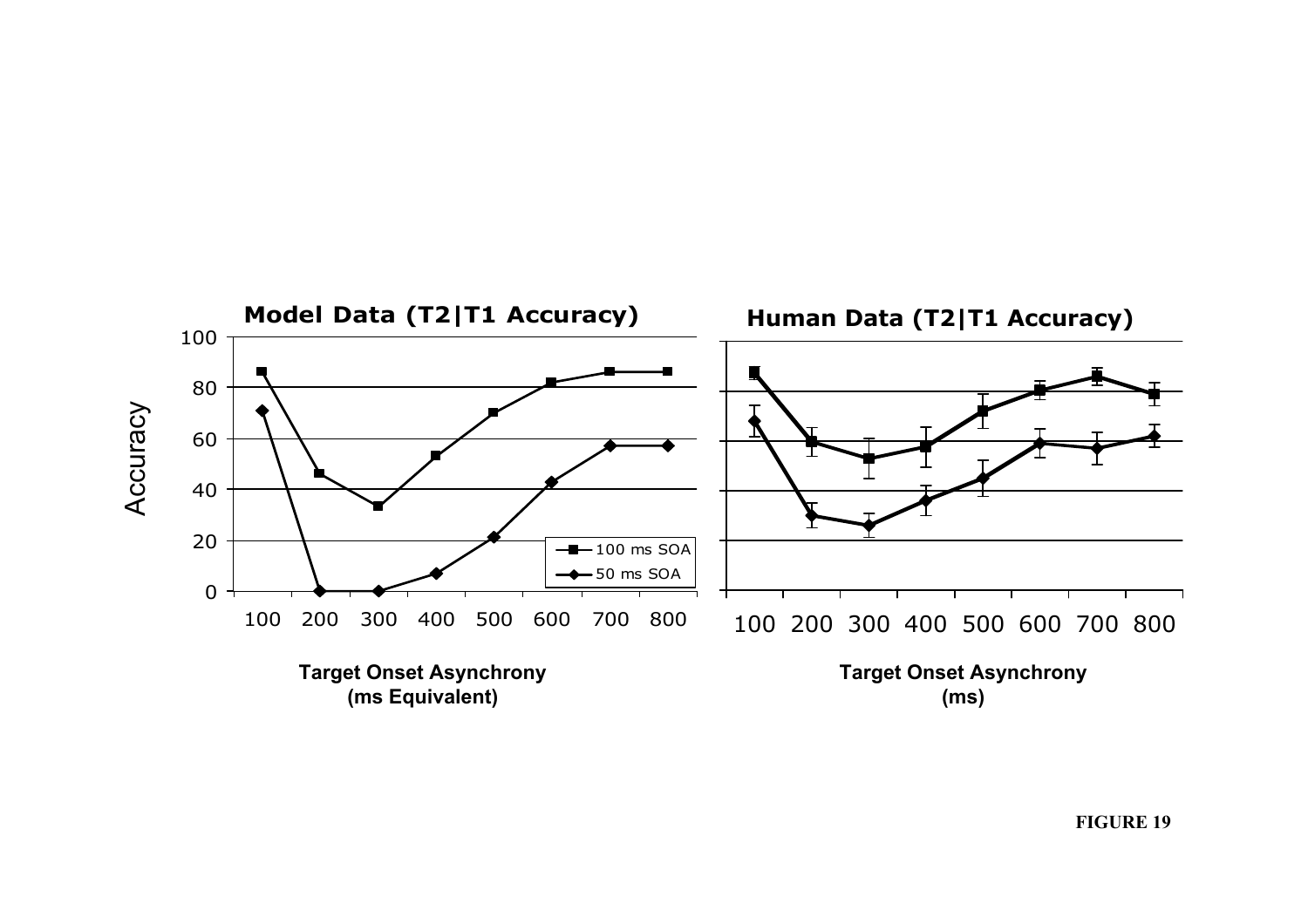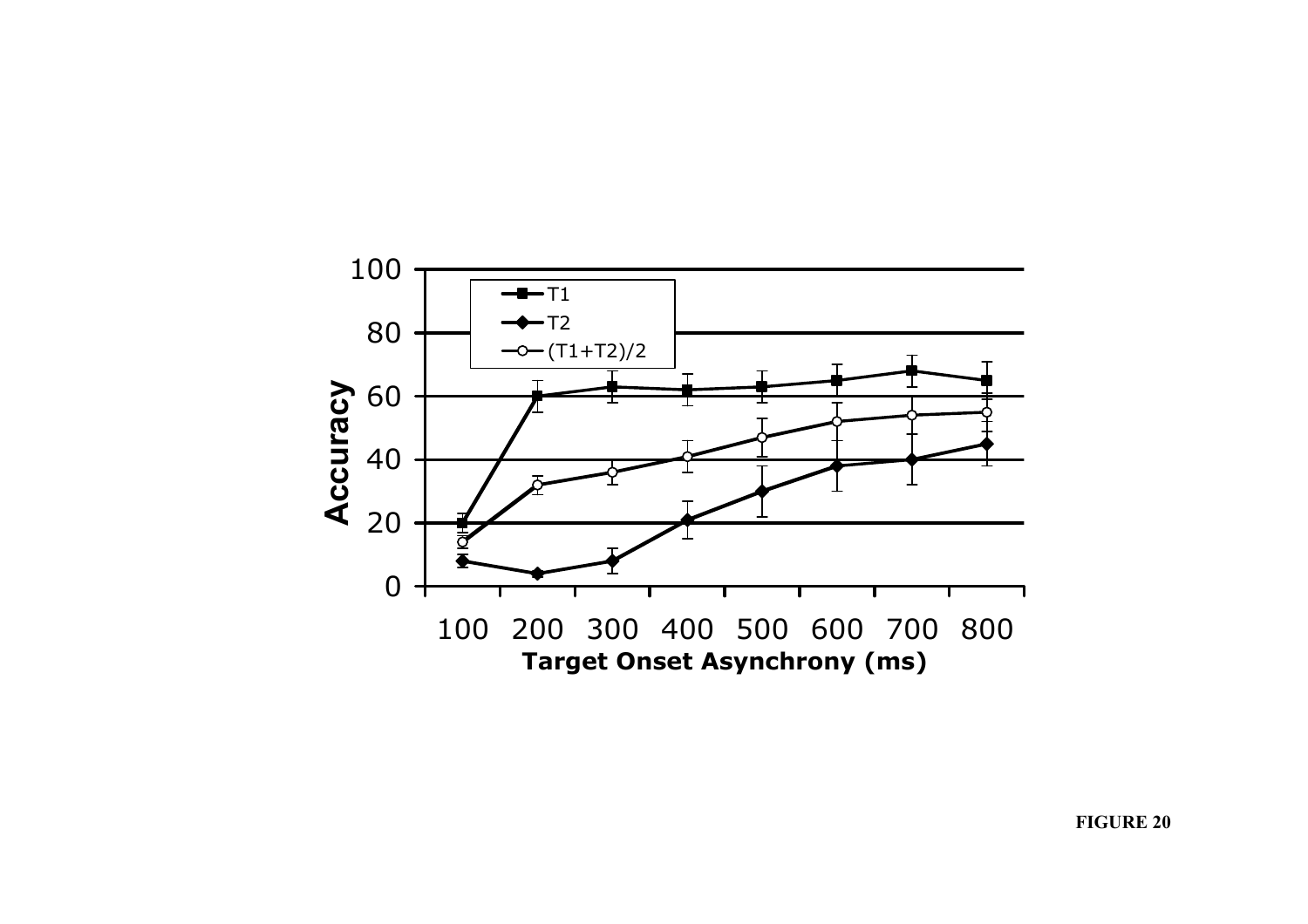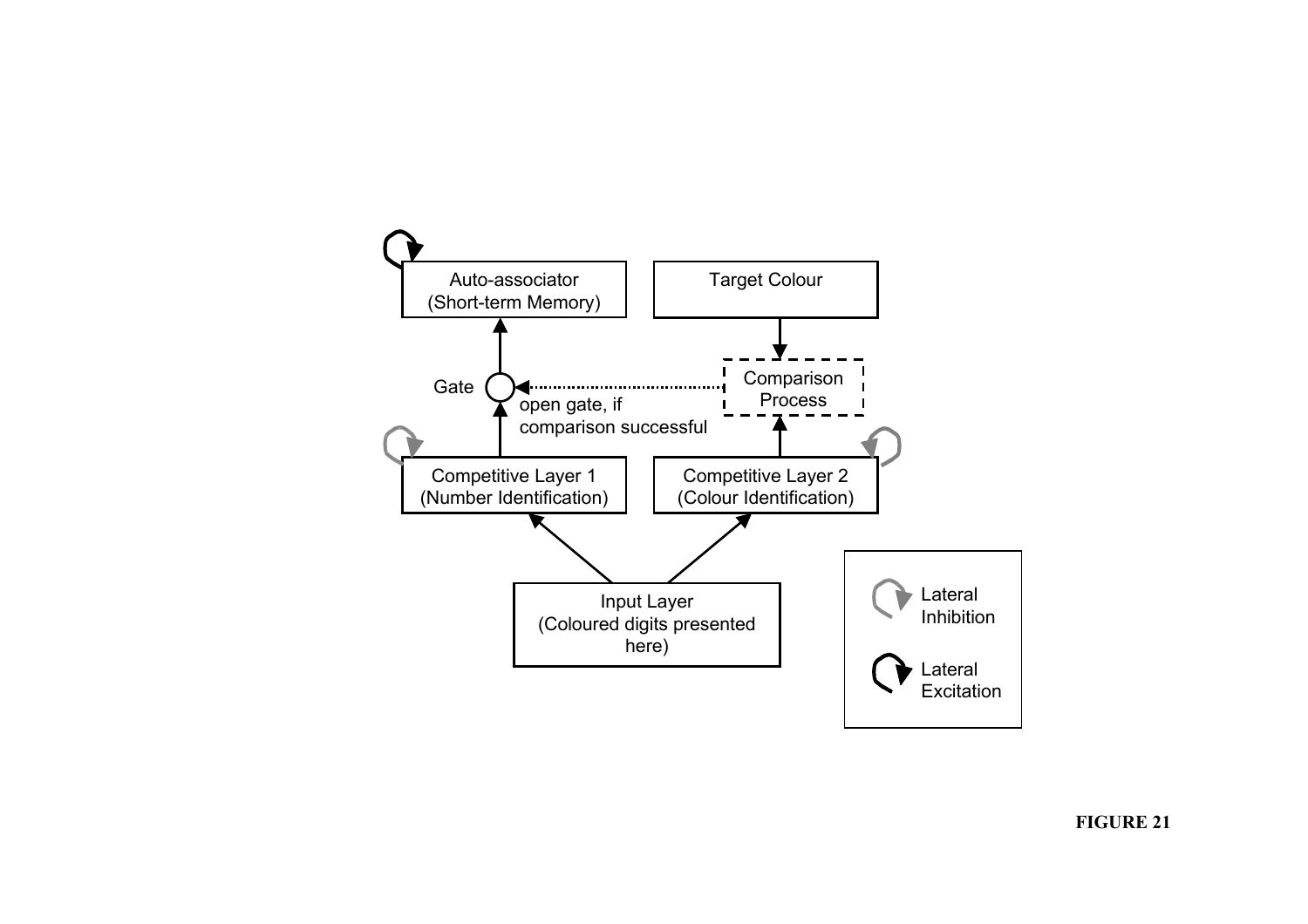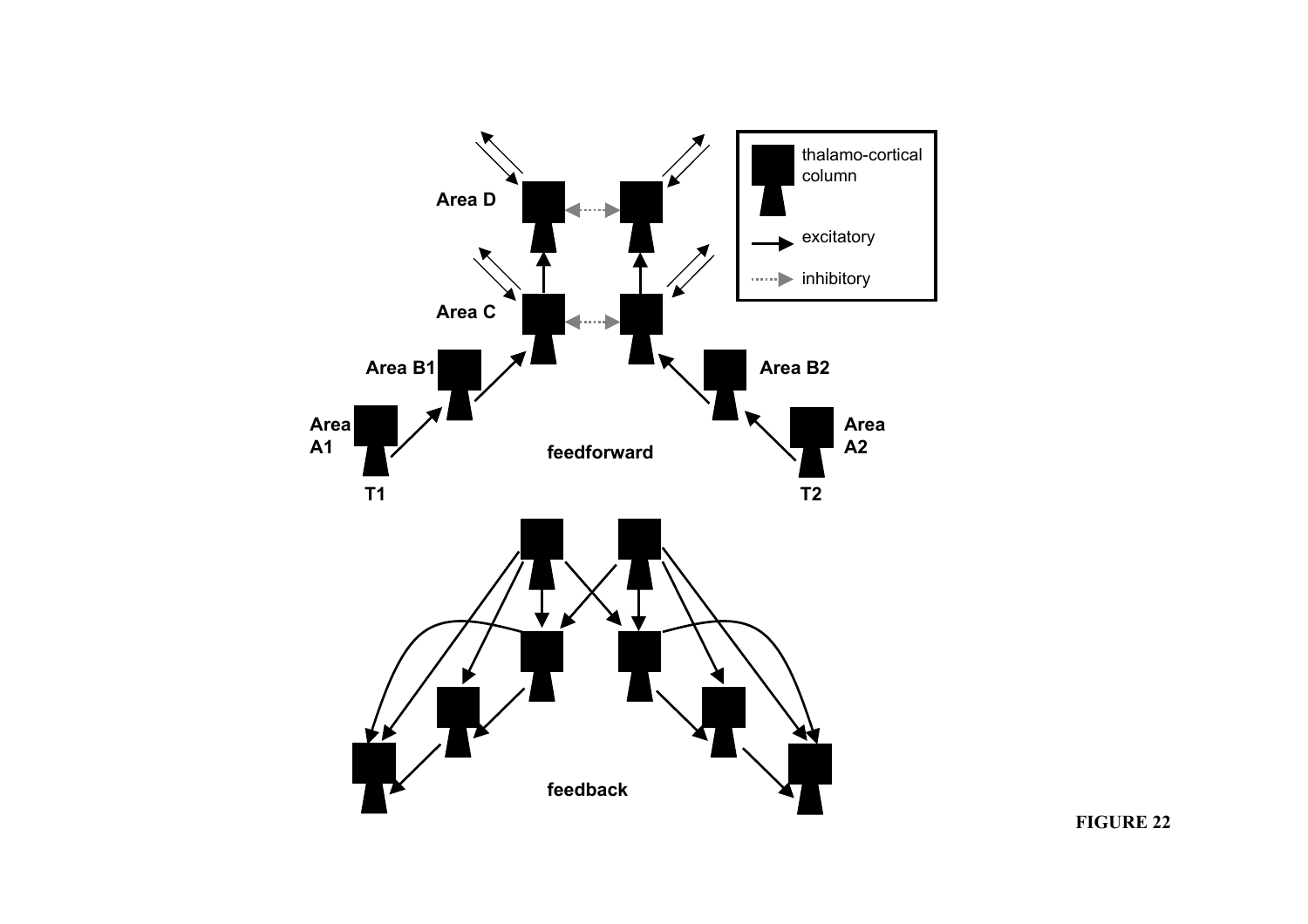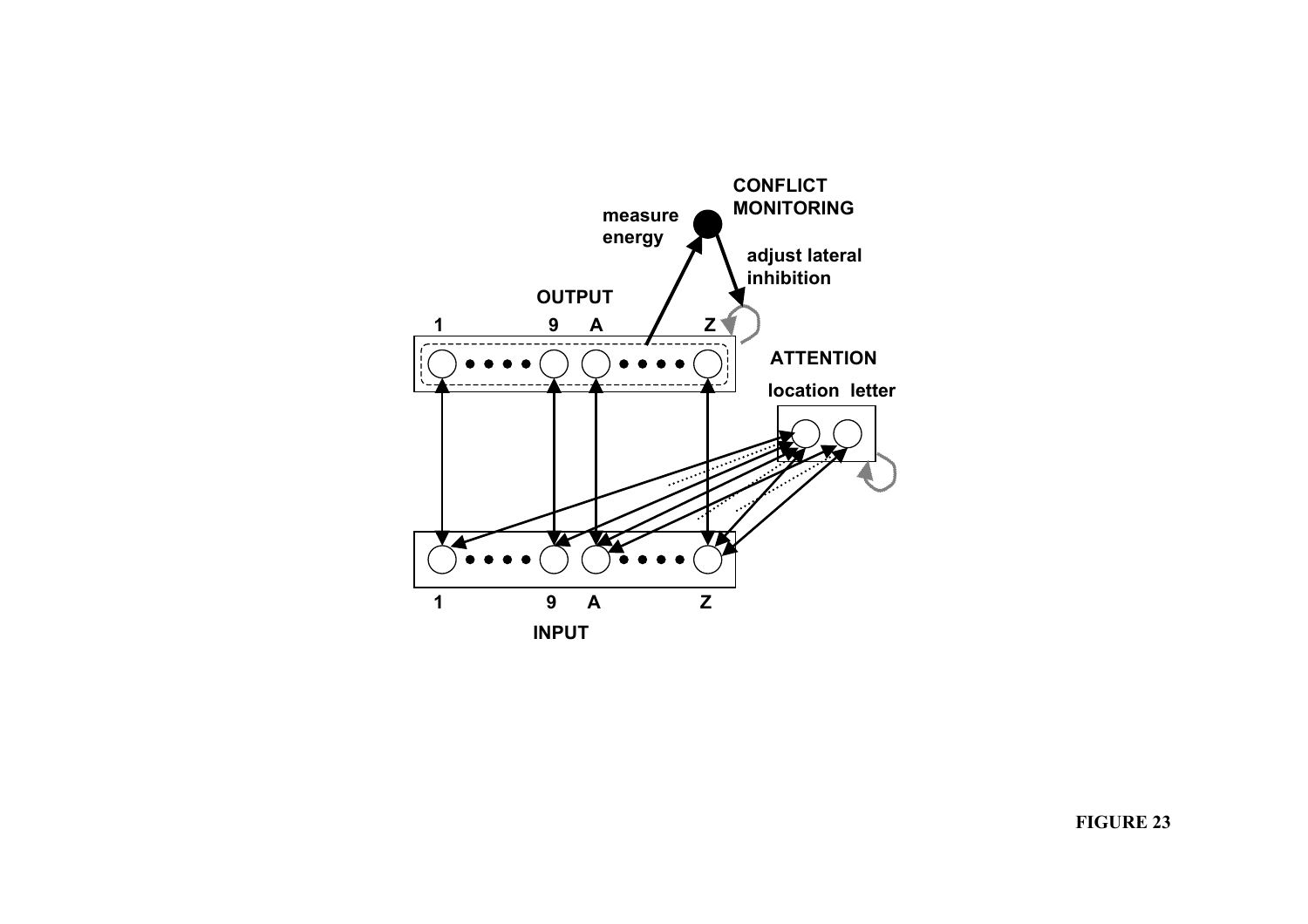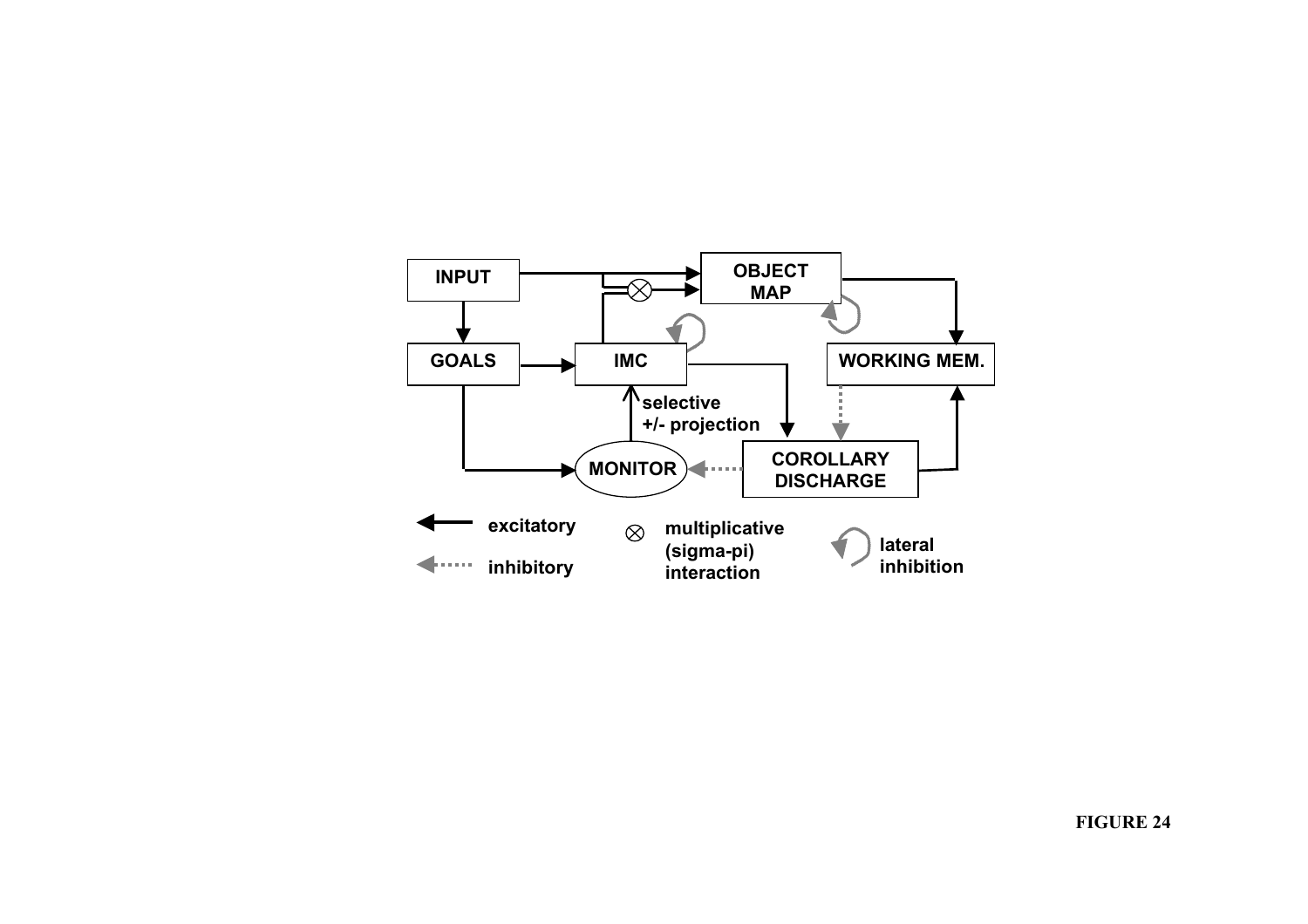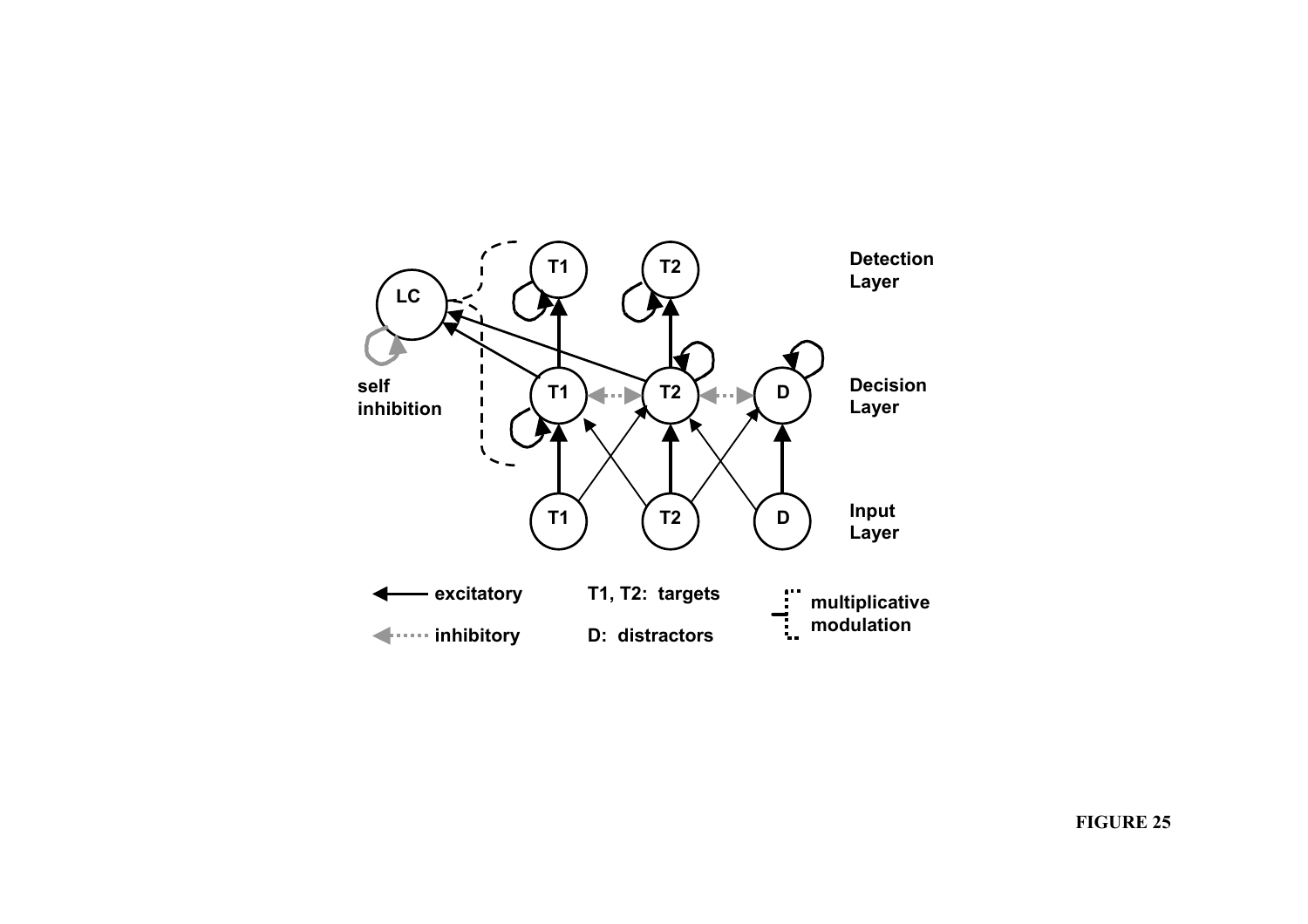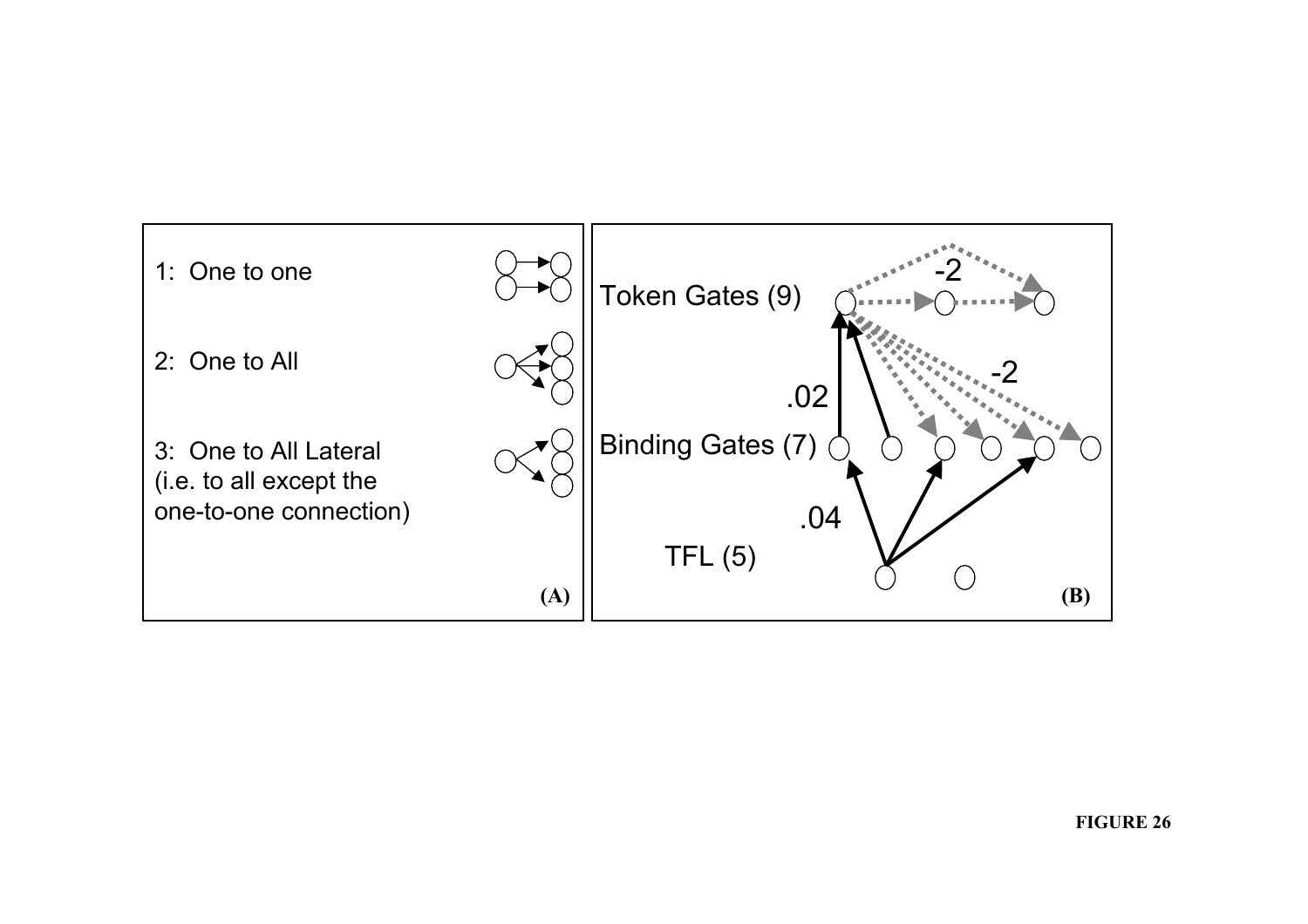